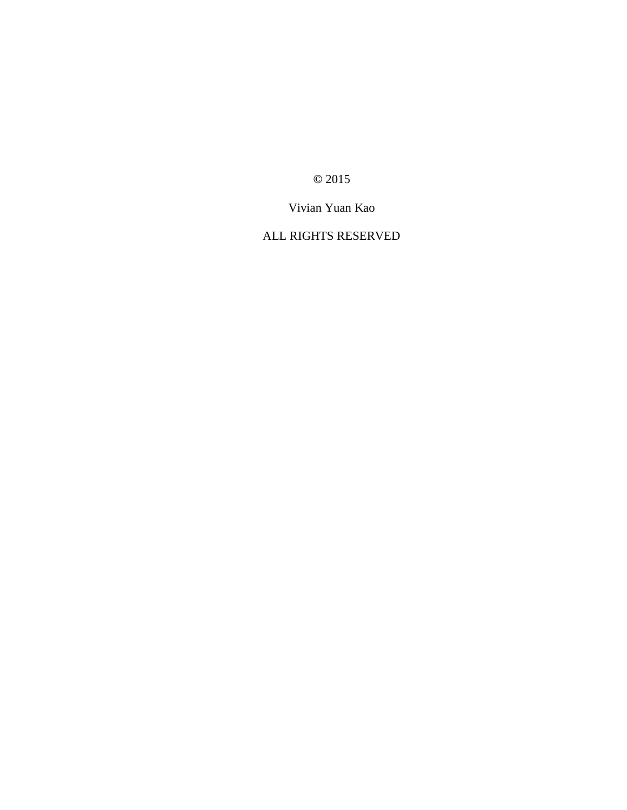**©** 2015

# Vivian Yuan Kao

# ALL RIGHTS RESERVED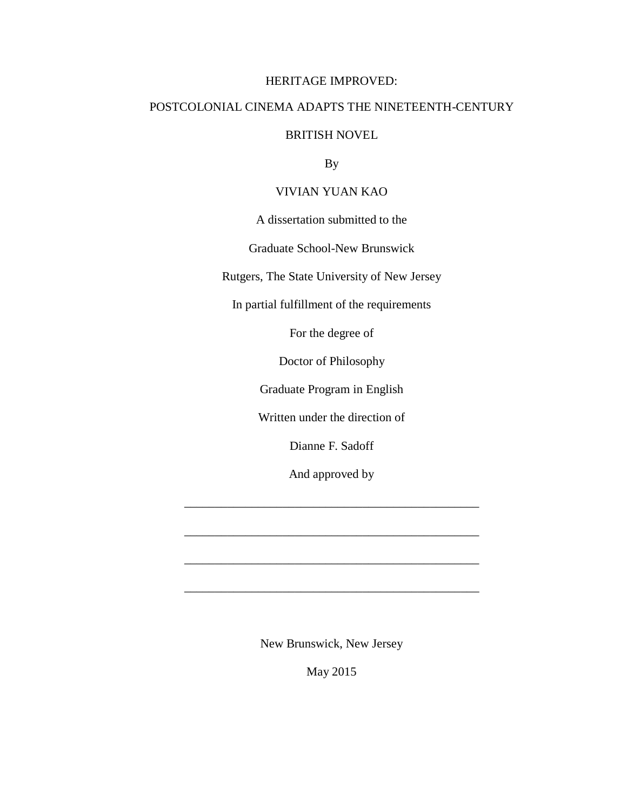# HERITAGE IMPROVED:

## POSTCOLONIAL CINEMA ADAPTS THE NINETEENTH-CENTURY

### BRITISH NOVEL

By

# VIVIAN YUAN KAO

# A dissertation submitted to the

Graduate School-New Brunswick

Rutgers, The State University of New Jersey

In partial fulfillment of the requirements

For the degree of

Doctor of Philosophy

Graduate Program in English

Written under the direction of

Dianne F. Sadoff

And approved by

\_\_\_\_\_\_\_\_\_\_\_\_\_\_\_\_\_\_\_\_\_\_\_\_\_\_\_\_\_\_\_\_\_\_\_\_\_\_\_\_\_\_\_\_\_\_\_\_

\_\_\_\_\_\_\_\_\_\_\_\_\_\_\_\_\_\_\_\_\_\_\_\_\_\_\_\_\_\_\_\_\_\_\_\_\_\_\_\_\_\_\_\_\_\_\_\_

\_\_\_\_\_\_\_\_\_\_\_\_\_\_\_\_\_\_\_\_\_\_\_\_\_\_\_\_\_\_\_\_\_\_\_\_\_\_\_\_\_\_\_\_\_\_\_\_

\_\_\_\_\_\_\_\_\_\_\_\_\_\_\_\_\_\_\_\_\_\_\_\_\_\_\_\_\_\_\_\_\_\_\_\_\_\_\_\_\_\_\_\_\_\_\_\_

New Brunswick, New Jersey

May 2015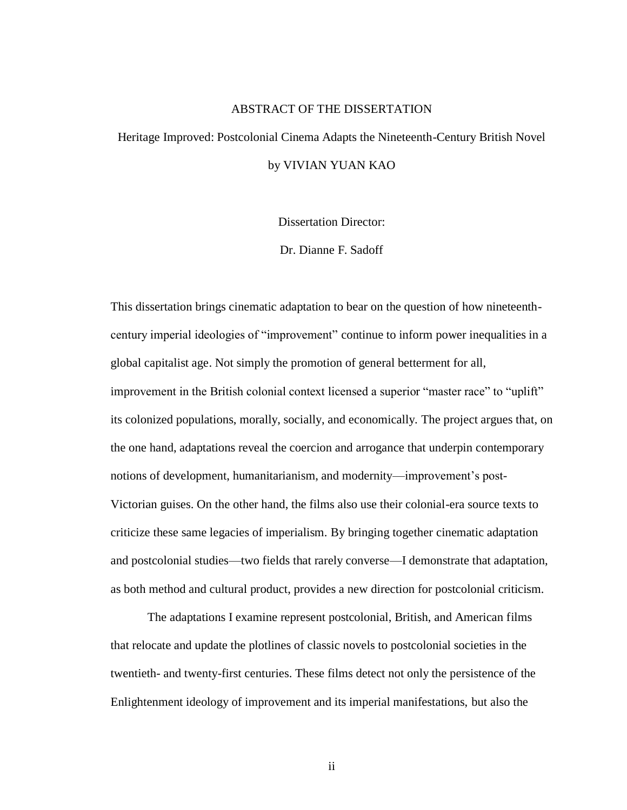#### ABSTRACT OF THE DISSERTATION

Heritage Improved: Postcolonial Cinema Adapts the Nineteenth-Century British Novel by VIVIAN YUAN KAO

Dissertation Director:

Dr. Dianne F. Sadoff

This dissertation brings cinematic adaptation to bear on the question of how nineteenthcentury imperial ideologies of "improvement" continue to inform power inequalities in a global capitalist age. Not simply the promotion of general betterment for all, improvement in the British colonial context licensed a superior "master race" to "uplift" its colonized populations, morally, socially, and economically. The project argues that, on the one hand, adaptations reveal the coercion and arrogance that underpin contemporary notions of development, humanitarianism, and modernity—improvement's post-Victorian guises. On the other hand, the films also use their colonial-era source texts to criticize these same legacies of imperialism. By bringing together cinematic adaptation and postcolonial studies—two fields that rarely converse—I demonstrate that adaptation, as both method and cultural product, provides a new direction for postcolonial criticism.

The adaptations I examine represent postcolonial, British, and American films that relocate and update the plotlines of classic novels to postcolonial societies in the twentieth- and twenty-first centuries. These films detect not only the persistence of the Enlightenment ideology of improvement and its imperial manifestations, but also the

ii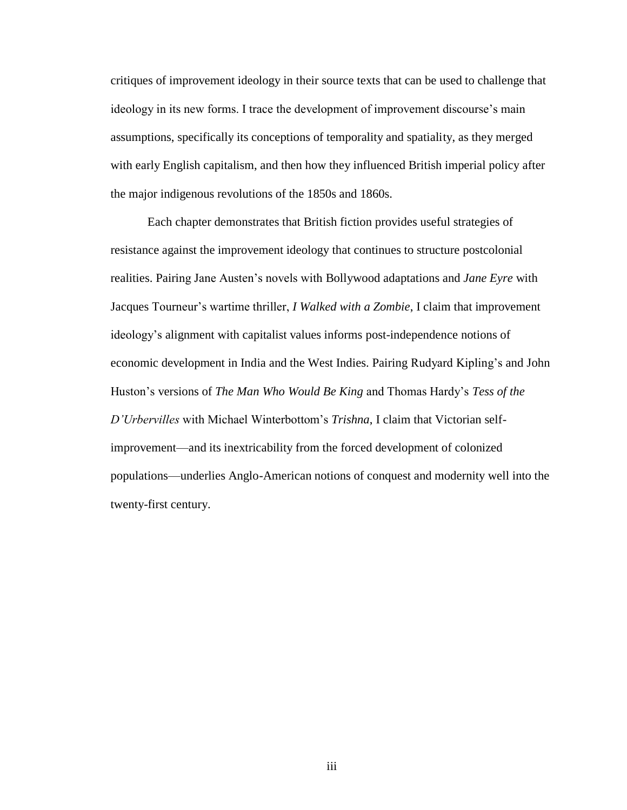critiques of improvement ideology in their source texts that can be used to challenge that ideology in its new forms. I trace the development of improvement discourse's main assumptions, specifically its conceptions of temporality and spatiality, as they merged with early English capitalism, and then how they influenced British imperial policy after the major indigenous revolutions of the 1850s and 1860s.

Each chapter demonstrates that British fiction provides useful strategies of resistance against the improvement ideology that continues to structure postcolonial realities. Pairing Jane Austen's novels with Bollywood adaptations and *Jane Eyre* with Jacques Tourneur's wartime thriller, *I Walked with a Zombie*, I claim that improvement ideology's alignment with capitalist values informs post-independence notions of economic development in India and the West Indies. Pairing Rudyard Kipling's and John Huston's versions of *The Man Who Would Be King* and Thomas Hardy's *Tess of the D'Urbervilles* with Michael Winterbottom's *Trishna*, I claim that Victorian selfimprovement—and its inextricability from the forced development of colonized populations—underlies Anglo-American notions of conquest and modernity well into the twenty-first century.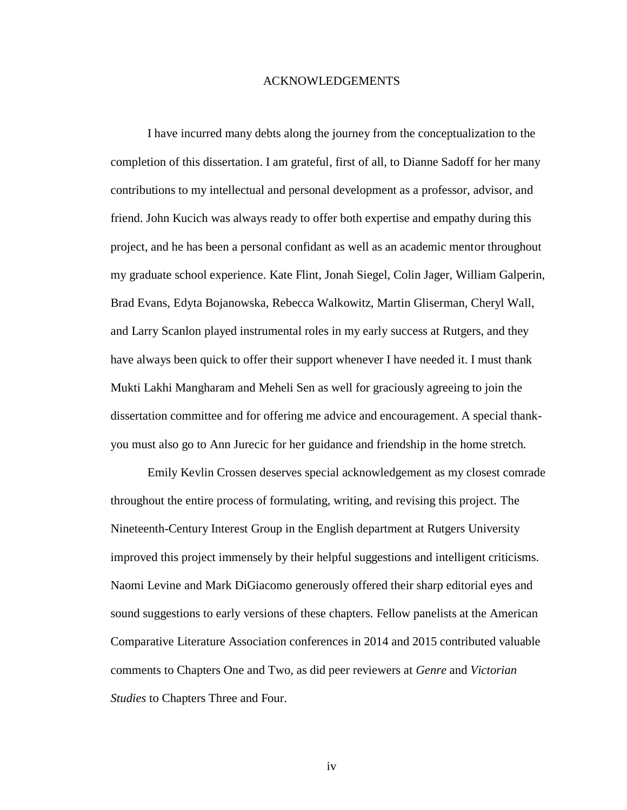#### ACKNOWLEDGEMENTS

I have incurred many debts along the journey from the conceptualization to the completion of this dissertation. I am grateful, first of all, to Dianne Sadoff for her many contributions to my intellectual and personal development as a professor, advisor, and friend. John Kucich was always ready to offer both expertise and empathy during this project, and he has been a personal confidant as well as an academic mentor throughout my graduate school experience. Kate Flint, Jonah Siegel, Colin Jager, William Galperin, Brad Evans, Edyta Bojanowska, Rebecca Walkowitz, Martin Gliserman, Cheryl Wall, and Larry Scanlon played instrumental roles in my early success at Rutgers, and they have always been quick to offer their support whenever I have needed it. I must thank Mukti Lakhi Mangharam and Meheli Sen as well for graciously agreeing to join the dissertation committee and for offering me advice and encouragement. A special thankyou must also go to Ann Jurecic for her guidance and friendship in the home stretch.

Emily Kevlin Crossen deserves special acknowledgement as my closest comrade throughout the entire process of formulating, writing, and revising this project. The Nineteenth-Century Interest Group in the English department at Rutgers University improved this project immensely by their helpful suggestions and intelligent criticisms. Naomi Levine and Mark DiGiacomo generously offered their sharp editorial eyes and sound suggestions to early versions of these chapters. Fellow panelists at the American Comparative Literature Association conferences in 2014 and 2015 contributed valuable comments to Chapters One and Two, as did peer reviewers at *Genre* and *Victorian Studies* to Chapters Three and Four.

iv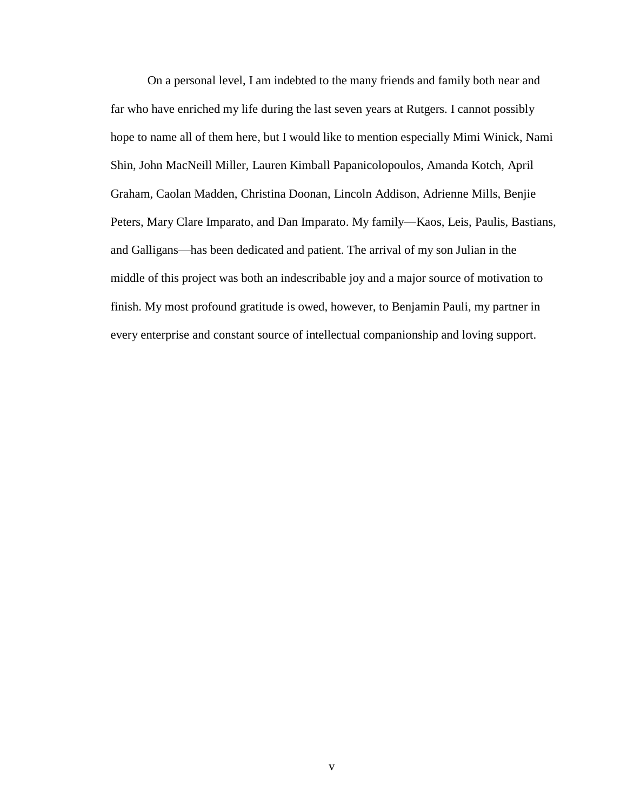On a personal level, I am indebted to the many friends and family both near and far who have enriched my life during the last seven years at Rutgers. I cannot possibly hope to name all of them here, but I would like to mention especially Mimi Winick, Nami Shin, John MacNeill Miller, Lauren Kimball Papanicolopoulos, Amanda Kotch, April Graham, Caolan Madden, Christina Doonan, Lincoln Addison, Adrienne Mills, Benjie Peters, Mary Clare Imparato, and Dan Imparato. My family—Kaos, Leis, Paulis, Bastians, and Galligans—has been dedicated and patient. The arrival of my son Julian in the middle of this project was both an indescribable joy and a major source of motivation to finish. My most profound gratitude is owed, however, to Benjamin Pauli, my partner in every enterprise and constant source of intellectual companionship and loving support.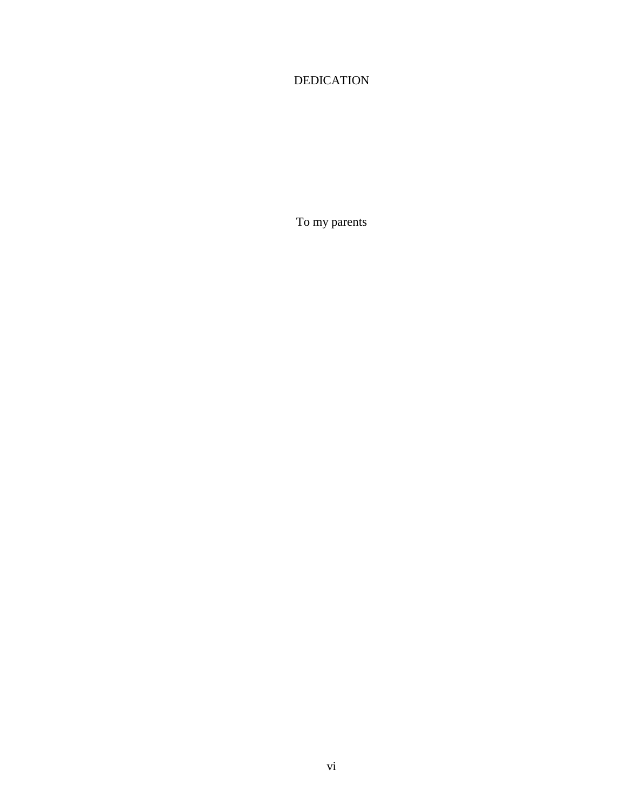# DEDICATION

To my parents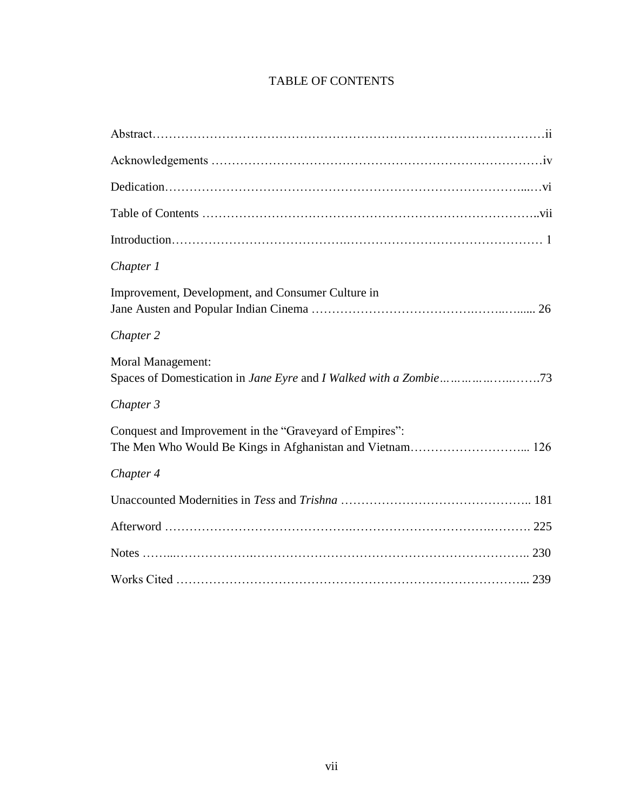# TABLE OF CONTENTS

| Chapter 1                                               |
|---------------------------------------------------------|
| Improvement, Development, and Consumer Culture in       |
| Chapter 2                                               |
| Moral Management:                                       |
| Chapter 3                                               |
| Conquest and Improvement in the "Graveyard of Empires": |
| Chapter 4                                               |
|                                                         |
|                                                         |
|                                                         |
|                                                         |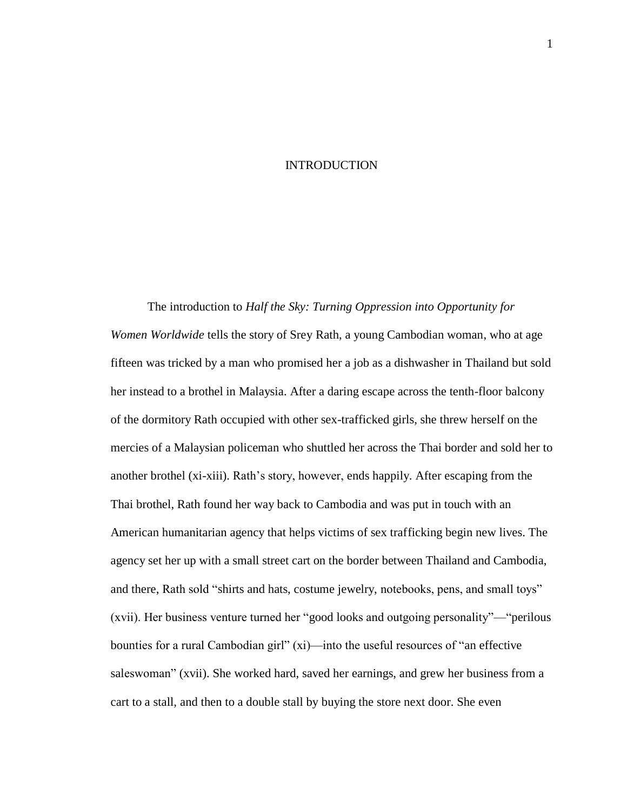### INTRODUCTION

The introduction to *Half the Sky: Turning Oppression into Opportunity for Women Worldwide* tells the story of Srey Rath, a young Cambodian woman, who at age fifteen was tricked by a man who promised her a job as a dishwasher in Thailand but sold her instead to a brothel in Malaysia. After a daring escape across the tenth-floor balcony of the dormitory Rath occupied with other sex-trafficked girls, she threw herself on the mercies of a Malaysian policeman who shuttled her across the Thai border and sold her to another brothel (xi-xiii). Rath's story, however, ends happily. After escaping from the Thai brothel, Rath found her way back to Cambodia and was put in touch with an American humanitarian agency that helps victims of sex trafficking begin new lives. The agency set her up with a small street cart on the border between Thailand and Cambodia, and there, Rath sold "shirts and hats, costume jewelry, notebooks, pens, and small toys" (xvii). Her business venture turned her "good looks and outgoing personality"—"perilous bounties for a rural Cambodian girl" (xi)—into the useful resources of "an effective saleswoman" (xvii). She worked hard, saved her earnings, and grew her business from a cart to a stall, and then to a double stall by buying the store next door. She even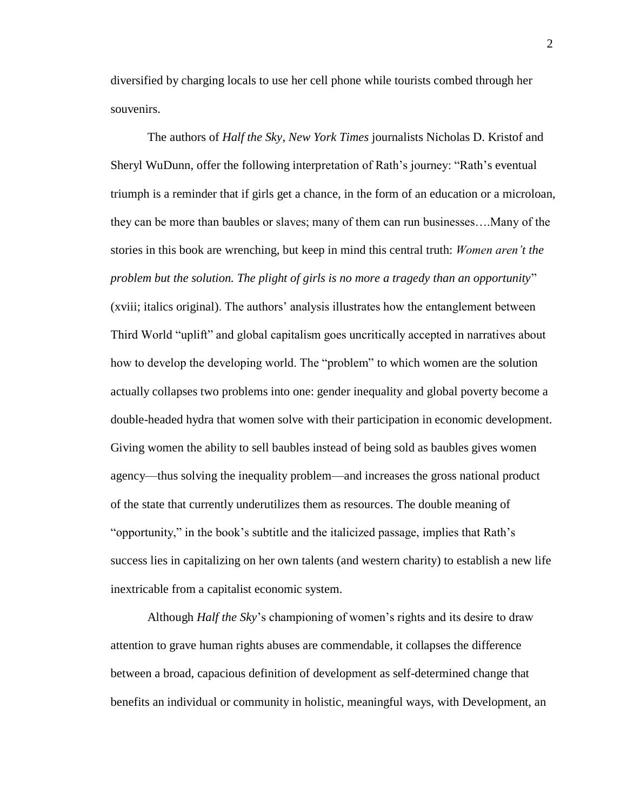diversified by charging locals to use her cell phone while tourists combed through her souvenirs.

The authors of *Half the Sky*, *New York Times* journalists Nicholas D. Kristof and Sheryl WuDunn, offer the following interpretation of Rath's journey: "Rath's eventual triumph is a reminder that if girls get a chance, in the form of an education or a microloan, they can be more than baubles or slaves; many of them can run businesses….Many of the stories in this book are wrenching, but keep in mind this central truth: *Women aren't the problem but the solution. The plight of girls is no more a tragedy than an opportunity*" (xviii; italics original). The authors' analysis illustrates how the entanglement between Third World "uplift" and global capitalism goes uncritically accepted in narratives about how to develop the developing world. The "problem" to which women are the solution actually collapses two problems into one: gender inequality and global poverty become a double-headed hydra that women solve with their participation in economic development. Giving women the ability to sell baubles instead of being sold as baubles gives women agency—thus solving the inequality problem—and increases the gross national product of the state that currently underutilizes them as resources. The double meaning of "opportunity," in the book's subtitle and the italicized passage, implies that Rath's success lies in capitalizing on her own talents (and western charity) to establish a new life inextricable from a capitalist economic system.

Although *Half the Sky*'s championing of women's rights and its desire to draw attention to grave human rights abuses are commendable, it collapses the difference between a broad, capacious definition of development as self-determined change that benefits an individual or community in holistic, meaningful ways, with Development, an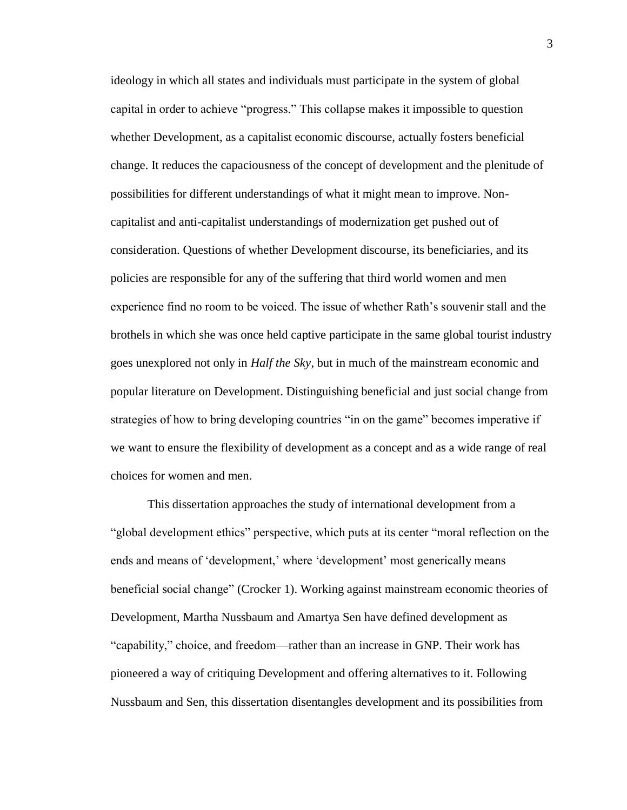ideology in which all states and individuals must participate in the system of global capital in order to achieve "progress." This collapse makes it impossible to question whether Development, as a capitalist economic discourse, actually fosters beneficial change. It reduces the capaciousness of the concept of development and the plenitude of possibilities for different understandings of what it might mean to improve. Noncapitalist and anti-capitalist understandings of modernization get pushed out of consideration. Questions of whether Development discourse, its beneficiaries, and its policies are responsible for any of the suffering that third world women and men experience find no room to be voiced. The issue of whether Rath's souvenir stall and the brothels in which she was once held captive participate in the same global tourist industry goes unexplored not only in *Half the Sky*, but in much of the mainstream economic and popular literature on Development. Distinguishing beneficial and just social change from strategies of how to bring developing countries "in on the game" becomes imperative if we want to ensure the flexibility of development as a concept and as a wide range of real choices for women and men.

This dissertation approaches the study of international development from a "global development ethics" perspective, which puts at its center "moral reflection on the ends and means of 'development,' where 'development' most generically means beneficial social change" (Crocker 1). Working against mainstream economic theories of Development, Martha Nussbaum and Amartya Sen have defined development as "capability," choice, and freedom—rather than an increase in GNP. Their work has pioneered a way of critiquing Development and offering alternatives to it. Following Nussbaum and Sen, this dissertation disentangles development and its possibilities from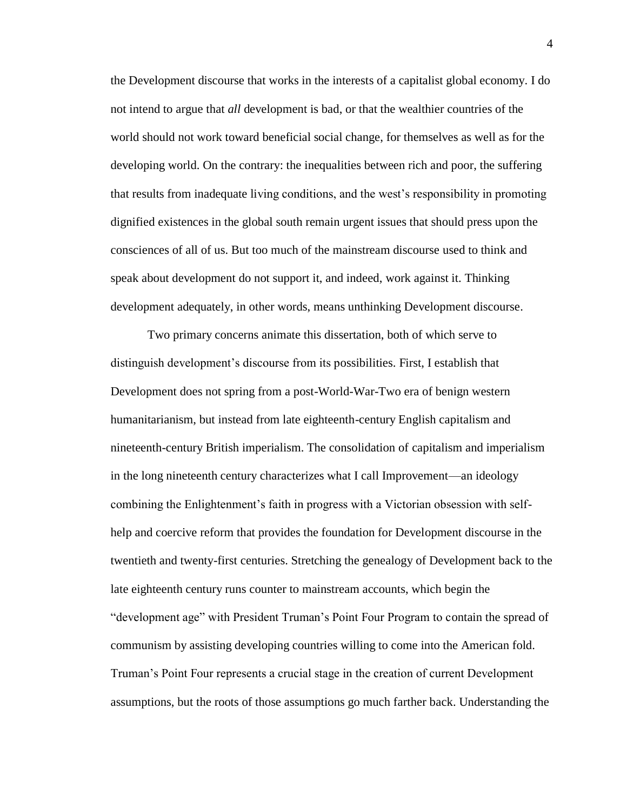the Development discourse that works in the interests of a capitalist global economy. I do not intend to argue that *all* development is bad, or that the wealthier countries of the world should not work toward beneficial social change, for themselves as well as for the developing world. On the contrary: the inequalities between rich and poor, the suffering that results from inadequate living conditions, and the west's responsibility in promoting dignified existences in the global south remain urgent issues that should press upon the consciences of all of us. But too much of the mainstream discourse used to think and speak about development do not support it, and indeed, work against it. Thinking development adequately, in other words, means unthinking Development discourse.

Two primary concerns animate this dissertation, both of which serve to distinguish development's discourse from its possibilities. First, I establish that Development does not spring from a post-World-War-Two era of benign western humanitarianism, but instead from late eighteenth-century English capitalism and nineteenth-century British imperialism. The consolidation of capitalism and imperialism in the long nineteenth century characterizes what I call Improvement—an ideology combining the Enlightenment's faith in progress with a Victorian obsession with selfhelp and coercive reform that provides the foundation for Development discourse in the twentieth and twenty-first centuries. Stretching the genealogy of Development back to the late eighteenth century runs counter to mainstream accounts, which begin the "development age" with President Truman's Point Four Program to contain the spread of communism by assisting developing countries willing to come into the American fold. Truman's Point Four represents a crucial stage in the creation of current Development assumptions, but the roots of those assumptions go much farther back. Understanding the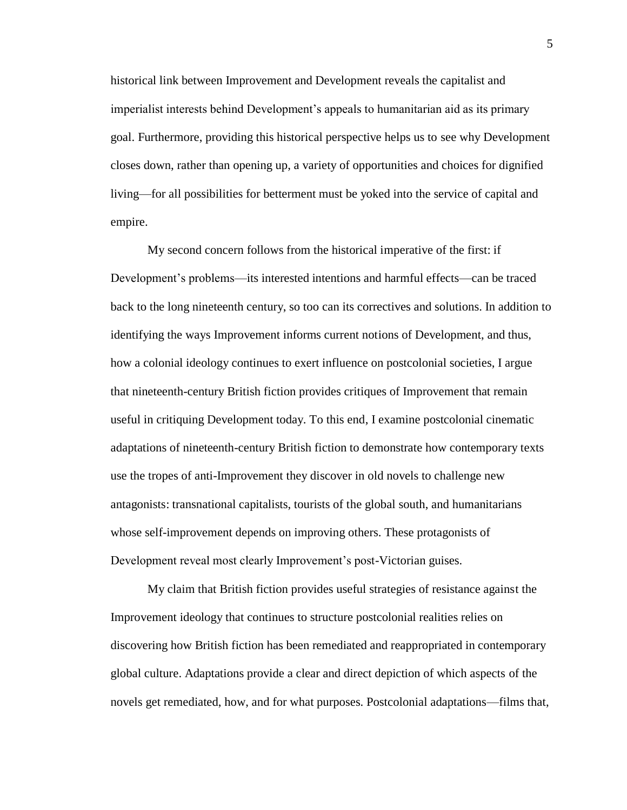historical link between Improvement and Development reveals the capitalist and imperialist interests behind Development's appeals to humanitarian aid as its primary goal. Furthermore, providing this historical perspective helps us to see why Development closes down, rather than opening up, a variety of opportunities and choices for dignified living—for all possibilities for betterment must be yoked into the service of capital and empire.

My second concern follows from the historical imperative of the first: if Development's problems—its interested intentions and harmful effects—can be traced back to the long nineteenth century, so too can its correctives and solutions. In addition to identifying the ways Improvement informs current notions of Development, and thus, how a colonial ideology continues to exert influence on postcolonial societies, I argue that nineteenth-century British fiction provides critiques of Improvement that remain useful in critiquing Development today. To this end, I examine postcolonial cinematic adaptations of nineteenth-century British fiction to demonstrate how contemporary texts use the tropes of anti-Improvement they discover in old novels to challenge new antagonists: transnational capitalists, tourists of the global south, and humanitarians whose self-improvement depends on improving others. These protagonists of Development reveal most clearly Improvement's post-Victorian guises.

My claim that British fiction provides useful strategies of resistance against the Improvement ideology that continues to structure postcolonial realities relies on discovering how British fiction has been remediated and reappropriated in contemporary global culture. Adaptations provide a clear and direct depiction of which aspects of the novels get remediated, how, and for what purposes. Postcolonial adaptations—films that,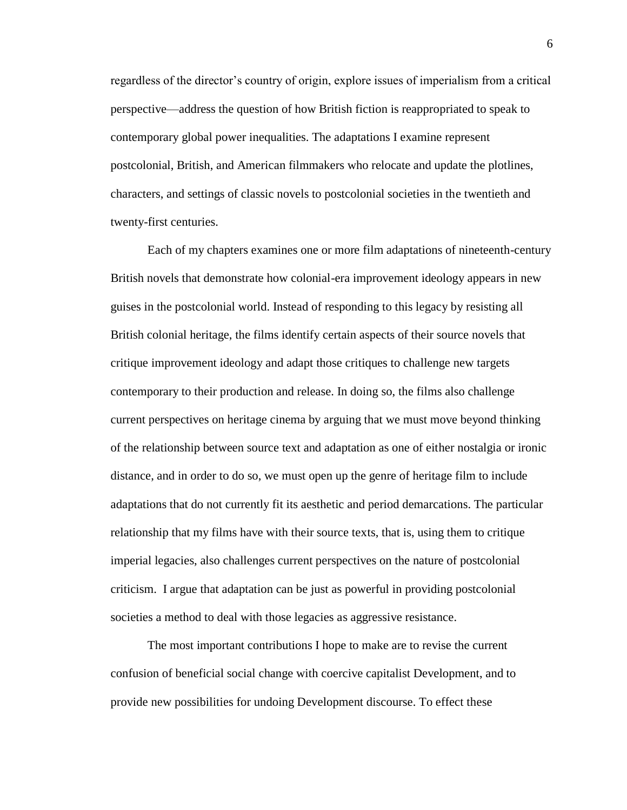regardless of the director's country of origin, explore issues of imperialism from a critical perspective—address the question of how British fiction is reappropriated to speak to contemporary global power inequalities. The adaptations I examine represent postcolonial, British, and American filmmakers who relocate and update the plotlines, characters, and settings of classic novels to postcolonial societies in the twentieth and twenty-first centuries.

Each of my chapters examines one or more film adaptations of nineteenth-century British novels that demonstrate how colonial-era improvement ideology appears in new guises in the postcolonial world. Instead of responding to this legacy by resisting all British colonial heritage, the films identify certain aspects of their source novels that critique improvement ideology and adapt those critiques to challenge new targets contemporary to their production and release. In doing so, the films also challenge current perspectives on heritage cinema by arguing that we must move beyond thinking of the relationship between source text and adaptation as one of either nostalgia or ironic distance, and in order to do so, we must open up the genre of heritage film to include adaptations that do not currently fit its aesthetic and period demarcations. The particular relationship that my films have with their source texts, that is, using them to critique imperial legacies, also challenges current perspectives on the nature of postcolonial criticism. I argue that adaptation can be just as powerful in providing postcolonial societies a method to deal with those legacies as aggressive resistance.

The most important contributions I hope to make are to revise the current confusion of beneficial social change with coercive capitalist Development, and to provide new possibilities for undoing Development discourse. To effect these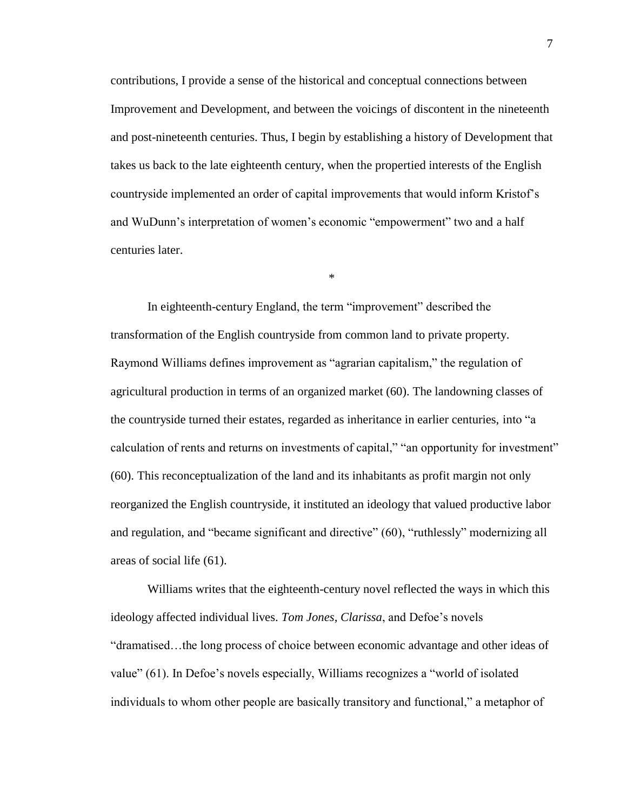contributions, I provide a sense of the historical and conceptual connections between Improvement and Development, and between the voicings of discontent in the nineteenth and post-nineteenth centuries. Thus, I begin by establishing a history of Development that takes us back to the late eighteenth century, when the propertied interests of the English countryside implemented an order of capital improvements that would inform Kristof's and WuDunn's interpretation of women's economic "empowerment" two and a half centuries later.

\*

In eighteenth-century England, the term "improvement" described the transformation of the English countryside from common land to private property. Raymond Williams defines improvement as "agrarian capitalism," the regulation of agricultural production in terms of an organized market (60). The landowning classes of the countryside turned their estates, regarded as inheritance in earlier centuries, into "a calculation of rents and returns on investments of capital," "an opportunity for investment" (60). This reconceptualization of the land and its inhabitants as profit margin not only reorganized the English countryside, it instituted an ideology that valued productive labor and regulation, and "became significant and directive" (60), "ruthlessly" modernizing all areas of social life (61).

Williams writes that the eighteenth-century novel reflected the ways in which this ideology affected individual lives. *Tom Jones*, *Clarissa*, and Defoe's novels "dramatised…the long process of choice between economic advantage and other ideas of value" (61). In Defoe's novels especially, Williams recognizes a "world of isolated individuals to whom other people are basically transitory and functional," a metaphor of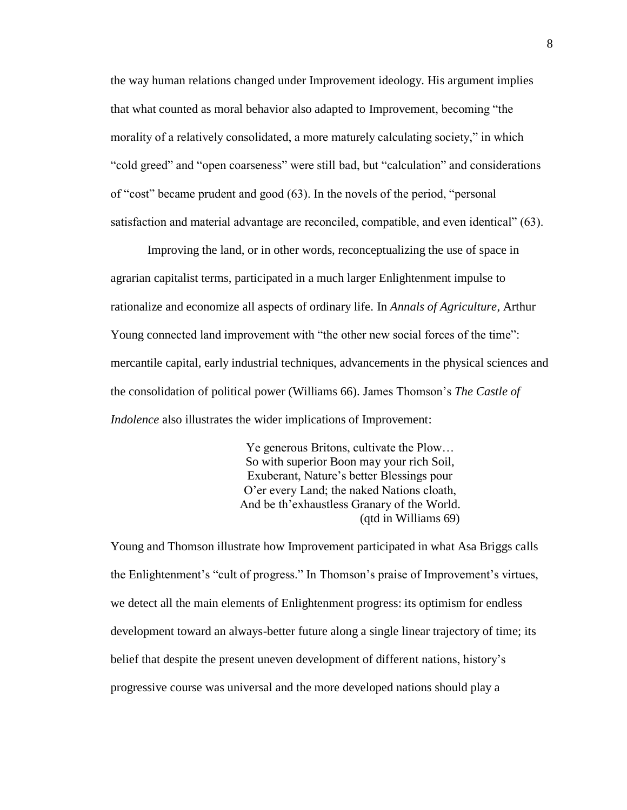the way human relations changed under Improvement ideology. His argument implies that what counted as moral behavior also adapted to Improvement, becoming "the morality of a relatively consolidated, a more maturely calculating society," in which "cold greed" and "open coarseness" were still bad, but "calculation" and considerations of "cost" became prudent and good (63). In the novels of the period, "personal satisfaction and material advantage are reconciled, compatible, and even identical" (63).

Improving the land, or in other words, reconceptualizing the use of space in agrarian capitalist terms, participated in a much larger Enlightenment impulse to rationalize and economize all aspects of ordinary life. In *Annals of Agriculture*, Arthur Young connected land improvement with "the other new social forces of the time": mercantile capital, early industrial techniques, advancements in the physical sciences and the consolidation of political power (Williams 66). James Thomson's *The Castle of Indolence* also illustrates the wider implications of Improvement:

> Ye generous Britons, cultivate the Plow… So with superior Boon may your rich Soil, Exuberant, Nature's better Blessings pour O'er every Land; the naked Nations cloath, And be th'exhaustless Granary of the World. (qtd in Williams 69)

Young and Thomson illustrate how Improvement participated in what Asa Briggs calls the Enlightenment's "cult of progress." In Thomson's praise of Improvement's virtues, we detect all the main elements of Enlightenment progress: its optimism for endless development toward an always-better future along a single linear trajectory of time; its belief that despite the present uneven development of different nations, history's progressive course was universal and the more developed nations should play a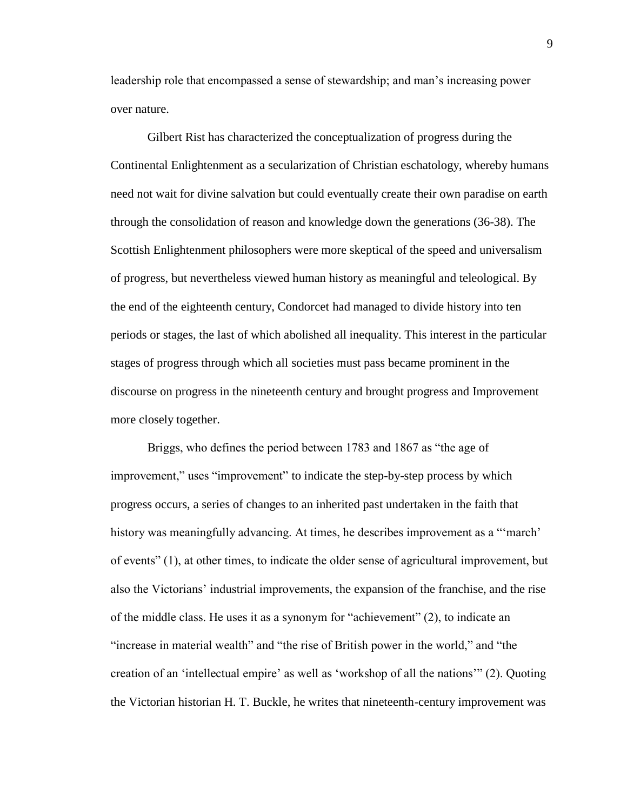leadership role that encompassed a sense of stewardship; and man's increasing power over nature.

Gilbert Rist has characterized the conceptualization of progress during the Continental Enlightenment as a secularization of Christian eschatology, whereby humans need not wait for divine salvation but could eventually create their own paradise on earth through the consolidation of reason and knowledge down the generations (36-38). The Scottish Enlightenment philosophers were more skeptical of the speed and universalism of progress, but nevertheless viewed human history as meaningful and teleological. By the end of the eighteenth century, Condorcet had managed to divide history into ten periods or stages, the last of which abolished all inequality. This interest in the particular stages of progress through which all societies must pass became prominent in the discourse on progress in the nineteenth century and brought progress and Improvement more closely together.

Briggs, who defines the period between 1783 and 1867 as "the age of improvement," uses "improvement" to indicate the step-by-step process by which progress occurs, a series of changes to an inherited past undertaken in the faith that history was meaningfully advancing. At times, he describes improvement as a "march" of events" (1), at other times, to indicate the older sense of agricultural improvement, but also the Victorians' industrial improvements, the expansion of the franchise, and the rise of the middle class. He uses it as a synonym for "achievement" (2), to indicate an "increase in material wealth" and "the rise of British power in the world," and "the creation of an 'intellectual empire' as well as 'workshop of all the nations'" (2). Quoting the Victorian historian H. T. Buckle, he writes that nineteenth-century improvement was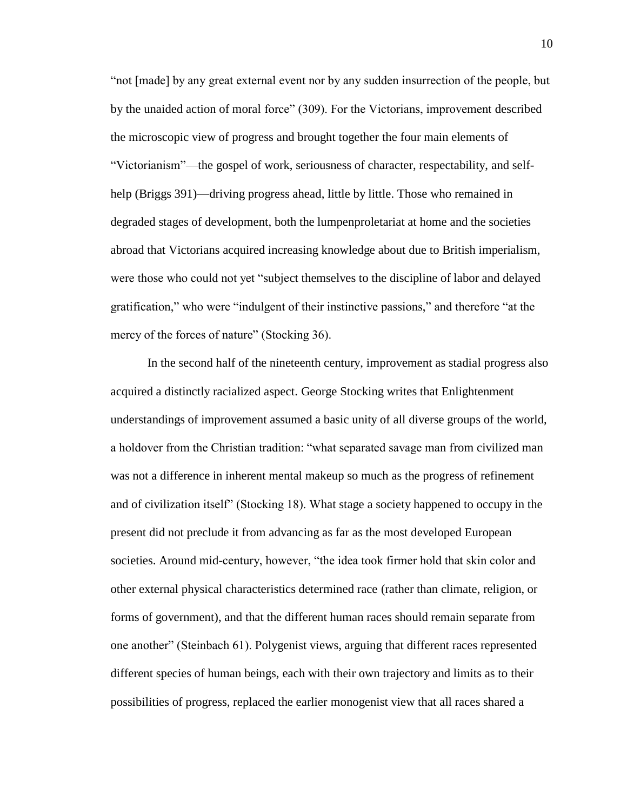"not [made] by any great external event nor by any sudden insurrection of the people, but by the unaided action of moral force" (309). For the Victorians, improvement described the microscopic view of progress and brought together the four main elements of "Victorianism"—the gospel of work, seriousness of character, respectability, and selfhelp (Briggs 391)—driving progress ahead, little by little. Those who remained in degraded stages of development, both the lumpenproletariat at home and the societies abroad that Victorians acquired increasing knowledge about due to British imperialism, were those who could not yet "subject themselves to the discipline of labor and delayed gratification," who were "indulgent of their instinctive passions," and therefore "at the mercy of the forces of nature" (Stocking 36).

In the second half of the nineteenth century, improvement as stadial progress also acquired a distinctly racialized aspect. George Stocking writes that Enlightenment understandings of improvement assumed a basic unity of all diverse groups of the world, a holdover from the Christian tradition: "what separated savage man from civilized man was not a difference in inherent mental makeup so much as the progress of refinement and of civilization itself" (Stocking 18). What stage a society happened to occupy in the present did not preclude it from advancing as far as the most developed European societies. Around mid-century, however, "the idea took firmer hold that skin color and other external physical characteristics determined race (rather than climate, religion, or forms of government), and that the different human races should remain separate from one another" (Steinbach 61). Polygenist views, arguing that different races represented different species of human beings, each with their own trajectory and limits as to their possibilities of progress, replaced the earlier monogenist view that all races shared a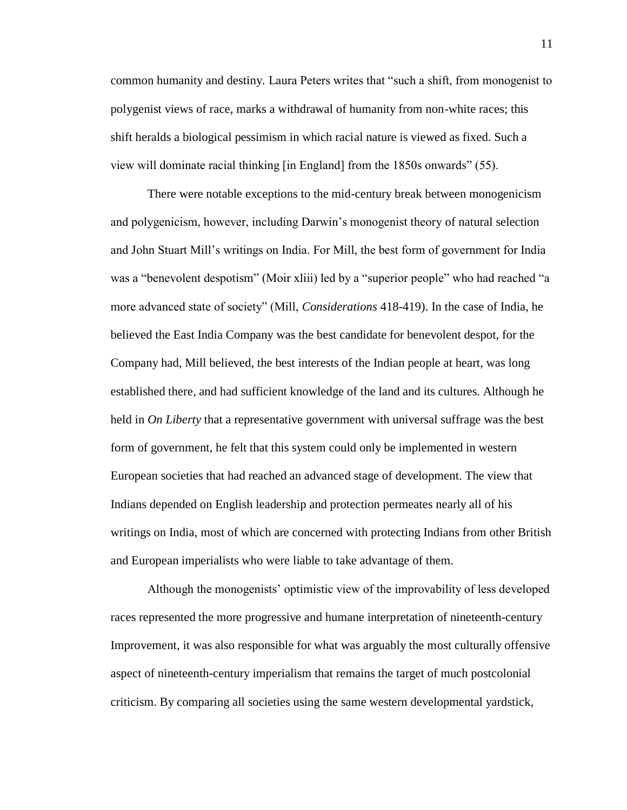common humanity and destiny. Laura Peters writes that "such a shift, from monogenist to polygenist views of race, marks a withdrawal of humanity from non-white races; this shift heralds a biological pessimism in which racial nature is viewed as fixed. Such a view will dominate racial thinking [in England] from the 1850s onwards" (55).

There were notable exceptions to the mid-century break between monogenicism and polygenicism, however, including Darwin's monogenist theory of natural selection and John Stuart Mill's writings on India. For Mill, the best form of government for India was a "benevolent despotism" (Moir xliii) led by a "superior people" who had reached "a more advanced state of society" (Mill, *Considerations* 418-419). In the case of India, he believed the East India Company was the best candidate for benevolent despot, for the Company had, Mill believed, the best interests of the Indian people at heart, was long established there, and had sufficient knowledge of the land and its cultures. Although he held in *On Liberty* that a representative government with universal suffrage was the best form of government, he felt that this system could only be implemented in western European societies that had reached an advanced stage of development. The view that Indians depended on English leadership and protection permeates nearly all of his writings on India, most of which are concerned with protecting Indians from other British and European imperialists who were liable to take advantage of them.

Although the monogenists' optimistic view of the improvability of less developed races represented the more progressive and humane interpretation of nineteenth-century Improvement, it was also responsible for what was arguably the most culturally offensive aspect of nineteenth-century imperialism that remains the target of much postcolonial criticism. By comparing all societies using the same western developmental yardstick,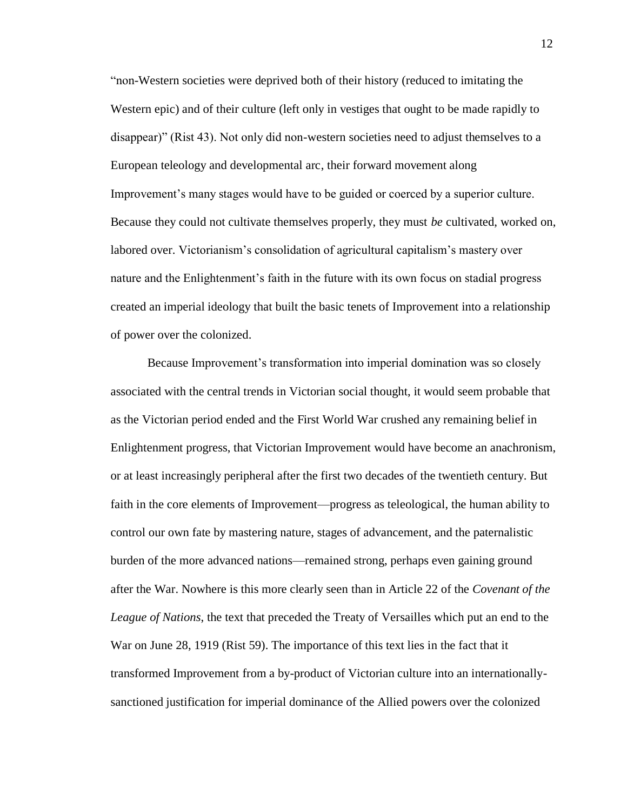"non-Western societies were deprived both of their history (reduced to imitating the Western epic) and of their culture (left only in vestiges that ought to be made rapidly to disappear)" (Rist 43). Not only did non-western societies need to adjust themselves to a European teleology and developmental arc, their forward movement along Improvement's many stages would have to be guided or coerced by a superior culture. Because they could not cultivate themselves properly, they must *be* cultivated, worked on, labored over. Victorianism's consolidation of agricultural capitalism's mastery over nature and the Enlightenment's faith in the future with its own focus on stadial progress created an imperial ideology that built the basic tenets of Improvement into a relationship of power over the colonized.

Because Improvement's transformation into imperial domination was so closely associated with the central trends in Victorian social thought, it would seem probable that as the Victorian period ended and the First World War crushed any remaining belief in Enlightenment progress, that Victorian Improvement would have become an anachronism, or at least increasingly peripheral after the first two decades of the twentieth century. But faith in the core elements of Improvement—progress as teleological, the human ability to control our own fate by mastering nature, stages of advancement, and the paternalistic burden of the more advanced nations—remained strong, perhaps even gaining ground after the War. Nowhere is this more clearly seen than in Article 22 of the *Covenant of the League of Nations*, the text that preceded the Treaty of Versailles which put an end to the War on June 28, 1919 (Rist 59). The importance of this text lies in the fact that it transformed Improvement from a by-product of Victorian culture into an internationallysanctioned justification for imperial dominance of the Allied powers over the colonized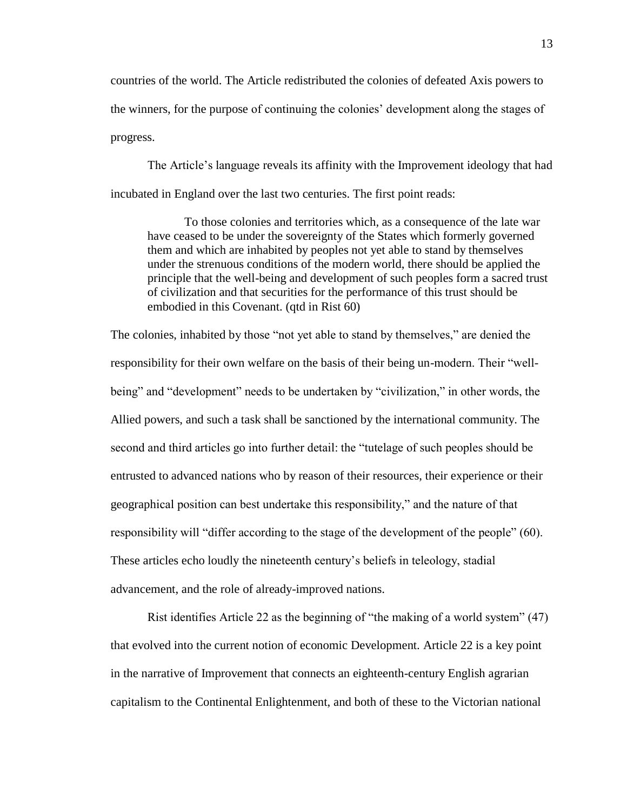countries of the world. The Article redistributed the colonies of defeated Axis powers to the winners, for the purpose of continuing the colonies' development along the stages of progress.

The Article's language reveals its affinity with the Improvement ideology that had incubated in England over the last two centuries. The first point reads:

To those colonies and territories which, as a consequence of the late war have ceased to be under the sovereignty of the States which formerly governed them and which are inhabited by peoples not yet able to stand by themselves under the strenuous conditions of the modern world, there should be applied the principle that the well-being and development of such peoples form a sacred trust of civilization and that securities for the performance of this trust should be embodied in this Covenant. (qtd in Rist 60)

The colonies, inhabited by those "not yet able to stand by themselves," are denied the responsibility for their own welfare on the basis of their being un-modern. Their "wellbeing" and "development" needs to be undertaken by "civilization," in other words, the Allied powers, and such a task shall be sanctioned by the international community. The second and third articles go into further detail: the "tutelage of such peoples should be entrusted to advanced nations who by reason of their resources, their experience or their geographical position can best undertake this responsibility," and the nature of that responsibility will "differ according to the stage of the development of the people" (60). These articles echo loudly the nineteenth century's beliefs in teleology, stadial advancement, and the role of already-improved nations.

Rist identifies Article 22 as the beginning of "the making of a world system" (47) that evolved into the current notion of economic Development. Article 22 is a key point in the narrative of Improvement that connects an eighteenth-century English agrarian capitalism to the Continental Enlightenment, and both of these to the Victorian national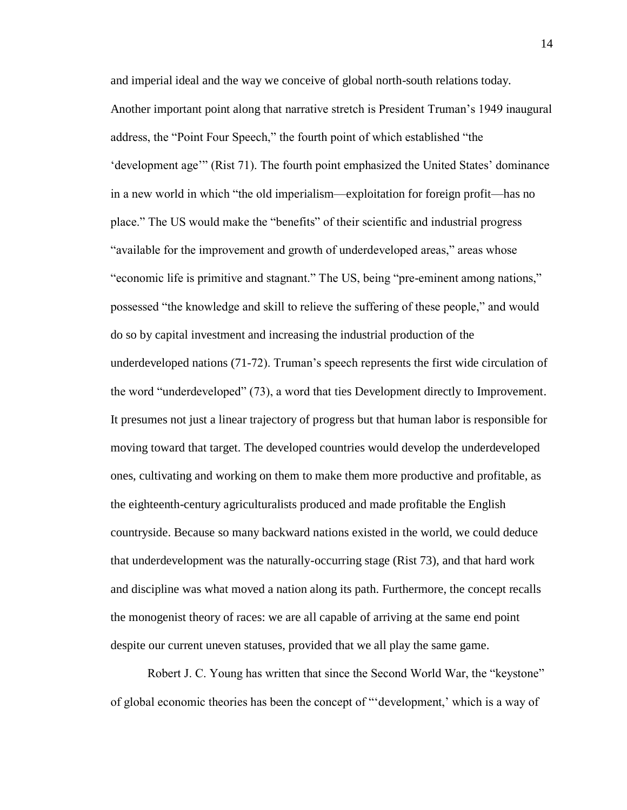and imperial ideal and the way we conceive of global north-south relations today. Another important point along that narrative stretch is President Truman's 1949 inaugural address, the "Point Four Speech," the fourth point of which established "the 'development age'" (Rist 71). The fourth point emphasized the United States' dominance in a new world in which "the old imperialism—exploitation for foreign profit—has no place." The US would make the "benefits" of their scientific and industrial progress "available for the improvement and growth of underdeveloped areas," areas whose "economic life is primitive and stagnant." The US, being "pre-eminent among nations," possessed "the knowledge and skill to relieve the suffering of these people," and would do so by capital investment and increasing the industrial production of the underdeveloped nations (71-72). Truman's speech represents the first wide circulation of the word "underdeveloped" (73), a word that ties Development directly to Improvement. It presumes not just a linear trajectory of progress but that human labor is responsible for moving toward that target. The developed countries would develop the underdeveloped ones, cultivating and working on them to make them more productive and profitable, as the eighteenth-century agriculturalists produced and made profitable the English countryside. Because so many backward nations existed in the world, we could deduce that underdevelopment was the naturally-occurring stage (Rist 73), and that hard work and discipline was what moved a nation along its path. Furthermore, the concept recalls the monogenist theory of races: we are all capable of arriving at the same end point despite our current uneven statuses, provided that we all play the same game.

Robert J. C. Young has written that since the Second World War, the "keystone" of global economic theories has been the concept of "'development,' which is a way of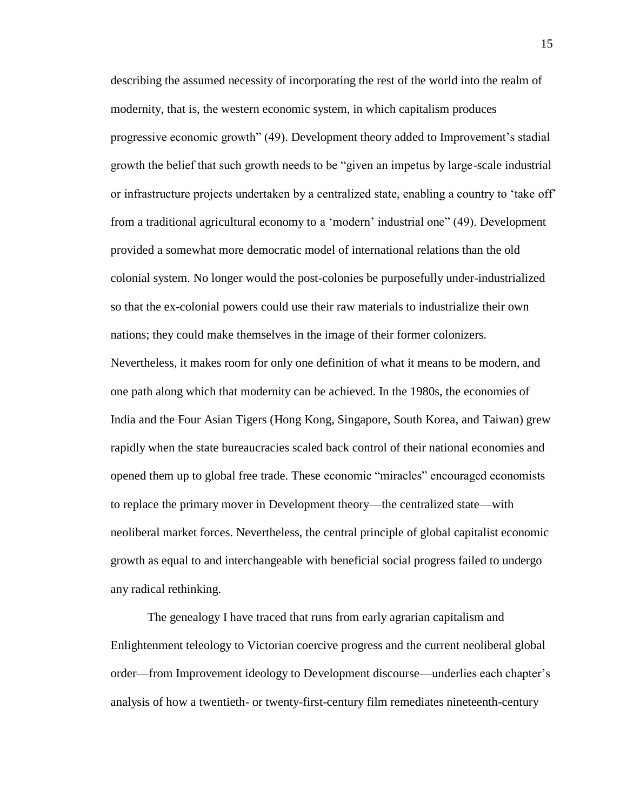describing the assumed necessity of incorporating the rest of the world into the realm of modernity, that is, the western economic system, in which capitalism produces progressive economic growth" (49). Development theory added to Improvement's stadial growth the belief that such growth needs to be "given an impetus by large-scale industrial or infrastructure projects undertaken by a centralized state, enabling a country to 'take off' from a traditional agricultural economy to a 'modern' industrial one" (49). Development provided a somewhat more democratic model of international relations than the old colonial system. No longer would the post-colonies be purposefully under-industrialized so that the ex-colonial powers could use their raw materials to industrialize their own nations; they could make themselves in the image of their former colonizers. Nevertheless, it makes room for only one definition of what it means to be modern, and one path along which that modernity can be achieved. In the 1980s, the economies of India and the Four Asian Tigers (Hong Kong, Singapore, South Korea, and Taiwan) grew rapidly when the state bureaucracies scaled back control of their national economies and opened them up to global free trade. These economic "miracles" encouraged economists to replace the primary mover in Development theory—the centralized state—with neoliberal market forces. Nevertheless, the central principle of global capitalist economic growth as equal to and interchangeable with beneficial social progress failed to undergo any radical rethinking.

The genealogy I have traced that runs from early agrarian capitalism and Enlightenment teleology to Victorian coercive progress and the current neoliberal global order—from Improvement ideology to Development discourse—underlies each chapter's analysis of how a twentieth- or twenty-first-century film remediates nineteenth-century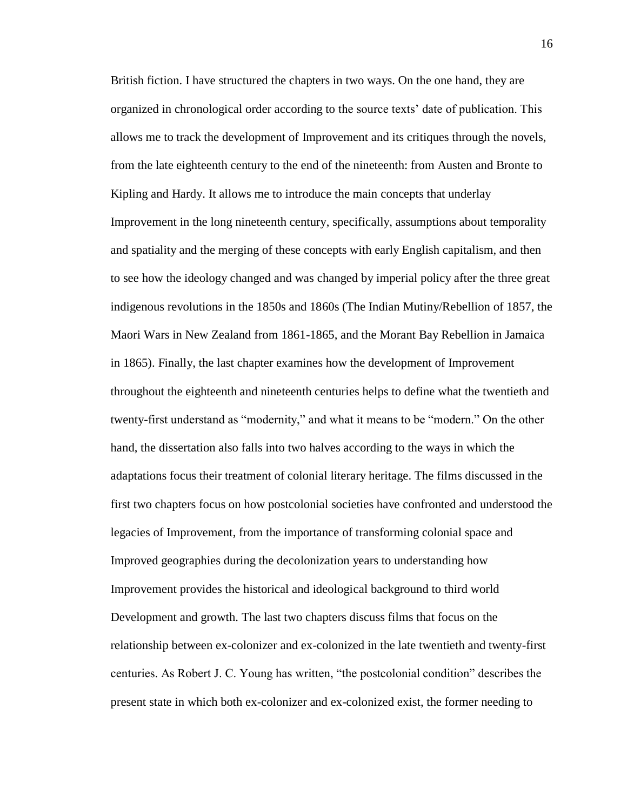British fiction. I have structured the chapters in two ways. On the one hand, they are organized in chronological order according to the source texts' date of publication. This allows me to track the development of Improvement and its critiques through the novels, from the late eighteenth century to the end of the nineteenth: from Austen and Bronte to Kipling and Hardy. It allows me to introduce the main concepts that underlay Improvement in the long nineteenth century, specifically, assumptions about temporality and spatiality and the merging of these concepts with early English capitalism, and then to see how the ideology changed and was changed by imperial policy after the three great indigenous revolutions in the 1850s and 1860s (The Indian Mutiny/Rebellion of 1857, the Maori Wars in New Zealand from 1861-1865, and the Morant Bay Rebellion in Jamaica in 1865). Finally, the last chapter examines how the development of Improvement throughout the eighteenth and nineteenth centuries helps to define what the twentieth and twenty-first understand as "modernity," and what it means to be "modern." On the other hand, the dissertation also falls into two halves according to the ways in which the adaptations focus their treatment of colonial literary heritage. The films discussed in the first two chapters focus on how postcolonial societies have confronted and understood the legacies of Improvement, from the importance of transforming colonial space and Improved geographies during the decolonization years to understanding how Improvement provides the historical and ideological background to third world Development and growth. The last two chapters discuss films that focus on the relationship between ex-colonizer and ex-colonized in the late twentieth and twenty-first centuries. As Robert J. C. Young has written, "the postcolonial condition" describes the present state in which both ex-colonizer and ex-colonized exist, the former needing to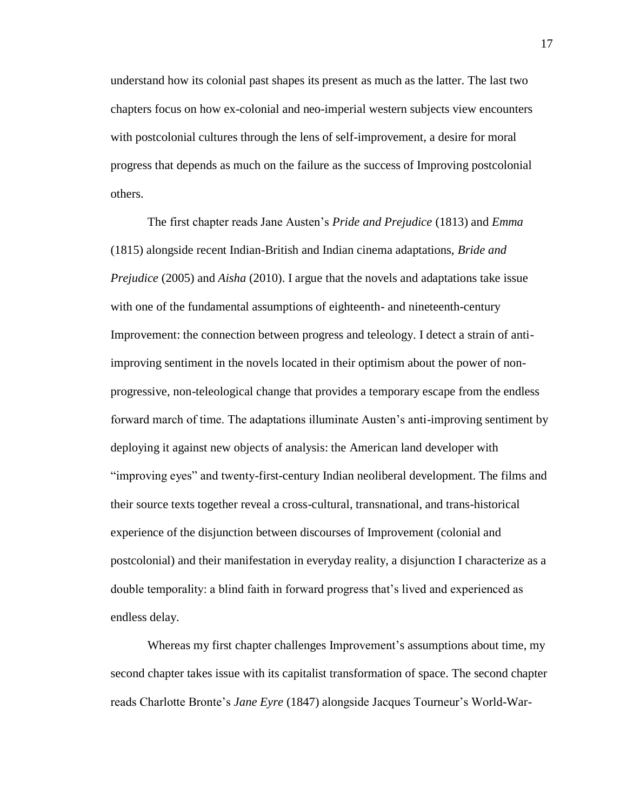understand how its colonial past shapes its present as much as the latter. The last two chapters focus on how ex-colonial and neo-imperial western subjects view encounters with postcolonial cultures through the lens of self-improvement, a desire for moral progress that depends as much on the failure as the success of Improving postcolonial others.

The first chapter reads Jane Austen's *Pride and Prejudice* (1813) and *Emma* (1815) alongside recent Indian-British and Indian cinema adaptations, *Bride and Prejudice* (2005) and *Aisha* (2010). I argue that the novels and adaptations take issue with one of the fundamental assumptions of eighteenth- and nineteenth-century Improvement: the connection between progress and teleology. I detect a strain of antiimproving sentiment in the novels located in their optimism about the power of nonprogressive, non-teleological change that provides a temporary escape from the endless forward march of time. The adaptations illuminate Austen's anti-improving sentiment by deploying it against new objects of analysis: the American land developer with "improving eyes" and twenty-first-century Indian neoliberal development. The films and their source texts together reveal a cross-cultural, transnational, and trans-historical experience of the disjunction between discourses of Improvement (colonial and postcolonial) and their manifestation in everyday reality, a disjunction I characterize as a double temporality: a blind faith in forward progress that's lived and experienced as endless delay.

Whereas my first chapter challenges Improvement's assumptions about time, my second chapter takes issue with its capitalist transformation of space. The second chapter reads Charlotte Bronte's *Jane Eyre* (1847) alongside Jacques Tourneur's World-War-

17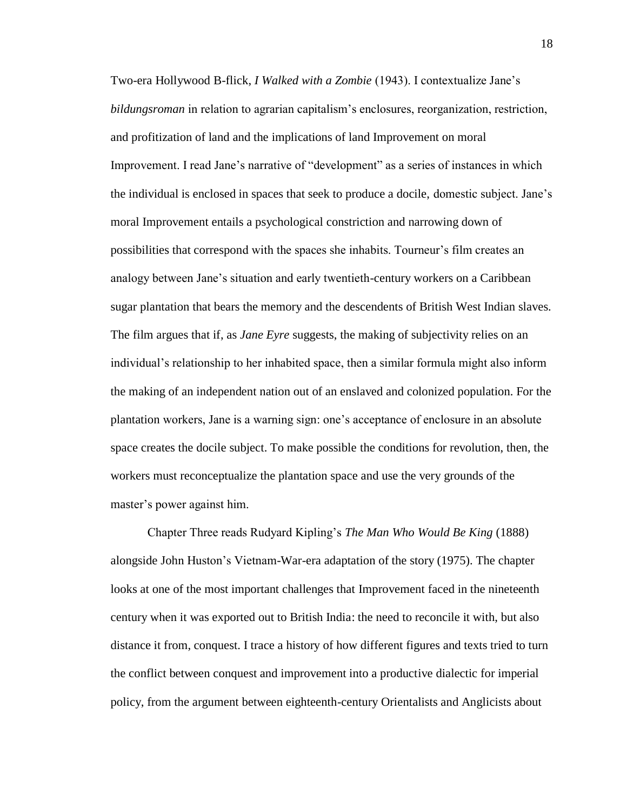Two-era Hollywood B-flick, *I Walked with a Zombie* (1943). I contextualize Jane's *bildungsroman* in relation to agrarian capitalism's enclosures, reorganization, restriction, and profitization of land and the implications of land Improvement on moral Improvement. I read Jane's narrative of "development" as a series of instances in which the individual is enclosed in spaces that seek to produce a docile, domestic subject. Jane's moral Improvement entails a psychological constriction and narrowing down of possibilities that correspond with the spaces she inhabits. Tourneur's film creates an analogy between Jane's situation and early twentieth-century workers on a Caribbean sugar plantation that bears the memory and the descendents of British West Indian slaves. The film argues that if, as *Jane Eyre* suggests, the making of subjectivity relies on an individual's relationship to her inhabited space, then a similar formula might also inform the making of an independent nation out of an enslaved and colonized population. For the plantation workers, Jane is a warning sign: one's acceptance of enclosure in an absolute space creates the docile subject. To make possible the conditions for revolution, then, the workers must reconceptualize the plantation space and use the very grounds of the master's power against him.

Chapter Three reads Rudyard Kipling's *The Man Who Would Be King* (1888) alongside John Huston's Vietnam-War-era adaptation of the story (1975). The chapter looks at one of the most important challenges that Improvement faced in the nineteenth century when it was exported out to British India: the need to reconcile it with, but also distance it from, conquest. I trace a history of how different figures and texts tried to turn the conflict between conquest and improvement into a productive dialectic for imperial policy, from the argument between eighteenth-century Orientalists and Anglicists about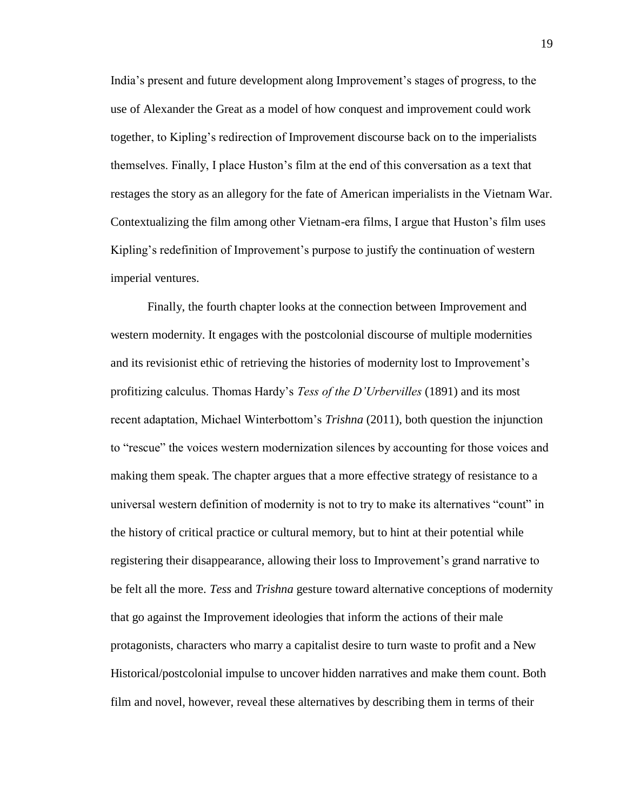India's present and future development along Improvement's stages of progress, to the use of Alexander the Great as a model of how conquest and improvement could work together, to Kipling's redirection of Improvement discourse back on to the imperialists themselves. Finally, I place Huston's film at the end of this conversation as a text that restages the story as an allegory for the fate of American imperialists in the Vietnam War. Contextualizing the film among other Vietnam-era films, I argue that Huston's film uses Kipling's redefinition of Improvement's purpose to justify the continuation of western imperial ventures.

Finally, the fourth chapter looks at the connection between Improvement and western modernity. It engages with the postcolonial discourse of multiple modernities and its revisionist ethic of retrieving the histories of modernity lost to Improvement's profitizing calculus. Thomas Hardy's *Tess of the D'Urbervilles* (1891) and its most recent adaptation, Michael Winterbottom's *Trishna* (2011), both question the injunction to "rescue" the voices western modernization silences by accounting for those voices and making them speak. The chapter argues that a more effective strategy of resistance to a universal western definition of modernity is not to try to make its alternatives "count" in the history of critical practice or cultural memory, but to hint at their potential while registering their disappearance, allowing their loss to Improvement's grand narrative to be felt all the more. *Tess* and *Trishna* gesture toward alternative conceptions of modernity that go against the Improvement ideologies that inform the actions of their male protagonists, characters who marry a capitalist desire to turn waste to profit and a New Historical/postcolonial impulse to uncover hidden narratives and make them count. Both film and novel, however, reveal these alternatives by describing them in terms of their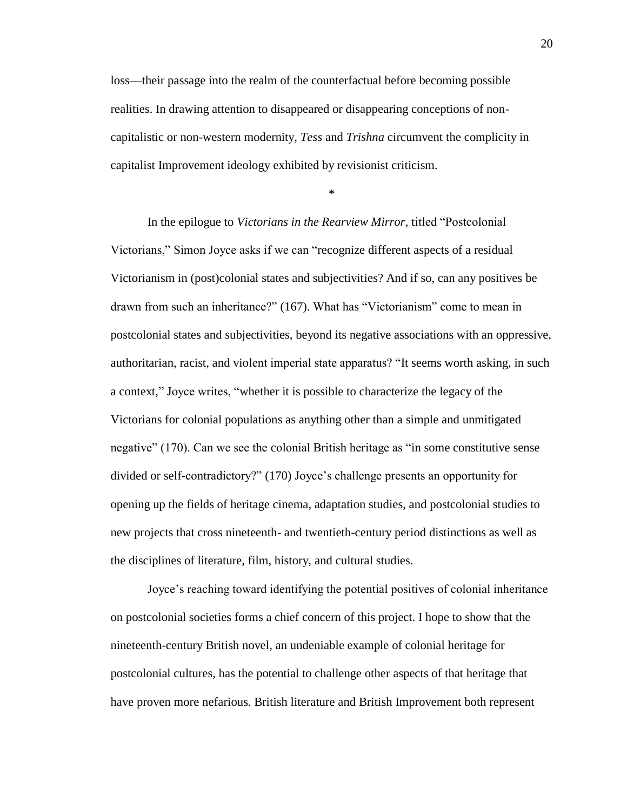loss—their passage into the realm of the counterfactual before becoming possible realities. In drawing attention to disappeared or disappearing conceptions of noncapitalistic or non-western modernity, *Tess* and *Trishna* circumvent the complicity in capitalist Improvement ideology exhibited by revisionist criticism.

\*

In the epilogue to *Victorians in the Rearview Mirror*, titled "Postcolonial Victorians," Simon Joyce asks if we can "recognize different aspects of a residual Victorianism in (post)colonial states and subjectivities? And if so, can any positives be drawn from such an inheritance?" (167). What has "Victorianism" come to mean in postcolonial states and subjectivities, beyond its negative associations with an oppressive, authoritarian, racist, and violent imperial state apparatus? "It seems worth asking, in such a context," Joyce writes, "whether it is possible to characterize the legacy of the Victorians for colonial populations as anything other than a simple and unmitigated negative" (170). Can we see the colonial British heritage as "in some constitutive sense divided or self-contradictory?" (170) Joyce's challenge presents an opportunity for opening up the fields of heritage cinema, adaptation studies, and postcolonial studies to new projects that cross nineteenth- and twentieth-century period distinctions as well as the disciplines of literature, film, history, and cultural studies.

Joyce's reaching toward identifying the potential positives of colonial inheritance on postcolonial societies forms a chief concern of this project. I hope to show that the nineteenth-century British novel, an undeniable example of colonial heritage for postcolonial cultures, has the potential to challenge other aspects of that heritage that have proven more nefarious. British literature and British Improvement both represent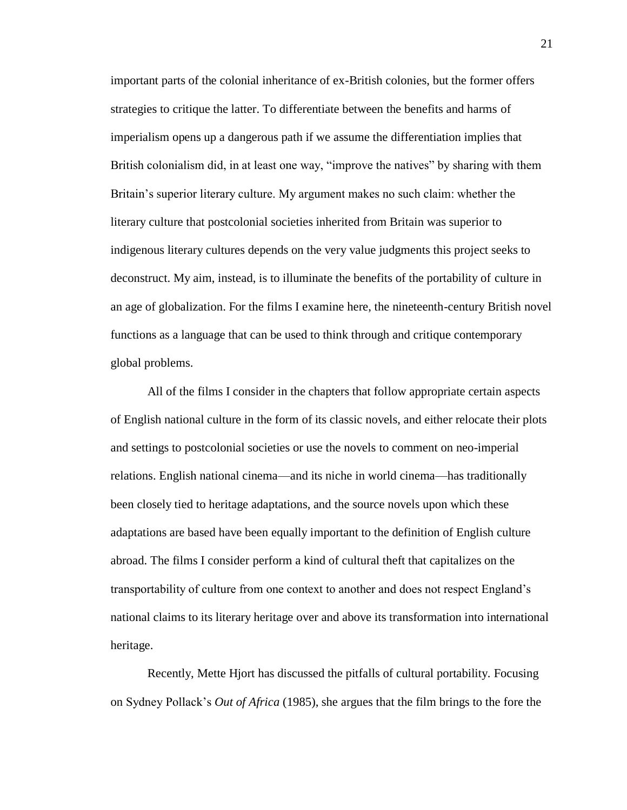important parts of the colonial inheritance of ex-British colonies, but the former offers strategies to critique the latter. To differentiate between the benefits and harms of imperialism opens up a dangerous path if we assume the differentiation implies that British colonialism did, in at least one way, "improve the natives" by sharing with them Britain's superior literary culture. My argument makes no such claim: whether the literary culture that postcolonial societies inherited from Britain was superior to indigenous literary cultures depends on the very value judgments this project seeks to deconstruct. My aim, instead, is to illuminate the benefits of the portability of culture in an age of globalization. For the films I examine here, the nineteenth-century British novel functions as a language that can be used to think through and critique contemporary global problems.

All of the films I consider in the chapters that follow appropriate certain aspects of English national culture in the form of its classic novels, and either relocate their plots and settings to postcolonial societies or use the novels to comment on neo-imperial relations. English national cinema—and its niche in world cinema—has traditionally been closely tied to heritage adaptations, and the source novels upon which these adaptations are based have been equally important to the definition of English culture abroad. The films I consider perform a kind of cultural theft that capitalizes on the transportability of culture from one context to another and does not respect England's national claims to its literary heritage over and above its transformation into international heritage.

Recently, Mette Hjort has discussed the pitfalls of cultural portability. Focusing on Sydney Pollack's *Out of Africa* (1985), she argues that the film brings to the fore the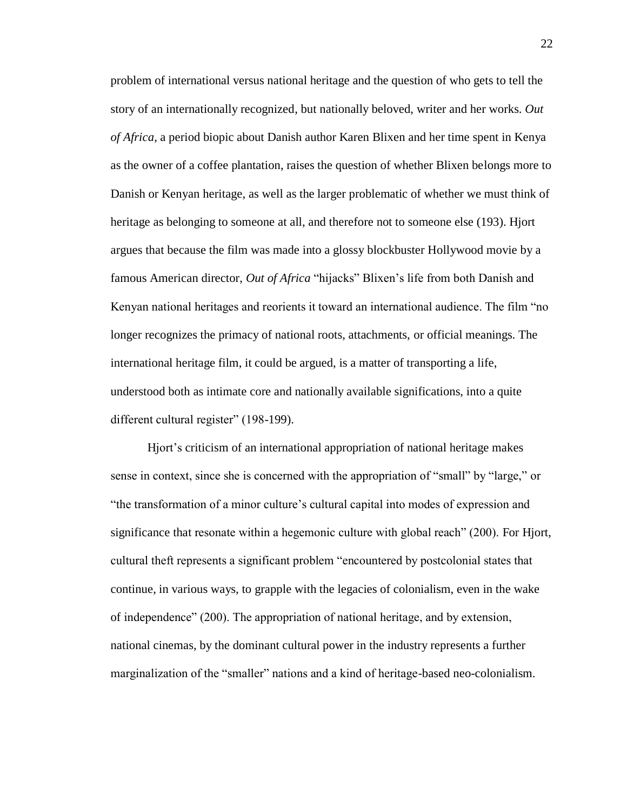problem of international versus national heritage and the question of who gets to tell the story of an internationally recognized, but nationally beloved, writer and her works. *Out of Africa*, a period biopic about Danish author Karen Blixen and her time spent in Kenya as the owner of a coffee plantation, raises the question of whether Blixen belongs more to Danish or Kenyan heritage, as well as the larger problematic of whether we must think of heritage as belonging to someone at all, and therefore not to someone else (193). Hjort argues that because the film was made into a glossy blockbuster Hollywood movie by a famous American director, *Out of Africa* "hijacks" Blixen's life from both Danish and Kenyan national heritages and reorients it toward an international audience. The film "no longer recognizes the primacy of national roots, attachments, or official meanings. The international heritage film, it could be argued, is a matter of transporting a life, understood both as intimate core and nationally available significations, into a quite different cultural register" (198-199).

Hjort's criticism of an international appropriation of national heritage makes sense in context, since she is concerned with the appropriation of "small" by "large," or "the transformation of a minor culture's cultural capital into modes of expression and significance that resonate within a hegemonic culture with global reach" (200). For Hjort, cultural theft represents a significant problem "encountered by postcolonial states that continue, in various ways, to grapple with the legacies of colonialism, even in the wake of independence" (200). The appropriation of national heritage, and by extension, national cinemas, by the dominant cultural power in the industry represents a further marginalization of the "smaller" nations and a kind of heritage-based neo-colonialism.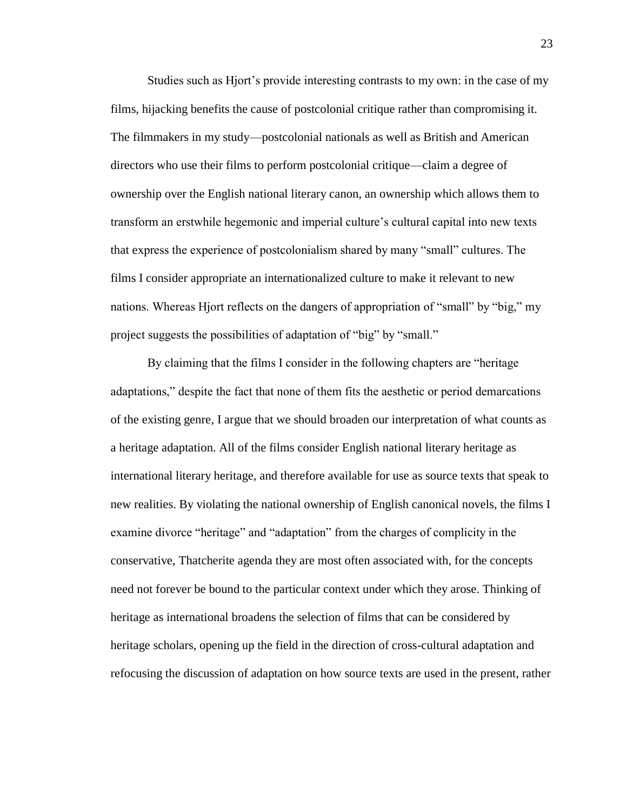Studies such as Hjort's provide interesting contrasts to my own: in the case of my films, hijacking benefits the cause of postcolonial critique rather than compromising it. The filmmakers in my study—postcolonial nationals as well as British and American directors who use their films to perform postcolonial critique—claim a degree of ownership over the English national literary canon, an ownership which allows them to transform an erstwhile hegemonic and imperial culture's cultural capital into new texts that express the experience of postcolonialism shared by many "small" cultures. The films I consider appropriate an internationalized culture to make it relevant to new nations. Whereas Hjort reflects on the dangers of appropriation of "small" by "big," my project suggests the possibilities of adaptation of "big" by "small."

By claiming that the films I consider in the following chapters are "heritage adaptations," despite the fact that none of them fits the aesthetic or period demarcations of the existing genre, I argue that we should broaden our interpretation of what counts as a heritage adaptation. All of the films consider English national literary heritage as international literary heritage, and therefore available for use as source texts that speak to new realities. By violating the national ownership of English canonical novels, the films I examine divorce "heritage" and "adaptation" from the charges of complicity in the conservative, Thatcherite agenda they are most often associated with, for the concepts need not forever be bound to the particular context under which they arose. Thinking of heritage as international broadens the selection of films that can be considered by heritage scholars, opening up the field in the direction of cross-cultural adaptation and refocusing the discussion of adaptation on how source texts are used in the present, rather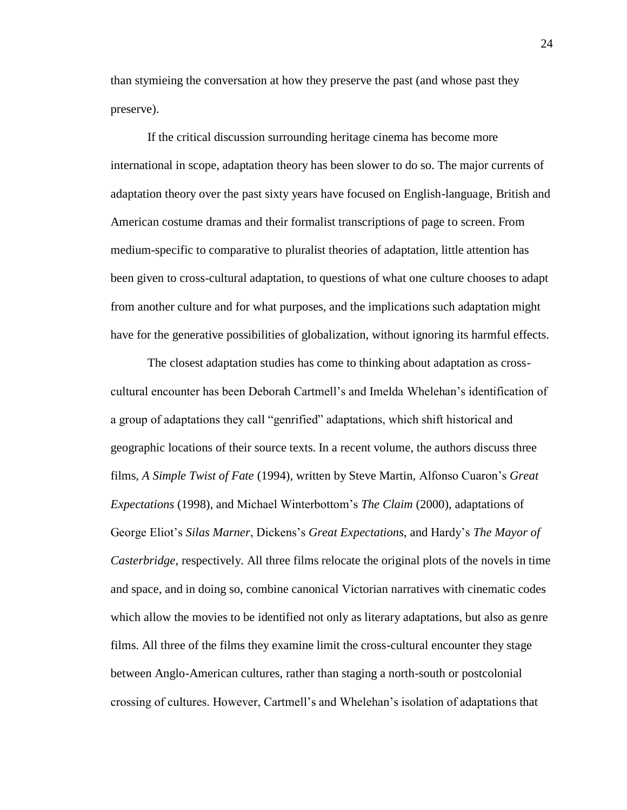than stymieing the conversation at how they preserve the past (and whose past they preserve).

If the critical discussion surrounding heritage cinema has become more international in scope, adaptation theory has been slower to do so. The major currents of adaptation theory over the past sixty years have focused on English-language, British and American costume dramas and their formalist transcriptions of page to screen. From medium-specific to comparative to pluralist theories of adaptation, little attention has been given to cross-cultural adaptation, to questions of what one culture chooses to adapt from another culture and for what purposes, and the implications such adaptation might have for the generative possibilities of globalization, without ignoring its harmful effects.

The closest adaptation studies has come to thinking about adaptation as crosscultural encounter has been Deborah Cartmell's and Imelda Whelehan's identification of a group of adaptations they call "genrified" adaptations, which shift historical and geographic locations of their source texts. In a recent volume, the authors discuss three films, *A Simple Twist of Fate* (1994), written by Steve Martin, Alfonso Cuaron's *Great Expectations* (1998), and Michael Winterbottom's *The Claim* (2000), adaptations of George Eliot's *Silas Marner*, Dickens's *Great Expectations*, and Hardy's *The Mayor of Casterbridge*, respectively. All three films relocate the original plots of the novels in time and space, and in doing so, combine canonical Victorian narratives with cinematic codes which allow the movies to be identified not only as literary adaptations, but also as genre films. All three of the films they examine limit the cross-cultural encounter they stage between Anglo-American cultures, rather than staging a north-south or postcolonial crossing of cultures. However, Cartmell's and Whelehan's isolation of adaptations that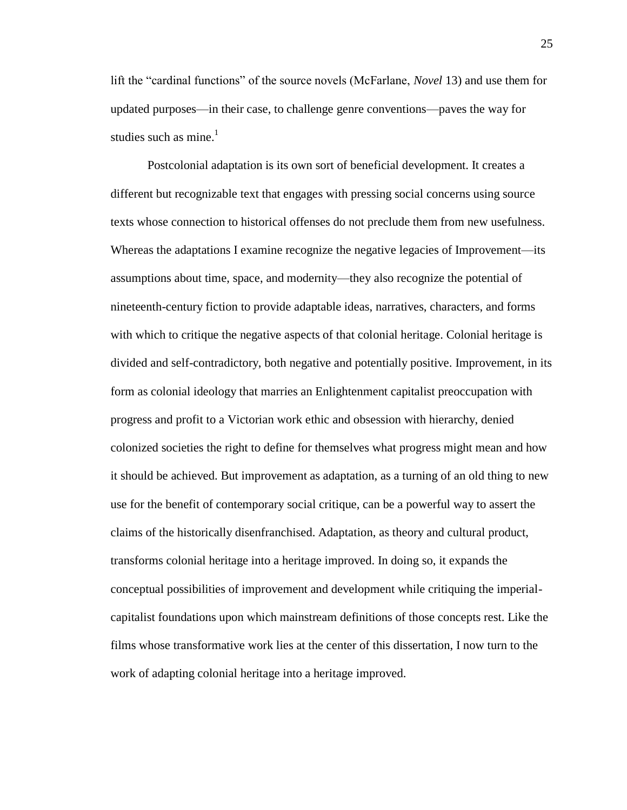lift the "cardinal functions" of the source novels (McFarlane, *Novel* 13) and use them for updated purposes—in their case, to challenge genre conventions—paves the way for studies such as mine. $<sup>1</sup>$ </sup>

Postcolonial adaptation is its own sort of beneficial development. It creates a different but recognizable text that engages with pressing social concerns using source texts whose connection to historical offenses do not preclude them from new usefulness. Whereas the adaptations I examine recognize the negative legacies of Improvement—its assumptions about time, space, and modernity—they also recognize the potential of nineteenth-century fiction to provide adaptable ideas, narratives, characters, and forms with which to critique the negative aspects of that colonial heritage. Colonial heritage is divided and self-contradictory, both negative and potentially positive. Improvement, in its form as colonial ideology that marries an Enlightenment capitalist preoccupation with progress and profit to a Victorian work ethic and obsession with hierarchy, denied colonized societies the right to define for themselves what progress might mean and how it should be achieved. But improvement as adaptation, as a turning of an old thing to new use for the benefit of contemporary social critique, can be a powerful way to assert the claims of the historically disenfranchised. Adaptation, as theory and cultural product, transforms colonial heritage into a heritage improved. In doing so, it expands the conceptual possibilities of improvement and development while critiquing the imperialcapitalist foundations upon which mainstream definitions of those concepts rest. Like the films whose transformative work lies at the center of this dissertation, I now turn to the work of adapting colonial heritage into a heritage improved.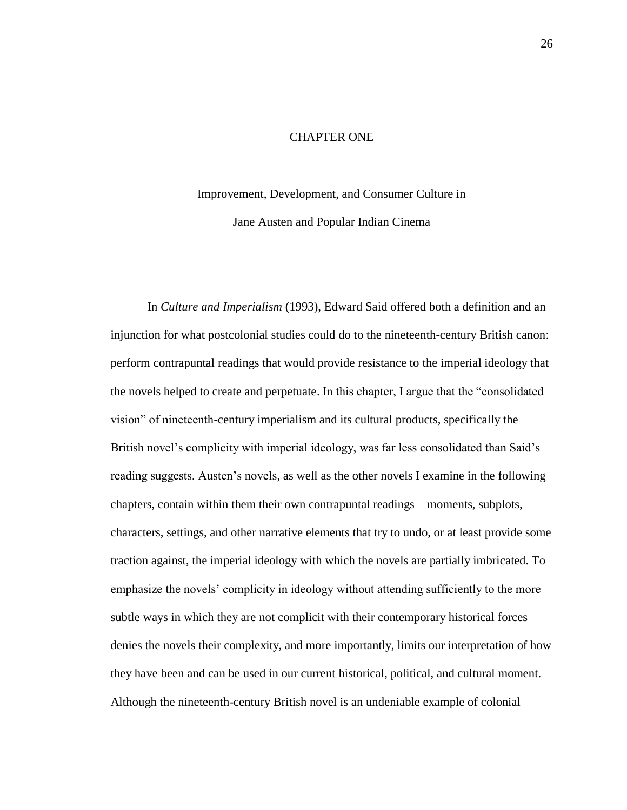### CHAPTER ONE

Improvement, Development, and Consumer Culture in Jane Austen and Popular Indian Cinema

In *Culture and Imperialism* (1993), Edward Said offered both a definition and an injunction for what postcolonial studies could do to the nineteenth-century British canon: perform contrapuntal readings that would provide resistance to the imperial ideology that the novels helped to create and perpetuate. In this chapter, I argue that the "consolidated vision" of nineteenth-century imperialism and its cultural products, specifically the British novel's complicity with imperial ideology, was far less consolidated than Said's reading suggests. Austen's novels, as well as the other novels I examine in the following chapters, contain within them their own contrapuntal readings—moments, subplots, characters, settings, and other narrative elements that try to undo, or at least provide some traction against, the imperial ideology with which the novels are partially imbricated. To emphasize the novels' complicity in ideology without attending sufficiently to the more subtle ways in which they are not complicit with their contemporary historical forces denies the novels their complexity, and more importantly, limits our interpretation of how they have been and can be used in our current historical, political, and cultural moment. Although the nineteenth-century British novel is an undeniable example of colonial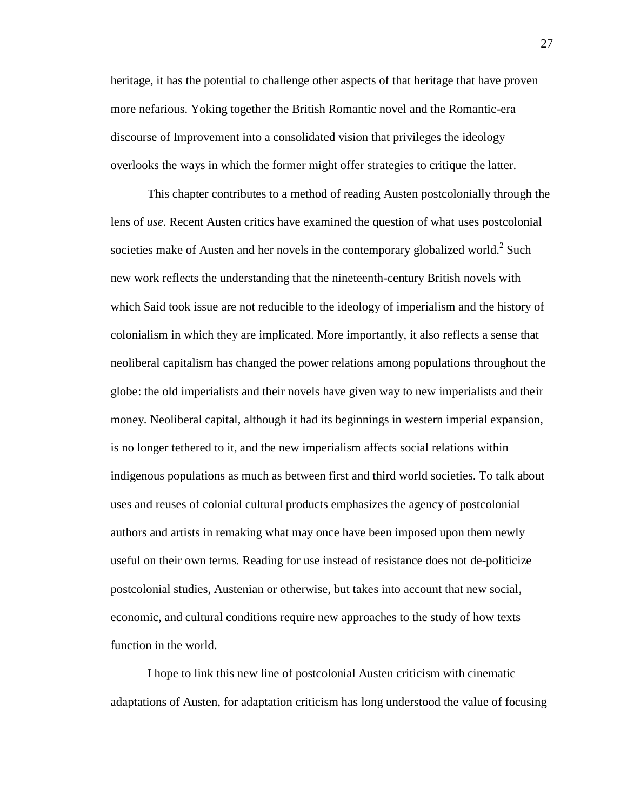heritage, it has the potential to challenge other aspects of that heritage that have proven more nefarious. Yoking together the British Romantic novel and the Romantic-era discourse of Improvement into a consolidated vision that privileges the ideology overlooks the ways in which the former might offer strategies to critique the latter.

This chapter contributes to a method of reading Austen postcolonially through the lens of *use*. Recent Austen critics have examined the question of what uses postcolonial societies make of Austen and her novels in the contemporary globalized world. $2$  Such new work reflects the understanding that the nineteenth-century British novels with which Said took issue are not reducible to the ideology of imperialism and the history of colonialism in which they are implicated. More importantly, it also reflects a sense that neoliberal capitalism has changed the power relations among populations throughout the globe: the old imperialists and their novels have given way to new imperialists and their money. Neoliberal capital, although it had its beginnings in western imperial expansion, is no longer tethered to it, and the new imperialism affects social relations within indigenous populations as much as between first and third world societies. To talk about uses and reuses of colonial cultural products emphasizes the agency of postcolonial authors and artists in remaking what may once have been imposed upon them newly useful on their own terms. Reading for use instead of resistance does not de-politicize postcolonial studies, Austenian or otherwise, but takes into account that new social, economic, and cultural conditions require new approaches to the study of how texts function in the world.

I hope to link this new line of postcolonial Austen criticism with cinematic adaptations of Austen, for adaptation criticism has long understood the value of focusing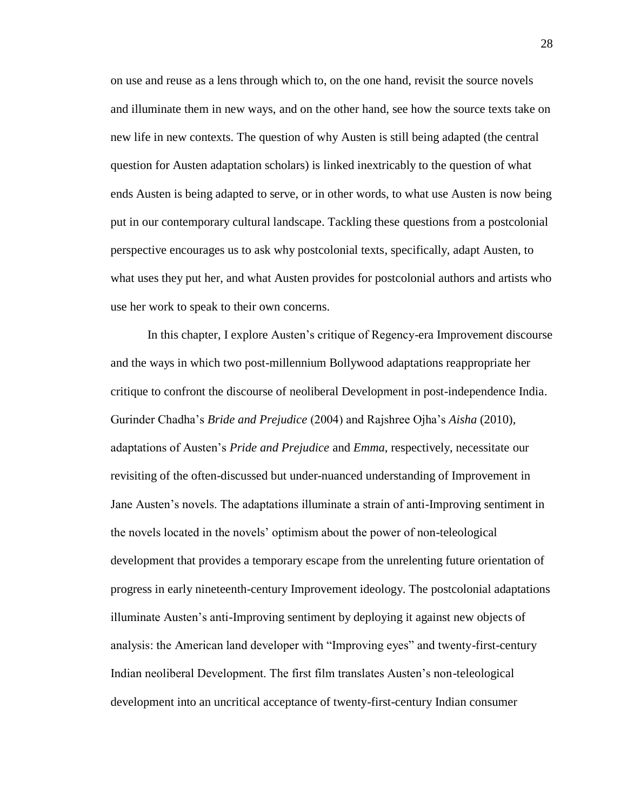on use and reuse as a lens through which to, on the one hand, revisit the source novels and illuminate them in new ways, and on the other hand, see how the source texts take on new life in new contexts. The question of why Austen is still being adapted (the central question for Austen adaptation scholars) is linked inextricably to the question of what ends Austen is being adapted to serve, or in other words, to what use Austen is now being put in our contemporary cultural landscape. Tackling these questions from a postcolonial perspective encourages us to ask why postcolonial texts, specifically, adapt Austen, to what uses they put her, and what Austen provides for postcolonial authors and artists who use her work to speak to their own concerns.

In this chapter, I explore Austen's critique of Regency-era Improvement discourse and the ways in which two post-millennium Bollywood adaptations reappropriate her critique to confront the discourse of neoliberal Development in post-independence India. Gurinder Chadha's *Bride and Prejudice* (2004) and Rajshree Ojha's *Aisha* (2010), adaptations of Austen's *Pride and Prejudice* and *Emma*, respectively, necessitate our revisiting of the often-discussed but under-nuanced understanding of Improvement in Jane Austen's novels. The adaptations illuminate a strain of anti-Improving sentiment in the novels located in the novels' optimism about the power of non-teleological development that provides a temporary escape from the unrelenting future orientation of progress in early nineteenth-century Improvement ideology. The postcolonial adaptations illuminate Austen's anti-Improving sentiment by deploying it against new objects of analysis: the American land developer with "Improving eyes" and twenty-first-century Indian neoliberal Development. The first film translates Austen's non-teleological development into an uncritical acceptance of twenty-first-century Indian consumer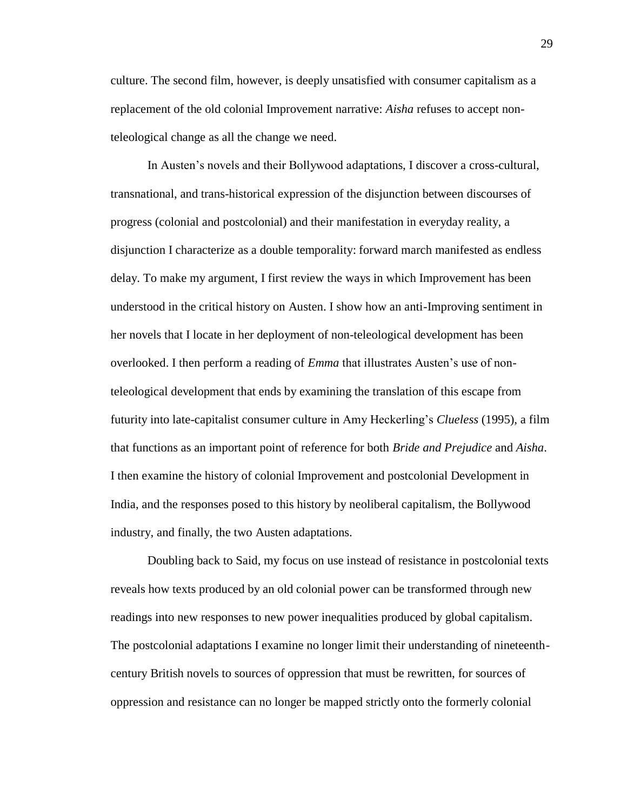culture. The second film, however, is deeply unsatisfied with consumer capitalism as a replacement of the old colonial Improvement narrative: *Aisha* refuses to accept nonteleological change as all the change we need.

In Austen's novels and their Bollywood adaptations, I discover a cross-cultural, transnational, and trans-historical expression of the disjunction between discourses of progress (colonial and postcolonial) and their manifestation in everyday reality, a disjunction I characterize as a double temporality: forward march manifested as endless delay. To make my argument, I first review the ways in which Improvement has been understood in the critical history on Austen. I show how an anti-Improving sentiment in her novels that I locate in her deployment of non-teleological development has been overlooked. I then perform a reading of *Emma* that illustrates Austen's use of nonteleological development that ends by examining the translation of this escape from futurity into late-capitalist consumer culture in Amy Heckerling's *Clueless* (1995), a film that functions as an important point of reference for both *Bride and Prejudice* and *Aisha*. I then examine the history of colonial Improvement and postcolonial Development in India, and the responses posed to this history by neoliberal capitalism, the Bollywood industry, and finally, the two Austen adaptations.

Doubling back to Said, my focus on use instead of resistance in postcolonial texts reveals how texts produced by an old colonial power can be transformed through new readings into new responses to new power inequalities produced by global capitalism. The postcolonial adaptations I examine no longer limit their understanding of nineteenthcentury British novels to sources of oppression that must be rewritten, for sources of oppression and resistance can no longer be mapped strictly onto the formerly colonial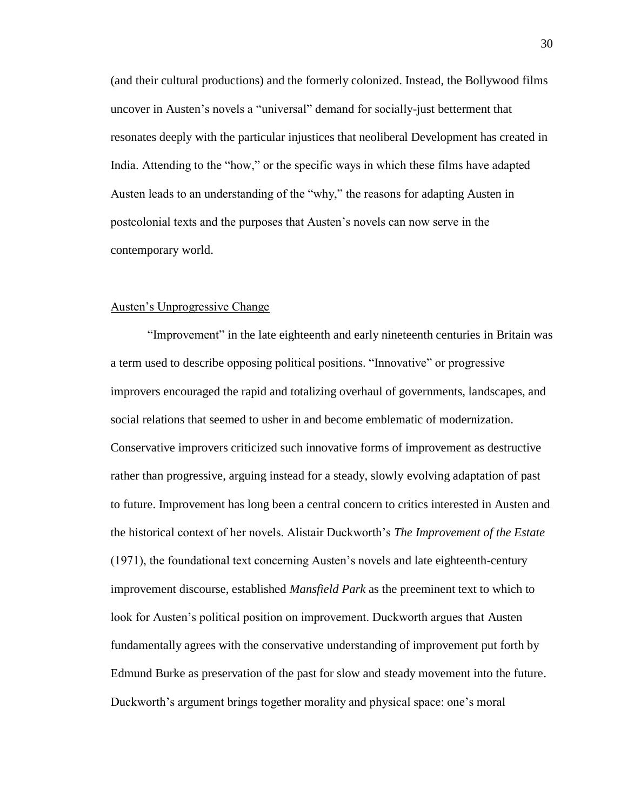(and their cultural productions) and the formerly colonized. Instead, the Bollywood films uncover in Austen's novels a "universal" demand for socially-just betterment that resonates deeply with the particular injustices that neoliberal Development has created in India. Attending to the "how," or the specific ways in which these films have adapted Austen leads to an understanding of the "why," the reasons for adapting Austen in postcolonial texts and the purposes that Austen's novels can now serve in the contemporary world.

## Austen's Unprogressive Change

"Improvement" in the late eighteenth and early nineteenth centuries in Britain was a term used to describe opposing political positions. "Innovative" or progressive improvers encouraged the rapid and totalizing overhaul of governments, landscapes, and social relations that seemed to usher in and become emblematic of modernization. Conservative improvers criticized such innovative forms of improvement as destructive rather than progressive, arguing instead for a steady, slowly evolving adaptation of past to future. Improvement has long been a central concern to critics interested in Austen and the historical context of her novels. Alistair Duckworth's *The Improvement of the Estate* (1971), the foundational text concerning Austen's novels and late eighteenth-century improvement discourse, established *Mansfield Park* as the preeminent text to which to look for Austen's political position on improvement. Duckworth argues that Austen fundamentally agrees with the conservative understanding of improvement put forth by Edmund Burke as preservation of the past for slow and steady movement into the future. Duckworth's argument brings together morality and physical space: one's moral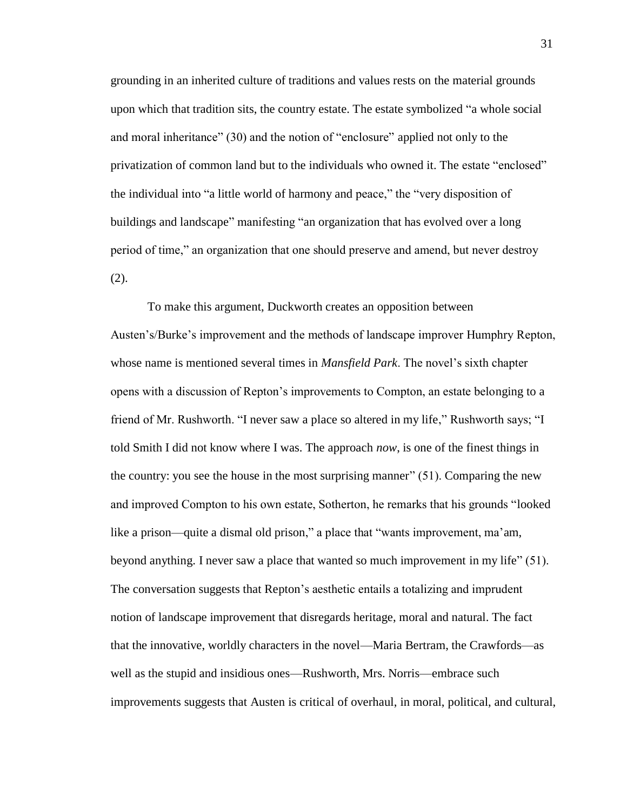grounding in an inherited culture of traditions and values rests on the material grounds upon which that tradition sits, the country estate. The estate symbolized "a whole social and moral inheritance" (30) and the notion of "enclosure" applied not only to the privatization of common land but to the individuals who owned it. The estate "enclosed" the individual into "a little world of harmony and peace," the "very disposition of buildings and landscape" manifesting "an organization that has evolved over a long period of time," an organization that one should preserve and amend, but never destroy (2).

To make this argument, Duckworth creates an opposition between Austen's/Burke's improvement and the methods of landscape improver Humphry Repton, whose name is mentioned several times in *Mansfield Park*. The novel's sixth chapter opens with a discussion of Repton's improvements to Compton, an estate belonging to a friend of Mr. Rushworth. "I never saw a place so altered in my life," Rushworth says; "I told Smith I did not know where I was. The approach *now*, is one of the finest things in the country: you see the house in the most surprising manner" (51). Comparing the new and improved Compton to his own estate, Sotherton, he remarks that his grounds "looked like a prison—quite a dismal old prison," a place that "wants improvement, ma'am, beyond anything. I never saw a place that wanted so much improvement in my life" (51). The conversation suggests that Repton's aesthetic entails a totalizing and imprudent notion of landscape improvement that disregards heritage, moral and natural. The fact that the innovative, worldly characters in the novel—Maria Bertram, the Crawfords—as well as the stupid and insidious ones—Rushworth, Mrs. Norris—embrace such improvements suggests that Austen is critical of overhaul, in moral, political, and cultural,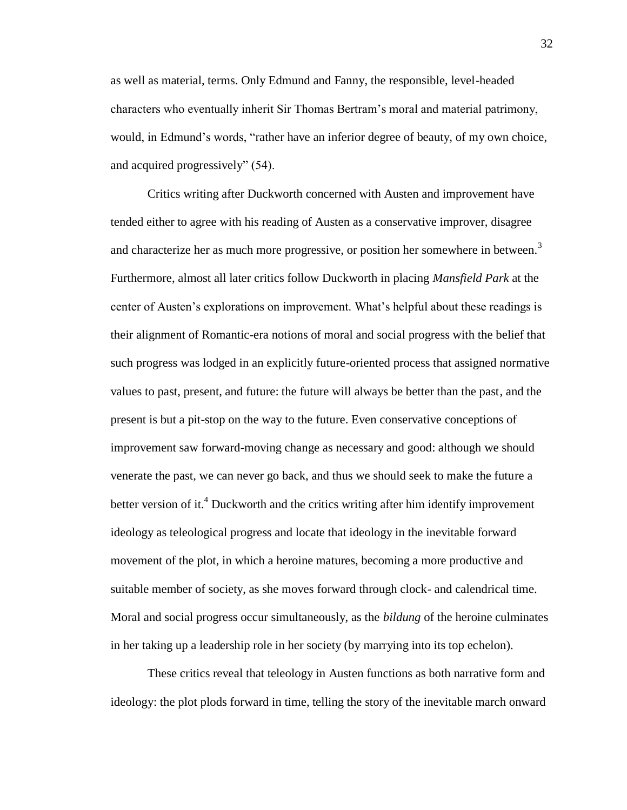as well as material, terms. Only Edmund and Fanny, the responsible, level-headed characters who eventually inherit Sir Thomas Bertram's moral and material patrimony, would, in Edmund's words, "rather have an inferior degree of beauty, of my own choice, and acquired progressively" (54).

Critics writing after Duckworth concerned with Austen and improvement have tended either to agree with his reading of Austen as a conservative improver, disagree and characterize her as much more progressive, or position her somewhere in between.<sup>3</sup> Furthermore, almost all later critics follow Duckworth in placing *Mansfield Park* at the center of Austen's explorations on improvement. What's helpful about these readings is their alignment of Romantic-era notions of moral and social progress with the belief that such progress was lodged in an explicitly future-oriented process that assigned normative values to past, present, and future: the future will always be better than the past, and the present is but a pit-stop on the way to the future. Even conservative conceptions of improvement saw forward-moving change as necessary and good: although we should venerate the past, we can never go back, and thus we should seek to make the future a better version of it.<sup>4</sup> Duckworth and the critics writing after him identify improvement ideology as teleological progress and locate that ideology in the inevitable forward movement of the plot, in which a heroine matures, becoming a more productive and suitable member of society, as she moves forward through clock- and calendrical time. Moral and social progress occur simultaneously, as the *bildung* of the heroine culminates in her taking up a leadership role in her society (by marrying into its top echelon).

These critics reveal that teleology in Austen functions as both narrative form and ideology: the plot plods forward in time, telling the story of the inevitable march onward

32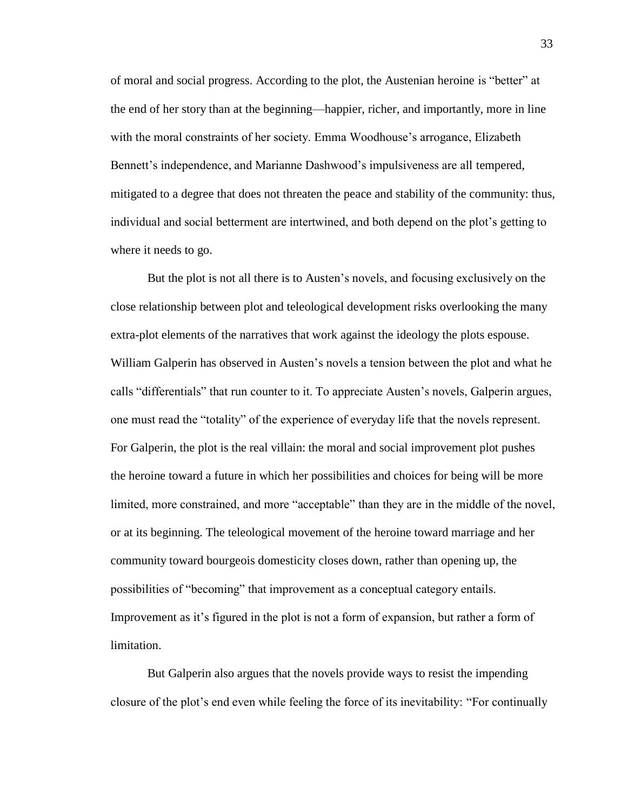of moral and social progress. According to the plot, the Austenian heroine is "better" at the end of her story than at the beginning—happier, richer, and importantly, more in line with the moral constraints of her society. Emma Woodhouse's arrogance, Elizabeth Bennett's independence, and Marianne Dashwood's impulsiveness are all tempered, mitigated to a degree that does not threaten the peace and stability of the community: thus, individual and social betterment are intertwined, and both depend on the plot's getting to where it needs to go.

But the plot is not all there is to Austen's novels, and focusing exclusively on the close relationship between plot and teleological development risks overlooking the many extra-plot elements of the narratives that work against the ideology the plots espouse. William Galperin has observed in Austen's novels a tension between the plot and what he calls "differentials" that run counter to it. To appreciate Austen's novels, Galperin argues, one must read the "totality" of the experience of everyday life that the novels represent. For Galperin, the plot is the real villain: the moral and social improvement plot pushes the heroine toward a future in which her possibilities and choices for being will be more limited, more constrained, and more "acceptable" than they are in the middle of the novel, or at its beginning. The teleological movement of the heroine toward marriage and her community toward bourgeois domesticity closes down, rather than opening up, the possibilities of "becoming" that improvement as a conceptual category entails. Improvement as it's figured in the plot is not a form of expansion, but rather a form of limitation.

But Galperin also argues that the novels provide ways to resist the impending closure of the plot's end even while feeling the force of its inevitability: "For continually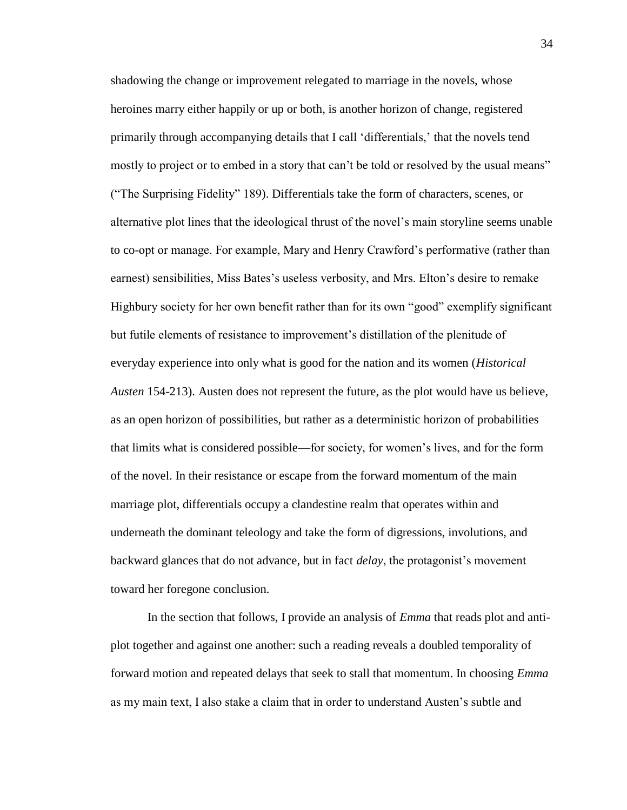shadowing the change or improvement relegated to marriage in the novels, whose heroines marry either happily or up or both, is another horizon of change, registered primarily through accompanying details that I call 'differentials,' that the novels tend mostly to project or to embed in a story that can't be told or resolved by the usual means" ("The Surprising Fidelity" 189). Differentials take the form of characters, scenes, or alternative plot lines that the ideological thrust of the novel's main storyline seems unable to co-opt or manage. For example, Mary and Henry Crawford's performative (rather than earnest) sensibilities, Miss Bates's useless verbosity, and Mrs. Elton's desire to remake Highbury society for her own benefit rather than for its own "good" exemplify significant but futile elements of resistance to improvement's distillation of the plenitude of everyday experience into only what is good for the nation and its women (*Historical Austen* 154-213). Austen does not represent the future, as the plot would have us believe, as an open horizon of possibilities, but rather as a deterministic horizon of probabilities that limits what is considered possible—for society, for women's lives, and for the form of the novel. In their resistance or escape from the forward momentum of the main marriage plot, differentials occupy a clandestine realm that operates within and underneath the dominant teleology and take the form of digressions, involutions, and backward glances that do not advance, but in fact *delay*, the protagonist's movement toward her foregone conclusion.

In the section that follows, I provide an analysis of *Emma* that reads plot and antiplot together and against one another: such a reading reveals a doubled temporality of forward motion and repeated delays that seek to stall that momentum. In choosing *Emma* as my main text, I also stake a claim that in order to understand Austen's subtle and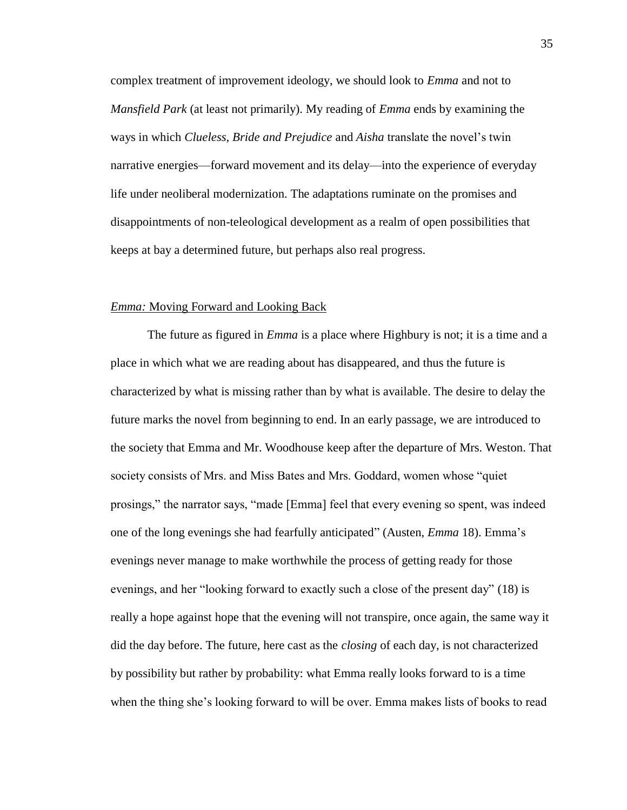complex treatment of improvement ideology, we should look to *Emma* and not to *Mansfield Park* (at least not primarily). My reading of *Emma* ends by examining the ways in which *Clueless*, *Bride and Prejudice* and *Aisha* translate the novel's twin narrative energies—forward movement and its delay—into the experience of everyday life under neoliberal modernization. The adaptations ruminate on the promises and disappointments of non-teleological development as a realm of open possibilities that keeps at bay a determined future, but perhaps also real progress.

## *Emma:* Moving Forward and Looking Back

The future as figured in *Emma* is a place where Highbury is not; it is a time and a place in which what we are reading about has disappeared, and thus the future is characterized by what is missing rather than by what is available. The desire to delay the future marks the novel from beginning to end. In an early passage, we are introduced to the society that Emma and Mr. Woodhouse keep after the departure of Mrs. Weston. That society consists of Mrs. and Miss Bates and Mrs. Goddard, women whose "quiet prosings," the narrator says, "made [Emma] feel that every evening so spent, was indeed one of the long evenings she had fearfully anticipated" (Austen, *Emma* 18). Emma's evenings never manage to make worthwhile the process of getting ready for those evenings, and her "looking forward to exactly such a close of the present day" (18) is really a hope against hope that the evening will not transpire, once again, the same way it did the day before. The future, here cast as the *closing* of each day, is not characterized by possibility but rather by probability: what Emma really looks forward to is a time when the thing she's looking forward to will be over. Emma makes lists of books to read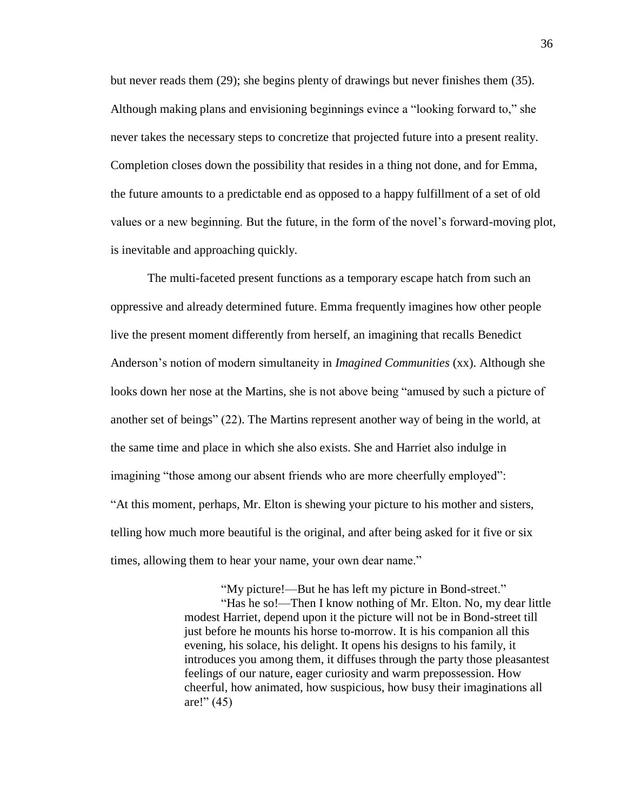but never reads them (29); she begins plenty of drawings but never finishes them (35). Although making plans and envisioning beginnings evince a "looking forward to," she never takes the necessary steps to concretize that projected future into a present reality. Completion closes down the possibility that resides in a thing not done, and for Emma, the future amounts to a predictable end as opposed to a happy fulfillment of a set of old values or a new beginning. But the future, in the form of the novel's forward-moving plot, is inevitable and approaching quickly.

The multi-faceted present functions as a temporary escape hatch from such an oppressive and already determined future. Emma frequently imagines how other people live the present moment differently from herself, an imagining that recalls Benedict Anderson's notion of modern simultaneity in *Imagined Communities* (xx). Although she looks down her nose at the Martins, she is not above being "amused by such a picture of another set of beings" (22). The Martins represent another way of being in the world, at the same time and place in which she also exists. She and Harriet also indulge in imagining "those among our absent friends who are more cheerfully employed": "At this moment, perhaps, Mr. Elton is shewing your picture to his mother and sisters, telling how much more beautiful is the original, and after being asked for it five or six times, allowing them to hear your name, your own dear name."

> "My picture!—But he has left my picture in Bond-street." "Has he so!—Then I know nothing of Mr. Elton. No, my dear little modest Harriet, depend upon it the picture will not be in Bond-street till just before he mounts his horse to-morrow. It is his companion all this evening, his solace, his delight. It opens his designs to his family, it introduces you among them, it diffuses through the party those pleasantest feelings of our nature, eager curiosity and warm prepossession. How cheerful, how animated, how suspicious, how busy their imaginations all are!" (45)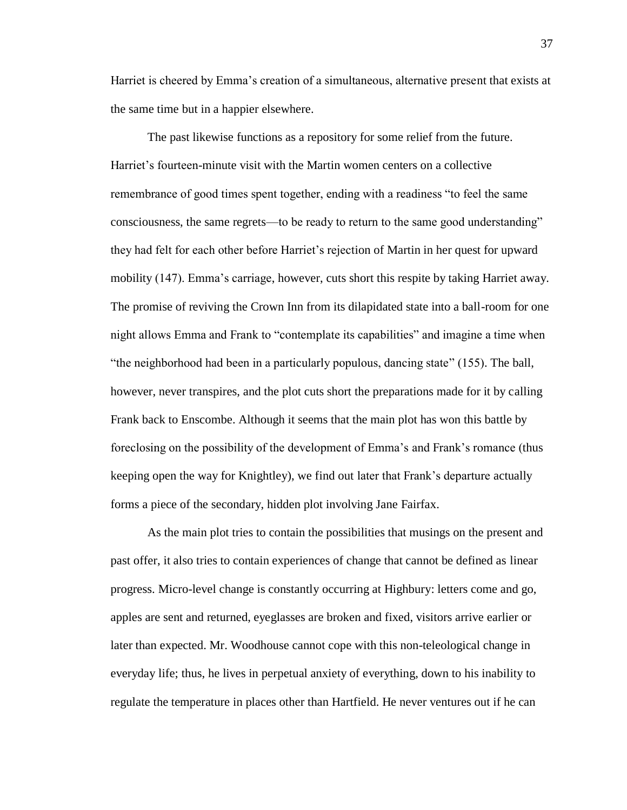Harriet is cheered by Emma's creation of a simultaneous, alternative present that exists at the same time but in a happier elsewhere.

The past likewise functions as a repository for some relief from the future. Harriet's fourteen-minute visit with the Martin women centers on a collective remembrance of good times spent together, ending with a readiness "to feel the same consciousness, the same regrets—to be ready to return to the same good understanding" they had felt for each other before Harriet's rejection of Martin in her quest for upward mobility (147). Emma's carriage, however, cuts short this respite by taking Harriet away. The promise of reviving the Crown Inn from its dilapidated state into a ball-room for one night allows Emma and Frank to "contemplate its capabilities" and imagine a time when "the neighborhood had been in a particularly populous, dancing state" (155). The ball, however, never transpires, and the plot cuts short the preparations made for it by calling Frank back to Enscombe. Although it seems that the main plot has won this battle by foreclosing on the possibility of the development of Emma's and Frank's romance (thus keeping open the way for Knightley), we find out later that Frank's departure actually forms a piece of the secondary, hidden plot involving Jane Fairfax.

As the main plot tries to contain the possibilities that musings on the present and past offer, it also tries to contain experiences of change that cannot be defined as linear progress. Micro-level change is constantly occurring at Highbury: letters come and go, apples are sent and returned, eyeglasses are broken and fixed, visitors arrive earlier or later than expected. Mr. Woodhouse cannot cope with this non-teleological change in everyday life; thus, he lives in perpetual anxiety of everything, down to his inability to regulate the temperature in places other than Hartfield. He never ventures out if he can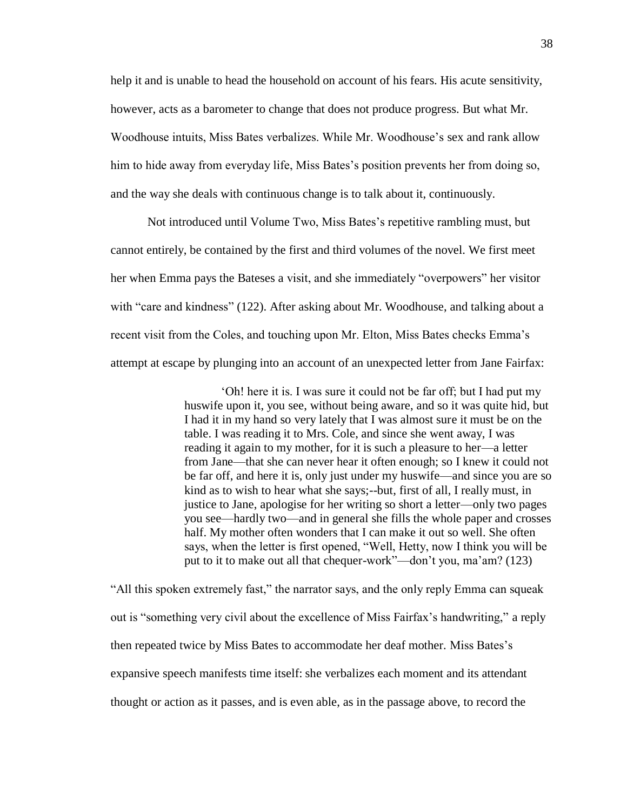help it and is unable to head the household on account of his fears. His acute sensitivity, however, acts as a barometer to change that does not produce progress. But what Mr. Woodhouse intuits, Miss Bates verbalizes. While Mr. Woodhouse's sex and rank allow him to hide away from everyday life, Miss Bates's position prevents her from doing so, and the way she deals with continuous change is to talk about it, continuously.

Not introduced until Volume Two, Miss Bates's repetitive rambling must, but cannot entirely, be contained by the first and third volumes of the novel. We first meet her when Emma pays the Bateses a visit, and she immediately "overpowers" her visitor with "care and kindness" (122). After asking about Mr. Woodhouse, and talking about a recent visit from the Coles, and touching upon Mr. Elton, Miss Bates checks Emma's attempt at escape by plunging into an account of an unexpected letter from Jane Fairfax:

> 'Oh! here it is. I was sure it could not be far off; but I had put my huswife upon it, you see, without being aware, and so it was quite hid, but I had it in my hand so very lately that I was almost sure it must be on the table. I was reading it to Mrs. Cole, and since she went away, I was reading it again to my mother, for it is such a pleasure to her—a letter from Jane—that she can never hear it often enough; so I knew it could not be far off, and here it is, only just under my huswife—and since you are so kind as to wish to hear what she says;--but, first of all, I really must, in justice to Jane, apologise for her writing so short a letter—only two pages you see—hardly two—and in general she fills the whole paper and crosses half. My mother often wonders that I can make it out so well. She often says, when the letter is first opened, "Well, Hetty, now I think you will be put to it to make out all that chequer-work"—don't you, ma'am? (123)

"All this spoken extremely fast," the narrator says, and the only reply Emma can squeak out is "something very civil about the excellence of Miss Fairfax's handwriting," a reply then repeated twice by Miss Bates to accommodate her deaf mother. Miss Bates's expansive speech manifests time itself: she verbalizes each moment and its attendant thought or action as it passes, and is even able, as in the passage above, to record the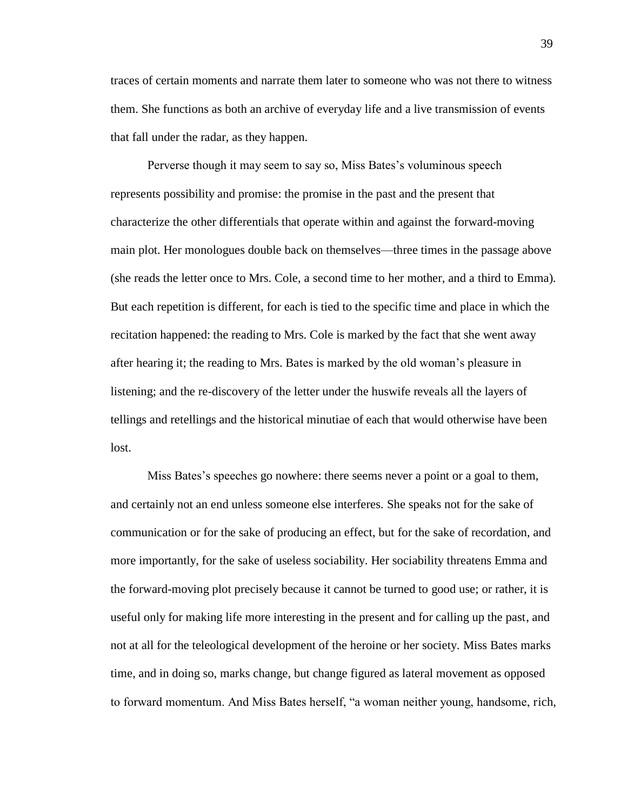traces of certain moments and narrate them later to someone who was not there to witness them. She functions as both an archive of everyday life and a live transmission of events that fall under the radar, as they happen.

Perverse though it may seem to say so, Miss Bates's voluminous speech represents possibility and promise: the promise in the past and the present that characterize the other differentials that operate within and against the forward-moving main plot. Her monologues double back on themselves—three times in the passage above (she reads the letter once to Mrs. Cole, a second time to her mother, and a third to Emma). But each repetition is different, for each is tied to the specific time and place in which the recitation happened: the reading to Mrs. Cole is marked by the fact that she went away after hearing it; the reading to Mrs. Bates is marked by the old woman's pleasure in listening; and the re-discovery of the letter under the huswife reveals all the layers of tellings and retellings and the historical minutiae of each that would otherwise have been lost.

Miss Bates's speeches go nowhere: there seems never a point or a goal to them, and certainly not an end unless someone else interferes. She speaks not for the sake of communication or for the sake of producing an effect, but for the sake of recordation, and more importantly, for the sake of useless sociability. Her sociability threatens Emma and the forward-moving plot precisely because it cannot be turned to good use; or rather, it is useful only for making life more interesting in the present and for calling up the past, and not at all for the teleological development of the heroine or her society. Miss Bates marks time, and in doing so, marks change, but change figured as lateral movement as opposed to forward momentum. And Miss Bates herself, "a woman neither young, handsome, rich,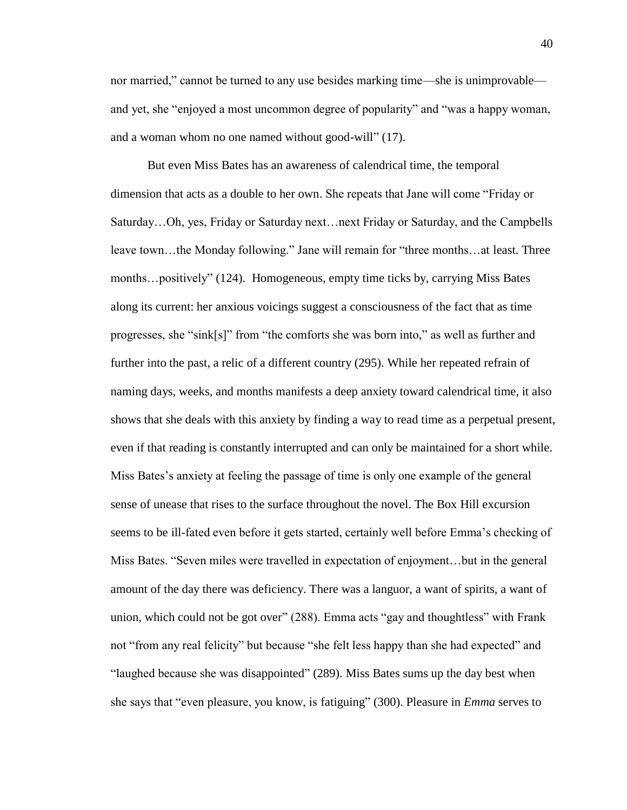nor married," cannot be turned to any use besides marking time—she is unimprovable and yet, she "enjoyed a most uncommon degree of popularity" and "was a happy woman, and a woman whom no one named without good-will" (17).

But even Miss Bates has an awareness of calendrical time, the temporal dimension that acts as a double to her own. She repeats that Jane will come "Friday or Saturday…Oh, yes, Friday or Saturday next…next Friday or Saturday, and the Campbells leave town…the Monday following." Jane will remain for "three months…at least. Three months…positively" (124). Homogeneous, empty time ticks by, carrying Miss Bates along its current: her anxious voicings suggest a consciousness of the fact that as time progresses, she "sink[s]" from "the comforts she was born into," as well as further and further into the past, a relic of a different country (295). While her repeated refrain of naming days, weeks, and months manifests a deep anxiety toward calendrical time, it also shows that she deals with this anxiety by finding a way to read time as a perpetual present, even if that reading is constantly interrupted and can only be maintained for a short while. Miss Bates's anxiety at feeling the passage of time is only one example of the general sense of unease that rises to the surface throughout the novel. The Box Hill excursion seems to be ill-fated even before it gets started, certainly well before Emma's checking of Miss Bates. "Seven miles were travelled in expectation of enjoyment…but in the general amount of the day there was deficiency. There was a languor, a want of spirits, a want of union, which could not be got over" (288). Emma acts "gay and thoughtless" with Frank not "from any real felicity" but because "she felt less happy than she had expected" and "laughed because she was disappointed" (289). Miss Bates sums up the day best when she says that "even pleasure, you know, is fatiguing" (300). Pleasure in *Emma* serves to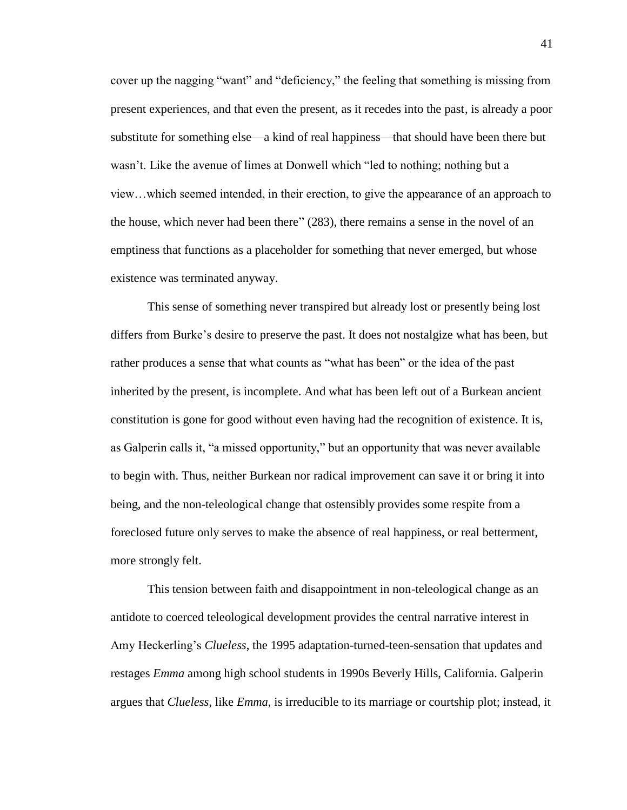cover up the nagging "want" and "deficiency," the feeling that something is missing from present experiences, and that even the present, as it recedes into the past, is already a poor substitute for something else—a kind of real happiness—that should have been there but wasn't. Like the avenue of limes at Donwell which "led to nothing; nothing but a view…which seemed intended, in their erection, to give the appearance of an approach to the house, which never had been there" (283), there remains a sense in the novel of an emptiness that functions as a placeholder for something that never emerged, but whose existence was terminated anyway.

This sense of something never transpired but already lost or presently being lost differs from Burke's desire to preserve the past. It does not nostalgize what has been, but rather produces a sense that what counts as "what has been" or the idea of the past inherited by the present, is incomplete. And what has been left out of a Burkean ancient constitution is gone for good without even having had the recognition of existence. It is, as Galperin calls it, "a missed opportunity," but an opportunity that was never available to begin with. Thus, neither Burkean nor radical improvement can save it or bring it into being, and the non-teleological change that ostensibly provides some respite from a foreclosed future only serves to make the absence of real happiness, or real betterment, more strongly felt.

This tension between faith and disappointment in non-teleological change as an antidote to coerced teleological development provides the central narrative interest in Amy Heckerling's *Clueless*, the 1995 adaptation-turned-teen-sensation that updates and restages *Emma* among high school students in 1990s Beverly Hills, California. Galperin argues that *Clueless*, like *Emma*, is irreducible to its marriage or courtship plot; instead, it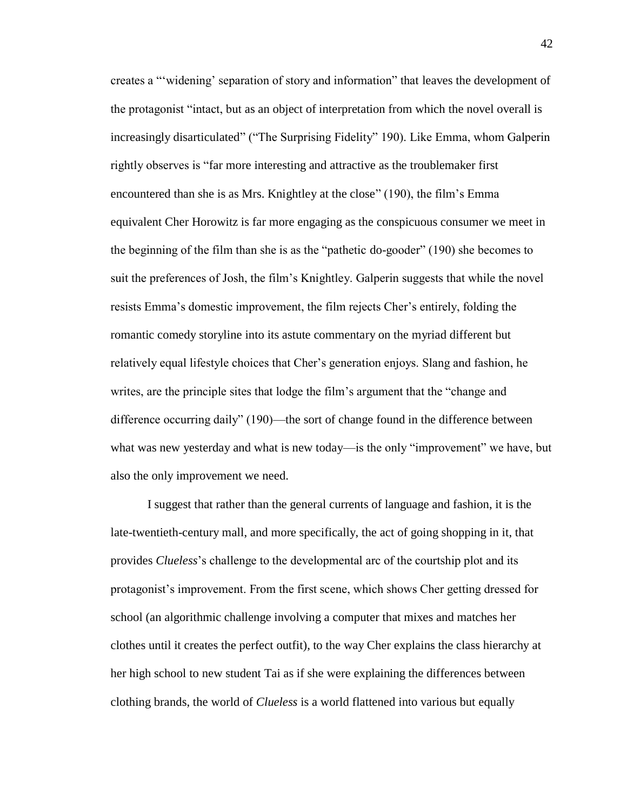creates a "'widening' separation of story and information" that leaves the development of the protagonist "intact, but as an object of interpretation from which the novel overall is increasingly disarticulated" ("The Surprising Fidelity" 190). Like Emma, whom Galperin rightly observes is "far more interesting and attractive as the troublemaker first encountered than she is as Mrs. Knightley at the close" (190), the film's Emma equivalent Cher Horowitz is far more engaging as the conspicuous consumer we meet in the beginning of the film than she is as the "pathetic do-gooder" (190) she becomes to suit the preferences of Josh, the film's Knightley. Galperin suggests that while the novel resists Emma's domestic improvement, the film rejects Cher's entirely, folding the romantic comedy storyline into its astute commentary on the myriad different but relatively equal lifestyle choices that Cher's generation enjoys. Slang and fashion, he writes, are the principle sites that lodge the film's argument that the "change and difference occurring daily" (190)—the sort of change found in the difference between what was new yesterday and what is new today—is the only "improvement" we have, but also the only improvement we need.

I suggest that rather than the general currents of language and fashion, it is the late-twentieth-century mall, and more specifically, the act of going shopping in it, that provides *Clueless*'s challenge to the developmental arc of the courtship plot and its protagonist's improvement. From the first scene, which shows Cher getting dressed for school (an algorithmic challenge involving a computer that mixes and matches her clothes until it creates the perfect outfit), to the way Cher explains the class hierarchy at her high school to new student Tai as if she were explaining the differences between clothing brands, the world of *Clueless* is a world flattened into various but equally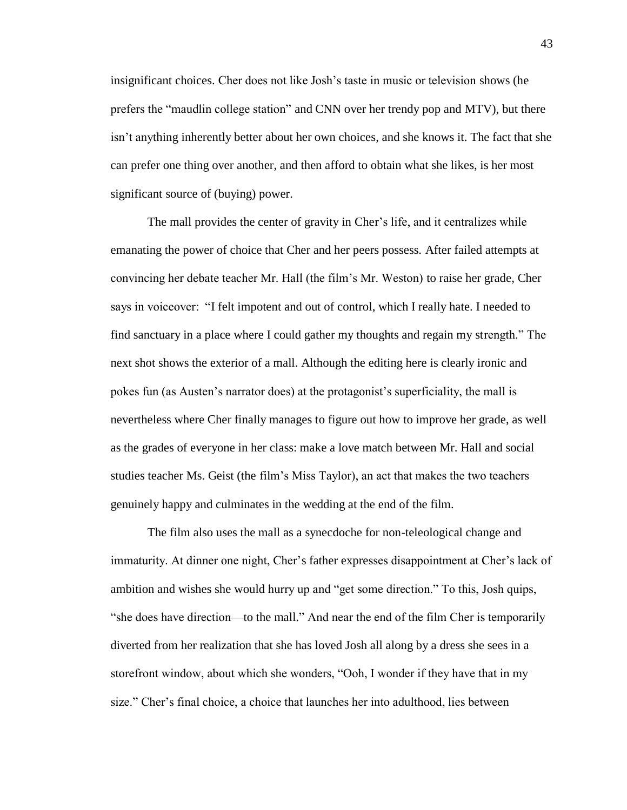insignificant choices. Cher does not like Josh's taste in music or television shows (he prefers the "maudlin college station" and CNN over her trendy pop and MTV), but there isn't anything inherently better about her own choices, and she knows it. The fact that she can prefer one thing over another, and then afford to obtain what she likes, is her most significant source of (buying) power.

The mall provides the center of gravity in Cher's life, and it centralizes while emanating the power of choice that Cher and her peers possess. After failed attempts at convincing her debate teacher Mr. Hall (the film's Mr. Weston) to raise her grade, Cher says in voiceover: "I felt impotent and out of control, which I really hate. I needed to find sanctuary in a place where I could gather my thoughts and regain my strength." The next shot shows the exterior of a mall. Although the editing here is clearly ironic and pokes fun (as Austen's narrator does) at the protagonist's superficiality, the mall is nevertheless where Cher finally manages to figure out how to improve her grade, as well as the grades of everyone in her class: make a love match between Mr. Hall and social studies teacher Ms. Geist (the film's Miss Taylor), an act that makes the two teachers genuinely happy and culminates in the wedding at the end of the film.

The film also uses the mall as a synecdoche for non-teleological change and immaturity. At dinner one night, Cher's father expresses disappointment at Cher's lack of ambition and wishes she would hurry up and "get some direction." To this, Josh quips, "she does have direction—to the mall." And near the end of the film Cher is temporarily diverted from her realization that she has loved Josh all along by a dress she sees in a storefront window, about which she wonders, "Ooh, I wonder if they have that in my size." Cher's final choice, a choice that launches her into adulthood, lies between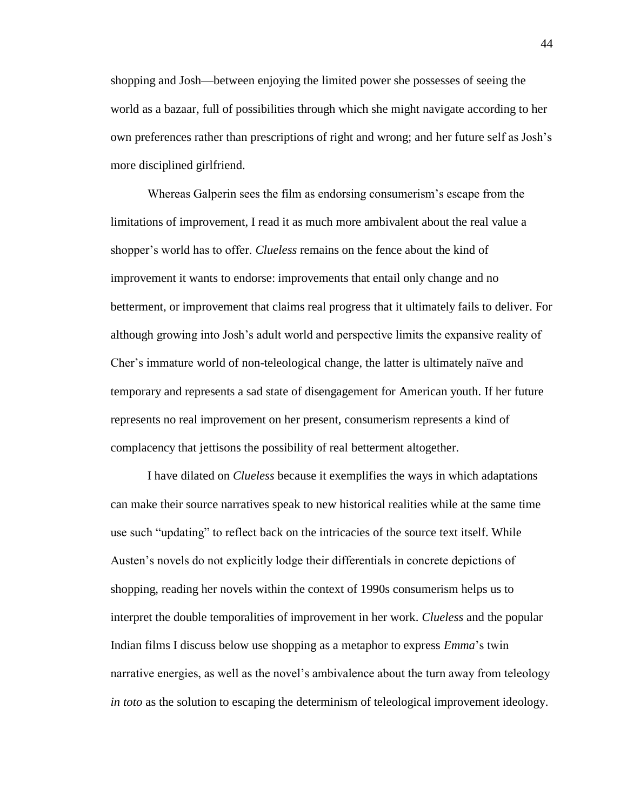shopping and Josh—between enjoying the limited power she possesses of seeing the world as a bazaar, full of possibilities through which she might navigate according to her own preferences rather than prescriptions of right and wrong; and her future self as Josh's more disciplined girlfriend.

Whereas Galperin sees the film as endorsing consumerism's escape from the limitations of improvement, I read it as much more ambivalent about the real value a shopper's world has to offer. *Clueless* remains on the fence about the kind of improvement it wants to endorse: improvements that entail only change and no betterment, or improvement that claims real progress that it ultimately fails to deliver. For although growing into Josh's adult world and perspective limits the expansive reality of Cher's immature world of non-teleological change, the latter is ultimately naïve and temporary and represents a sad state of disengagement for American youth. If her future represents no real improvement on her present, consumerism represents a kind of complacency that jettisons the possibility of real betterment altogether.

I have dilated on *Clueless* because it exemplifies the ways in which adaptations can make their source narratives speak to new historical realities while at the same time use such "updating" to reflect back on the intricacies of the source text itself. While Austen's novels do not explicitly lodge their differentials in concrete depictions of shopping, reading her novels within the context of 1990s consumerism helps us to interpret the double temporalities of improvement in her work. *Clueless* and the popular Indian films I discuss below use shopping as a metaphor to express *Emma*'s twin narrative energies, as well as the novel's ambivalence about the turn away from teleology *in toto* as the solution to escaping the determinism of teleological improvement ideology.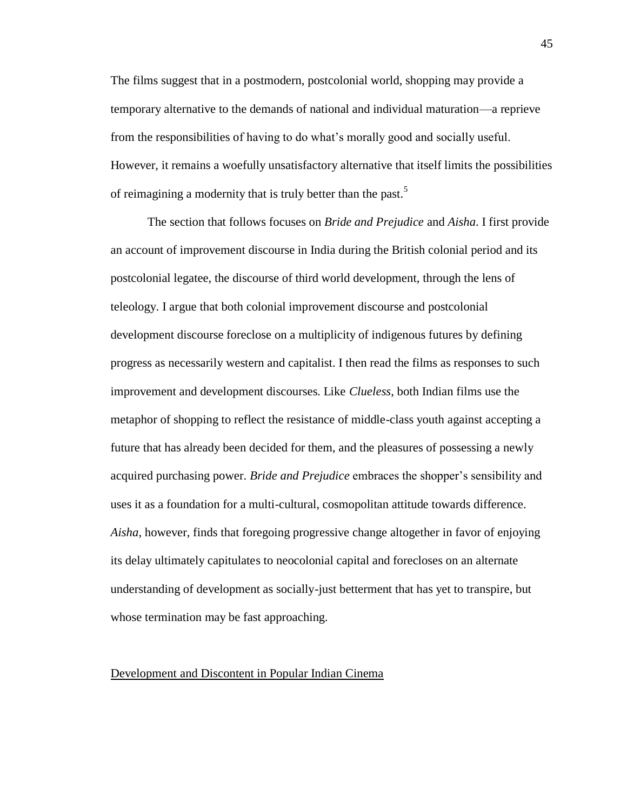The films suggest that in a postmodern, postcolonial world, shopping may provide a temporary alternative to the demands of national and individual maturation—a reprieve from the responsibilities of having to do what's morally good and socially useful. However, it remains a woefully unsatisfactory alternative that itself limits the possibilities of reimagining a modernity that is truly better than the past.<sup>5</sup>

The section that follows focuses on *Bride and Prejudice* and *Aisha*. I first provide an account of improvement discourse in India during the British colonial period and its postcolonial legatee, the discourse of third world development, through the lens of teleology. I argue that both colonial improvement discourse and postcolonial development discourse foreclose on a multiplicity of indigenous futures by defining progress as necessarily western and capitalist. I then read the films as responses to such improvement and development discourses. Like *Clueless*, both Indian films use the metaphor of shopping to reflect the resistance of middle-class youth against accepting a future that has already been decided for them, and the pleasures of possessing a newly acquired purchasing power. *Bride and Prejudice* embraces the shopper's sensibility and uses it as a foundation for a multi-cultural, cosmopolitan attitude towards difference. *Aisha*, however, finds that foregoing progressive change altogether in favor of enjoying its delay ultimately capitulates to neocolonial capital and forecloses on an alternate understanding of development as socially-just betterment that has yet to transpire, but whose termination may be fast approaching.

## Development and Discontent in Popular Indian Cinema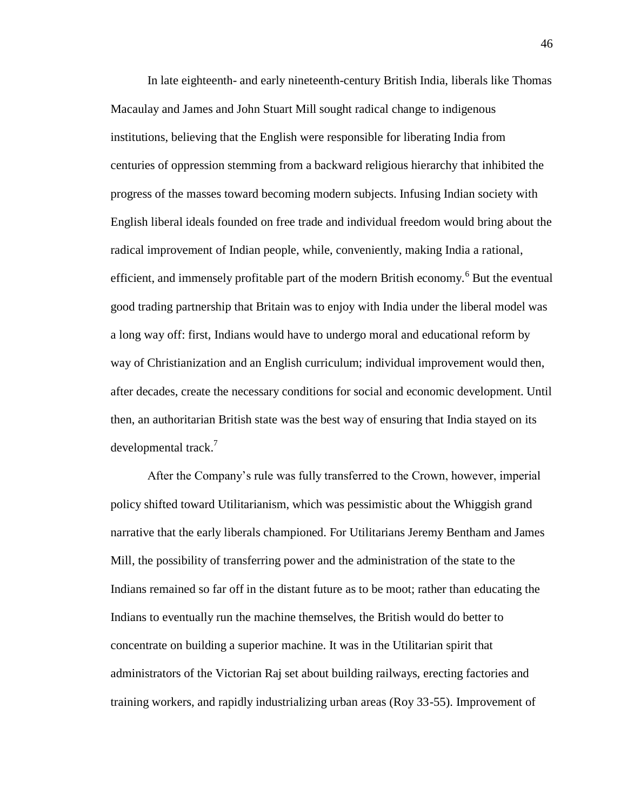In late eighteenth- and early nineteenth-century British India, liberals like Thomas Macaulay and James and John Stuart Mill sought radical change to indigenous institutions, believing that the English were responsible for liberating India from centuries of oppression stemming from a backward religious hierarchy that inhibited the progress of the masses toward becoming modern subjects. Infusing Indian society with English liberal ideals founded on free trade and individual freedom would bring about the radical improvement of Indian people, while, conveniently, making India a rational, efficient, and immensely profitable part of the modern British economy.<sup>6</sup> But the eventual good trading partnership that Britain was to enjoy with India under the liberal model was a long way off: first, Indians would have to undergo moral and educational reform by way of Christianization and an English curriculum; individual improvement would then, after decades, create the necessary conditions for social and economic development. Until then, an authoritarian British state was the best way of ensuring that India stayed on its developmental track.<sup>7</sup>

After the Company's rule was fully transferred to the Crown, however, imperial policy shifted toward Utilitarianism, which was pessimistic about the Whiggish grand narrative that the early liberals championed. For Utilitarians Jeremy Bentham and James Mill, the possibility of transferring power and the administration of the state to the Indians remained so far off in the distant future as to be moot; rather than educating the Indians to eventually run the machine themselves, the British would do better to concentrate on building a superior machine. It was in the Utilitarian spirit that administrators of the Victorian Raj set about building railways, erecting factories and training workers, and rapidly industrializing urban areas (Roy 33-55). Improvement of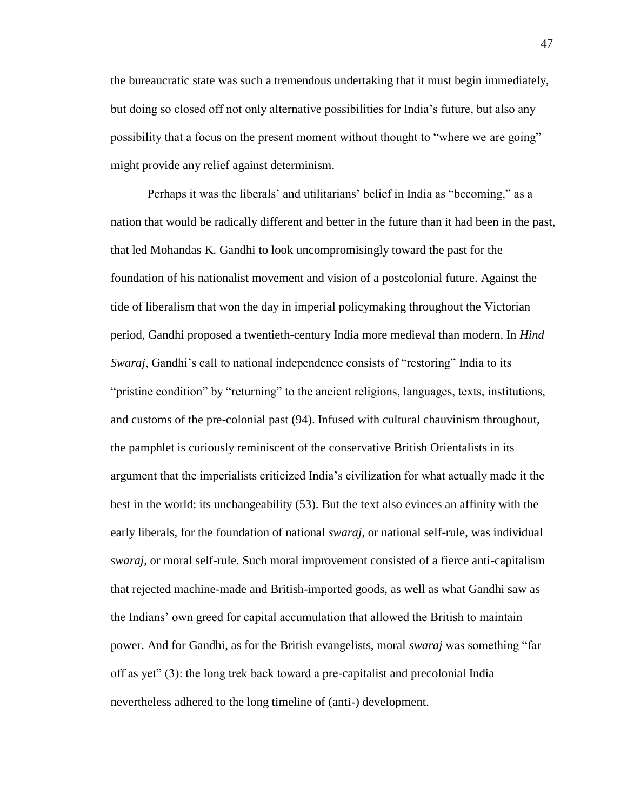the bureaucratic state was such a tremendous undertaking that it must begin immediately, but doing so closed off not only alternative possibilities for India's future, but also any possibility that a focus on the present moment without thought to "where we are going" might provide any relief against determinism.

Perhaps it was the liberals' and utilitarians' belief in India as "becoming," as a nation that would be radically different and better in the future than it had been in the past, that led Mohandas K. Gandhi to look uncompromisingly toward the past for the foundation of his nationalist movement and vision of a postcolonial future. Against the tide of liberalism that won the day in imperial policymaking throughout the Victorian period, Gandhi proposed a twentieth-century India more medieval than modern. In *Hind Swaraj*, Gandhi's call to national independence consists of "restoring" India to its "pristine condition" by "returning" to the ancient religions, languages, texts, institutions, and customs of the pre-colonial past (94). Infused with cultural chauvinism throughout, the pamphlet is curiously reminiscent of the conservative British Orientalists in its argument that the imperialists criticized India's civilization for what actually made it the best in the world: its unchangeability (53). But the text also evinces an affinity with the early liberals, for the foundation of national *swaraj*, or national self-rule, was individual *swaraj*, or moral self-rule. Such moral improvement consisted of a fierce anti-capitalism that rejected machine-made and British-imported goods, as well as what Gandhi saw as the Indians' own greed for capital accumulation that allowed the British to maintain power. And for Gandhi, as for the British evangelists, moral *swaraj* was something "far off as yet" (3): the long trek back toward a pre-capitalist and precolonial India nevertheless adhered to the long timeline of (anti-) development.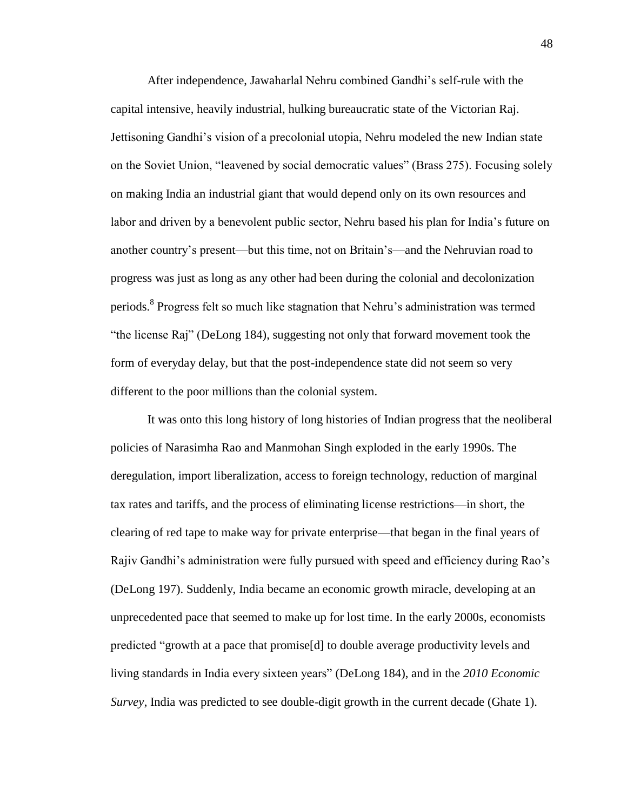After independence, Jawaharlal Nehru combined Gandhi's self-rule with the capital intensive, heavily industrial, hulking bureaucratic state of the Victorian Raj. Jettisoning Gandhi's vision of a precolonial utopia, Nehru modeled the new Indian state on the Soviet Union, "leavened by social democratic values" (Brass 275). Focusing solely on making India an industrial giant that would depend only on its own resources and labor and driven by a benevolent public sector, Nehru based his plan for India's future on another country's present—but this time, not on Britain's—and the Nehruvian road to progress was just as long as any other had been during the colonial and decolonization periods.<sup>8</sup> Progress felt so much like stagnation that Nehru's administration was termed "the license Raj" (DeLong 184), suggesting not only that forward movement took the form of everyday delay, but that the post-independence state did not seem so very different to the poor millions than the colonial system.

It was onto this long history of long histories of Indian progress that the neoliberal policies of Narasimha Rao and Manmohan Singh exploded in the early 1990s. The deregulation, import liberalization, access to foreign technology, reduction of marginal tax rates and tariffs, and the process of eliminating license restrictions—in short, the clearing of red tape to make way for private enterprise—that began in the final years of Rajiv Gandhi's administration were fully pursued with speed and efficiency during Rao's (DeLong 197). Suddenly, India became an economic growth miracle, developing at an unprecedented pace that seemed to make up for lost time. In the early 2000s, economists predicted "growth at a pace that promise[d] to double average productivity levels and living standards in India every sixteen years" (DeLong 184), and in the *2010 Economic Survey*, India was predicted to see double-digit growth in the current decade (Ghate 1).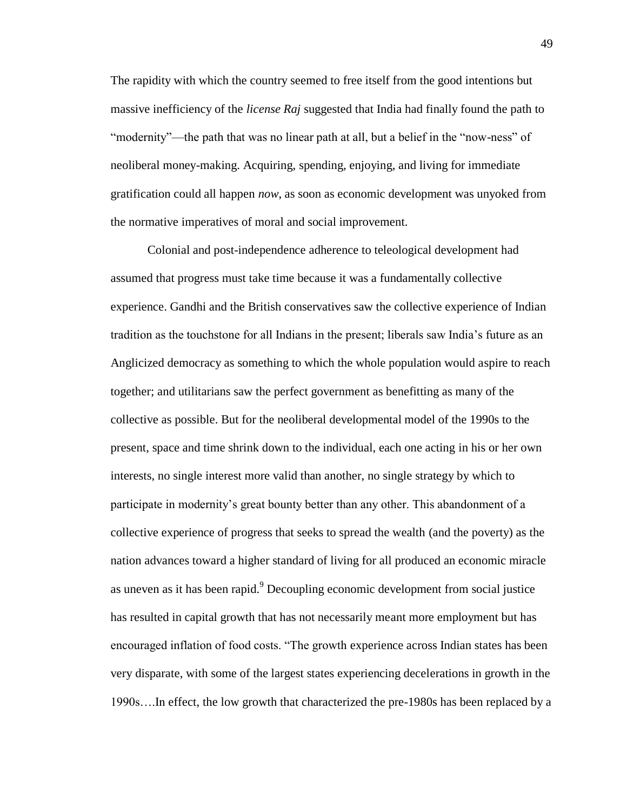The rapidity with which the country seemed to free itself from the good intentions but massive inefficiency of the *license Raj* suggested that India had finally found the path to "modernity"—the path that was no linear path at all, but a belief in the "now-ness" of neoliberal money-making. Acquiring, spending, enjoying, and living for immediate gratification could all happen *now*, as soon as economic development was unyoked from the normative imperatives of moral and social improvement.

Colonial and post-independence adherence to teleological development had assumed that progress must take time because it was a fundamentally collective experience. Gandhi and the British conservatives saw the collective experience of Indian tradition as the touchstone for all Indians in the present; liberals saw India's future as an Anglicized democracy as something to which the whole population would aspire to reach together; and utilitarians saw the perfect government as benefitting as many of the collective as possible. But for the neoliberal developmental model of the 1990s to the present, space and time shrink down to the individual, each one acting in his or her own interests, no single interest more valid than another, no single strategy by which to participate in modernity's great bounty better than any other. This abandonment of a collective experience of progress that seeks to spread the wealth (and the poverty) as the nation advances toward a higher standard of living for all produced an economic miracle as uneven as it has been rapid.<sup>9</sup> Decoupling economic development from social justice has resulted in capital growth that has not necessarily meant more employment but has encouraged inflation of food costs. "The growth experience across Indian states has been very disparate, with some of the largest states experiencing decelerations in growth in the 1990s….In effect, the low growth that characterized the pre-1980s has been replaced by a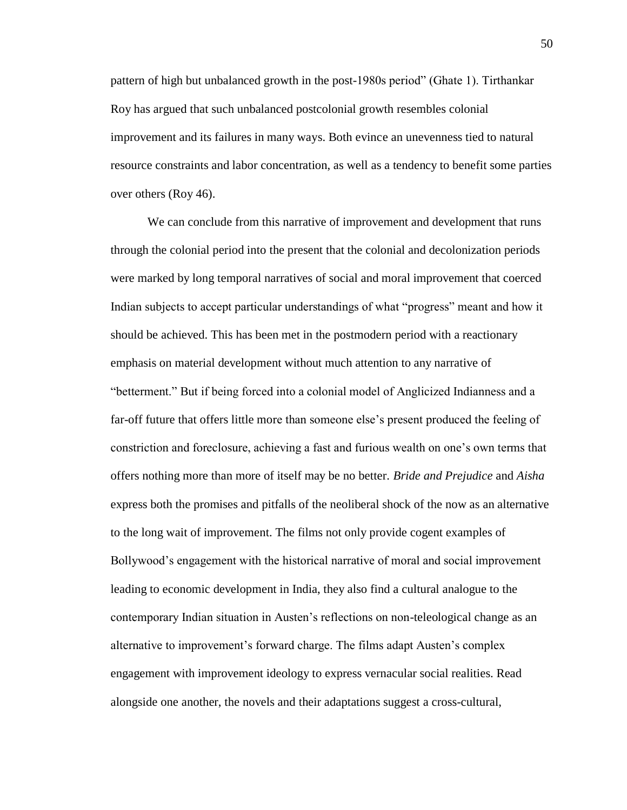pattern of high but unbalanced growth in the post-1980s period" (Ghate 1). Tirthankar Roy has argued that such unbalanced postcolonial growth resembles colonial improvement and its failures in many ways. Both evince an unevenness tied to natural resource constraints and labor concentration, as well as a tendency to benefit some parties over others (Roy 46).

We can conclude from this narrative of improvement and development that runs through the colonial period into the present that the colonial and decolonization periods were marked by long temporal narratives of social and moral improvement that coerced Indian subjects to accept particular understandings of what "progress" meant and how it should be achieved. This has been met in the postmodern period with a reactionary emphasis on material development without much attention to any narrative of "betterment." But if being forced into a colonial model of Anglicized Indianness and a far-off future that offers little more than someone else's present produced the feeling of constriction and foreclosure, achieving a fast and furious wealth on one's own terms that offers nothing more than more of itself may be no better. *Bride and Prejudice* and *Aisha* express both the promises and pitfalls of the neoliberal shock of the now as an alternative to the long wait of improvement. The films not only provide cogent examples of Bollywood's engagement with the historical narrative of moral and social improvement leading to economic development in India, they also find a cultural analogue to the contemporary Indian situation in Austen's reflections on non-teleological change as an alternative to improvement's forward charge. The films adapt Austen's complex engagement with improvement ideology to express vernacular social realities. Read alongside one another, the novels and their adaptations suggest a cross-cultural,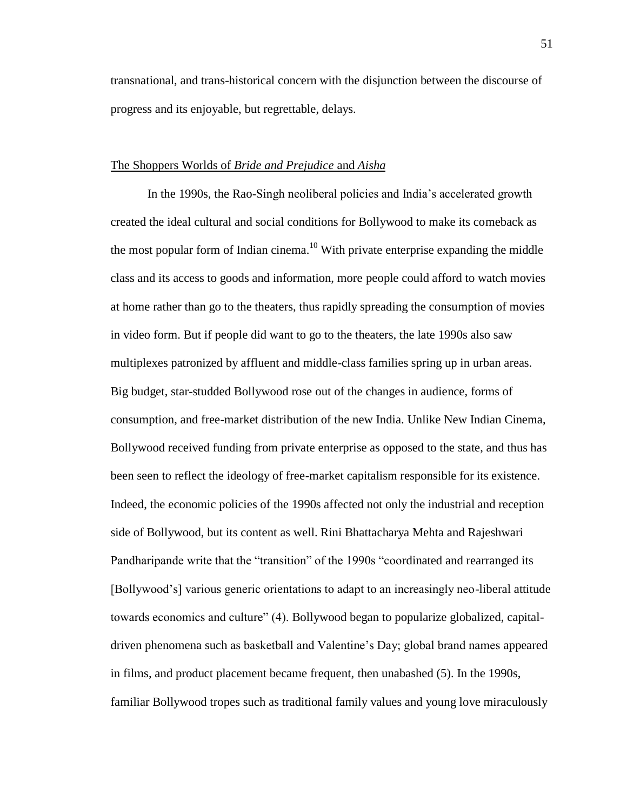transnational, and trans-historical concern with the disjunction between the discourse of progress and its enjoyable, but regrettable, delays.

## The Shoppers Worlds of *Bride and Prejudice* and *Aisha*

In the 1990s, the Rao-Singh neoliberal policies and India's accelerated growth created the ideal cultural and social conditions for Bollywood to make its comeback as the most popular form of Indian cinema.<sup>10</sup> With private enterprise expanding the middle class and its access to goods and information, more people could afford to watch movies at home rather than go to the theaters, thus rapidly spreading the consumption of movies in video form. But if people did want to go to the theaters, the late 1990s also saw multiplexes patronized by affluent and middle-class families spring up in urban areas. Big budget, star-studded Bollywood rose out of the changes in audience, forms of consumption, and free-market distribution of the new India. Unlike New Indian Cinema, Bollywood received funding from private enterprise as opposed to the state, and thus has been seen to reflect the ideology of free-market capitalism responsible for its existence. Indeed, the economic policies of the 1990s affected not only the industrial and reception side of Bollywood, but its content as well. Rini Bhattacharya Mehta and Rajeshwari Pandharipande write that the "transition" of the 1990s "coordinated and rearranged its [Bollywood's] various generic orientations to adapt to an increasingly neo-liberal attitude towards economics and culture" (4). Bollywood began to popularize globalized, capitaldriven phenomena such as basketball and Valentine's Day; global brand names appeared in films, and product placement became frequent, then unabashed (5). In the 1990s, familiar Bollywood tropes such as traditional family values and young love miraculously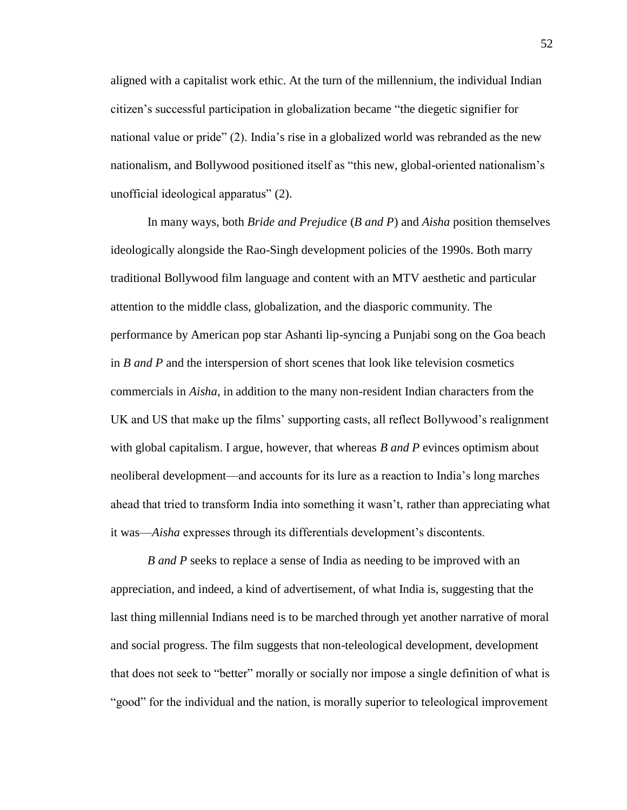aligned with a capitalist work ethic. At the turn of the millennium, the individual Indian citizen's successful participation in globalization became "the diegetic signifier for national value or pride" (2). India's rise in a globalized world was rebranded as the new nationalism, and Bollywood positioned itself as "this new, global-oriented nationalism's unofficial ideological apparatus" (2).

In many ways, both *Bride and Prejudice* (*B and P*) and *Aisha* position themselves ideologically alongside the Rao-Singh development policies of the 1990s. Both marry traditional Bollywood film language and content with an MTV aesthetic and particular attention to the middle class, globalization, and the diasporic community. The performance by American pop star Ashanti lip-syncing a Punjabi song on the Goa beach in *B and P* and the interspersion of short scenes that look like television cosmetics commercials in *Aisha*, in addition to the many non-resident Indian characters from the UK and US that make up the films' supporting casts, all reflect Bollywood's realignment with global capitalism. I argue, however, that whereas *B and P* evinces optimism about neoliberal development—and accounts for its lure as a reaction to India's long marches ahead that tried to transform India into something it wasn't, rather than appreciating what it was—*Aisha* expresses through its differentials development's discontents.

*B and P* seeks to replace a sense of India as needing to be improved with an appreciation, and indeed, a kind of advertisement, of what India is, suggesting that the last thing millennial Indians need is to be marched through yet another narrative of moral and social progress. The film suggests that non-teleological development, development that does not seek to "better" morally or socially nor impose a single definition of what is "good" for the individual and the nation, is morally superior to teleological improvement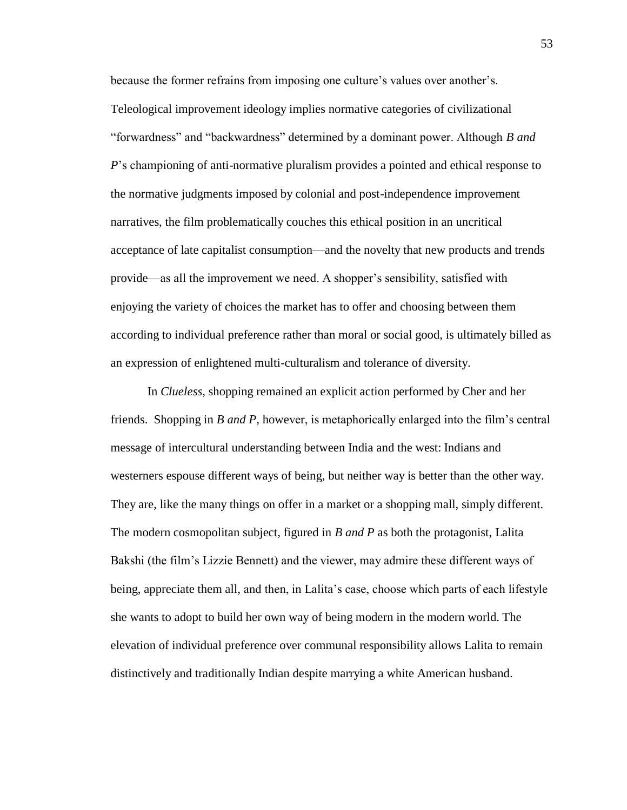because the former refrains from imposing one culture's values over another's. Teleological improvement ideology implies normative categories of civilizational "forwardness" and "backwardness" determined by a dominant power. Although *B and P*'s championing of anti-normative pluralism provides a pointed and ethical response to the normative judgments imposed by colonial and post-independence improvement narratives, the film problematically couches this ethical position in an uncritical acceptance of late capitalist consumption—and the novelty that new products and trends provide—as all the improvement we need. A shopper's sensibility, satisfied with enjoying the variety of choices the market has to offer and choosing between them according to individual preference rather than moral or social good, is ultimately billed as an expression of enlightened multi-culturalism and tolerance of diversity.

In *Clueless*, shopping remained an explicit action performed by Cher and her friends. Shopping in *B and P*, however, is metaphorically enlarged into the film's central message of intercultural understanding between India and the west: Indians and westerners espouse different ways of being, but neither way is better than the other way. They are, like the many things on offer in a market or a shopping mall, simply different. The modern cosmopolitan subject, figured in *B and P* as both the protagonist, Lalita Bakshi (the film's Lizzie Bennett) and the viewer, may admire these different ways of being, appreciate them all, and then, in Lalita's case, choose which parts of each lifestyle she wants to adopt to build her own way of being modern in the modern world. The elevation of individual preference over communal responsibility allows Lalita to remain distinctively and traditionally Indian despite marrying a white American husband.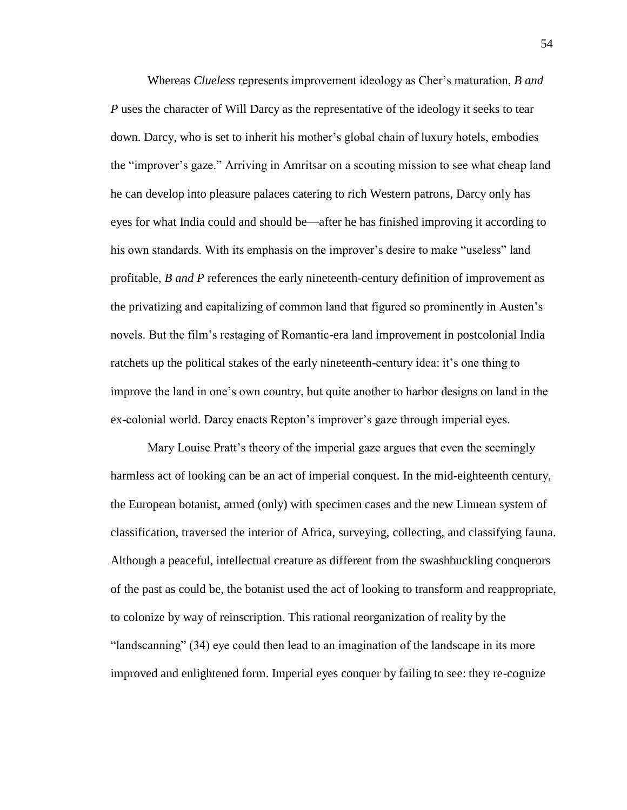Whereas *Clueless* represents improvement ideology as Cher's maturation, *B and P* uses the character of Will Darcy as the representative of the ideology it seeks to tear down. Darcy, who is set to inherit his mother's global chain of luxury hotels, embodies the "improver's gaze." Arriving in Amritsar on a scouting mission to see what cheap land he can develop into pleasure palaces catering to rich Western patrons, Darcy only has eyes for what India could and should be—after he has finished improving it according to his own standards. With its emphasis on the improver's desire to make "useless" land profitable, *B and P* references the early nineteenth-century definition of improvement as the privatizing and capitalizing of common land that figured so prominently in Austen's novels. But the film's restaging of Romantic-era land improvement in postcolonial India ratchets up the political stakes of the early nineteenth-century idea: it's one thing to improve the land in one's own country, but quite another to harbor designs on land in the ex-colonial world. Darcy enacts Repton's improver's gaze through imperial eyes.

Mary Louise Pratt's theory of the imperial gaze argues that even the seemingly harmless act of looking can be an act of imperial conquest. In the mid-eighteenth century, the European botanist, armed (only) with specimen cases and the new Linnean system of classification, traversed the interior of Africa, surveying, collecting, and classifying fauna. Although a peaceful, intellectual creature as different from the swashbuckling conquerors of the past as could be, the botanist used the act of looking to transform and reappropriate, to colonize by way of reinscription. This rational reorganization of reality by the "landscanning" (34) eye could then lead to an imagination of the landscape in its more improved and enlightened form. Imperial eyes conquer by failing to see: they re-cognize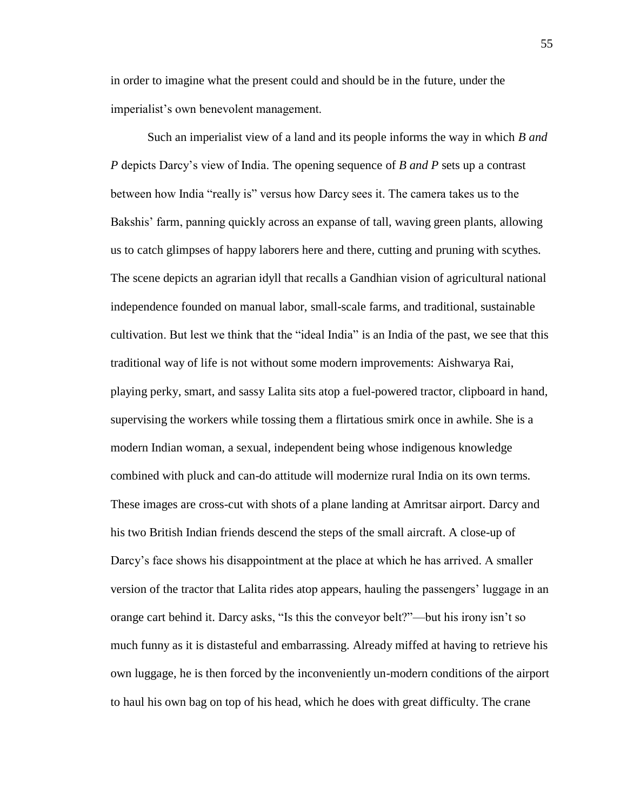in order to imagine what the present could and should be in the future, under the imperialist's own benevolent management.

Such an imperialist view of a land and its people informs the way in which *B and P* depicts Darcy's view of India. The opening sequence of *B and P* sets up a contrast between how India "really is" versus how Darcy sees it. The camera takes us to the Bakshis' farm, panning quickly across an expanse of tall, waving green plants, allowing us to catch glimpses of happy laborers here and there, cutting and pruning with scythes. The scene depicts an agrarian idyll that recalls a Gandhian vision of agricultural national independence founded on manual labor, small-scale farms, and traditional, sustainable cultivation. But lest we think that the "ideal India" is an India of the past, we see that this traditional way of life is not without some modern improvements: Aishwarya Rai, playing perky, smart, and sassy Lalita sits atop a fuel-powered tractor, clipboard in hand, supervising the workers while tossing them a flirtatious smirk once in awhile. She is a modern Indian woman, a sexual, independent being whose indigenous knowledge combined with pluck and can-do attitude will modernize rural India on its own terms. These images are cross-cut with shots of a plane landing at Amritsar airport. Darcy and his two British Indian friends descend the steps of the small aircraft. A close-up of Darcy's face shows his disappointment at the place at which he has arrived. A smaller version of the tractor that Lalita rides atop appears, hauling the passengers' luggage in an orange cart behind it. Darcy asks, "Is this the conveyor belt?"—but his irony isn't so much funny as it is distasteful and embarrassing. Already miffed at having to retrieve his own luggage, he is then forced by the inconveniently un-modern conditions of the airport to haul his own bag on top of his head, which he does with great difficulty. The crane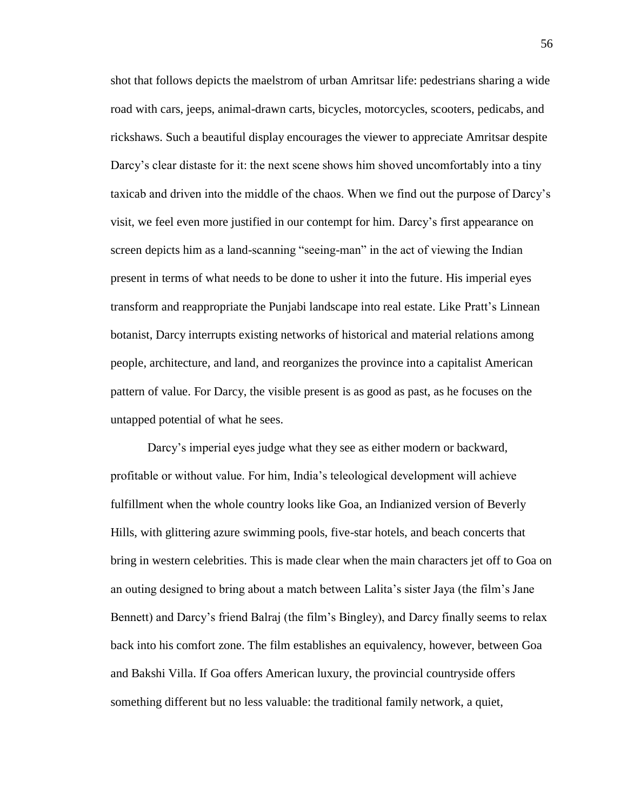shot that follows depicts the maelstrom of urban Amritsar life: pedestrians sharing a wide road with cars, jeeps, animal-drawn carts, bicycles, motorcycles, scooters, pedicabs, and rickshaws. Such a beautiful display encourages the viewer to appreciate Amritsar despite Darcy's clear distaste for it: the next scene shows him shoved uncomfortably into a tiny taxicab and driven into the middle of the chaos. When we find out the purpose of Darcy's visit, we feel even more justified in our contempt for him. Darcy's first appearance on screen depicts him as a land-scanning "seeing-man" in the act of viewing the Indian present in terms of what needs to be done to usher it into the future. His imperial eyes transform and reappropriate the Punjabi landscape into real estate. Like Pratt's Linnean botanist, Darcy interrupts existing networks of historical and material relations among people, architecture, and land, and reorganizes the province into a capitalist American pattern of value. For Darcy, the visible present is as good as past, as he focuses on the untapped potential of what he sees.

Darcy's imperial eyes judge what they see as either modern or backward, profitable or without value. For him, India's teleological development will achieve fulfillment when the whole country looks like Goa, an Indianized version of Beverly Hills, with glittering azure swimming pools, five-star hotels, and beach concerts that bring in western celebrities. This is made clear when the main characters jet off to Goa on an outing designed to bring about a match between Lalita's sister Jaya (the film's Jane Bennett) and Darcy's friend Balraj (the film's Bingley), and Darcy finally seems to relax back into his comfort zone. The film establishes an equivalency, however, between Goa and Bakshi Villa. If Goa offers American luxury, the provincial countryside offers something different but no less valuable: the traditional family network, a quiet,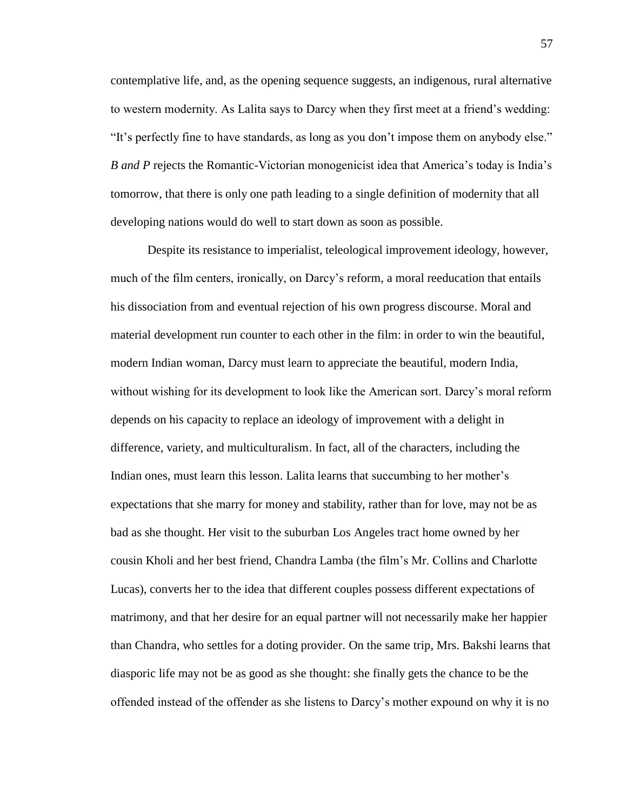contemplative life, and, as the opening sequence suggests, an indigenous, rural alternative to western modernity. As Lalita says to Darcy when they first meet at a friend's wedding: "It's perfectly fine to have standards, as long as you don't impose them on anybody else." *B and P* rejects the Romantic-Victorian monogenicist idea that America's today is India's tomorrow, that there is only one path leading to a single definition of modernity that all developing nations would do well to start down as soon as possible.

Despite its resistance to imperialist, teleological improvement ideology, however, much of the film centers, ironically, on Darcy's reform, a moral reeducation that entails his dissociation from and eventual rejection of his own progress discourse. Moral and material development run counter to each other in the film: in order to win the beautiful, modern Indian woman, Darcy must learn to appreciate the beautiful, modern India, without wishing for its development to look like the American sort. Darcy's moral reform depends on his capacity to replace an ideology of improvement with a delight in difference, variety, and multiculturalism. In fact, all of the characters, including the Indian ones, must learn this lesson. Lalita learns that succumbing to her mother's expectations that she marry for money and stability, rather than for love, may not be as bad as she thought. Her visit to the suburban Los Angeles tract home owned by her cousin Kholi and her best friend, Chandra Lamba (the film's Mr. Collins and Charlotte Lucas), converts her to the idea that different couples possess different expectations of matrimony, and that her desire for an equal partner will not necessarily make her happier than Chandra, who settles for a doting provider. On the same trip, Mrs. Bakshi learns that diasporic life may not be as good as she thought: she finally gets the chance to be the offended instead of the offender as she listens to Darcy's mother expound on why it is no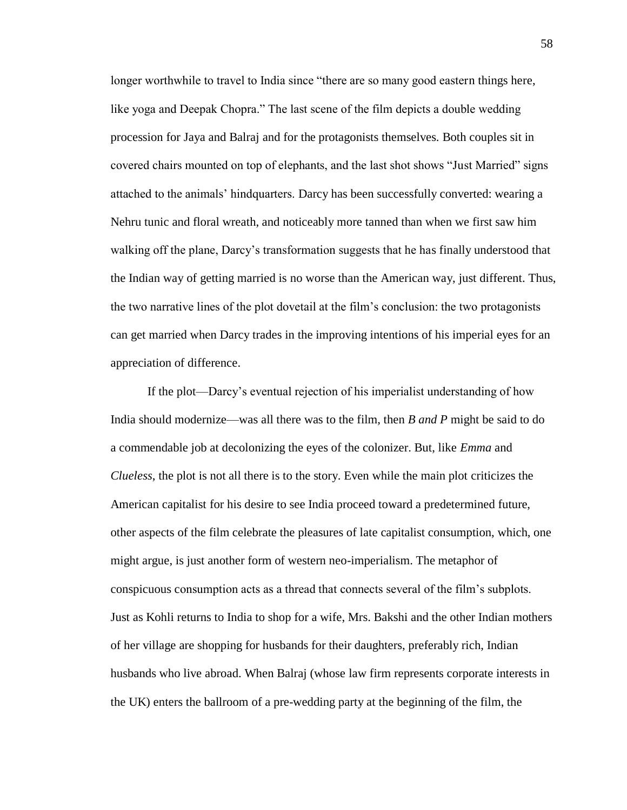longer worthwhile to travel to India since "there are so many good eastern things here, like yoga and Deepak Chopra." The last scene of the film depicts a double wedding procession for Jaya and Balraj and for the protagonists themselves. Both couples sit in covered chairs mounted on top of elephants, and the last shot shows "Just Married" signs attached to the animals' hindquarters. Darcy has been successfully converted: wearing a Nehru tunic and floral wreath, and noticeably more tanned than when we first saw him walking off the plane, Darcy's transformation suggests that he has finally understood that the Indian way of getting married is no worse than the American way, just different. Thus, the two narrative lines of the plot dovetail at the film's conclusion: the two protagonists can get married when Darcy trades in the improving intentions of his imperial eyes for an appreciation of difference.

If the plot—Darcy's eventual rejection of his imperialist understanding of how India should modernize—was all there was to the film, then *B and P* might be said to do a commendable job at decolonizing the eyes of the colonizer. But, like *Emma* and *Clueless*, the plot is not all there is to the story. Even while the main plot criticizes the American capitalist for his desire to see India proceed toward a predetermined future, other aspects of the film celebrate the pleasures of late capitalist consumption, which, one might argue, is just another form of western neo-imperialism. The metaphor of conspicuous consumption acts as a thread that connects several of the film's subplots. Just as Kohli returns to India to shop for a wife, Mrs. Bakshi and the other Indian mothers of her village are shopping for husbands for their daughters, preferably rich, Indian husbands who live abroad. When Balraj (whose law firm represents corporate interests in the UK) enters the ballroom of a pre-wedding party at the beginning of the film, the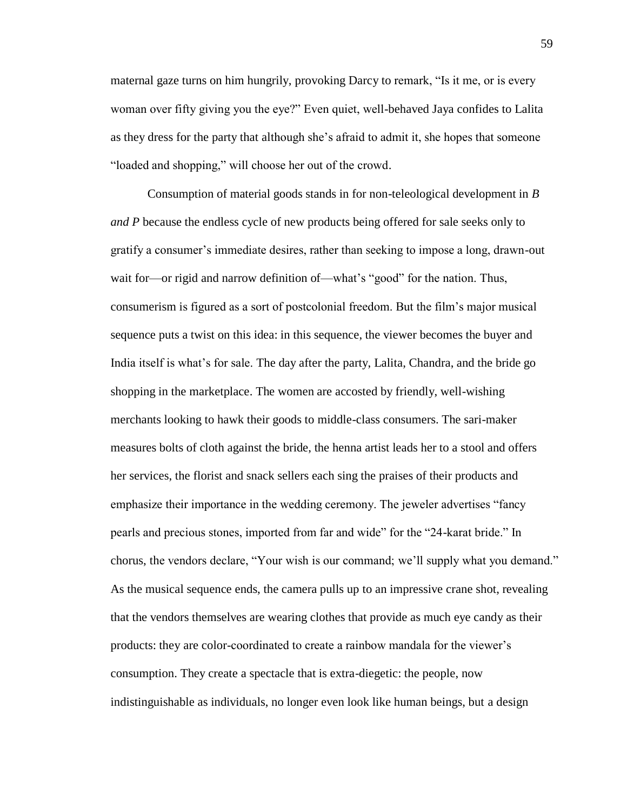maternal gaze turns on him hungrily, provoking Darcy to remark, "Is it me, or is every woman over fifty giving you the eye?" Even quiet, well-behaved Jaya confides to Lalita as they dress for the party that although she's afraid to admit it, she hopes that someone "loaded and shopping," will choose her out of the crowd.

Consumption of material goods stands in for non-teleological development in *B and P* because the endless cycle of new products being offered for sale seeks only to gratify a consumer's immediate desires, rather than seeking to impose a long, drawn-out wait for—or rigid and narrow definition of—what's "good" for the nation. Thus, consumerism is figured as a sort of postcolonial freedom. But the film's major musical sequence puts a twist on this idea: in this sequence, the viewer becomes the buyer and India itself is what's for sale. The day after the party, Lalita, Chandra, and the bride go shopping in the marketplace. The women are accosted by friendly, well-wishing merchants looking to hawk their goods to middle-class consumers. The sari-maker measures bolts of cloth against the bride, the henna artist leads her to a stool and offers her services, the florist and snack sellers each sing the praises of their products and emphasize their importance in the wedding ceremony. The jeweler advertises "fancy pearls and precious stones, imported from far and wide" for the "24-karat bride." In chorus, the vendors declare, "Your wish is our command; we'll supply what you demand." As the musical sequence ends, the camera pulls up to an impressive crane shot, revealing that the vendors themselves are wearing clothes that provide as much eye candy as their products: they are color-coordinated to create a rainbow mandala for the viewer's consumption. They create a spectacle that is extra-diegetic: the people, now indistinguishable as individuals, no longer even look like human beings, but a design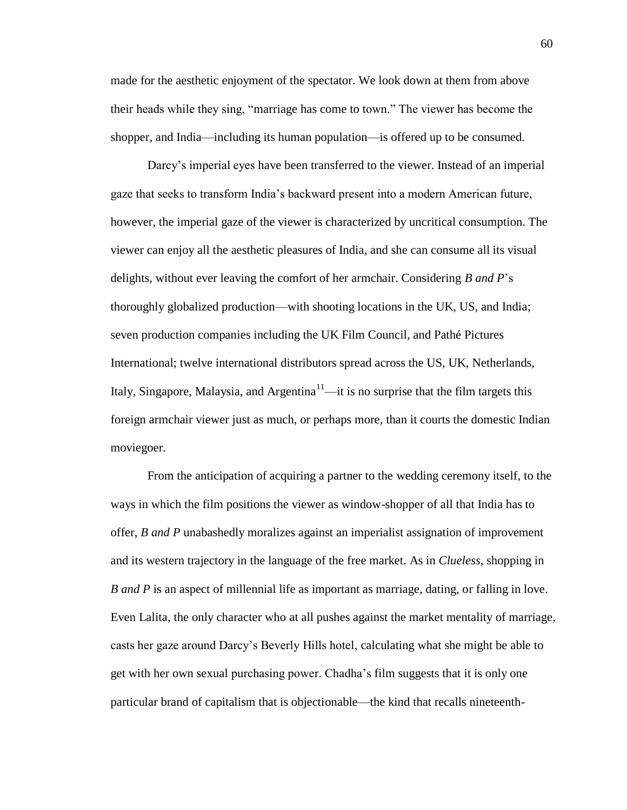made for the aesthetic enjoyment of the spectator. We look down at them from above their heads while they sing, "marriage has come to town." The viewer has become the shopper, and India—including its human population—is offered up to be consumed.

Darcy's imperial eyes have been transferred to the viewer. Instead of an imperial gaze that seeks to transform India's backward present into a modern American future, however, the imperial gaze of the viewer is characterized by uncritical consumption. The viewer can enjoy all the aesthetic pleasures of India, and she can consume all its visual delights, without ever leaving the comfort of her armchair. Considering *B and P*'s thoroughly globalized production—with shooting locations in the UK, US, and India; seven production companies including the UK Film Council, and Pathé Pictures International; twelve international distributors spread across the US, UK, Netherlands, Italy, Singapore, Malaysia, and Argentina<sup>11</sup>—it is no surprise that the film targets this foreign armchair viewer just as much, or perhaps more, than it courts the domestic Indian moviegoer.

From the anticipation of acquiring a partner to the wedding ceremony itself, to the ways in which the film positions the viewer as window-shopper of all that India has to offer, *B and P* unabashedly moralizes against an imperialist assignation of improvement and its western trajectory in the language of the free market. As in *Clueless*, shopping in *B and P* is an aspect of millennial life as important as marriage, dating, or falling in love. Even Lalita, the only character who at all pushes against the market mentality of marriage, casts her gaze around Darcy's Beverly Hills hotel, calculating what she might be able to get with her own sexual purchasing power. Chadha's film suggests that it is only one particular brand of capitalism that is objectionable—the kind that recalls nineteenth-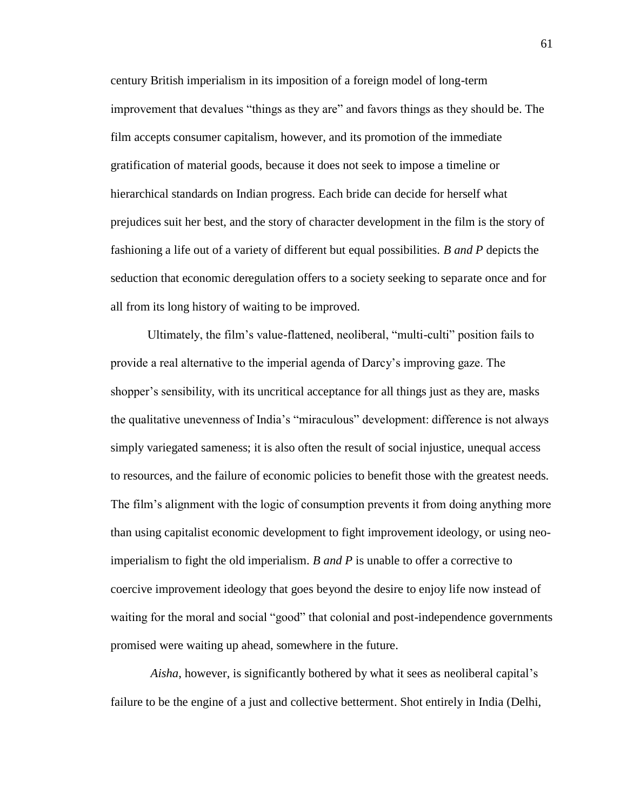century British imperialism in its imposition of a foreign model of long-term improvement that devalues "things as they are" and favors things as they should be. The film accepts consumer capitalism, however, and its promotion of the immediate gratification of material goods, because it does not seek to impose a timeline or hierarchical standards on Indian progress. Each bride can decide for herself what prejudices suit her best, and the story of character development in the film is the story of fashioning a life out of a variety of different but equal possibilities. *B and P* depicts the seduction that economic deregulation offers to a society seeking to separate once and for all from its long history of waiting to be improved.

Ultimately, the film's value-flattened, neoliberal, "multi-culti" position fails to provide a real alternative to the imperial agenda of Darcy's improving gaze. The shopper's sensibility, with its uncritical acceptance for all things just as they are, masks the qualitative unevenness of India's "miraculous" development: difference is not always simply variegated sameness; it is also often the result of social injustice, unequal access to resources, and the failure of economic policies to benefit those with the greatest needs. The film's alignment with the logic of consumption prevents it from doing anything more than using capitalist economic development to fight improvement ideology, or using neoimperialism to fight the old imperialism. *B and P* is unable to offer a corrective to coercive improvement ideology that goes beyond the desire to enjoy life now instead of waiting for the moral and social "good" that colonial and post-independence governments promised were waiting up ahead, somewhere in the future.

*Aisha*, however, is significantly bothered by what it sees as neoliberal capital's failure to be the engine of a just and collective betterment. Shot entirely in India (Delhi,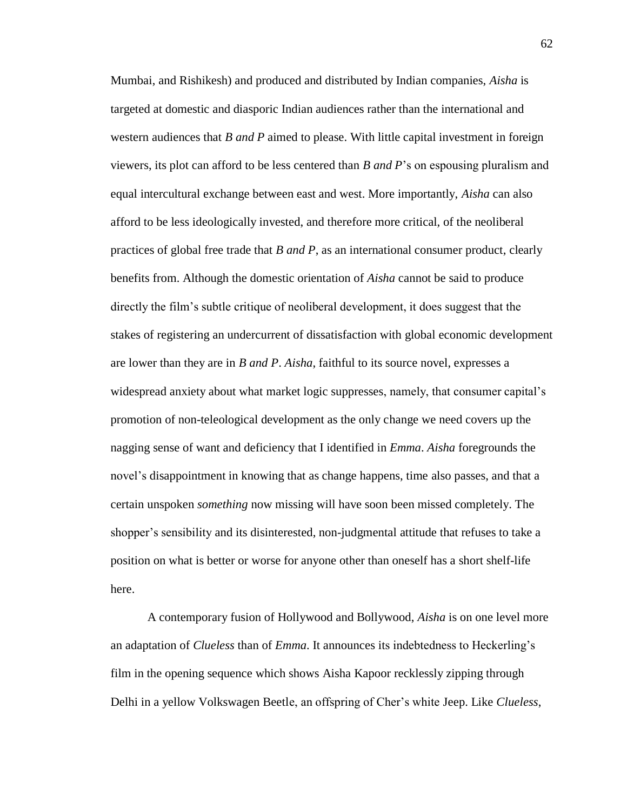Mumbai, and Rishikesh) and produced and distributed by Indian companies, *Aisha* is targeted at domestic and diasporic Indian audiences rather than the international and western audiences that *B and P* aimed to please. With little capital investment in foreign viewers, its plot can afford to be less centered than *B and P*'s on espousing pluralism and equal intercultural exchange between east and west. More importantly, *Aisha* can also afford to be less ideologically invested, and therefore more critical, of the neoliberal practices of global free trade that *B and P*, as an international consumer product, clearly benefits from. Although the domestic orientation of *Aisha* cannot be said to produce directly the film's subtle critique of neoliberal development, it does suggest that the stakes of registering an undercurrent of dissatisfaction with global economic development are lower than they are in *B and P*. *Aisha*, faithful to its source novel, expresses a widespread anxiety about what market logic suppresses, namely, that consumer capital's promotion of non-teleological development as the only change we need covers up the nagging sense of want and deficiency that I identified in *Emma*. *Aisha* foregrounds the novel's disappointment in knowing that as change happens, time also passes, and that a certain unspoken *something* now missing will have soon been missed completely. The shopper's sensibility and its disinterested, non-judgmental attitude that refuses to take a position on what is better or worse for anyone other than oneself has a short shelf-life here.

A contemporary fusion of Hollywood and Bollywood, *Aisha* is on one level more an adaptation of *Clueless* than of *Emma*. It announces its indebtedness to Heckerling's film in the opening sequence which shows Aisha Kapoor recklessly zipping through Delhi in a yellow Volkswagen Beetle, an offspring of Cher's white Jeep. Like *Clueless*,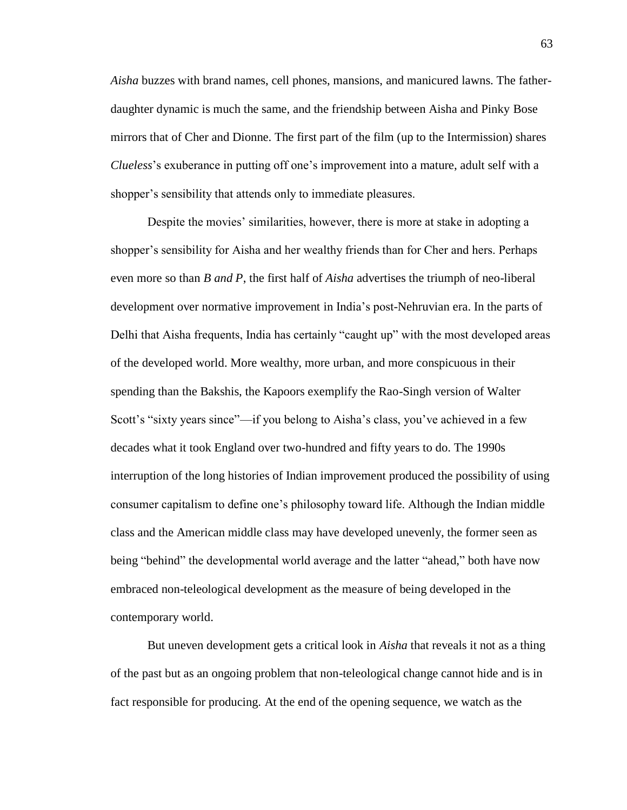*Aisha* buzzes with brand names, cell phones, mansions, and manicured lawns. The fatherdaughter dynamic is much the same, and the friendship between Aisha and Pinky Bose mirrors that of Cher and Dionne. The first part of the film (up to the Intermission) shares *Clueless*'s exuberance in putting off one's improvement into a mature, adult self with a shopper's sensibility that attends only to immediate pleasures.

Despite the movies' similarities, however, there is more at stake in adopting a shopper's sensibility for Aisha and her wealthy friends than for Cher and hers. Perhaps even more so than *B and P*, the first half of *Aisha* advertises the triumph of neo-liberal development over normative improvement in India's post-Nehruvian era. In the parts of Delhi that Aisha frequents, India has certainly "caught up" with the most developed areas of the developed world. More wealthy, more urban, and more conspicuous in their spending than the Bakshis, the Kapoors exemplify the Rao-Singh version of Walter Scott's "sixty years since"—if you belong to Aisha's class, you've achieved in a few decades what it took England over two-hundred and fifty years to do. The 1990s interruption of the long histories of Indian improvement produced the possibility of using consumer capitalism to define one's philosophy toward life. Although the Indian middle class and the American middle class may have developed unevenly, the former seen as being "behind" the developmental world average and the latter "ahead," both have now embraced non-teleological development as the measure of being developed in the contemporary world.

But uneven development gets a critical look in *Aisha* that reveals it not as a thing of the past but as an ongoing problem that non-teleological change cannot hide and is in fact responsible for producing. At the end of the opening sequence, we watch as the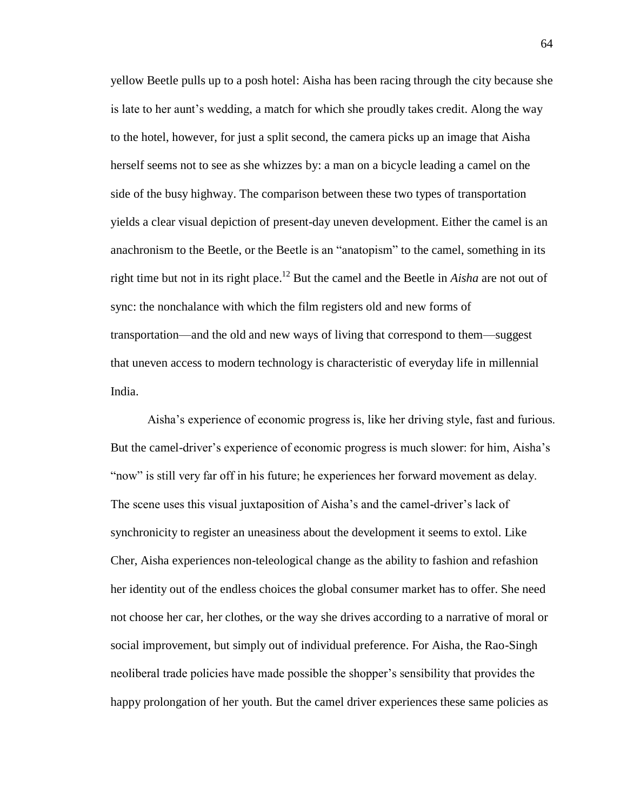yellow Beetle pulls up to a posh hotel: Aisha has been racing through the city because she is late to her aunt's wedding, a match for which she proudly takes credit. Along the way to the hotel, however, for just a split second, the camera picks up an image that Aisha herself seems not to see as she whizzes by: a man on a bicycle leading a camel on the side of the busy highway. The comparison between these two types of transportation yields a clear visual depiction of present-day uneven development. Either the camel is an anachronism to the Beetle, or the Beetle is an "anatopism" to the camel, something in its right time but not in its right place.<sup>12</sup> But the camel and the Beetle in *Aisha* are not out of sync: the nonchalance with which the film registers old and new forms of transportation—and the old and new ways of living that correspond to them—suggest that uneven access to modern technology is characteristic of everyday life in millennial India.

Aisha's experience of economic progress is, like her driving style, fast and furious. But the camel-driver's experience of economic progress is much slower: for him, Aisha's "now" is still very far off in his future; he experiences her forward movement as delay. The scene uses this visual juxtaposition of Aisha's and the camel-driver's lack of synchronicity to register an uneasiness about the development it seems to extol. Like Cher, Aisha experiences non-teleological change as the ability to fashion and refashion her identity out of the endless choices the global consumer market has to offer. She need not choose her car, her clothes, or the way she drives according to a narrative of moral or social improvement, but simply out of individual preference. For Aisha, the Rao-Singh neoliberal trade policies have made possible the shopper's sensibility that provides the happy prolongation of her youth. But the camel driver experiences these same policies as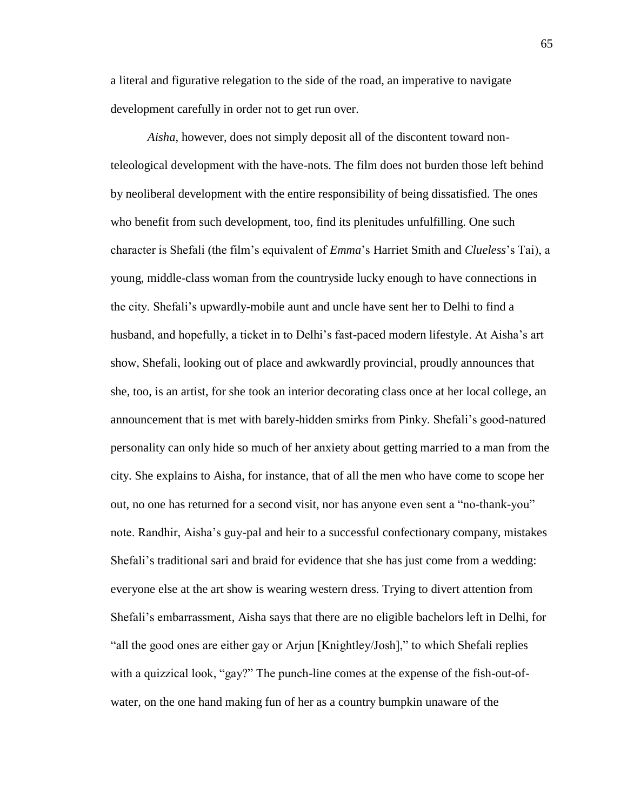a literal and figurative relegation to the side of the road, an imperative to navigate development carefully in order not to get run over.

*Aisha*, however, does not simply deposit all of the discontent toward nonteleological development with the have-nots. The film does not burden those left behind by neoliberal development with the entire responsibility of being dissatisfied. The ones who benefit from such development, too, find its plenitudes unfulfilling. One such character is Shefali (the film's equivalent of *Emma*'s Harriet Smith and *Clueless*'s Tai), a young, middle-class woman from the countryside lucky enough to have connections in the city. Shefali's upwardly-mobile aunt and uncle have sent her to Delhi to find a husband, and hopefully, a ticket in to Delhi's fast-paced modern lifestyle. At Aisha's art show, Shefali, looking out of place and awkwardly provincial, proudly announces that she, too, is an artist, for she took an interior decorating class once at her local college, an announcement that is met with barely-hidden smirks from Pinky. Shefali's good-natured personality can only hide so much of her anxiety about getting married to a man from the city. She explains to Aisha, for instance, that of all the men who have come to scope her out, no one has returned for a second visit, nor has anyone even sent a "no-thank-you" note. Randhir, Aisha's guy-pal and heir to a successful confectionary company, mistakes Shefali's traditional sari and braid for evidence that she has just come from a wedding: everyone else at the art show is wearing western dress. Trying to divert attention from Shefali's embarrassment, Aisha says that there are no eligible bachelors left in Delhi, for "all the good ones are either gay or Arjun [Knightley/Josh]," to which Shefali replies with a quizzical look, "gay?" The punch-line comes at the expense of the fish-out-ofwater, on the one hand making fun of her as a country bumpkin unaware of the

65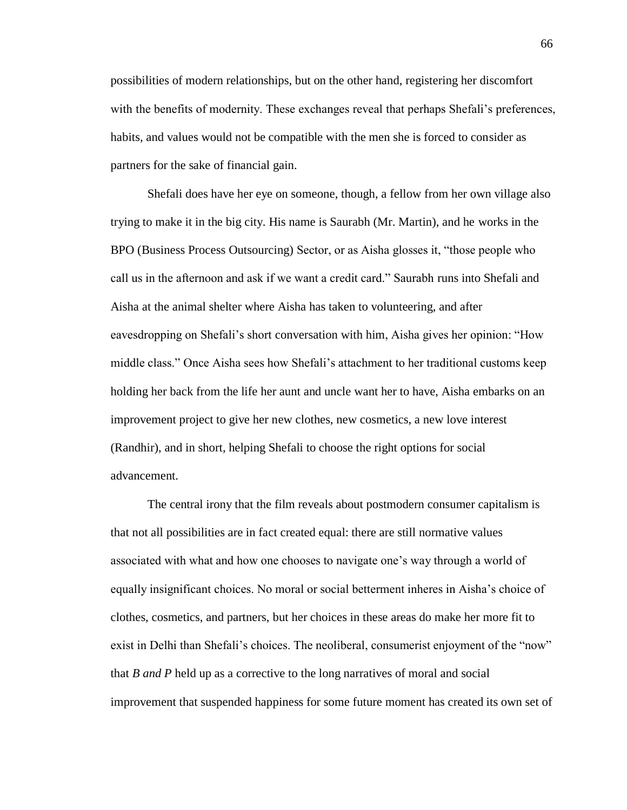possibilities of modern relationships, but on the other hand, registering her discomfort with the benefits of modernity. These exchanges reveal that perhaps Shefali's preferences, habits, and values would not be compatible with the men she is forced to consider as partners for the sake of financial gain.

Shefali does have her eye on someone, though, a fellow from her own village also trying to make it in the big city. His name is Saurabh (Mr. Martin), and he works in the BPO (Business Process Outsourcing) Sector, or as Aisha glosses it, "those people who call us in the afternoon and ask if we want a credit card." Saurabh runs into Shefali and Aisha at the animal shelter where Aisha has taken to volunteering, and after eavesdropping on Shefali's short conversation with him, Aisha gives her opinion: "How middle class." Once Aisha sees how Shefali's attachment to her traditional customs keep holding her back from the life her aunt and uncle want her to have, Aisha embarks on an improvement project to give her new clothes, new cosmetics, a new love interest (Randhir), and in short, helping Shefali to choose the right options for social advancement.

The central irony that the film reveals about postmodern consumer capitalism is that not all possibilities are in fact created equal: there are still normative values associated with what and how one chooses to navigate one's way through a world of equally insignificant choices. No moral or social betterment inheres in Aisha's choice of clothes, cosmetics, and partners, but her choices in these areas do make her more fit to exist in Delhi than Shefali's choices. The neoliberal, consumerist enjoyment of the "now" that *B and P* held up as a corrective to the long narratives of moral and social improvement that suspended happiness for some future moment has created its own set of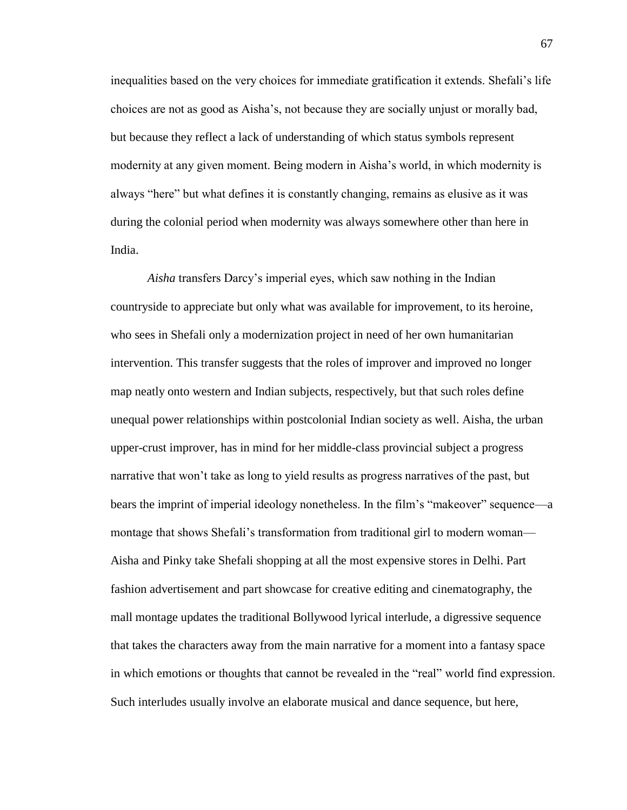inequalities based on the very choices for immediate gratification it extends. Shefali's life choices are not as good as Aisha's, not because they are socially unjust or morally bad, but because they reflect a lack of understanding of which status symbols represent modernity at any given moment. Being modern in Aisha's world, in which modernity is always "here" but what defines it is constantly changing, remains as elusive as it was during the colonial period when modernity was always somewhere other than here in India.

*Aisha* transfers Darcy's imperial eyes, which saw nothing in the Indian countryside to appreciate but only what was available for improvement, to its heroine, who sees in Shefali only a modernization project in need of her own humanitarian intervention. This transfer suggests that the roles of improver and improved no longer map neatly onto western and Indian subjects, respectively, but that such roles define unequal power relationships within postcolonial Indian society as well. Aisha, the urban upper-crust improver, has in mind for her middle-class provincial subject a progress narrative that won't take as long to yield results as progress narratives of the past, but bears the imprint of imperial ideology nonetheless. In the film's "makeover" sequence—a montage that shows Shefali's transformation from traditional girl to modern woman— Aisha and Pinky take Shefali shopping at all the most expensive stores in Delhi. Part fashion advertisement and part showcase for creative editing and cinematography, the mall montage updates the traditional Bollywood lyrical interlude, a digressive sequence that takes the characters away from the main narrative for a moment into a fantasy space in which emotions or thoughts that cannot be revealed in the "real" world find expression. Such interludes usually involve an elaborate musical and dance sequence, but here,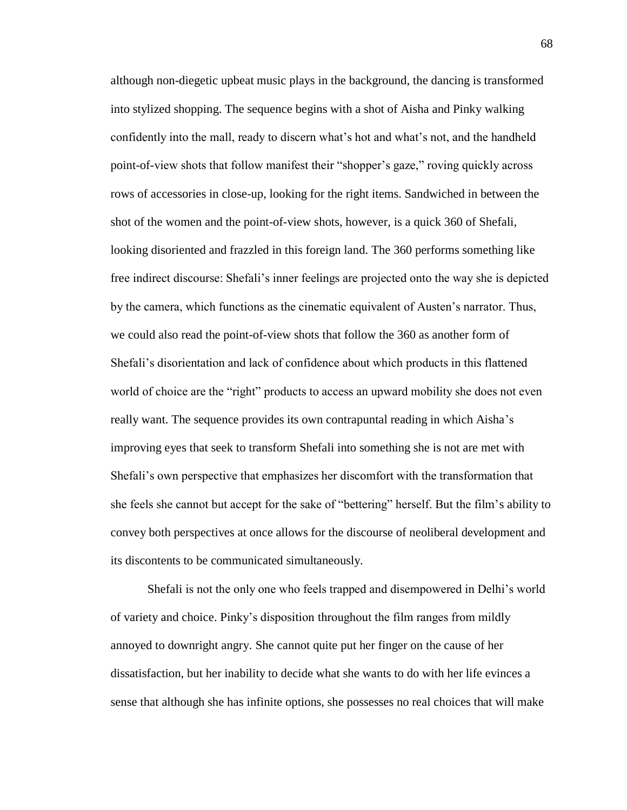although non-diegetic upbeat music plays in the background, the dancing is transformed into stylized shopping. The sequence begins with a shot of Aisha and Pinky walking confidently into the mall, ready to discern what's hot and what's not, and the handheld point-of-view shots that follow manifest their "shopper's gaze," roving quickly across rows of accessories in close-up, looking for the right items. Sandwiched in between the shot of the women and the point-of-view shots, however, is a quick 360 of Shefali, looking disoriented and frazzled in this foreign land. The 360 performs something like free indirect discourse: Shefali's inner feelings are projected onto the way she is depicted by the camera, which functions as the cinematic equivalent of Austen's narrator. Thus, we could also read the point-of-view shots that follow the 360 as another form of Shefali's disorientation and lack of confidence about which products in this flattened world of choice are the "right" products to access an upward mobility she does not even really want. The sequence provides its own contrapuntal reading in which Aisha's improving eyes that seek to transform Shefali into something she is not are met with Shefali's own perspective that emphasizes her discomfort with the transformation that she feels she cannot but accept for the sake of "bettering" herself. But the film's ability to convey both perspectives at once allows for the discourse of neoliberal development and its discontents to be communicated simultaneously.

Shefali is not the only one who feels trapped and disempowered in Delhi's world of variety and choice. Pinky's disposition throughout the film ranges from mildly annoyed to downright angry. She cannot quite put her finger on the cause of her dissatisfaction, but her inability to decide what she wants to do with her life evinces a sense that although she has infinite options, she possesses no real choices that will make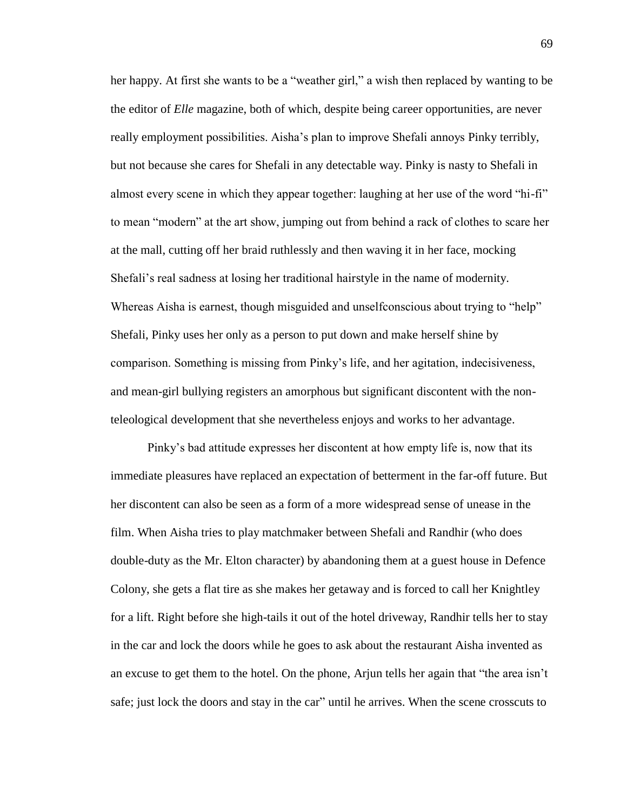her happy. At first she wants to be a "weather girl," a wish then replaced by wanting to be the editor of *Elle* magazine, both of which, despite being career opportunities, are never really employment possibilities. Aisha's plan to improve Shefali annoys Pinky terribly, but not because she cares for Shefali in any detectable way. Pinky is nasty to Shefali in almost every scene in which they appear together: laughing at her use of the word "hi-fi" to mean "modern" at the art show, jumping out from behind a rack of clothes to scare her at the mall, cutting off her braid ruthlessly and then waving it in her face, mocking Shefali's real sadness at losing her traditional hairstyle in the name of modernity. Whereas Aisha is earnest, though misguided and unselfconscious about trying to "help" Shefali, Pinky uses her only as a person to put down and make herself shine by comparison. Something is missing from Pinky's life, and her agitation, indecisiveness, and mean-girl bullying registers an amorphous but significant discontent with the nonteleological development that she nevertheless enjoys and works to her advantage.

Pinky's bad attitude expresses her discontent at how empty life is, now that its immediate pleasures have replaced an expectation of betterment in the far-off future. But her discontent can also be seen as a form of a more widespread sense of unease in the film. When Aisha tries to play matchmaker between Shefali and Randhir (who does double-duty as the Mr. Elton character) by abandoning them at a guest house in Defence Colony, she gets a flat tire as she makes her getaway and is forced to call her Knightley for a lift. Right before she high-tails it out of the hotel driveway, Randhir tells her to stay in the car and lock the doors while he goes to ask about the restaurant Aisha invented as an excuse to get them to the hotel. On the phone, Arjun tells her again that "the area isn't safe; just lock the doors and stay in the car" until he arrives. When the scene crosscuts to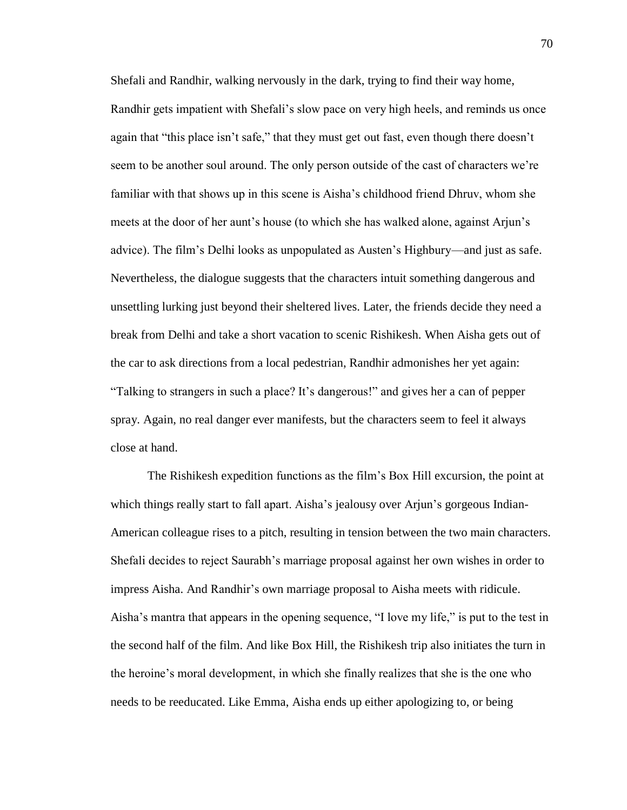Shefali and Randhir, walking nervously in the dark, trying to find their way home, Randhir gets impatient with Shefali's slow pace on very high heels, and reminds us once again that "this place isn't safe," that they must get out fast, even though there doesn't seem to be another soul around. The only person outside of the cast of characters we're familiar with that shows up in this scene is Aisha's childhood friend Dhruv, whom she meets at the door of her aunt's house (to which she has walked alone, against Arjun's advice). The film's Delhi looks as unpopulated as Austen's Highbury—and just as safe. Nevertheless, the dialogue suggests that the characters intuit something dangerous and unsettling lurking just beyond their sheltered lives. Later, the friends decide they need a break from Delhi and take a short vacation to scenic Rishikesh. When Aisha gets out of the car to ask directions from a local pedestrian, Randhir admonishes her yet again: "Talking to strangers in such a place? It's dangerous!" and gives her a can of pepper spray. Again, no real danger ever manifests, but the characters seem to feel it always close at hand.

The Rishikesh expedition functions as the film's Box Hill excursion, the point at which things really start to fall apart. Aisha's jealousy over Arjun's gorgeous Indian-American colleague rises to a pitch, resulting in tension between the two main characters. Shefali decides to reject Saurabh's marriage proposal against her own wishes in order to impress Aisha. And Randhir's own marriage proposal to Aisha meets with ridicule. Aisha's mantra that appears in the opening sequence, "I love my life," is put to the test in the second half of the film. And like Box Hill, the Rishikesh trip also initiates the turn in the heroine's moral development, in which she finally realizes that she is the one who needs to be reeducated. Like Emma, Aisha ends up either apologizing to, or being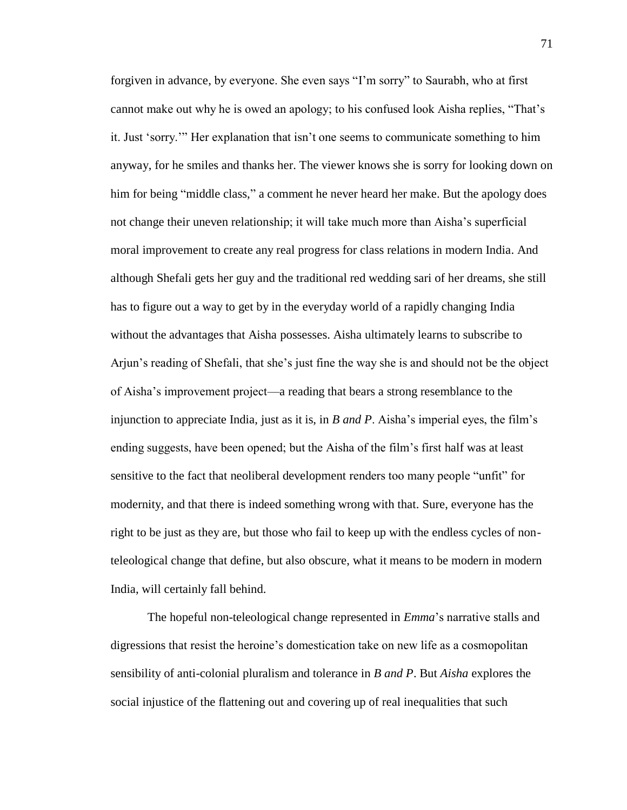forgiven in advance, by everyone. She even says "I'm sorry" to Saurabh, who at first cannot make out why he is owed an apology; to his confused look Aisha replies, "That's it. Just 'sorry.'" Her explanation that isn't one seems to communicate something to him anyway, for he smiles and thanks her. The viewer knows she is sorry for looking down on him for being "middle class," a comment he never heard her make. But the apology does not change their uneven relationship; it will take much more than Aisha's superficial moral improvement to create any real progress for class relations in modern India. And although Shefali gets her guy and the traditional red wedding sari of her dreams, she still has to figure out a way to get by in the everyday world of a rapidly changing India without the advantages that Aisha possesses. Aisha ultimately learns to subscribe to Arjun's reading of Shefali, that she's just fine the way she is and should not be the object of Aisha's improvement project—a reading that bears a strong resemblance to the injunction to appreciate India, just as it is, in *B and P*. Aisha's imperial eyes, the film's ending suggests, have been opened; but the Aisha of the film's first half was at least sensitive to the fact that neoliberal development renders too many people "unfit" for modernity, and that there is indeed something wrong with that. Sure, everyone has the right to be just as they are, but those who fail to keep up with the endless cycles of nonteleological change that define, but also obscure, what it means to be modern in modern India, will certainly fall behind.

The hopeful non-teleological change represented in *Emma*'s narrative stalls and digressions that resist the heroine's domestication take on new life as a cosmopolitan sensibility of anti-colonial pluralism and tolerance in *B and P*. But *Aisha* explores the social injustice of the flattening out and covering up of real inequalities that such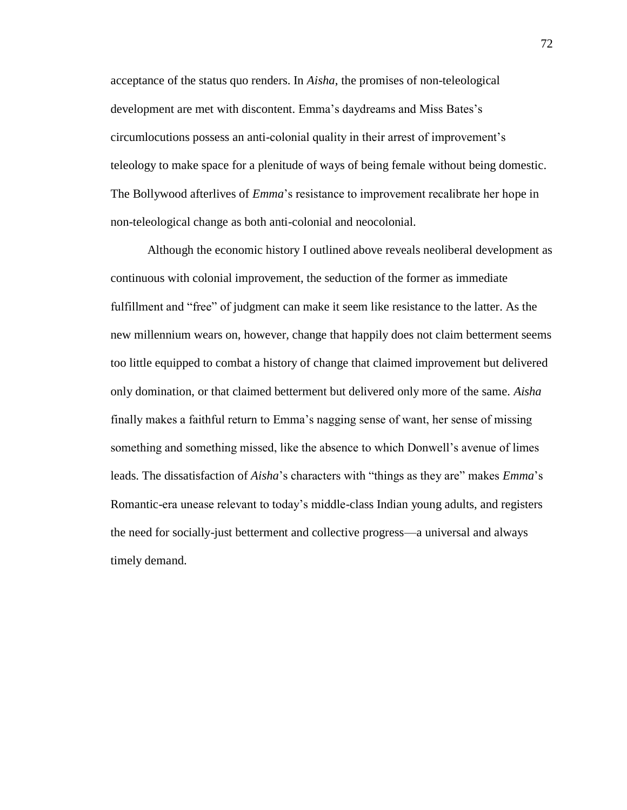acceptance of the status quo renders. In *Aisha*, the promises of non-teleological development are met with discontent. Emma's daydreams and Miss Bates's circumlocutions possess an anti-colonial quality in their arrest of improvement's teleology to make space for a plenitude of ways of being female without being domestic. The Bollywood afterlives of *Emma*'s resistance to improvement recalibrate her hope in non-teleological change as both anti-colonial and neocolonial.

Although the economic history I outlined above reveals neoliberal development as continuous with colonial improvement, the seduction of the former as immediate fulfillment and "free" of judgment can make it seem like resistance to the latter. As the new millennium wears on, however, change that happily does not claim betterment seems too little equipped to combat a history of change that claimed improvement but delivered only domination, or that claimed betterment but delivered only more of the same. *Aisha* finally makes a faithful return to Emma's nagging sense of want, her sense of missing something and something missed, like the absence to which Donwell's avenue of limes leads. The dissatisfaction of *Aisha*'s characters with "things as they are" makes *Emma*'s Romantic-era unease relevant to today's middle-class Indian young adults, and registers the need for socially-just betterment and collective progress—a universal and always timely demand.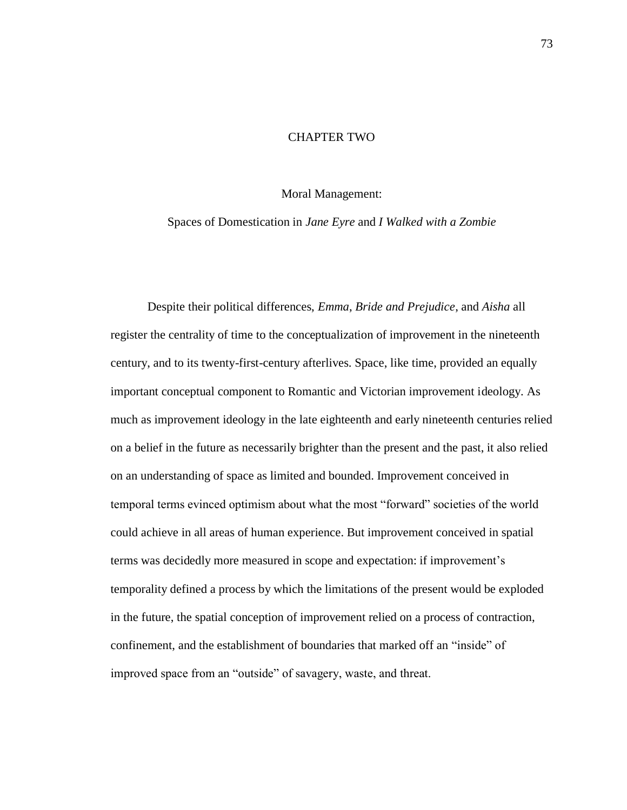## CHAPTER TWO

## Moral Management:

Spaces of Domestication in *Jane Eyre* and *I Walked with a Zombie*

Despite their political differences, *Emma*, *Bride and Prejudice*, and *Aisha* all register the centrality of time to the conceptualization of improvement in the nineteenth century, and to its twenty-first-century afterlives. Space, like time, provided an equally important conceptual component to Romantic and Victorian improvement ideology. As much as improvement ideology in the late eighteenth and early nineteenth centuries relied on a belief in the future as necessarily brighter than the present and the past, it also relied on an understanding of space as limited and bounded. Improvement conceived in temporal terms evinced optimism about what the most "forward" societies of the world could achieve in all areas of human experience. But improvement conceived in spatial terms was decidedly more measured in scope and expectation: if improvement's temporality defined a process by which the limitations of the present would be exploded in the future, the spatial conception of improvement relied on a process of contraction, confinement, and the establishment of boundaries that marked off an "inside" of improved space from an "outside" of savagery, waste, and threat.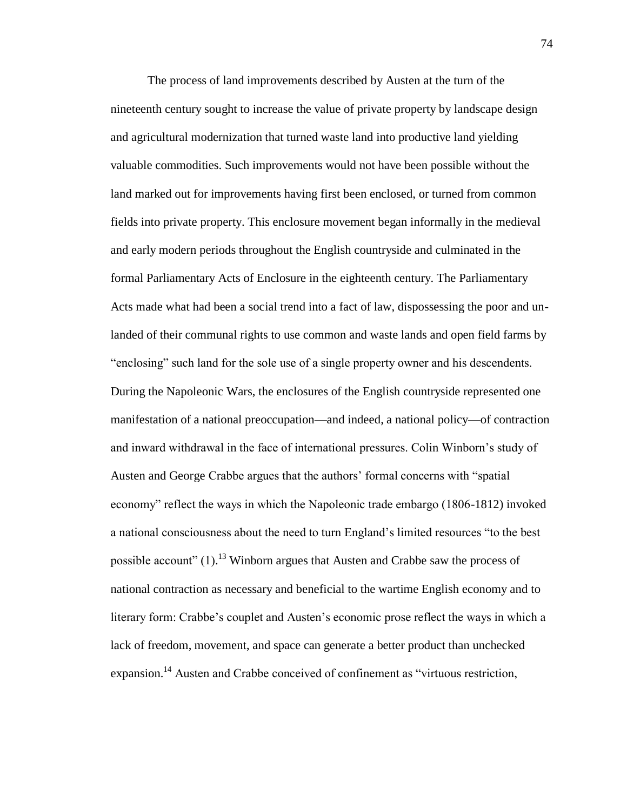The process of land improvements described by Austen at the turn of the nineteenth century sought to increase the value of private property by landscape design and agricultural modernization that turned waste land into productive land yielding valuable commodities. Such improvements would not have been possible without the land marked out for improvements having first been enclosed, or turned from common fields into private property. This enclosure movement began informally in the medieval and early modern periods throughout the English countryside and culminated in the formal Parliamentary Acts of Enclosure in the eighteenth century. The Parliamentary Acts made what had been a social trend into a fact of law, dispossessing the poor and unlanded of their communal rights to use common and waste lands and open field farms by "enclosing" such land for the sole use of a single property owner and his descendents. During the Napoleonic Wars, the enclosures of the English countryside represented one manifestation of a national preoccupation—and indeed, a national policy—of contraction and inward withdrawal in the face of international pressures. Colin Winborn's study of Austen and George Crabbe argues that the authors' formal concerns with "spatial economy" reflect the ways in which the Napoleonic trade embargo (1806-1812) invoked a national consciousness about the need to turn England's limited resources "to the best possible account"  $(1)$ .<sup>13</sup> Winborn argues that Austen and Crabbe saw the process of national contraction as necessary and beneficial to the wartime English economy and to literary form: Crabbe's couplet and Austen's economic prose reflect the ways in which a lack of freedom, movement, and space can generate a better product than unchecked expansion.<sup>14</sup> Austen and Crabbe conceived of confinement as "virtuous restriction,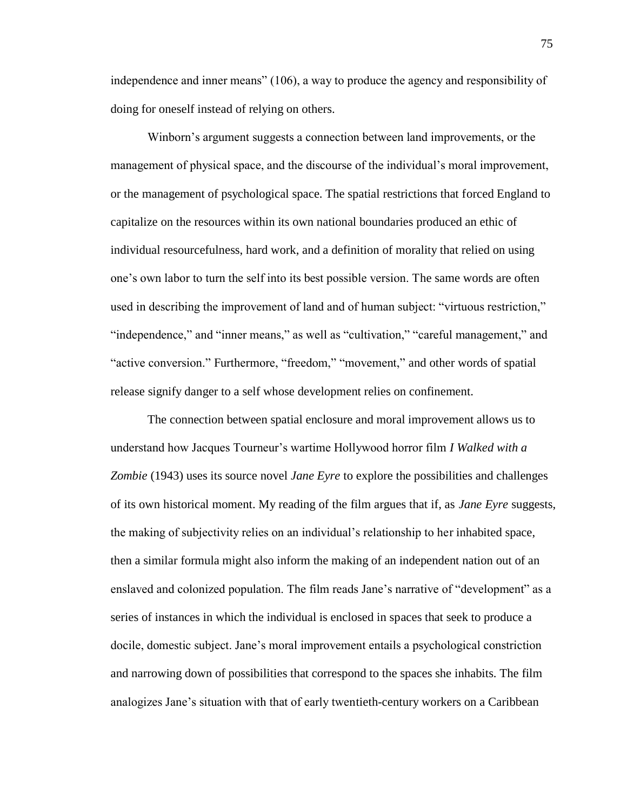independence and inner means" (106), a way to produce the agency and responsibility of doing for oneself instead of relying on others.

Winborn's argument suggests a connection between land improvements, or the management of physical space, and the discourse of the individual's moral improvement, or the management of psychological space. The spatial restrictions that forced England to capitalize on the resources within its own national boundaries produced an ethic of individual resourcefulness, hard work, and a definition of morality that relied on using one's own labor to turn the self into its best possible version. The same words are often used in describing the improvement of land and of human subject: "virtuous restriction," "independence," and "inner means," as well as "cultivation," "careful management," and "active conversion." Furthermore, "freedom," "movement," and other words of spatial release signify danger to a self whose development relies on confinement.

The connection between spatial enclosure and moral improvement allows us to understand how Jacques Tourneur's wartime Hollywood horror film *I Walked with a Zombie* (1943) uses its source novel *Jane Eyre* to explore the possibilities and challenges of its own historical moment. My reading of the film argues that if, as *Jane Eyre* suggests, the making of subjectivity relies on an individual's relationship to her inhabited space, then a similar formula might also inform the making of an independent nation out of an enslaved and colonized population. The film reads Jane's narrative of "development" as a series of instances in which the individual is enclosed in spaces that seek to produce a docile, domestic subject. Jane's moral improvement entails a psychological constriction and narrowing down of possibilities that correspond to the spaces she inhabits. The film analogizes Jane's situation with that of early twentieth-century workers on a Caribbean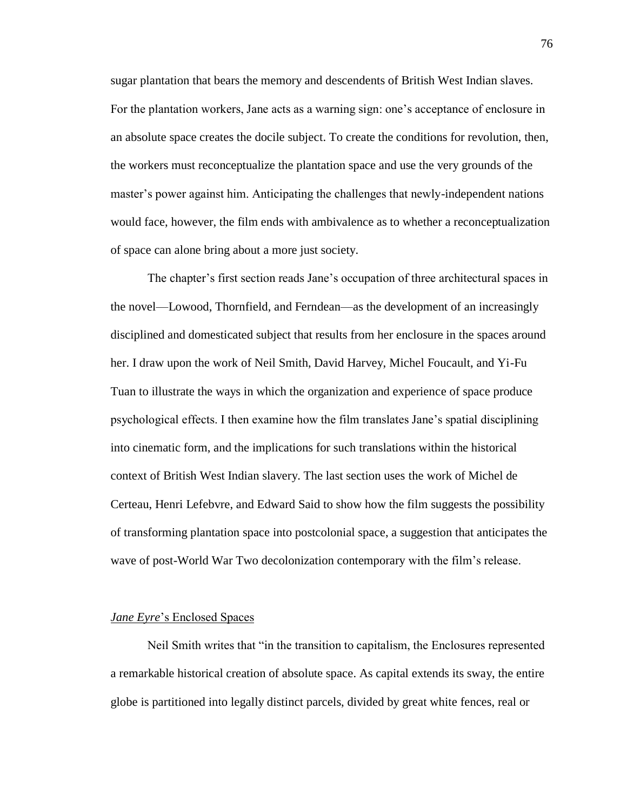sugar plantation that bears the memory and descendents of British West Indian slaves. For the plantation workers, Jane acts as a warning sign: one's acceptance of enclosure in an absolute space creates the docile subject. To create the conditions for revolution, then, the workers must reconceptualize the plantation space and use the very grounds of the master's power against him. Anticipating the challenges that newly-independent nations would face, however, the film ends with ambivalence as to whether a reconceptualization of space can alone bring about a more just society.

The chapter's first section reads Jane's occupation of three architectural spaces in the novel—Lowood, Thornfield, and Ferndean—as the development of an increasingly disciplined and domesticated subject that results from her enclosure in the spaces around her. I draw upon the work of Neil Smith, David Harvey, Michel Foucault, and Yi-Fu Tuan to illustrate the ways in which the organization and experience of space produce psychological effects. I then examine how the film translates Jane's spatial disciplining into cinematic form, and the implications for such translations within the historical context of British West Indian slavery. The last section uses the work of Michel de Certeau, Henri Lefebvre, and Edward Said to show how the film suggests the possibility of transforming plantation space into postcolonial space, a suggestion that anticipates the wave of post-World War Two decolonization contemporary with the film's release.

## *Jane Eyre*'s Enclosed Spaces

Neil Smith writes that "in the transition to capitalism, the Enclosures represented a remarkable historical creation of absolute space. As capital extends its sway, the entire globe is partitioned into legally distinct parcels, divided by great white fences, real or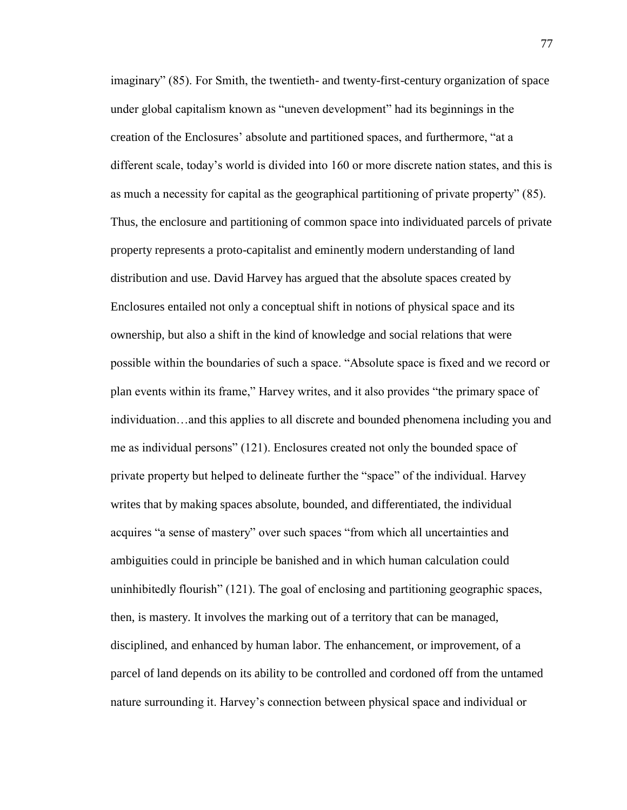imaginary" (85). For Smith, the twentieth- and twenty-first-century organization of space under global capitalism known as "uneven development" had its beginnings in the creation of the Enclosures' absolute and partitioned spaces, and furthermore, "at a different scale, today's world is divided into 160 or more discrete nation states, and this is as much a necessity for capital as the geographical partitioning of private property" (85). Thus, the enclosure and partitioning of common space into individuated parcels of private property represents a proto-capitalist and eminently modern understanding of land distribution and use. David Harvey has argued that the absolute spaces created by Enclosures entailed not only a conceptual shift in notions of physical space and its ownership, but also a shift in the kind of knowledge and social relations that were possible within the boundaries of such a space. "Absolute space is fixed and we record or plan events within its frame," Harvey writes, and it also provides "the primary space of individuation…and this applies to all discrete and bounded phenomena including you and me as individual persons" (121). Enclosures created not only the bounded space of private property but helped to delineate further the "space" of the individual. Harvey writes that by making spaces absolute, bounded, and differentiated, the individual acquires "a sense of mastery" over such spaces "from which all uncertainties and ambiguities could in principle be banished and in which human calculation could uninhibitedly flourish" (121). The goal of enclosing and partitioning geographic spaces, then, is mastery. It involves the marking out of a territory that can be managed, disciplined, and enhanced by human labor. The enhancement, or improvement, of a parcel of land depends on its ability to be controlled and cordoned off from the untamed nature surrounding it. Harvey's connection between physical space and individual or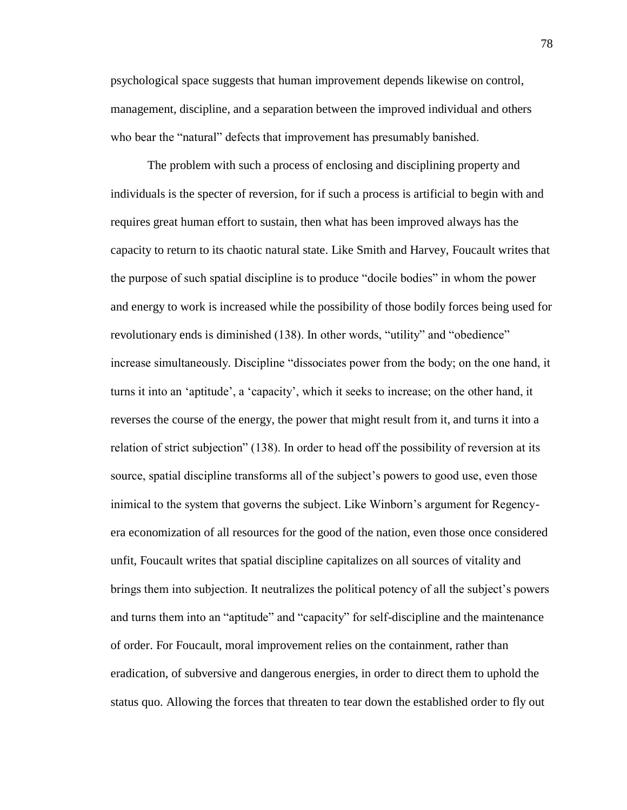psychological space suggests that human improvement depends likewise on control, management, discipline, and a separation between the improved individual and others who bear the "natural" defects that improvement has presumably banished.

The problem with such a process of enclosing and disciplining property and individuals is the specter of reversion, for if such a process is artificial to begin with and requires great human effort to sustain, then what has been improved always has the capacity to return to its chaotic natural state. Like Smith and Harvey, Foucault writes that the purpose of such spatial discipline is to produce "docile bodies" in whom the power and energy to work is increased while the possibility of those bodily forces being used for revolutionary ends is diminished (138). In other words, "utility" and "obedience" increase simultaneously. Discipline "dissociates power from the body; on the one hand, it turns it into an 'aptitude', a 'capacity', which it seeks to increase; on the other hand, it reverses the course of the energy, the power that might result from it, and turns it into a relation of strict subjection" (138). In order to head off the possibility of reversion at its source, spatial discipline transforms all of the subject's powers to good use, even those inimical to the system that governs the subject. Like Winborn's argument for Regencyera economization of all resources for the good of the nation, even those once considered unfit, Foucault writes that spatial discipline capitalizes on all sources of vitality and brings them into subjection. It neutralizes the political potency of all the subject's powers and turns them into an "aptitude" and "capacity" for self-discipline and the maintenance of order. For Foucault, moral improvement relies on the containment, rather than eradication, of subversive and dangerous energies, in order to direct them to uphold the status quo. Allowing the forces that threaten to tear down the established order to fly out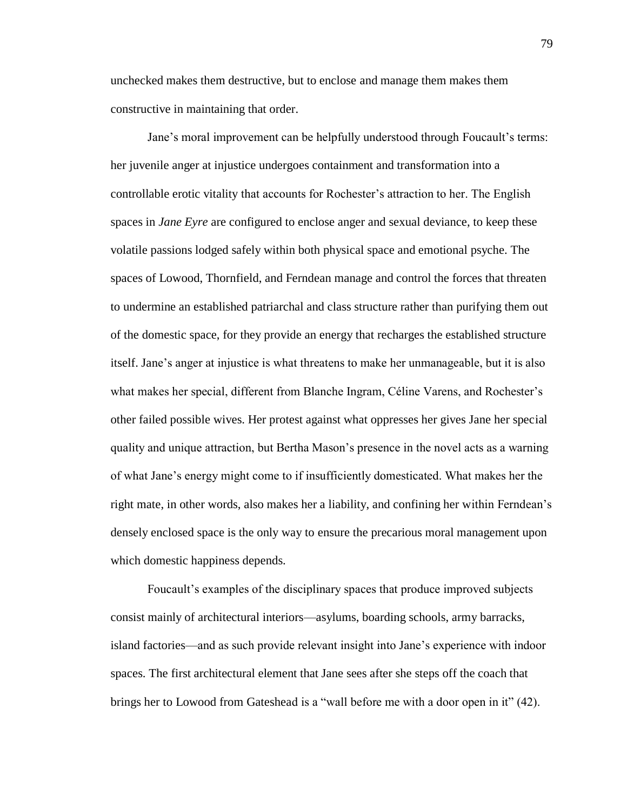unchecked makes them destructive, but to enclose and manage them makes them constructive in maintaining that order.

Jane's moral improvement can be helpfully understood through Foucault's terms: her juvenile anger at injustice undergoes containment and transformation into a controllable erotic vitality that accounts for Rochester's attraction to her. The English spaces in *Jane Eyre* are configured to enclose anger and sexual deviance, to keep these volatile passions lodged safely within both physical space and emotional psyche. The spaces of Lowood, Thornfield, and Ferndean manage and control the forces that threaten to undermine an established patriarchal and class structure rather than purifying them out of the domestic space, for they provide an energy that recharges the established structure itself. Jane's anger at injustice is what threatens to make her unmanageable, but it is also what makes her special, different from Blanche Ingram, Céline Varens, and Rochester's other failed possible wives. Her protest against what oppresses her gives Jane her special quality and unique attraction, but Bertha Mason's presence in the novel acts as a warning of what Jane's energy might come to if insufficiently domesticated. What makes her the right mate, in other words, also makes her a liability, and confining her within Ferndean's densely enclosed space is the only way to ensure the precarious moral management upon which domestic happiness depends.

Foucault's examples of the disciplinary spaces that produce improved subjects consist mainly of architectural interiors—asylums, boarding schools, army barracks, island factories—and as such provide relevant insight into Jane's experience with indoor spaces. The first architectural element that Jane sees after she steps off the coach that brings her to Lowood from Gateshead is a "wall before me with a door open in it" (42).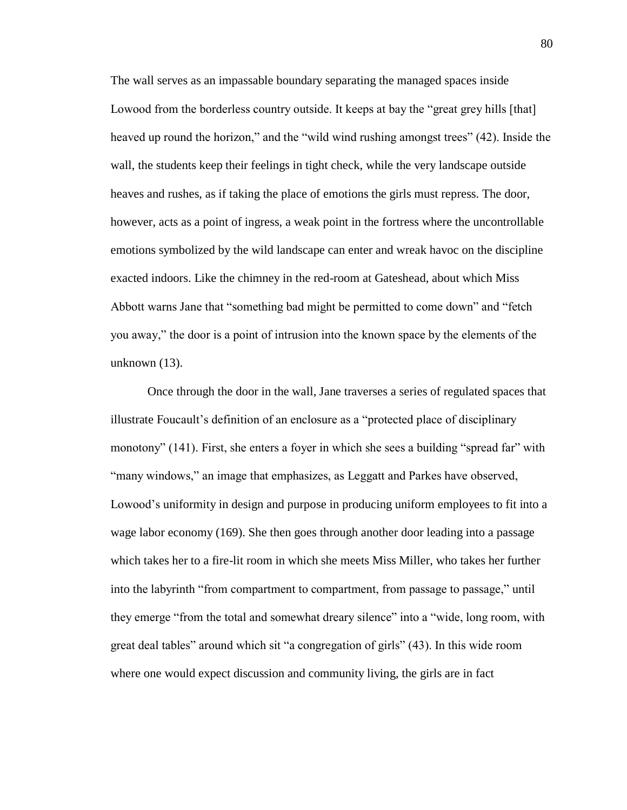The wall serves as an impassable boundary separating the managed spaces inside Lowood from the borderless country outside. It keeps at bay the "great grey hills [that] heaved up round the horizon," and the "wild wind rushing amongst trees" (42). Inside the wall, the students keep their feelings in tight check, while the very landscape outside heaves and rushes, as if taking the place of emotions the girls must repress. The door, however, acts as a point of ingress, a weak point in the fortress where the uncontrollable emotions symbolized by the wild landscape can enter and wreak havoc on the discipline exacted indoors. Like the chimney in the red-room at Gateshead, about which Miss Abbott warns Jane that "something bad might be permitted to come down" and "fetch you away," the door is a point of intrusion into the known space by the elements of the unknown (13).

Once through the door in the wall, Jane traverses a series of regulated spaces that illustrate Foucault's definition of an enclosure as a "protected place of disciplinary monotony" (141). First, she enters a foyer in which she sees a building "spread far" with "many windows," an image that emphasizes, as Leggatt and Parkes have observed, Lowood's uniformity in design and purpose in producing uniform employees to fit into a wage labor economy (169). She then goes through another door leading into a passage which takes her to a fire-lit room in which she meets Miss Miller, who takes her further into the labyrinth "from compartment to compartment, from passage to passage," until they emerge "from the total and somewhat dreary silence" into a "wide, long room, with great deal tables" around which sit "a congregation of girls" (43). In this wide room where one would expect discussion and community living, the girls are in fact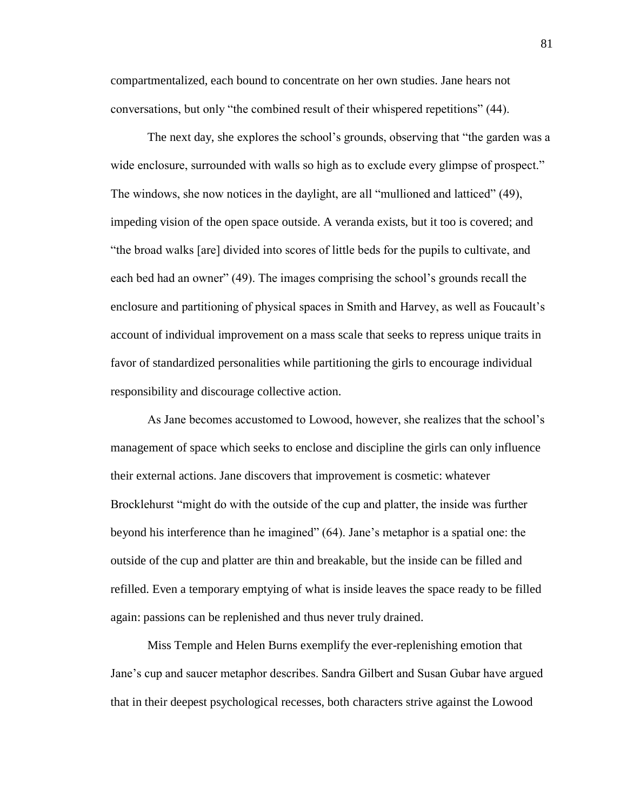compartmentalized, each bound to concentrate on her own studies. Jane hears not conversations, but only "the combined result of their whispered repetitions" (44).

The next day, she explores the school's grounds, observing that "the garden was a wide enclosure, surrounded with walls so high as to exclude every glimpse of prospect." The windows, she now notices in the daylight, are all "mullioned and latticed" (49), impeding vision of the open space outside. A veranda exists, but it too is covered; and "the broad walks [are] divided into scores of little beds for the pupils to cultivate, and each bed had an owner" (49). The images comprising the school's grounds recall the enclosure and partitioning of physical spaces in Smith and Harvey, as well as Foucault's account of individual improvement on a mass scale that seeks to repress unique traits in favor of standardized personalities while partitioning the girls to encourage individual responsibility and discourage collective action.

As Jane becomes accustomed to Lowood, however, she realizes that the school's management of space which seeks to enclose and discipline the girls can only influence their external actions. Jane discovers that improvement is cosmetic: whatever Brocklehurst "might do with the outside of the cup and platter, the inside was further beyond his interference than he imagined" (64). Jane's metaphor is a spatial one: the outside of the cup and platter are thin and breakable, but the inside can be filled and refilled. Even a temporary emptying of what is inside leaves the space ready to be filled again: passions can be replenished and thus never truly drained.

Miss Temple and Helen Burns exemplify the ever-replenishing emotion that Jane's cup and saucer metaphor describes. Sandra Gilbert and Susan Gubar have argued that in their deepest psychological recesses, both characters strive against the Lowood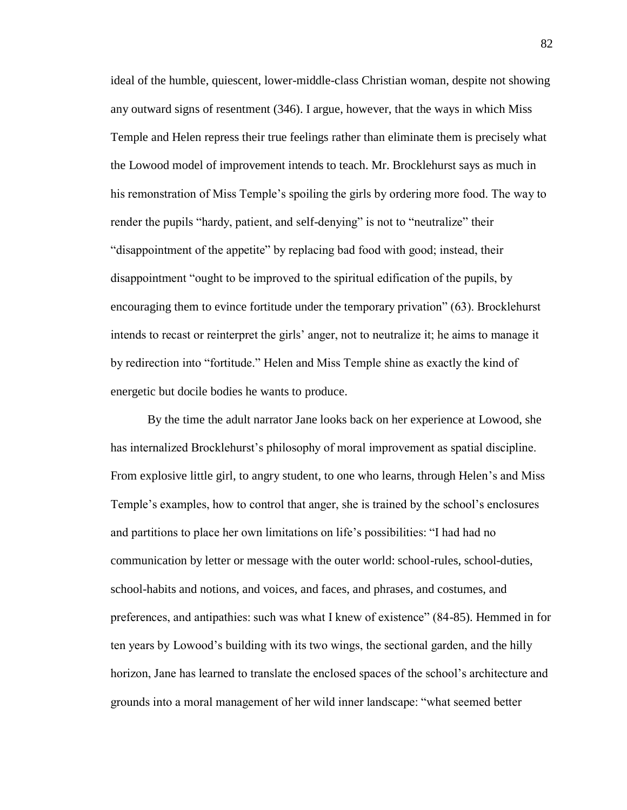ideal of the humble, quiescent, lower-middle-class Christian woman, despite not showing any outward signs of resentment (346). I argue, however, that the ways in which Miss Temple and Helen repress their true feelings rather than eliminate them is precisely what the Lowood model of improvement intends to teach. Mr. Brocklehurst says as much in his remonstration of Miss Temple's spoiling the girls by ordering more food. The way to render the pupils "hardy, patient, and self-denying" is not to "neutralize" their "disappointment of the appetite" by replacing bad food with good; instead, their disappointment "ought to be improved to the spiritual edification of the pupils, by encouraging them to evince fortitude under the temporary privation" (63). Brocklehurst intends to recast or reinterpret the girls' anger, not to neutralize it; he aims to manage it by redirection into "fortitude." Helen and Miss Temple shine as exactly the kind of energetic but docile bodies he wants to produce.

By the time the adult narrator Jane looks back on her experience at Lowood, she has internalized Brocklehurst's philosophy of moral improvement as spatial discipline. From explosive little girl, to angry student, to one who learns, through Helen's and Miss Temple's examples, how to control that anger, she is trained by the school's enclosures and partitions to place her own limitations on life's possibilities: "I had had no communication by letter or message with the outer world: school-rules, school-duties, school-habits and notions, and voices, and faces, and phrases, and costumes, and preferences, and antipathies: such was what I knew of existence" (84-85). Hemmed in for ten years by Lowood's building with its two wings, the sectional garden, and the hilly horizon, Jane has learned to translate the enclosed spaces of the school's architecture and grounds into a moral management of her wild inner landscape: "what seemed better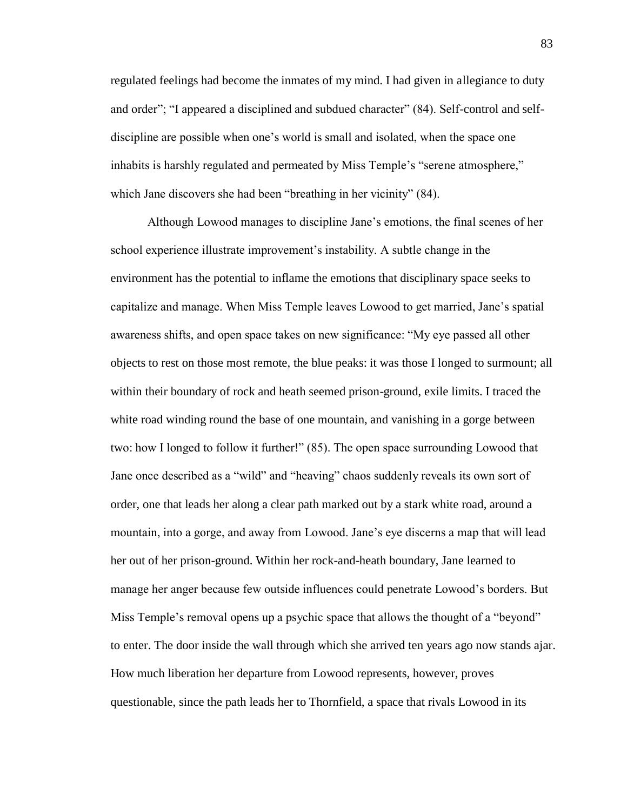regulated feelings had become the inmates of my mind. I had given in allegiance to duty and order"; "I appeared a disciplined and subdued character" (84). Self-control and selfdiscipline are possible when one's world is small and isolated, when the space one inhabits is harshly regulated and permeated by Miss Temple's "serene atmosphere," which Jane discovers she had been "breathing in her vicinity" (84).

Although Lowood manages to discipline Jane's emotions, the final scenes of her school experience illustrate improvement's instability. A subtle change in the environment has the potential to inflame the emotions that disciplinary space seeks to capitalize and manage. When Miss Temple leaves Lowood to get married, Jane's spatial awareness shifts, and open space takes on new significance: "My eye passed all other objects to rest on those most remote, the blue peaks: it was those I longed to surmount; all within their boundary of rock and heath seemed prison-ground, exile limits. I traced the white road winding round the base of one mountain, and vanishing in a gorge between two: how I longed to follow it further!" (85). The open space surrounding Lowood that Jane once described as a "wild" and "heaving" chaos suddenly reveals its own sort of order, one that leads her along a clear path marked out by a stark white road, around a mountain, into a gorge, and away from Lowood. Jane's eye discerns a map that will lead her out of her prison-ground. Within her rock-and-heath boundary, Jane learned to manage her anger because few outside influences could penetrate Lowood's borders. But Miss Temple's removal opens up a psychic space that allows the thought of a "beyond" to enter. The door inside the wall through which she arrived ten years ago now stands ajar. How much liberation her departure from Lowood represents, however, proves questionable, since the path leads her to Thornfield, a space that rivals Lowood in its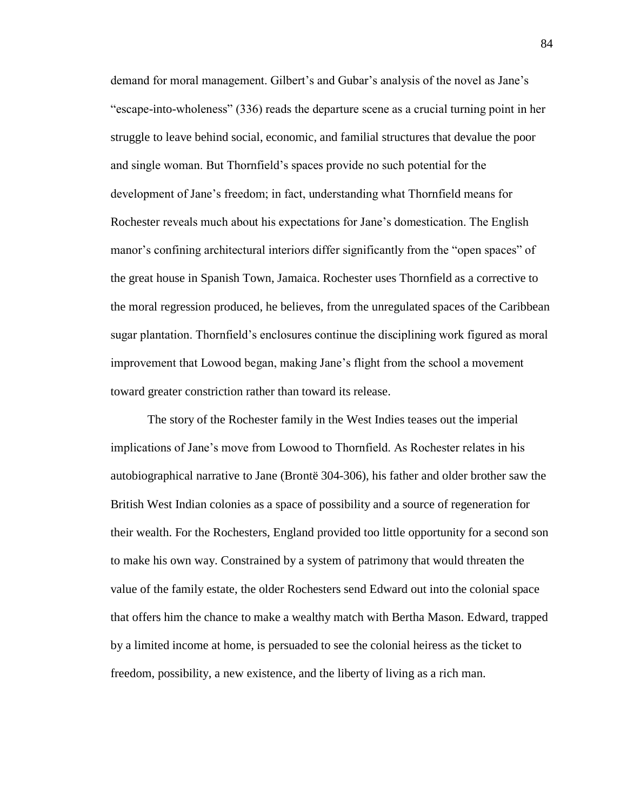demand for moral management. Gilbert's and Gubar's analysis of the novel as Jane's "escape-into-wholeness" (336) reads the departure scene as a crucial turning point in her struggle to leave behind social, economic, and familial structures that devalue the poor and single woman. But Thornfield's spaces provide no such potential for the development of Jane's freedom; in fact, understanding what Thornfield means for Rochester reveals much about his expectations for Jane's domestication. The English manor's confining architectural interiors differ significantly from the "open spaces" of the great house in Spanish Town, Jamaica. Rochester uses Thornfield as a corrective to the moral regression produced, he believes, from the unregulated spaces of the Caribbean sugar plantation. Thornfield's enclosures continue the disciplining work figured as moral improvement that Lowood began, making Jane's flight from the school a movement toward greater constriction rather than toward its release.

The story of the Rochester family in the West Indies teases out the imperial implications of Jane's move from Lowood to Thornfield. As Rochester relates in his autobiographical narrative to Jane (Brontë 304-306), his father and older brother saw the British West Indian colonies as a space of possibility and a source of regeneration for their wealth. For the Rochesters, England provided too little opportunity for a second son to make his own way. Constrained by a system of patrimony that would threaten the value of the family estate, the older Rochesters send Edward out into the colonial space that offers him the chance to make a wealthy match with Bertha Mason. Edward, trapped by a limited income at home, is persuaded to see the colonial heiress as the ticket to freedom, possibility, a new existence, and the liberty of living as a rich man.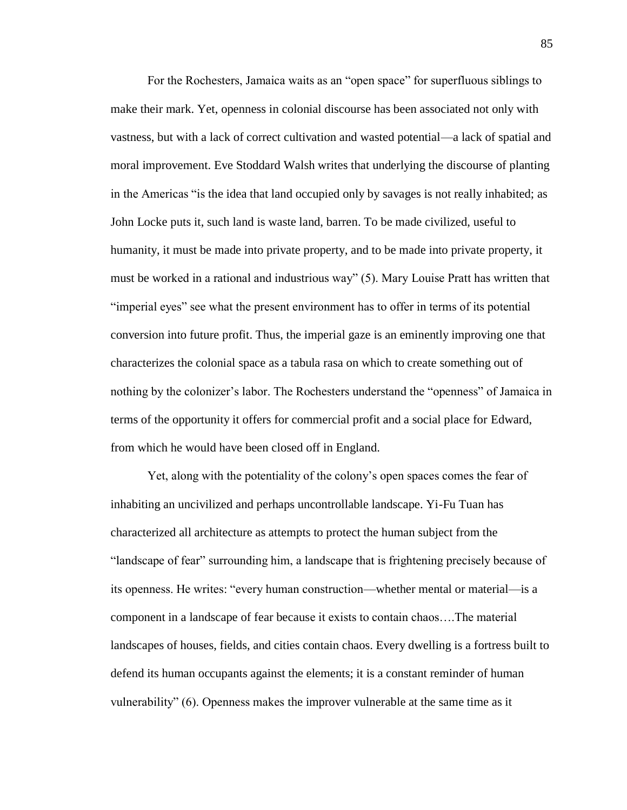For the Rochesters, Jamaica waits as an "open space" for superfluous siblings to make their mark. Yet, openness in colonial discourse has been associated not only with vastness, but with a lack of correct cultivation and wasted potential—a lack of spatial and moral improvement. Eve Stoddard Walsh writes that underlying the discourse of planting in the Americas "is the idea that land occupied only by savages is not really inhabited; as John Locke puts it, such land is waste land, barren. To be made civilized, useful to humanity, it must be made into private property, and to be made into private property, it must be worked in a rational and industrious way" (5). Mary Louise Pratt has written that "imperial eyes" see what the present environment has to offer in terms of its potential conversion into future profit. Thus, the imperial gaze is an eminently improving one that characterizes the colonial space as a tabula rasa on which to create something out of nothing by the colonizer's labor. The Rochesters understand the "openness" of Jamaica in terms of the opportunity it offers for commercial profit and a social place for Edward, from which he would have been closed off in England.

Yet, along with the potentiality of the colony's open spaces comes the fear of inhabiting an uncivilized and perhaps uncontrollable landscape. Yi-Fu Tuan has characterized all architecture as attempts to protect the human subject from the "landscape of fear" surrounding him, a landscape that is frightening precisely because of its openness. He writes: "every human construction—whether mental or material—is a component in a landscape of fear because it exists to contain chaos….The material landscapes of houses, fields, and cities contain chaos. Every dwelling is a fortress built to defend its human occupants against the elements; it is a constant reminder of human vulnerability" (6). Openness makes the improver vulnerable at the same time as it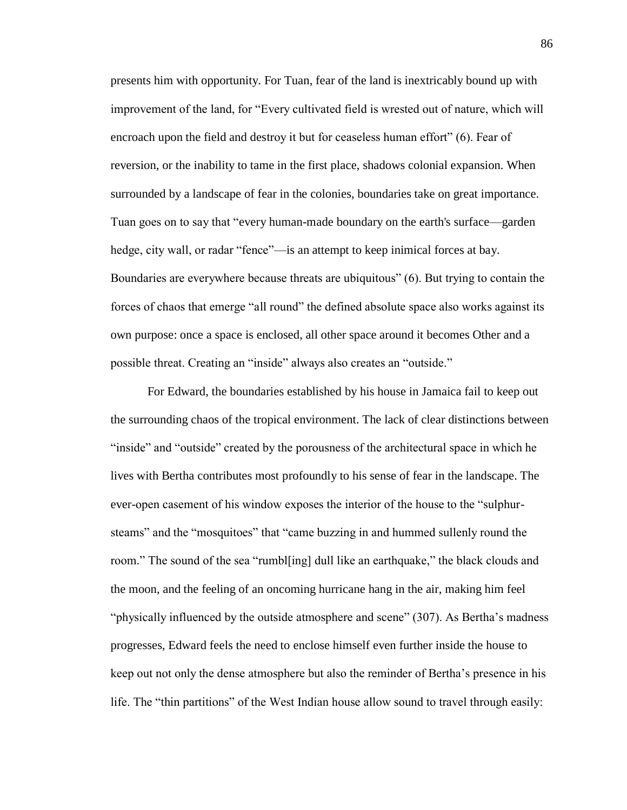presents him with opportunity. For Tuan, fear of the land is inextricably bound up with improvement of the land, for "Every cultivated field is wrested out of nature, which will encroach upon the field and destroy it but for ceaseless human effort" (6). Fear of reversion, or the inability to tame in the first place, shadows colonial expansion. When surrounded by a landscape of fear in the colonies, boundaries take on great importance. Tuan goes on to say that "every human-made boundary on the earth's surface—garden hedge, city wall, or radar "fence"—is an attempt to keep inimical forces at bay. Boundaries are everywhere because threats are ubiquitous" (6). But trying to contain the forces of chaos that emerge "all round" the defined absolute space also works against its own purpose: once a space is enclosed, all other space around it becomes Other and a possible threat. Creating an "inside" always also creates an "outside."

For Edward, the boundaries established by his house in Jamaica fail to keep out the surrounding chaos of the tropical environment. The lack of clear distinctions between "inside" and "outside" created by the porousness of the architectural space in which he lives with Bertha contributes most profoundly to his sense of fear in the landscape. The ever-open casement of his window exposes the interior of the house to the "sulphursteams" and the "mosquitoes" that "came buzzing in and hummed sullenly round the room." The sound of the sea "rumbl[ing] dull like an earthquake," the black clouds and the moon, and the feeling of an oncoming hurricane hang in the air, making him feel "physically influenced by the outside atmosphere and scene" (307). As Bertha's madness progresses, Edward feels the need to enclose himself even further inside the house to keep out not only the dense atmosphere but also the reminder of Bertha's presence in his life. The "thin partitions" of the West Indian house allow sound to travel through easily: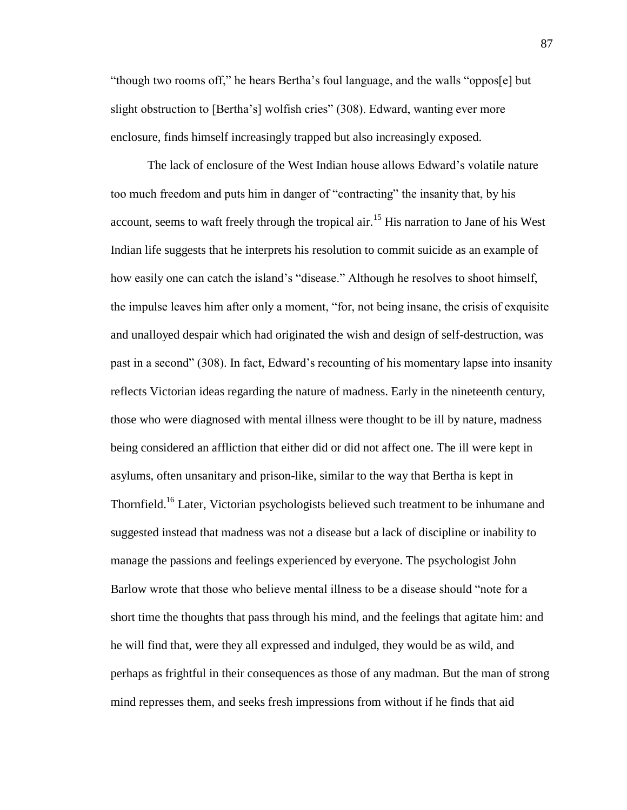"though two rooms off," he hears Bertha's foul language, and the walls "oppos[e] but slight obstruction to [Bertha's] wolfish cries" (308). Edward, wanting ever more enclosure, finds himself increasingly trapped but also increasingly exposed.

The lack of enclosure of the West Indian house allows Edward's volatile nature too much freedom and puts him in danger of "contracting" the insanity that, by his account, seems to waft freely through the tropical  $\ar{air}$ <sup>15</sup>. His narration to Jane of his West Indian life suggests that he interprets his resolution to commit suicide as an example of how easily one can catch the island's "disease." Although he resolves to shoot himself, the impulse leaves him after only a moment, "for, not being insane, the crisis of exquisite and unalloyed despair which had originated the wish and design of self-destruction, was past in a second" (308). In fact, Edward's recounting of his momentary lapse into insanity reflects Victorian ideas regarding the nature of madness. Early in the nineteenth century, those who were diagnosed with mental illness were thought to be ill by nature, madness being considered an affliction that either did or did not affect one. The ill were kept in asylums, often unsanitary and prison-like, similar to the way that Bertha is kept in Thornfield.<sup>16</sup> Later, Victorian psychologists believed such treatment to be inhumane and suggested instead that madness was not a disease but a lack of discipline or inability to manage the passions and feelings experienced by everyone. The psychologist John Barlow wrote that those who believe mental illness to be a disease should "note for a short time the thoughts that pass through his mind, and the feelings that agitate him: and he will find that, were they all expressed and indulged, they would be as wild, and perhaps as frightful in their consequences as those of any madman. But the man of strong mind represses them, and seeks fresh impressions from without if he finds that aid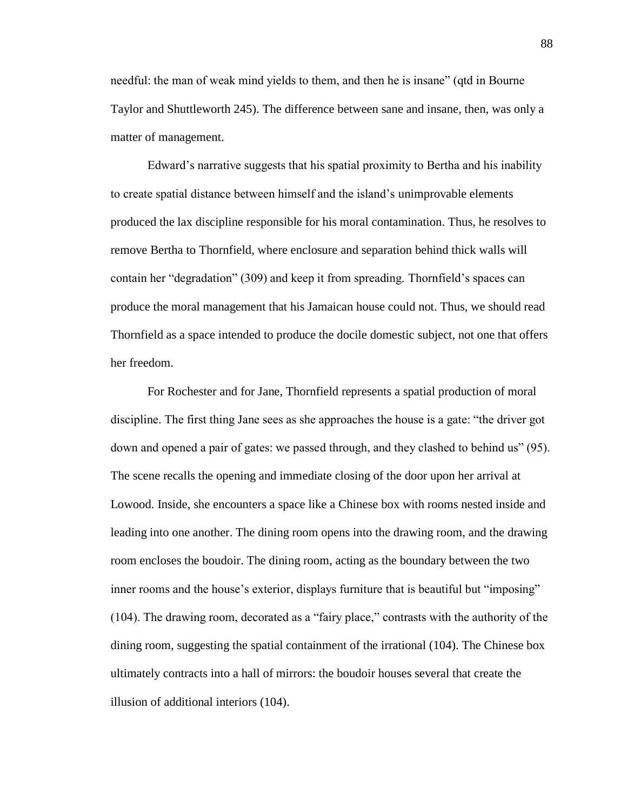needful: the man of weak mind yields to them, and then he is insane" (qtd in Bourne Taylor and Shuttleworth 245). The difference between sane and insane, then, was only a matter of management.

Edward's narrative suggests that his spatial proximity to Bertha and his inability to create spatial distance between himself and the island's unimprovable elements produced the lax discipline responsible for his moral contamination. Thus, he resolves to remove Bertha to Thornfield, where enclosure and separation behind thick walls will contain her "degradation" (309) and keep it from spreading. Thornfield's spaces can produce the moral management that his Jamaican house could not. Thus, we should read Thornfield as a space intended to produce the docile domestic subject, not one that offers her freedom.

For Rochester and for Jane, Thornfield represents a spatial production of moral discipline. The first thing Jane sees as she approaches the house is a gate: "the driver got down and opened a pair of gates: we passed through, and they clashed to behind us" (95). The scene recalls the opening and immediate closing of the door upon her arrival at Lowood. Inside, she encounters a space like a Chinese box with rooms nested inside and leading into one another. The dining room opens into the drawing room, and the drawing room encloses the boudoir. The dining room, acting as the boundary between the two inner rooms and the house's exterior, displays furniture that is beautiful but "imposing" (104). The drawing room, decorated as a "fairy place," contrasts with the authority of the dining room, suggesting the spatial containment of the irrational (104). The Chinese box ultimately contracts into a hall of mirrors: the boudoir houses several that create the illusion of additional interiors (104).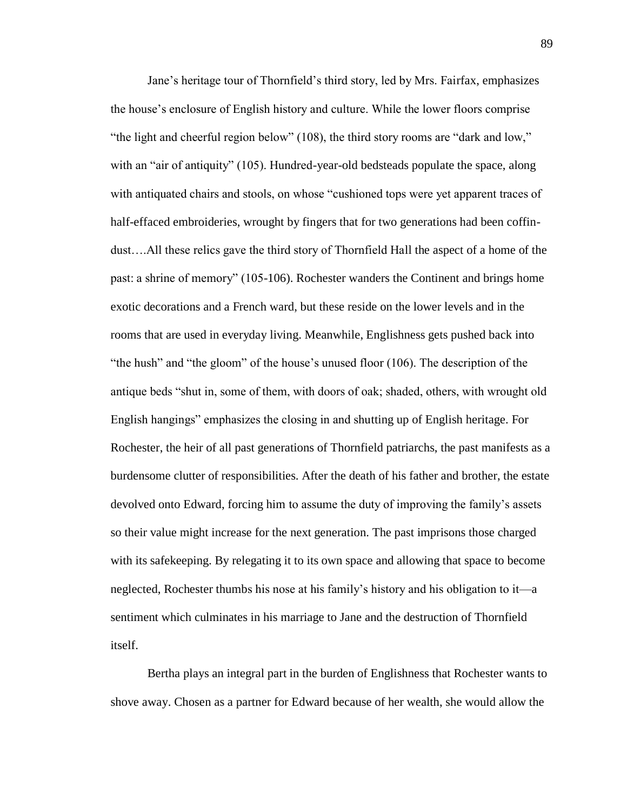Jane's heritage tour of Thornfield's third story, led by Mrs. Fairfax, emphasizes the house's enclosure of English history and culture. While the lower floors comprise "the light and cheerful region below" (108), the third story rooms are "dark and low," with an "air of antiquity" (105). Hundred-year-old bedsteads populate the space, along with antiquated chairs and stools, on whose "cushioned tops were yet apparent traces of half-effaced embroideries, wrought by fingers that for two generations had been coffindust….All these relics gave the third story of Thornfield Hall the aspect of a home of the past: a shrine of memory" (105-106). Rochester wanders the Continent and brings home exotic decorations and a French ward, but these reside on the lower levels and in the rooms that are used in everyday living. Meanwhile, Englishness gets pushed back into "the hush" and "the gloom" of the house's unused floor (106). The description of the antique beds "shut in, some of them, with doors of oak; shaded, others, with wrought old English hangings" emphasizes the closing in and shutting up of English heritage. For Rochester, the heir of all past generations of Thornfield patriarchs, the past manifests as a burdensome clutter of responsibilities. After the death of his father and brother, the estate devolved onto Edward, forcing him to assume the duty of improving the family's assets so their value might increase for the next generation. The past imprisons those charged with its safekeeping. By relegating it to its own space and allowing that space to become neglected, Rochester thumbs his nose at his family's history and his obligation to it—a sentiment which culminates in his marriage to Jane and the destruction of Thornfield itself.

Bertha plays an integral part in the burden of Englishness that Rochester wants to shove away. Chosen as a partner for Edward because of her wealth, she would allow the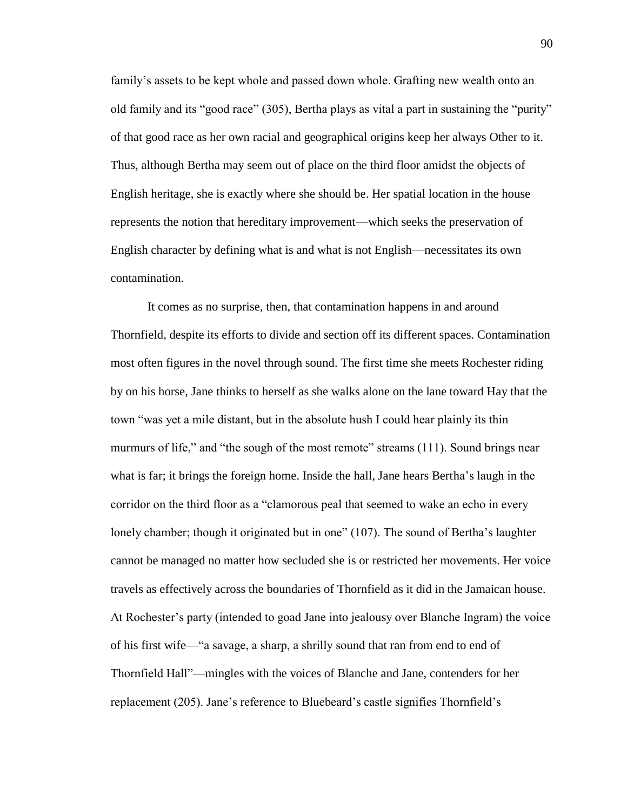family's assets to be kept whole and passed down whole. Grafting new wealth onto an old family and its "good race" (305), Bertha plays as vital a part in sustaining the "purity" of that good race as her own racial and geographical origins keep her always Other to it. Thus, although Bertha may seem out of place on the third floor amidst the objects of English heritage, she is exactly where she should be. Her spatial location in the house represents the notion that hereditary improvement—which seeks the preservation of English character by defining what is and what is not English—necessitates its own contamination.

It comes as no surprise, then, that contamination happens in and around Thornfield, despite its efforts to divide and section off its different spaces. Contamination most often figures in the novel through sound. The first time she meets Rochester riding by on his horse, Jane thinks to herself as she walks alone on the lane toward Hay that the town "was yet a mile distant, but in the absolute hush I could hear plainly its thin murmurs of life," and "the sough of the most remote" streams (111). Sound brings near what is far; it brings the foreign home. Inside the hall, Jane hears Bertha's laugh in the corridor on the third floor as a "clamorous peal that seemed to wake an echo in every lonely chamber; though it originated but in one" (107). The sound of Bertha's laughter cannot be managed no matter how secluded she is or restricted her movements. Her voice travels as effectively across the boundaries of Thornfield as it did in the Jamaican house. At Rochester's party (intended to goad Jane into jealousy over Blanche Ingram) the voice of his first wife—"a savage, a sharp, a shrilly sound that ran from end to end of Thornfield Hall"—mingles with the voices of Blanche and Jane, contenders for her replacement (205). Jane's reference to Bluebeard's castle signifies Thornfield's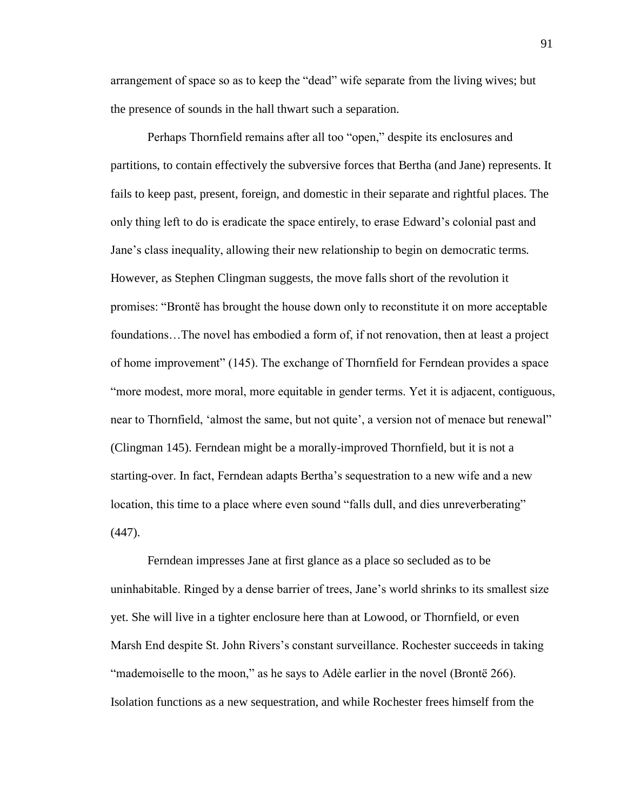arrangement of space so as to keep the "dead" wife separate from the living wives; but the presence of sounds in the hall thwart such a separation.

Perhaps Thornfield remains after all too "open," despite its enclosures and partitions, to contain effectively the subversive forces that Bertha (and Jane) represents. It fails to keep past, present, foreign, and domestic in their separate and rightful places. The only thing left to do is eradicate the space entirely, to erase Edward's colonial past and Jane's class inequality, allowing their new relationship to begin on democratic terms. However, as Stephen Clingman suggests, the move falls short of the revolution it promises: "Brontë has brought the house down only to reconstitute it on more acceptable foundations…The novel has embodied a form of, if not renovation, then at least a project of home improvement" (145). The exchange of Thornfield for Ferndean provides a space "more modest, more moral, more equitable in gender terms. Yet it is adjacent, contiguous, near to Thornfield, 'almost the same, but not quite', a version not of menace but renewal" (Clingman 145). Ferndean might be a morally-improved Thornfield, but it is not a starting-over. In fact, Ferndean adapts Bertha's sequestration to a new wife and a new location, this time to a place where even sound "falls dull, and dies unreverberating"  $(447)$ .

Ferndean impresses Jane at first glance as a place so secluded as to be uninhabitable. Ringed by a dense barrier of trees, Jane's world shrinks to its smallest size yet. She will live in a tighter enclosure here than at Lowood, or Thornfield, or even Marsh End despite St. John Rivers's constant surveillance. Rochester succeeds in taking "mademoiselle to the moon," as he says to Adèle earlier in the novel (Brontë 266). Isolation functions as a new sequestration, and while Rochester frees himself from the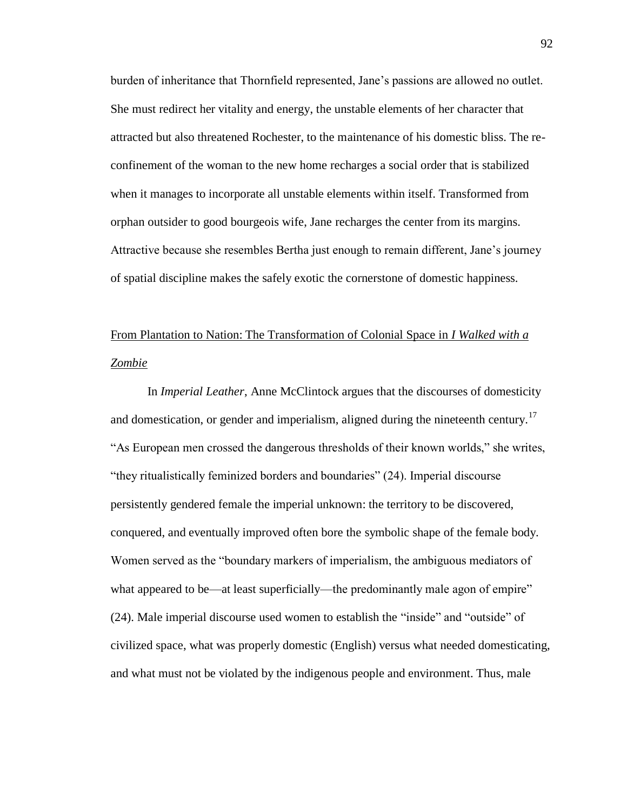burden of inheritance that Thornfield represented, Jane's passions are allowed no outlet. She must redirect her vitality and energy, the unstable elements of her character that attracted but also threatened Rochester, to the maintenance of his domestic bliss. The reconfinement of the woman to the new home recharges a social order that is stabilized when it manages to incorporate all unstable elements within itself. Transformed from orphan outsider to good bourgeois wife, Jane recharges the center from its margins. Attractive because she resembles Bertha just enough to remain different, Jane's journey of spatial discipline makes the safely exotic the cornerstone of domestic happiness.

## From Plantation to Nation: The Transformation of Colonial Space in *I Walked with a Zombie*

In *Imperial Leather*, Anne McClintock argues that the discourses of domesticity and domestication, or gender and imperialism, aligned during the nineteenth century.<sup>17</sup> "As European men crossed the dangerous thresholds of their known worlds," she writes, "they ritualistically feminized borders and boundaries" (24). Imperial discourse persistently gendered female the imperial unknown: the territory to be discovered, conquered, and eventually improved often bore the symbolic shape of the female body. Women served as the "boundary markers of imperialism, the ambiguous mediators of what appeared to be—at least superficially—the predominantly male agon of empire" (24). Male imperial discourse used women to establish the "inside" and "outside" of civilized space, what was properly domestic (English) versus what needed domesticating, and what must not be violated by the indigenous people and environment. Thus, male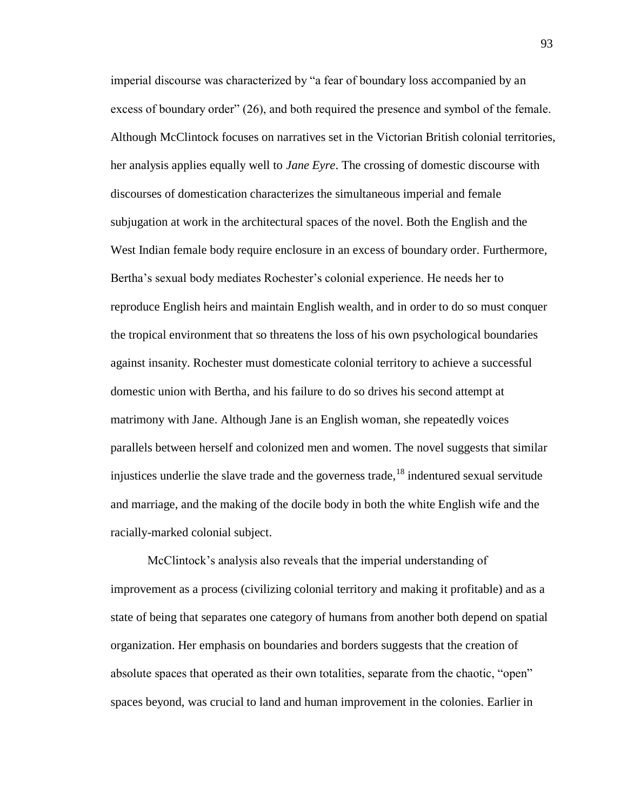imperial discourse was characterized by "a fear of boundary loss accompanied by an excess of boundary order" (26), and both required the presence and symbol of the female. Although McClintock focuses on narratives set in the Victorian British colonial territories, her analysis applies equally well to *Jane Eyre*. The crossing of domestic discourse with discourses of domestication characterizes the simultaneous imperial and female subjugation at work in the architectural spaces of the novel. Both the English and the West Indian female body require enclosure in an excess of boundary order. Furthermore, Bertha's sexual body mediates Rochester's colonial experience. He needs her to reproduce English heirs and maintain English wealth, and in order to do so must conquer the tropical environment that so threatens the loss of his own psychological boundaries against insanity. Rochester must domesticate colonial territory to achieve a successful domestic union with Bertha, and his failure to do so drives his second attempt at matrimony with Jane. Although Jane is an English woman, she repeatedly voices parallels between herself and colonized men and women. The novel suggests that similar injustices underlie the slave trade and the governess trade,  $^{18}$  indentured sexual servitude and marriage, and the making of the docile body in both the white English wife and the racially-marked colonial subject.

McClintock's analysis also reveals that the imperial understanding of improvement as a process (civilizing colonial territory and making it profitable) and as a state of being that separates one category of humans from another both depend on spatial organization. Her emphasis on boundaries and borders suggests that the creation of absolute spaces that operated as their own totalities, separate from the chaotic, "open" spaces beyond, was crucial to land and human improvement in the colonies. Earlier in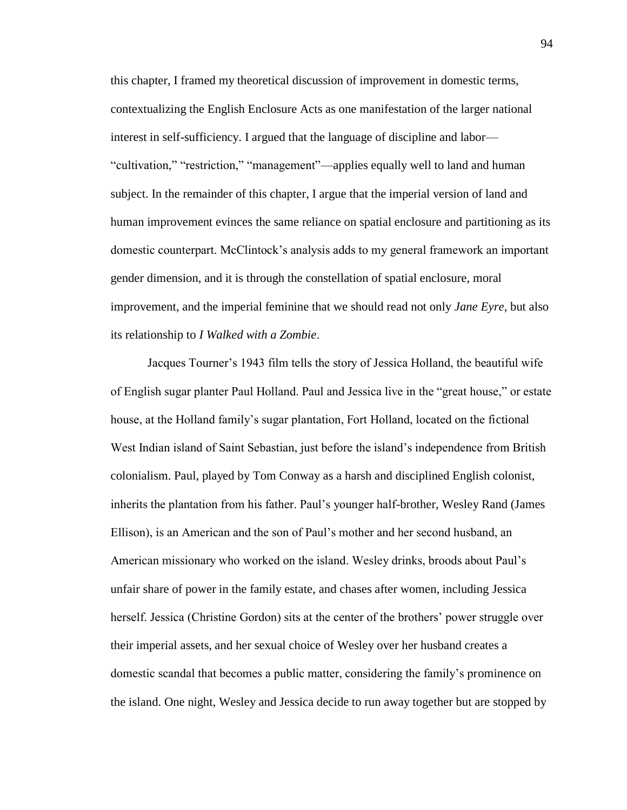this chapter, I framed my theoretical discussion of improvement in domestic terms, contextualizing the English Enclosure Acts as one manifestation of the larger national interest in self-sufficiency. I argued that the language of discipline and labor— "cultivation," "restriction," "management"—applies equally well to land and human subject. In the remainder of this chapter, I argue that the imperial version of land and human improvement evinces the same reliance on spatial enclosure and partitioning as its domestic counterpart. McClintock's analysis adds to my general framework an important gender dimension, and it is through the constellation of spatial enclosure, moral improvement, and the imperial feminine that we should read not only *Jane Eyre*, but also its relationship to *I Walked with a Zombie*.

Jacques Tourner's 1943 film tells the story of Jessica Holland, the beautiful wife of English sugar planter Paul Holland. Paul and Jessica live in the "great house," or estate house, at the Holland family's sugar plantation, Fort Holland, located on the fictional West Indian island of Saint Sebastian, just before the island's independence from British colonialism. Paul, played by Tom Conway as a harsh and disciplined English colonist, inherits the plantation from his father. Paul's younger half-brother, Wesley Rand (James Ellison), is an American and the son of Paul's mother and her second husband, an American missionary who worked on the island. Wesley drinks, broods about Paul's unfair share of power in the family estate, and chases after women, including Jessica herself. Jessica (Christine Gordon) sits at the center of the brothers' power struggle over their imperial assets, and her sexual choice of Wesley over her husband creates a domestic scandal that becomes a public matter, considering the family's prominence on the island. One night, Wesley and Jessica decide to run away together but are stopped by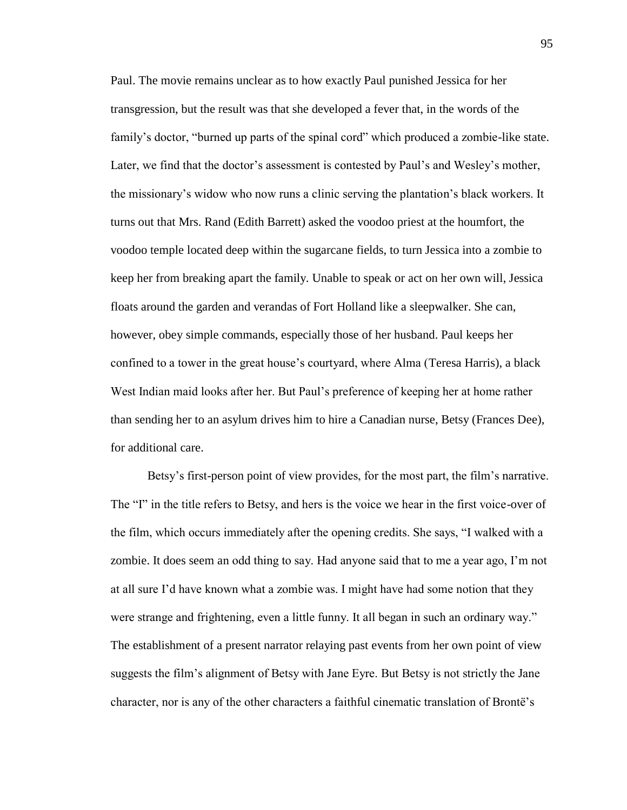Paul. The movie remains unclear as to how exactly Paul punished Jessica for her transgression, but the result was that she developed a fever that, in the words of the family's doctor, "burned up parts of the spinal cord" which produced a zombie-like state. Later, we find that the doctor's assessment is contested by Paul's and Wesley's mother, the missionary's widow who now runs a clinic serving the plantation's black workers. It turns out that Mrs. Rand (Edith Barrett) asked the voodoo priest at the houmfort, the voodoo temple located deep within the sugarcane fields, to turn Jessica into a zombie to keep her from breaking apart the family. Unable to speak or act on her own will, Jessica floats around the garden and verandas of Fort Holland like a sleepwalker. She can, however, obey simple commands, especially those of her husband. Paul keeps her confined to a tower in the great house's courtyard, where Alma (Teresa Harris), a black West Indian maid looks after her. But Paul's preference of keeping her at home rather than sending her to an asylum drives him to hire a Canadian nurse, Betsy (Frances Dee), for additional care.

Betsy's first-person point of view provides, for the most part, the film's narrative. The "I" in the title refers to Betsy, and hers is the voice we hear in the first voice-over of the film, which occurs immediately after the opening credits. She says, "I walked with a zombie. It does seem an odd thing to say. Had anyone said that to me a year ago, I'm not at all sure I'd have known what a zombie was. I might have had some notion that they were strange and frightening, even a little funny. It all began in such an ordinary way." The establishment of a present narrator relaying past events from her own point of view suggests the film's alignment of Betsy with Jane Eyre. But Betsy is not strictly the Jane character, nor is any of the other characters a faithful cinematic translation of Brontë's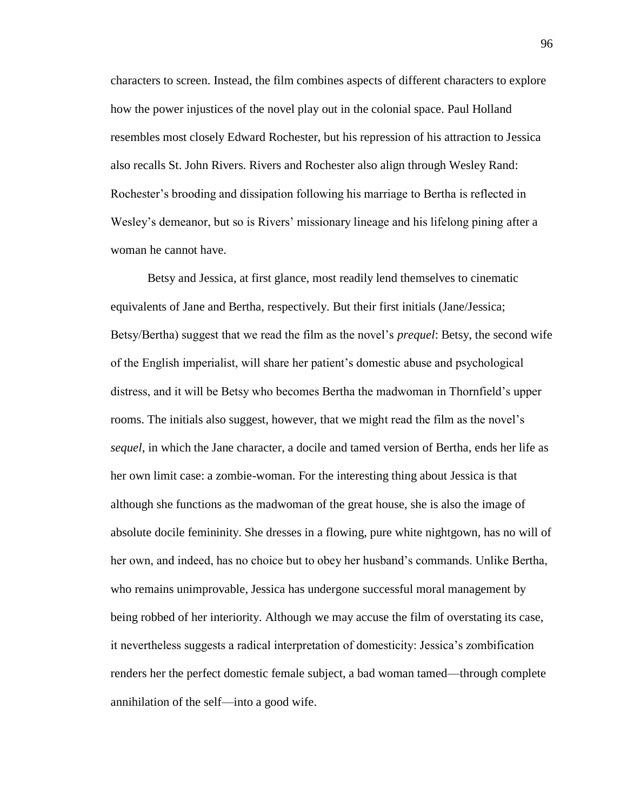characters to screen. Instead, the film combines aspects of different characters to explore how the power injustices of the novel play out in the colonial space. Paul Holland resembles most closely Edward Rochester, but his repression of his attraction to Jessica also recalls St. John Rivers. Rivers and Rochester also align through Wesley Rand: Rochester's brooding and dissipation following his marriage to Bertha is reflected in Wesley's demeanor, but so is Rivers' missionary lineage and his lifelong pining after a woman he cannot have.

Betsy and Jessica, at first glance, most readily lend themselves to cinematic equivalents of Jane and Bertha, respectively. But their first initials (Jane/Jessica; Betsy/Bertha) suggest that we read the film as the novel's *prequel*: Betsy, the second wife of the English imperialist, will share her patient's domestic abuse and psychological distress, and it will be Betsy who becomes Bertha the madwoman in Thornfield's upper rooms. The initials also suggest, however, that we might read the film as the novel's *sequel*, in which the Jane character, a docile and tamed version of Bertha, ends her life as her own limit case: a zombie-woman. For the interesting thing about Jessica is that although she functions as the madwoman of the great house, she is also the image of absolute docile femininity. She dresses in a flowing, pure white nightgown, has no will of her own, and indeed, has no choice but to obey her husband's commands. Unlike Bertha, who remains unimprovable, Jessica has undergone successful moral management by being robbed of her interiority. Although we may accuse the film of overstating its case, it nevertheless suggests a radical interpretation of domesticity: Jessica's zombification renders her the perfect domestic female subject, a bad woman tamed—through complete annihilation of the self—into a good wife.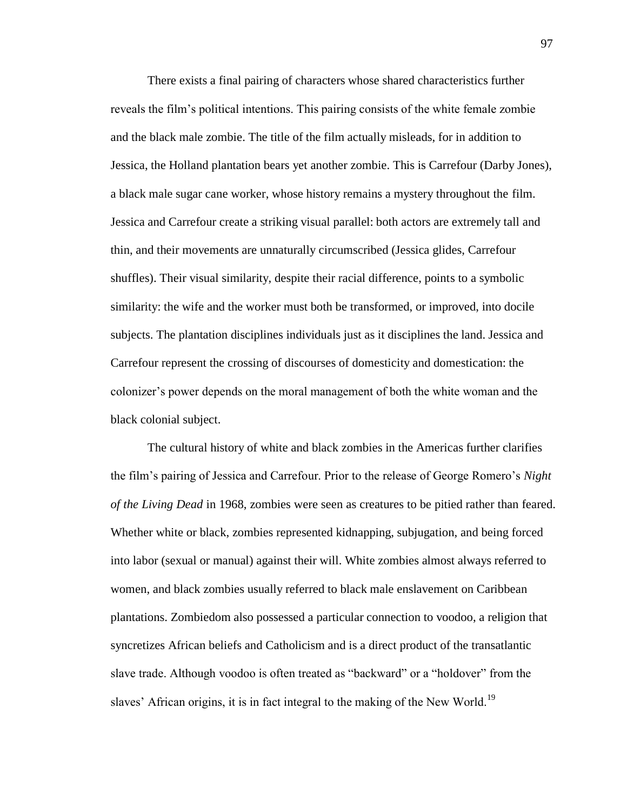There exists a final pairing of characters whose shared characteristics further reveals the film's political intentions. This pairing consists of the white female zombie and the black male zombie. The title of the film actually misleads, for in addition to Jessica, the Holland plantation bears yet another zombie. This is Carrefour (Darby Jones), a black male sugar cane worker, whose history remains a mystery throughout the film. Jessica and Carrefour create a striking visual parallel: both actors are extremely tall and thin, and their movements are unnaturally circumscribed (Jessica glides, Carrefour shuffles). Their visual similarity, despite their racial difference, points to a symbolic similarity: the wife and the worker must both be transformed, or improved, into docile subjects. The plantation disciplines individuals just as it disciplines the land. Jessica and Carrefour represent the crossing of discourses of domesticity and domestication: the colonizer's power depends on the moral management of both the white woman and the black colonial subject.

The cultural history of white and black zombies in the Americas further clarifies the film's pairing of Jessica and Carrefour. Prior to the release of George Romero's *Night of the Living Dead* in 1968, zombies were seen as creatures to be pitied rather than feared. Whether white or black, zombies represented kidnapping, subjugation, and being forced into labor (sexual or manual) against their will. White zombies almost always referred to women, and black zombies usually referred to black male enslavement on Caribbean plantations. Zombiedom also possessed a particular connection to voodoo, a religion that syncretizes African beliefs and Catholicism and is a direct product of the transatlantic slave trade. Although voodoo is often treated as "backward" or a "holdover" from the slaves' African origins, it is in fact integral to the making of the New World.<sup>19</sup>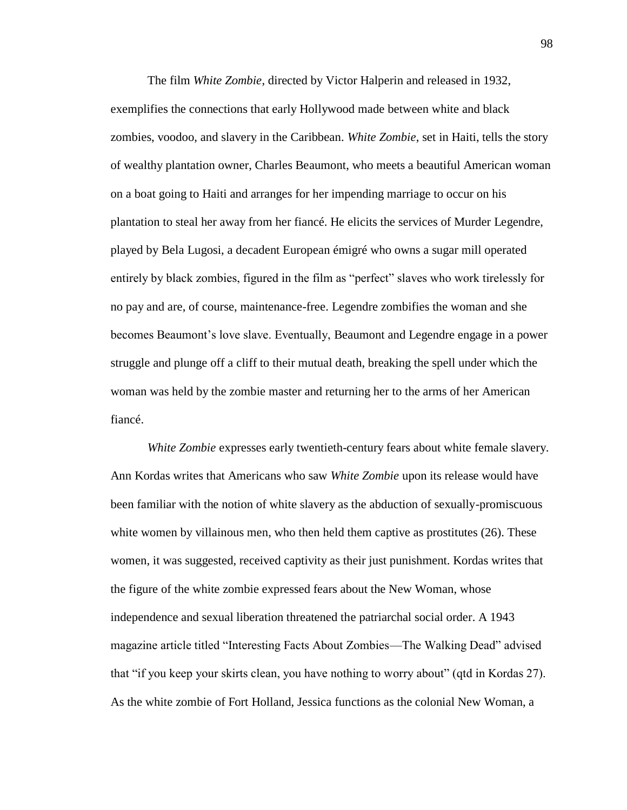The film *White Zombie*, directed by Victor Halperin and released in 1932, exemplifies the connections that early Hollywood made between white and black zombies, voodoo, and slavery in the Caribbean. *White Zombie*, set in Haiti, tells the story of wealthy plantation owner, Charles Beaumont, who meets a beautiful American woman on a boat going to Haiti and arranges for her impending marriage to occur on his plantation to steal her away from her fiancé. He elicits the services of Murder Legendre, played by Bela Lugosi, a decadent European émigré who owns a sugar mill operated entirely by black zombies, figured in the film as "perfect" slaves who work tirelessly for no pay and are, of course, maintenance-free. Legendre zombifies the woman and she becomes Beaumont's love slave. Eventually, Beaumont and Legendre engage in a power struggle and plunge off a cliff to their mutual death, breaking the spell under which the woman was held by the zombie master and returning her to the arms of her American fiancé.

*White Zombie* expresses early twentieth-century fears about white female slavery. Ann Kordas writes that Americans who saw *White Zombie* upon its release would have been familiar with the notion of white slavery as the abduction of sexually-promiscuous white women by villainous men, who then held them captive as prostitutes (26). These women, it was suggested, received captivity as their just punishment. Kordas writes that the figure of the white zombie expressed fears about the New Woman, whose independence and sexual liberation threatened the patriarchal social order. A 1943 magazine article titled "Interesting Facts About Zombies—The Walking Dead" advised that "if you keep your skirts clean, you have nothing to worry about" (qtd in Kordas 27). As the white zombie of Fort Holland, Jessica functions as the colonial New Woman, a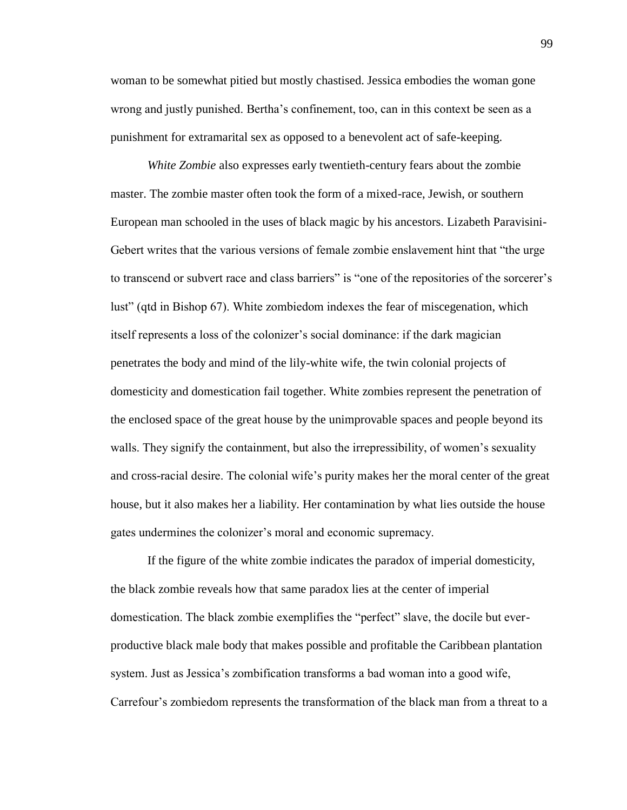woman to be somewhat pitied but mostly chastised. Jessica embodies the woman gone wrong and justly punished. Bertha's confinement, too, can in this context be seen as a punishment for extramarital sex as opposed to a benevolent act of safe-keeping.

*White Zombie* also expresses early twentieth-century fears about the zombie master. The zombie master often took the form of a mixed-race, Jewish, or southern European man schooled in the uses of black magic by his ancestors. Lizabeth Paravisini-Gebert writes that the various versions of female zombie enslavement hint that "the urge to transcend or subvert race and class barriers" is "one of the repositories of the sorcerer's lust" (qtd in Bishop 67). White zombiedom indexes the fear of miscegenation, which itself represents a loss of the colonizer's social dominance: if the dark magician penetrates the body and mind of the lily-white wife, the twin colonial projects of domesticity and domestication fail together. White zombies represent the penetration of the enclosed space of the great house by the unimprovable spaces and people beyond its walls. They signify the containment, but also the irrepressibility, of women's sexuality and cross-racial desire. The colonial wife's purity makes her the moral center of the great house, but it also makes her a liability. Her contamination by what lies outside the house gates undermines the colonizer's moral and economic supremacy.

If the figure of the white zombie indicates the paradox of imperial domesticity, the black zombie reveals how that same paradox lies at the center of imperial domestication. The black zombie exemplifies the "perfect" slave, the docile but everproductive black male body that makes possible and profitable the Caribbean plantation system. Just as Jessica's zombification transforms a bad woman into a good wife, Carrefour's zombiedom represents the transformation of the black man from a threat to a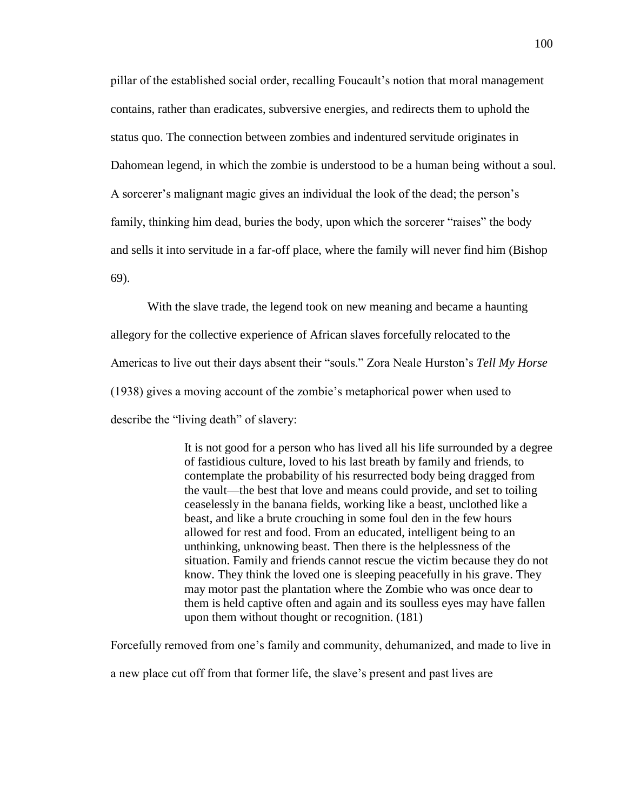pillar of the established social order, recalling Foucault's notion that moral management contains, rather than eradicates, subversive energies, and redirects them to uphold the status quo. The connection between zombies and indentured servitude originates in Dahomean legend, in which the zombie is understood to be a human being without a soul. A sorcerer's malignant magic gives an individual the look of the dead; the person's family, thinking him dead, buries the body, upon which the sorcerer "raises" the body and sells it into servitude in a far-off place, where the family will never find him (Bishop 69).

With the slave trade, the legend took on new meaning and became a haunting allegory for the collective experience of African slaves forcefully relocated to the Americas to live out their days absent their "souls." Zora Neale Hurston's *Tell My Horse*  (1938) gives a moving account of the zombie's metaphorical power when used to describe the "living death" of slavery:

> It is not good for a person who has lived all his life surrounded by a degree of fastidious culture, loved to his last breath by family and friends, to contemplate the probability of his resurrected body being dragged from the vault—the best that love and means could provide, and set to toiling ceaselessly in the banana fields, working like a beast, unclothed like a beast, and like a brute crouching in some foul den in the few hours allowed for rest and food. From an educated, intelligent being to an unthinking, unknowing beast. Then there is the helplessness of the situation. Family and friends cannot rescue the victim because they do not know. They think the loved one is sleeping peacefully in his grave. They may motor past the plantation where the Zombie who was once dear to them is held captive often and again and its soulless eyes may have fallen upon them without thought or recognition. (181)

Forcefully removed from one's family and community, dehumanized, and made to live in a new place cut off from that former life, the slave's present and past lives are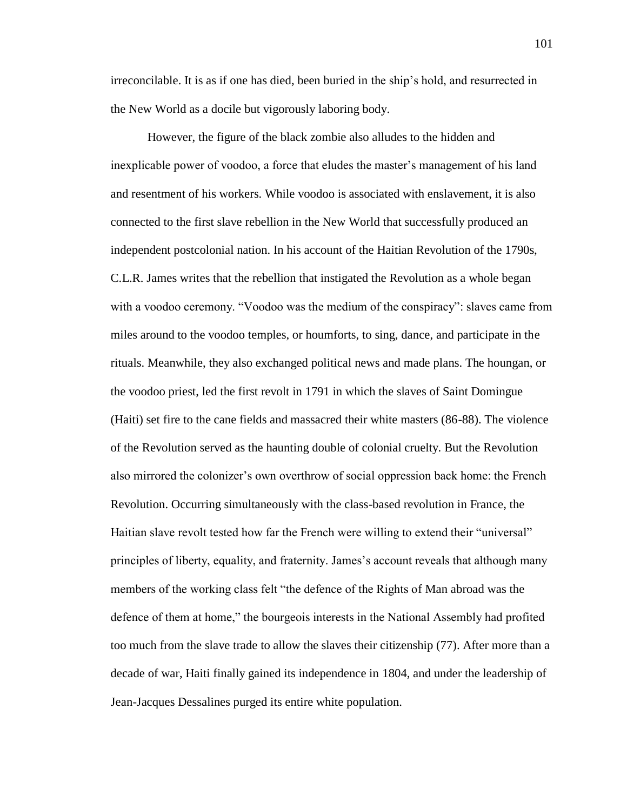irreconcilable. It is as if one has died, been buried in the ship's hold, and resurrected in the New World as a docile but vigorously laboring body.

However, the figure of the black zombie also alludes to the hidden and inexplicable power of voodoo, a force that eludes the master's management of his land and resentment of his workers. While voodoo is associated with enslavement, it is also connected to the first slave rebellion in the New World that successfully produced an independent postcolonial nation. In his account of the Haitian Revolution of the 1790s, C.L.R. James writes that the rebellion that instigated the Revolution as a whole began with a voodoo ceremony. "Voodoo was the medium of the conspiracy": slaves came from miles around to the voodoo temples, or houmforts, to sing, dance, and participate in the rituals. Meanwhile, they also exchanged political news and made plans. The houngan, or the voodoo priest, led the first revolt in 1791 in which the slaves of Saint Domingue (Haiti) set fire to the cane fields and massacred their white masters (86-88). The violence of the Revolution served as the haunting double of colonial cruelty. But the Revolution also mirrored the colonizer's own overthrow of social oppression back home: the French Revolution. Occurring simultaneously with the class-based revolution in France, the Haitian slave revolt tested how far the French were willing to extend their "universal" principles of liberty, equality, and fraternity. James's account reveals that although many members of the working class felt "the defence of the Rights of Man abroad was the defence of them at home," the bourgeois interests in the National Assembly had profited too much from the slave trade to allow the slaves their citizenship (77). After more than a decade of war, Haiti finally gained its independence in 1804, and under the leadership of Jean-Jacques Dessalines purged its entire white population.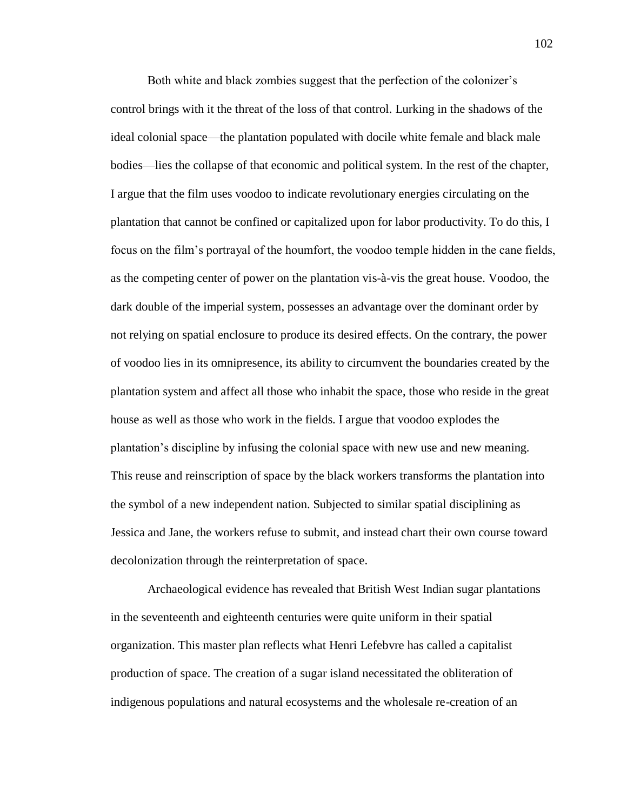Both white and black zombies suggest that the perfection of the colonizer's control brings with it the threat of the loss of that control. Lurking in the shadows of the ideal colonial space—the plantation populated with docile white female and black male bodies—lies the collapse of that economic and political system. In the rest of the chapter, I argue that the film uses voodoo to indicate revolutionary energies circulating on the plantation that cannot be confined or capitalized upon for labor productivity. To do this, I focus on the film's portrayal of the houmfort, the voodoo temple hidden in the cane fields, as the competing center of power on the plantation vis-à-vis the great house. Voodoo, the dark double of the imperial system, possesses an advantage over the dominant order by not relying on spatial enclosure to produce its desired effects. On the contrary, the power of voodoo lies in its omnipresence, its ability to circumvent the boundaries created by the plantation system and affect all those who inhabit the space, those who reside in the great house as well as those who work in the fields. I argue that voodoo explodes the plantation's discipline by infusing the colonial space with new use and new meaning. This reuse and reinscription of space by the black workers transforms the plantation into the symbol of a new independent nation. Subjected to similar spatial disciplining as Jessica and Jane, the workers refuse to submit, and instead chart their own course toward decolonization through the reinterpretation of space.

Archaeological evidence has revealed that British West Indian sugar plantations in the seventeenth and eighteenth centuries were quite uniform in their spatial organization. This master plan reflects what Henri Lefebvre has called a capitalist production of space. The creation of a sugar island necessitated the obliteration of indigenous populations and natural ecosystems and the wholesale re-creation of an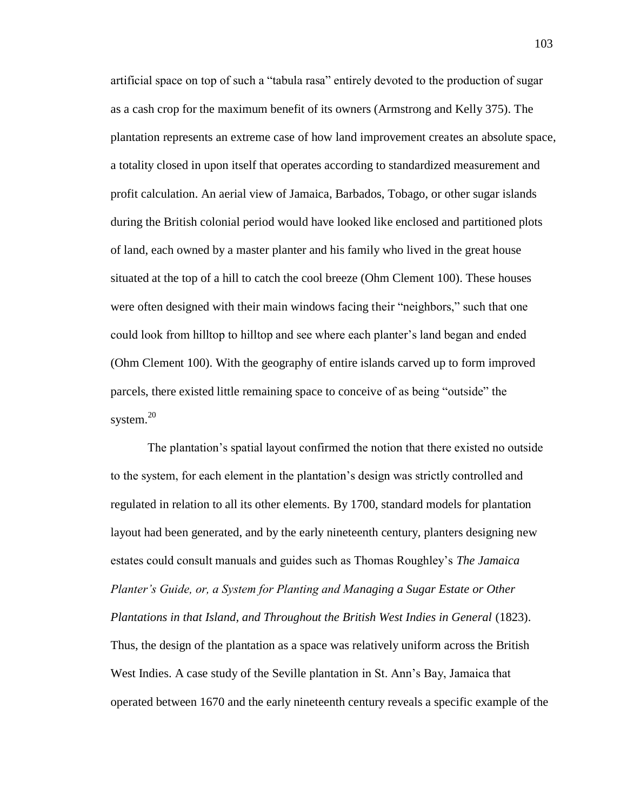artificial space on top of such a "tabula rasa" entirely devoted to the production of sugar as a cash crop for the maximum benefit of its owners (Armstrong and Kelly 375). The plantation represents an extreme case of how land improvement creates an absolute space, a totality closed in upon itself that operates according to standardized measurement and profit calculation. An aerial view of Jamaica, Barbados, Tobago, or other sugar islands during the British colonial period would have looked like enclosed and partitioned plots of land, each owned by a master planter and his family who lived in the great house situated at the top of a hill to catch the cool breeze (Ohm Clement 100). These houses were often designed with their main windows facing their "neighbors," such that one could look from hilltop to hilltop and see where each planter's land began and ended (Ohm Clement 100). With the geography of entire islands carved up to form improved parcels, there existed little remaining space to conceive of as being "outside" the system.<sup>20</sup>

The plantation's spatial layout confirmed the notion that there existed no outside to the system, for each element in the plantation's design was strictly controlled and regulated in relation to all its other elements. By 1700, standard models for plantation layout had been generated, and by the early nineteenth century, planters designing new estates could consult manuals and guides such as Thomas Roughley's *The Jamaica Planter's Guide, or, a System for Planting and Managing a Sugar Estate or Other Plantations in that Island, and Throughout the British West Indies in General* (1823). Thus, the design of the plantation as a space was relatively uniform across the British West Indies. A case study of the Seville plantation in St. Ann's Bay, Jamaica that operated between 1670 and the early nineteenth century reveals a specific example of the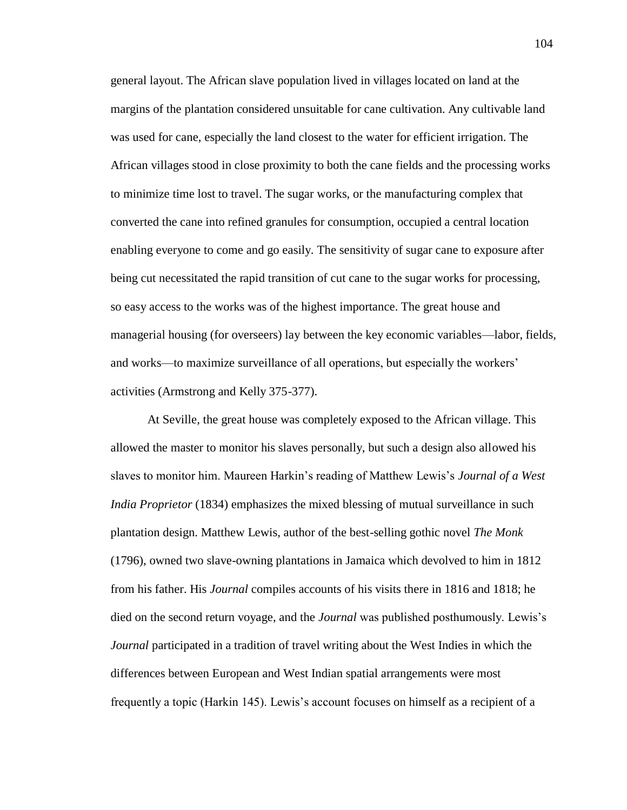general layout. The African slave population lived in villages located on land at the margins of the plantation considered unsuitable for cane cultivation. Any cultivable land was used for cane, especially the land closest to the water for efficient irrigation. The African villages stood in close proximity to both the cane fields and the processing works to minimize time lost to travel. The sugar works, or the manufacturing complex that converted the cane into refined granules for consumption, occupied a central location enabling everyone to come and go easily. The sensitivity of sugar cane to exposure after being cut necessitated the rapid transition of cut cane to the sugar works for processing, so easy access to the works was of the highest importance. The great house and managerial housing (for overseers) lay between the key economic variables—labor, fields, and works—to maximize surveillance of all operations, but especially the workers' activities (Armstrong and Kelly 375-377).

At Seville, the great house was completely exposed to the African village. This allowed the master to monitor his slaves personally, but such a design also allowed his slaves to monitor him. Maureen Harkin's reading of Matthew Lewis's *Journal of a West India Proprietor* (1834) emphasizes the mixed blessing of mutual surveillance in such plantation design. Matthew Lewis, author of the best-selling gothic novel *The Monk* (1796), owned two slave-owning plantations in Jamaica which devolved to him in 1812 from his father. His *Journal* compiles accounts of his visits there in 1816 and 1818; he died on the second return voyage, and the *Journal* was published posthumously. Lewis's *Journal* participated in a tradition of travel writing about the West Indies in which the differences between European and West Indian spatial arrangements were most frequently a topic (Harkin 145). Lewis's account focuses on himself as a recipient of a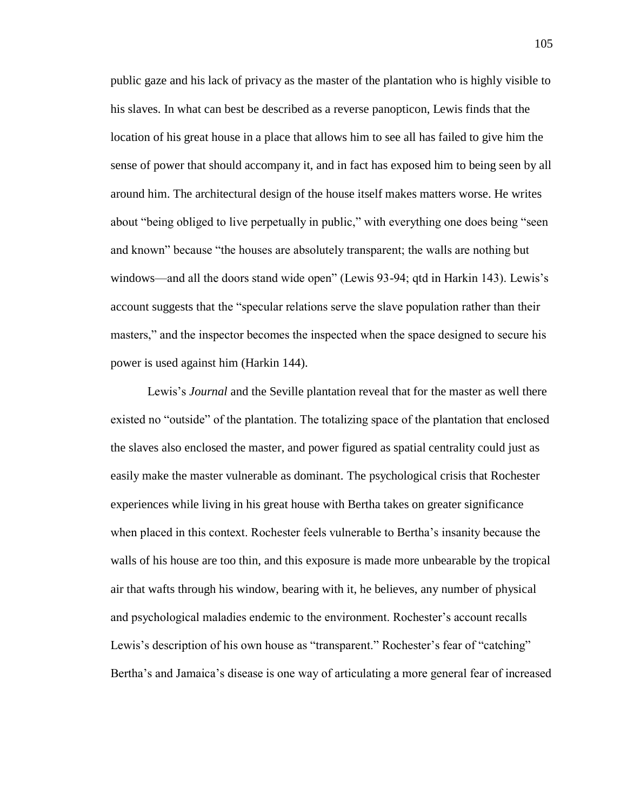public gaze and his lack of privacy as the master of the plantation who is highly visible to his slaves. In what can best be described as a reverse panopticon, Lewis finds that the location of his great house in a place that allows him to see all has failed to give him the sense of power that should accompany it, and in fact has exposed him to being seen by all around him. The architectural design of the house itself makes matters worse. He writes about "being obliged to live perpetually in public," with everything one does being "seen and known" because "the houses are absolutely transparent; the walls are nothing but windows—and all the doors stand wide open" (Lewis 93-94; qtd in Harkin 143). Lewis's account suggests that the "specular relations serve the slave population rather than their masters," and the inspector becomes the inspected when the space designed to secure his power is used against him (Harkin 144).

Lewis's *Journal* and the Seville plantation reveal that for the master as well there existed no "outside" of the plantation. The totalizing space of the plantation that enclosed the slaves also enclosed the master, and power figured as spatial centrality could just as easily make the master vulnerable as dominant. The psychological crisis that Rochester experiences while living in his great house with Bertha takes on greater significance when placed in this context. Rochester feels vulnerable to Bertha's insanity because the walls of his house are too thin, and this exposure is made more unbearable by the tropical air that wafts through his window, bearing with it, he believes, any number of physical and psychological maladies endemic to the environment. Rochester's account recalls Lewis's description of his own house as "transparent." Rochester's fear of "catching" Bertha's and Jamaica's disease is one way of articulating a more general fear of increased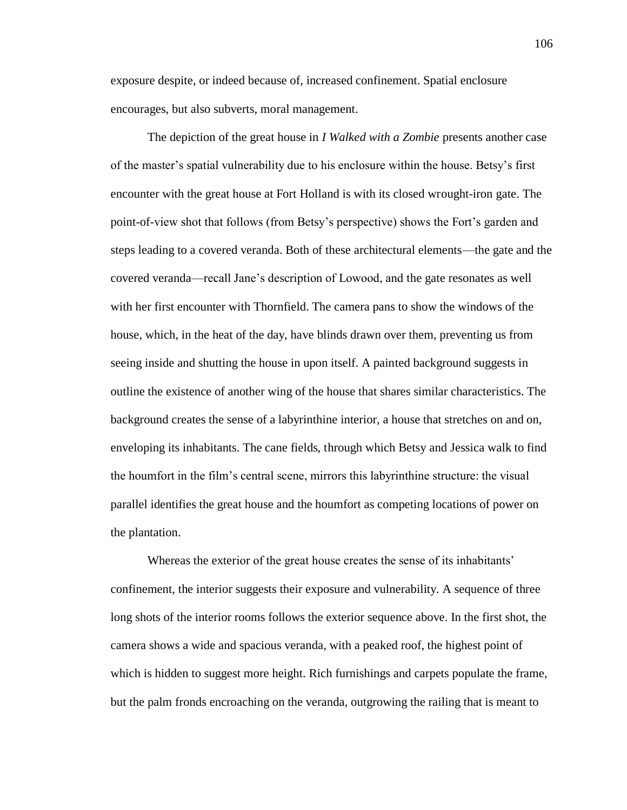exposure despite, or indeed because of, increased confinement. Spatial enclosure encourages, but also subverts, moral management.

The depiction of the great house in *I Walked with a Zombie* presents another case of the master's spatial vulnerability due to his enclosure within the house. Betsy's first encounter with the great house at Fort Holland is with its closed wrought-iron gate. The point-of-view shot that follows (from Betsy's perspective) shows the Fort's garden and steps leading to a covered veranda. Both of these architectural elements—the gate and the covered veranda—recall Jane's description of Lowood, and the gate resonates as well with her first encounter with Thornfield. The camera pans to show the windows of the house, which, in the heat of the day, have blinds drawn over them, preventing us from seeing inside and shutting the house in upon itself. A painted background suggests in outline the existence of another wing of the house that shares similar characteristics. The background creates the sense of a labyrinthine interior, a house that stretches on and on, enveloping its inhabitants. The cane fields, through which Betsy and Jessica walk to find the houmfort in the film's central scene, mirrors this labyrinthine structure: the visual parallel identifies the great house and the houmfort as competing locations of power on the plantation.

Whereas the exterior of the great house creates the sense of its inhabitants' confinement, the interior suggests their exposure and vulnerability. A sequence of three long shots of the interior rooms follows the exterior sequence above. In the first shot, the camera shows a wide and spacious veranda, with a peaked roof, the highest point of which is hidden to suggest more height. Rich furnishings and carpets populate the frame, but the palm fronds encroaching on the veranda, outgrowing the railing that is meant to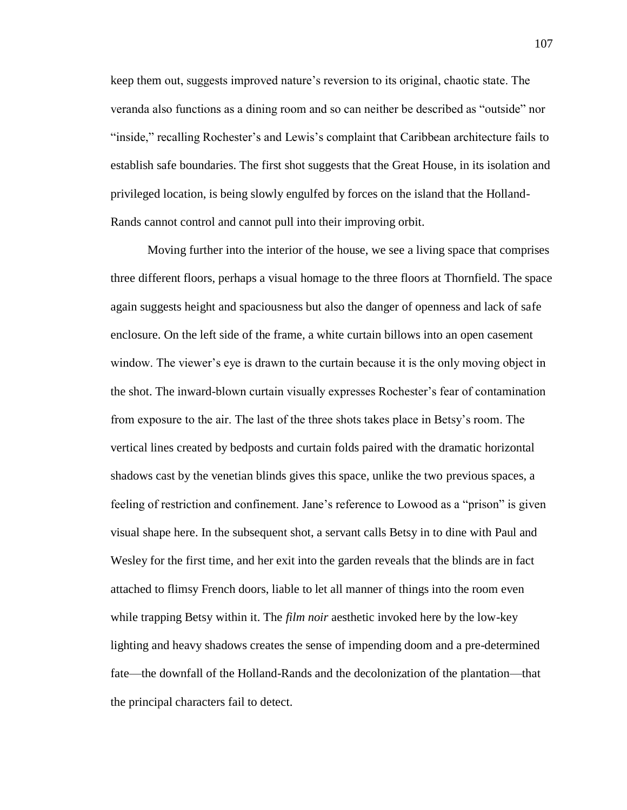keep them out, suggests improved nature's reversion to its original, chaotic state. The veranda also functions as a dining room and so can neither be described as "outside" nor "inside," recalling Rochester's and Lewis's complaint that Caribbean architecture fails to establish safe boundaries. The first shot suggests that the Great House, in its isolation and privileged location, is being slowly engulfed by forces on the island that the Holland-Rands cannot control and cannot pull into their improving orbit.

Moving further into the interior of the house, we see a living space that comprises three different floors, perhaps a visual homage to the three floors at Thornfield. The space again suggests height and spaciousness but also the danger of openness and lack of safe enclosure. On the left side of the frame, a white curtain billows into an open casement window. The viewer's eye is drawn to the curtain because it is the only moving object in the shot. The inward-blown curtain visually expresses Rochester's fear of contamination from exposure to the air. The last of the three shots takes place in Betsy's room. The vertical lines created by bedposts and curtain folds paired with the dramatic horizontal shadows cast by the venetian blinds gives this space, unlike the two previous spaces, a feeling of restriction and confinement. Jane's reference to Lowood as a "prison" is given visual shape here. In the subsequent shot, a servant calls Betsy in to dine with Paul and Wesley for the first time, and her exit into the garden reveals that the blinds are in fact attached to flimsy French doors, liable to let all manner of things into the room even while trapping Betsy within it. The *film noir* aesthetic invoked here by the low-key lighting and heavy shadows creates the sense of impending doom and a pre-determined fate—the downfall of the Holland-Rands and the decolonization of the plantation—that the principal characters fail to detect.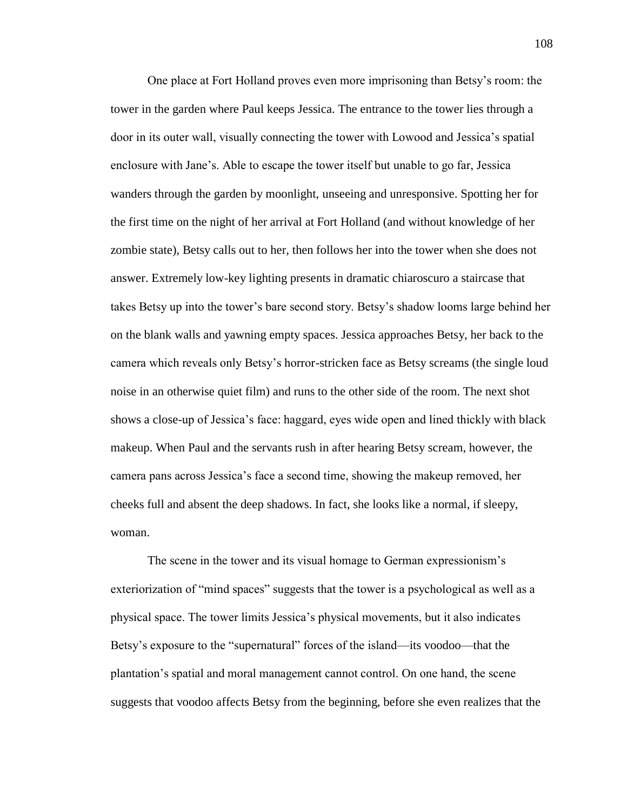One place at Fort Holland proves even more imprisoning than Betsy's room: the tower in the garden where Paul keeps Jessica. The entrance to the tower lies through a door in its outer wall, visually connecting the tower with Lowood and Jessica's spatial enclosure with Jane's. Able to escape the tower itself but unable to go far, Jessica wanders through the garden by moonlight, unseeing and unresponsive. Spotting her for the first time on the night of her arrival at Fort Holland (and without knowledge of her zombie state), Betsy calls out to her, then follows her into the tower when she does not answer. Extremely low-key lighting presents in dramatic chiaroscuro a staircase that takes Betsy up into the tower's bare second story. Betsy's shadow looms large behind her on the blank walls and yawning empty spaces. Jessica approaches Betsy, her back to the camera which reveals only Betsy's horror-stricken face as Betsy screams (the single loud noise in an otherwise quiet film) and runs to the other side of the room. The next shot shows a close-up of Jessica's face: haggard, eyes wide open and lined thickly with black makeup. When Paul and the servants rush in after hearing Betsy scream, however, the camera pans across Jessica's face a second time, showing the makeup removed, her cheeks full and absent the deep shadows. In fact, she looks like a normal, if sleepy, woman.

The scene in the tower and its visual homage to German expressionism's exteriorization of "mind spaces" suggests that the tower is a psychological as well as a physical space. The tower limits Jessica's physical movements, but it also indicates Betsy's exposure to the "supernatural" forces of the island—its voodoo—that the plantation's spatial and moral management cannot control. On one hand, the scene suggests that voodoo affects Betsy from the beginning, before she even realizes that the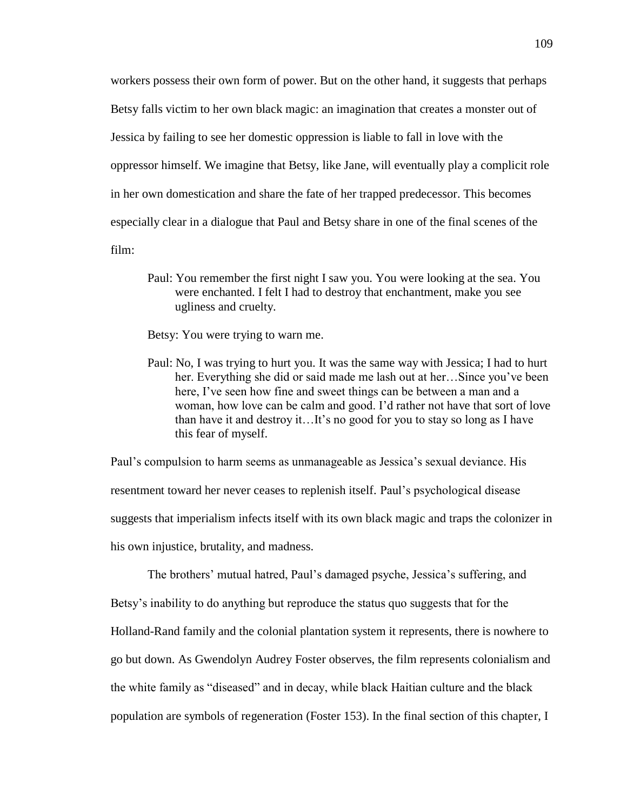workers possess their own form of power. But on the other hand, it suggests that perhaps Betsy falls victim to her own black magic: an imagination that creates a monster out of Jessica by failing to see her domestic oppression is liable to fall in love with the oppressor himself. We imagine that Betsy, like Jane, will eventually play a complicit role in her own domestication and share the fate of her trapped predecessor. This becomes especially clear in a dialogue that Paul and Betsy share in one of the final scenes of the film:

Paul: You remember the first night I saw you. You were looking at the sea. You were enchanted. I felt I had to destroy that enchantment, make you see ugliness and cruelty.

Betsy: You were trying to warn me.

Paul: No, I was trying to hurt you. It was the same way with Jessica; I had to hurt her. Everything she did or said made me lash out at her…Since you've been here, I've seen how fine and sweet things can be between a man and a woman, how love can be calm and good. I'd rather not have that sort of love than have it and destroy it…It's no good for you to stay so long as I have this fear of myself.

Paul's compulsion to harm seems as unmanageable as Jessica's sexual deviance. His resentment toward her never ceases to replenish itself. Paul's psychological disease suggests that imperialism infects itself with its own black magic and traps the colonizer in his own injustice, brutality, and madness.

The brothers' mutual hatred, Paul's damaged psyche, Jessica's suffering, and Betsy's inability to do anything but reproduce the status quo suggests that for the Holland-Rand family and the colonial plantation system it represents, there is nowhere to go but down. As Gwendolyn Audrey Foster observes, the film represents colonialism and the white family as "diseased" and in decay, while black Haitian culture and the black population are symbols of regeneration (Foster 153). In the final section of this chapter, I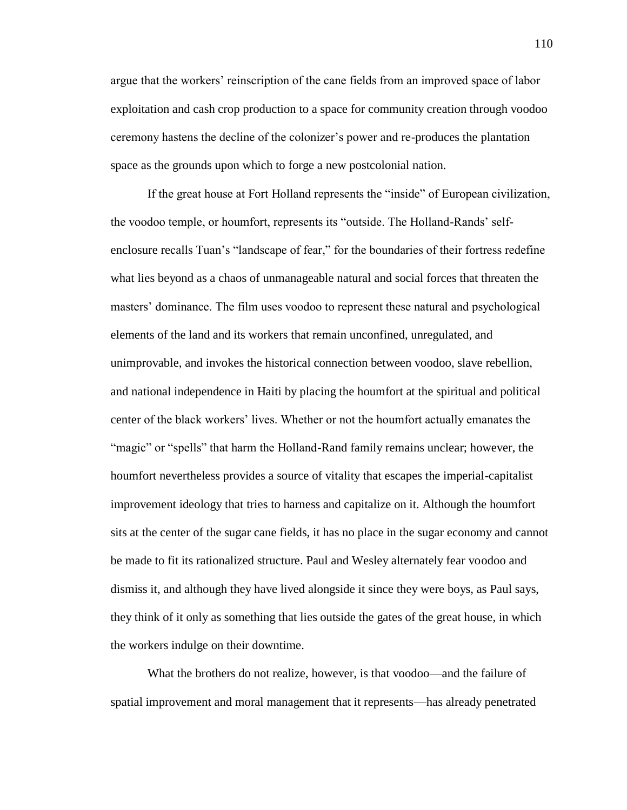argue that the workers' reinscription of the cane fields from an improved space of labor exploitation and cash crop production to a space for community creation through voodoo ceremony hastens the decline of the colonizer's power and re-produces the plantation space as the grounds upon which to forge a new postcolonial nation.

If the great house at Fort Holland represents the "inside" of European civilization, the voodoo temple, or houmfort, represents its "outside. The Holland-Rands' selfenclosure recalls Tuan's "landscape of fear," for the boundaries of their fortress redefine what lies beyond as a chaos of unmanageable natural and social forces that threaten the masters' dominance. The film uses voodoo to represent these natural and psychological elements of the land and its workers that remain unconfined, unregulated, and unimprovable, and invokes the historical connection between voodoo, slave rebellion, and national independence in Haiti by placing the houmfort at the spiritual and political center of the black workers' lives. Whether or not the houmfort actually emanates the "magic" or "spells" that harm the Holland-Rand family remains unclear; however, the houmfort nevertheless provides a source of vitality that escapes the imperial-capitalist improvement ideology that tries to harness and capitalize on it. Although the houmfort sits at the center of the sugar cane fields, it has no place in the sugar economy and cannot be made to fit its rationalized structure. Paul and Wesley alternately fear voodoo and dismiss it, and although they have lived alongside it since they were boys, as Paul says, they think of it only as something that lies outside the gates of the great house, in which the workers indulge on their downtime.

What the brothers do not realize, however, is that voodoo—and the failure of spatial improvement and moral management that it represents—has already penetrated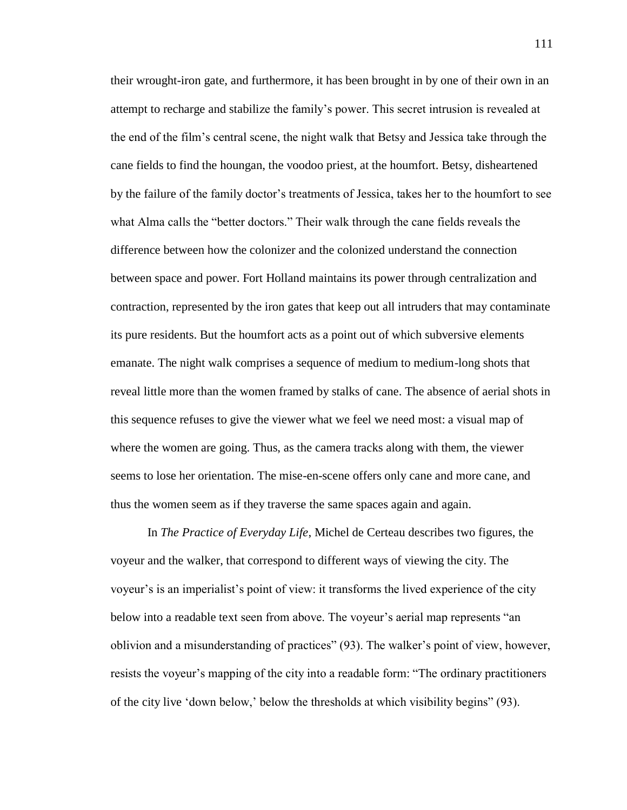their wrought-iron gate, and furthermore, it has been brought in by one of their own in an attempt to recharge and stabilize the family's power. This secret intrusion is revealed at the end of the film's central scene, the night walk that Betsy and Jessica take through the cane fields to find the houngan, the voodoo priest, at the houmfort. Betsy, disheartened by the failure of the family doctor's treatments of Jessica, takes her to the houmfort to see what Alma calls the "better doctors." Their walk through the cane fields reveals the difference between how the colonizer and the colonized understand the connection between space and power. Fort Holland maintains its power through centralization and contraction, represented by the iron gates that keep out all intruders that may contaminate its pure residents. But the houmfort acts as a point out of which subversive elements emanate. The night walk comprises a sequence of medium to medium-long shots that reveal little more than the women framed by stalks of cane. The absence of aerial shots in this sequence refuses to give the viewer what we feel we need most: a visual map of where the women are going. Thus, as the camera tracks along with them, the viewer seems to lose her orientation. The mise-en-scene offers only cane and more cane, and thus the women seem as if they traverse the same spaces again and again.

In *The Practice of Everyday Life*, Michel de Certeau describes two figures, the voyeur and the walker, that correspond to different ways of viewing the city. The voyeur's is an imperialist's point of view: it transforms the lived experience of the city below into a readable text seen from above. The voyeur's aerial map represents "an oblivion and a misunderstanding of practices" (93). The walker's point of view, however, resists the voyeur's mapping of the city into a readable form: "The ordinary practitioners of the city live 'down below,' below the thresholds at which visibility begins" (93).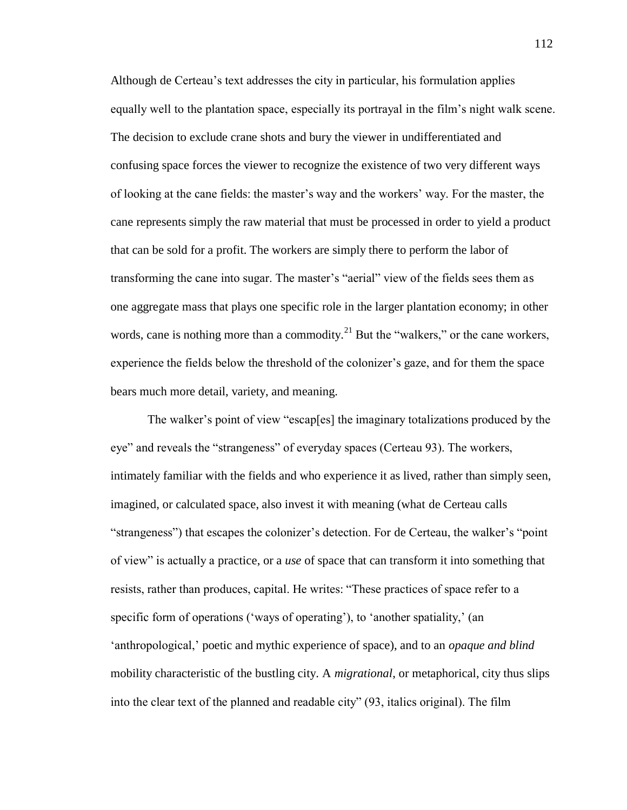Although de Certeau's text addresses the city in particular, his formulation applies equally well to the plantation space, especially its portrayal in the film's night walk scene. The decision to exclude crane shots and bury the viewer in undifferentiated and confusing space forces the viewer to recognize the existence of two very different ways of looking at the cane fields: the master's way and the workers' way. For the master, the cane represents simply the raw material that must be processed in order to yield a product that can be sold for a profit. The workers are simply there to perform the labor of transforming the cane into sugar. The master's "aerial" view of the fields sees them as one aggregate mass that plays one specific role in the larger plantation economy; in other words, cane is nothing more than a commodity.<sup>21</sup> But the "walkers," or the cane workers, experience the fields below the threshold of the colonizer's gaze, and for them the space bears much more detail, variety, and meaning.

The walker's point of view "escap[es] the imaginary totalizations produced by the eye" and reveals the "strangeness" of everyday spaces (Certeau 93). The workers, intimately familiar with the fields and who experience it as lived, rather than simply seen, imagined, or calculated space, also invest it with meaning (what de Certeau calls "strangeness") that escapes the colonizer's detection. For de Certeau, the walker's "point of view" is actually a practice, or a *use* of space that can transform it into something that resists, rather than produces, capital. He writes: "These practices of space refer to a specific form of operations ('ways of operating'), to 'another spatiality,' (an 'anthropological,' poetic and mythic experience of space), and to an *opaque and blind* mobility characteristic of the bustling city. A *migrational*, or metaphorical, city thus slips into the clear text of the planned and readable city" (93, italics original). The film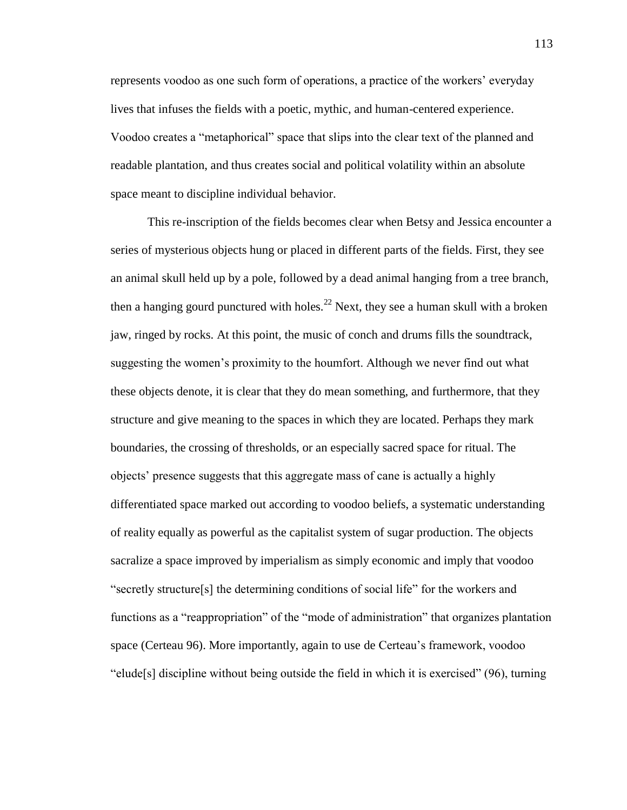represents voodoo as one such form of operations, a practice of the workers' everyday lives that infuses the fields with a poetic, mythic, and human-centered experience. Voodoo creates a "metaphorical" space that slips into the clear text of the planned and readable plantation, and thus creates social and political volatility within an absolute space meant to discipline individual behavior.

This re-inscription of the fields becomes clear when Betsy and Jessica encounter a series of mysterious objects hung or placed in different parts of the fields. First, they see an animal skull held up by a pole, followed by a dead animal hanging from a tree branch, then a hanging gourd punctured with holes.<sup>22</sup> Next, they see a human skull with a broken jaw, ringed by rocks. At this point, the music of conch and drums fills the soundtrack, suggesting the women's proximity to the houmfort. Although we never find out what these objects denote, it is clear that they do mean something, and furthermore, that they structure and give meaning to the spaces in which they are located. Perhaps they mark boundaries, the crossing of thresholds, or an especially sacred space for ritual. The objects' presence suggests that this aggregate mass of cane is actually a highly differentiated space marked out according to voodoo beliefs, a systematic understanding of reality equally as powerful as the capitalist system of sugar production. The objects sacralize a space improved by imperialism as simply economic and imply that voodoo "secretly structure[s] the determining conditions of social life" for the workers and functions as a "reappropriation" of the "mode of administration" that organizes plantation space (Certeau 96). More importantly, again to use de Certeau's framework, voodoo "elude[s] discipline without being outside the field in which it is exercised" (96), turning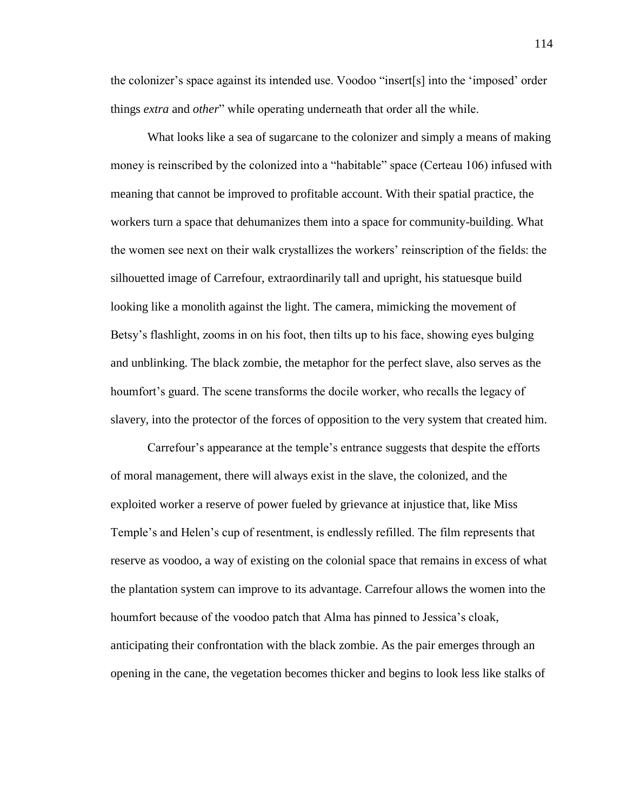the colonizer's space against its intended use. Voodoo "insert[s] into the 'imposed' order things *extra* and *other*" while operating underneath that order all the while.

What looks like a sea of sugarcane to the colonizer and simply a means of making money is reinscribed by the colonized into a "habitable" space (Certeau 106) infused with meaning that cannot be improved to profitable account. With their spatial practice, the workers turn a space that dehumanizes them into a space for community-building. What the women see next on their walk crystallizes the workers' reinscription of the fields: the silhouetted image of Carrefour, extraordinarily tall and upright, his statuesque build looking like a monolith against the light. The camera, mimicking the movement of Betsy's flashlight, zooms in on his foot, then tilts up to his face, showing eyes bulging and unblinking. The black zombie, the metaphor for the perfect slave, also serves as the houmfort's guard. The scene transforms the docile worker, who recalls the legacy of slavery, into the protector of the forces of opposition to the very system that created him.

Carrefour's appearance at the temple's entrance suggests that despite the efforts of moral management, there will always exist in the slave, the colonized, and the exploited worker a reserve of power fueled by grievance at injustice that, like Miss Temple's and Helen's cup of resentment, is endlessly refilled. The film represents that reserve as voodoo, a way of existing on the colonial space that remains in excess of what the plantation system can improve to its advantage. Carrefour allows the women into the houmfort because of the voodoo patch that Alma has pinned to Jessica's cloak, anticipating their confrontation with the black zombie. As the pair emerges through an opening in the cane, the vegetation becomes thicker and begins to look less like stalks of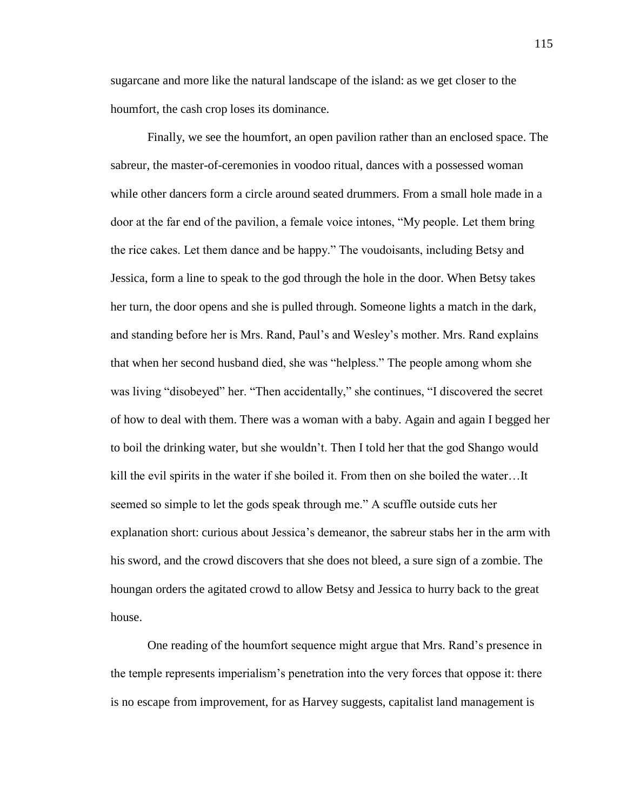sugarcane and more like the natural landscape of the island: as we get closer to the houmfort, the cash crop loses its dominance.

Finally, we see the houmfort, an open pavilion rather than an enclosed space. The sabreur, the master-of-ceremonies in voodoo ritual, dances with a possessed woman while other dancers form a circle around seated drummers. From a small hole made in a door at the far end of the pavilion, a female voice intones, "My people. Let them bring the rice cakes. Let them dance and be happy." The voudoisants, including Betsy and Jessica, form a line to speak to the god through the hole in the door. When Betsy takes her turn, the door opens and she is pulled through. Someone lights a match in the dark, and standing before her is Mrs. Rand, Paul's and Wesley's mother. Mrs. Rand explains that when her second husband died, she was "helpless." The people among whom she was living "disobeyed" her. "Then accidentally," she continues, "I discovered the secret of how to deal with them. There was a woman with a baby. Again and again I begged her to boil the drinking water, but she wouldn't. Then I told her that the god Shango would kill the evil spirits in the water if she boiled it. From then on she boiled the water…It seemed so simple to let the gods speak through me." A scuffle outside cuts her explanation short: curious about Jessica's demeanor, the sabreur stabs her in the arm with his sword, and the crowd discovers that she does not bleed, a sure sign of a zombie. The houngan orders the agitated crowd to allow Betsy and Jessica to hurry back to the great house.

One reading of the houmfort sequence might argue that Mrs. Rand's presence in the temple represents imperialism's penetration into the very forces that oppose it: there is no escape from improvement, for as Harvey suggests, capitalist land management is

115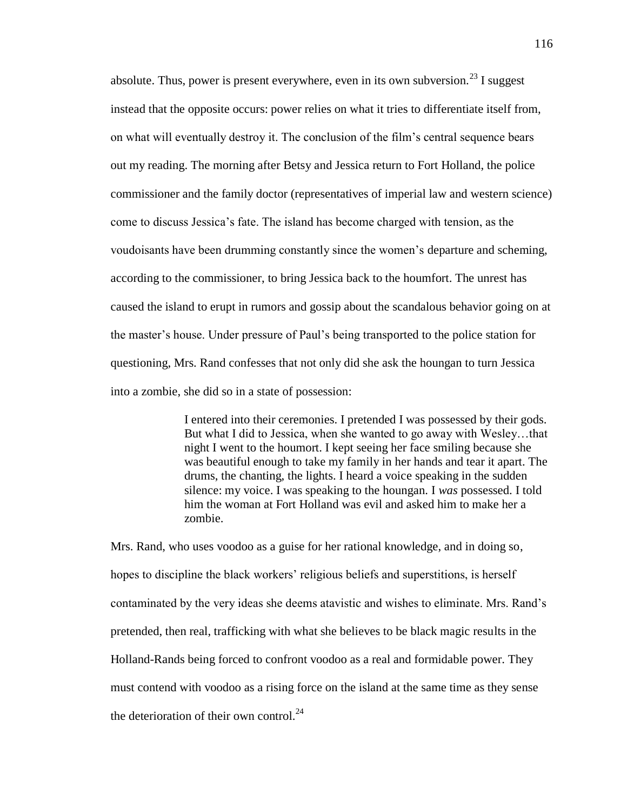absolute. Thus, power is present everywhere, even in its own subversion.<sup>23</sup> I suggest instead that the opposite occurs: power relies on what it tries to differentiate itself from, on what will eventually destroy it. The conclusion of the film's central sequence bears out my reading. The morning after Betsy and Jessica return to Fort Holland, the police commissioner and the family doctor (representatives of imperial law and western science) come to discuss Jessica's fate. The island has become charged with tension, as the voudoisants have been drumming constantly since the women's departure and scheming, according to the commissioner, to bring Jessica back to the houmfort. The unrest has caused the island to erupt in rumors and gossip about the scandalous behavior going on at the master's house. Under pressure of Paul's being transported to the police station for questioning, Mrs. Rand confesses that not only did she ask the houngan to turn Jessica into a zombie, she did so in a state of possession:

> I entered into their ceremonies. I pretended I was possessed by their gods. But what I did to Jessica, when she wanted to go away with Wesley…that night I went to the houmort. I kept seeing her face smiling because she was beautiful enough to take my family in her hands and tear it apart. The drums, the chanting, the lights. I heard a voice speaking in the sudden silence: my voice. I was speaking to the houngan. I *was* possessed. I told him the woman at Fort Holland was evil and asked him to make her a zombie.

Mrs. Rand, who uses voodoo as a guise for her rational knowledge, and in doing so, hopes to discipline the black workers' religious beliefs and superstitions, is herself contaminated by the very ideas she deems atavistic and wishes to eliminate. Mrs. Rand's pretended, then real, trafficking with what she believes to be black magic results in the Holland-Rands being forced to confront voodoo as a real and formidable power. They must contend with voodoo as a rising force on the island at the same time as they sense the deterioration of their own control. $^{24}$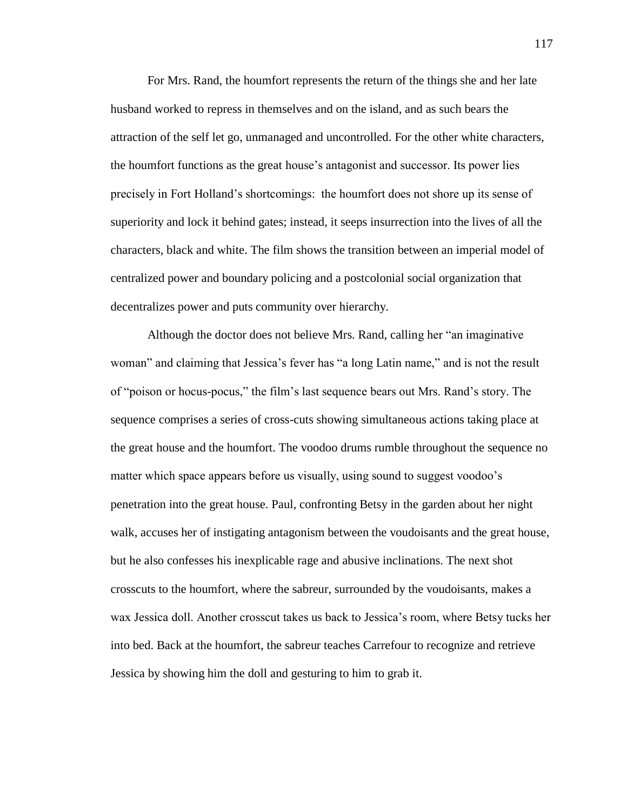For Mrs. Rand, the houmfort represents the return of the things she and her late husband worked to repress in themselves and on the island, and as such bears the attraction of the self let go, unmanaged and uncontrolled. For the other white characters, the houmfort functions as the great house's antagonist and successor. Its power lies precisely in Fort Holland's shortcomings: the houmfort does not shore up its sense of superiority and lock it behind gates; instead, it seeps insurrection into the lives of all the characters, black and white. The film shows the transition between an imperial model of centralized power and boundary policing and a postcolonial social organization that decentralizes power and puts community over hierarchy.

Although the doctor does not believe Mrs. Rand, calling her "an imaginative woman" and claiming that Jessica's fever has "a long Latin name," and is not the result of "poison or hocus-pocus," the film's last sequence bears out Mrs. Rand's story. The sequence comprises a series of cross-cuts showing simultaneous actions taking place at the great house and the houmfort. The voodoo drums rumble throughout the sequence no matter which space appears before us visually, using sound to suggest voodoo's penetration into the great house. Paul, confronting Betsy in the garden about her night walk, accuses her of instigating antagonism between the voudoisants and the great house, but he also confesses his inexplicable rage and abusive inclinations. The next shot crosscuts to the houmfort, where the sabreur, surrounded by the voudoisants, makes a wax Jessica doll. Another crosscut takes us back to Jessica's room, where Betsy tucks her into bed. Back at the houmfort, the sabreur teaches Carrefour to recognize and retrieve Jessica by showing him the doll and gesturing to him to grab it.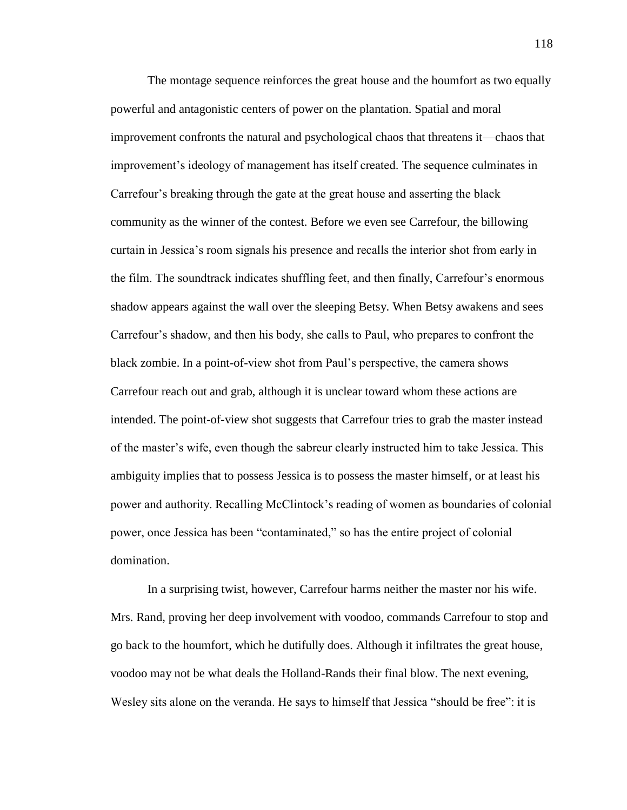The montage sequence reinforces the great house and the houmfort as two equally powerful and antagonistic centers of power on the plantation. Spatial and moral improvement confronts the natural and psychological chaos that threatens it—chaos that improvement's ideology of management has itself created. The sequence culminates in Carrefour's breaking through the gate at the great house and asserting the black community as the winner of the contest. Before we even see Carrefour, the billowing curtain in Jessica's room signals his presence and recalls the interior shot from early in the film. The soundtrack indicates shuffling feet, and then finally, Carrefour's enormous shadow appears against the wall over the sleeping Betsy. When Betsy awakens and sees Carrefour's shadow, and then his body, she calls to Paul, who prepares to confront the black zombie. In a point-of-view shot from Paul's perspective, the camera shows Carrefour reach out and grab, although it is unclear toward whom these actions are intended. The point-of-view shot suggests that Carrefour tries to grab the master instead of the master's wife, even though the sabreur clearly instructed him to take Jessica. This ambiguity implies that to possess Jessica is to possess the master himself, or at least his power and authority. Recalling McClintock's reading of women as boundaries of colonial power, once Jessica has been "contaminated," so has the entire project of colonial domination.

In a surprising twist, however, Carrefour harms neither the master nor his wife. Mrs. Rand, proving her deep involvement with voodoo, commands Carrefour to stop and go back to the houmfort, which he dutifully does. Although it infiltrates the great house, voodoo may not be what deals the Holland-Rands their final blow. The next evening, Wesley sits alone on the veranda. He says to himself that Jessica "should be free": it is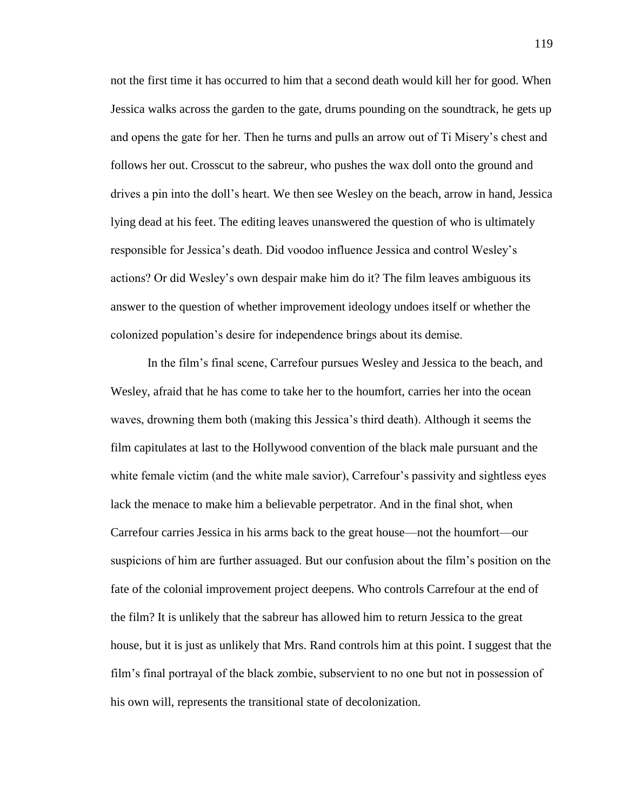not the first time it has occurred to him that a second death would kill her for good. When Jessica walks across the garden to the gate, drums pounding on the soundtrack, he gets up and opens the gate for her. Then he turns and pulls an arrow out of Ti Misery's chest and follows her out. Crosscut to the sabreur, who pushes the wax doll onto the ground and drives a pin into the doll's heart. We then see Wesley on the beach, arrow in hand, Jessica lying dead at his feet. The editing leaves unanswered the question of who is ultimately responsible for Jessica's death. Did voodoo influence Jessica and control Wesley's actions? Or did Wesley's own despair make him do it? The film leaves ambiguous its answer to the question of whether improvement ideology undoes itself or whether the colonized population's desire for independence brings about its demise.

In the film's final scene, Carrefour pursues Wesley and Jessica to the beach, and Wesley, afraid that he has come to take her to the houmfort, carries her into the ocean waves, drowning them both (making this Jessica's third death). Although it seems the film capitulates at last to the Hollywood convention of the black male pursuant and the white female victim (and the white male savior), Carrefour's passivity and sightless eyes lack the menace to make him a believable perpetrator. And in the final shot, when Carrefour carries Jessica in his arms back to the great house—not the houmfort—our suspicions of him are further assuaged. But our confusion about the film's position on the fate of the colonial improvement project deepens. Who controls Carrefour at the end of the film? It is unlikely that the sabreur has allowed him to return Jessica to the great house, but it is just as unlikely that Mrs. Rand controls him at this point. I suggest that the film's final portrayal of the black zombie, subservient to no one but not in possession of his own will, represents the transitional state of decolonization.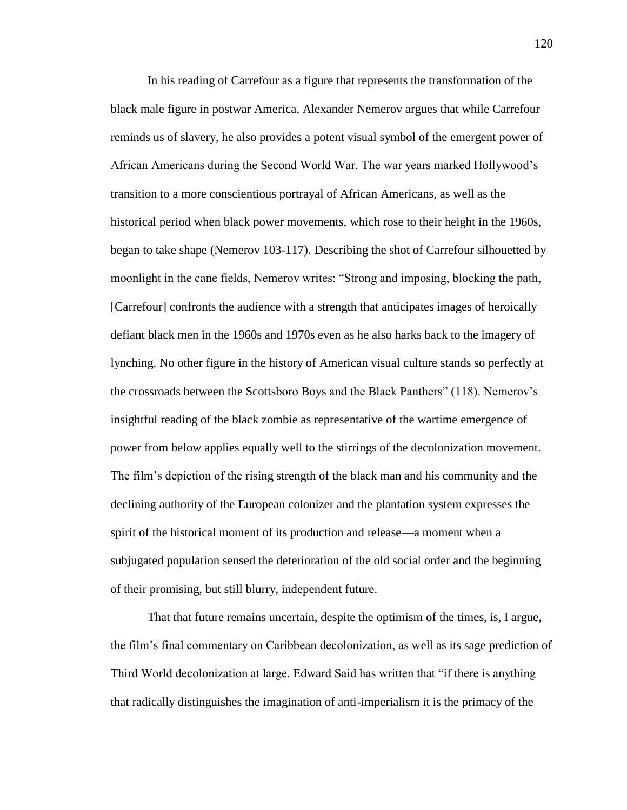In his reading of Carrefour as a figure that represents the transformation of the black male figure in postwar America, Alexander Nemerov argues that while Carrefour reminds us of slavery, he also provides a potent visual symbol of the emergent power of African Americans during the Second World War. The war years marked Hollywood's transition to a more conscientious portrayal of African Americans, as well as the historical period when black power movements, which rose to their height in the 1960s, began to take shape (Nemerov 103-117). Describing the shot of Carrefour silhouetted by moonlight in the cane fields, Nemerov writes: "Strong and imposing, blocking the path, [Carrefour] confronts the audience with a strength that anticipates images of heroically defiant black men in the 1960s and 1970s even as he also harks back to the imagery of lynching. No other figure in the history of American visual culture stands so perfectly at the crossroads between the Scottsboro Boys and the Black Panthers" (118). Nemerov's insightful reading of the black zombie as representative of the wartime emergence of power from below applies equally well to the stirrings of the decolonization movement. The film's depiction of the rising strength of the black man and his community and the declining authority of the European colonizer and the plantation system expresses the spirit of the historical moment of its production and release—a moment when a subjugated population sensed the deterioration of the old social order and the beginning of their promising, but still blurry, independent future.

That that future remains uncertain, despite the optimism of the times, is, I argue, the film's final commentary on Caribbean decolonization, as well as its sage prediction of Third World decolonization at large. Edward Said has written that "if there is anything that radically distinguishes the imagination of anti-imperialism it is the primacy of the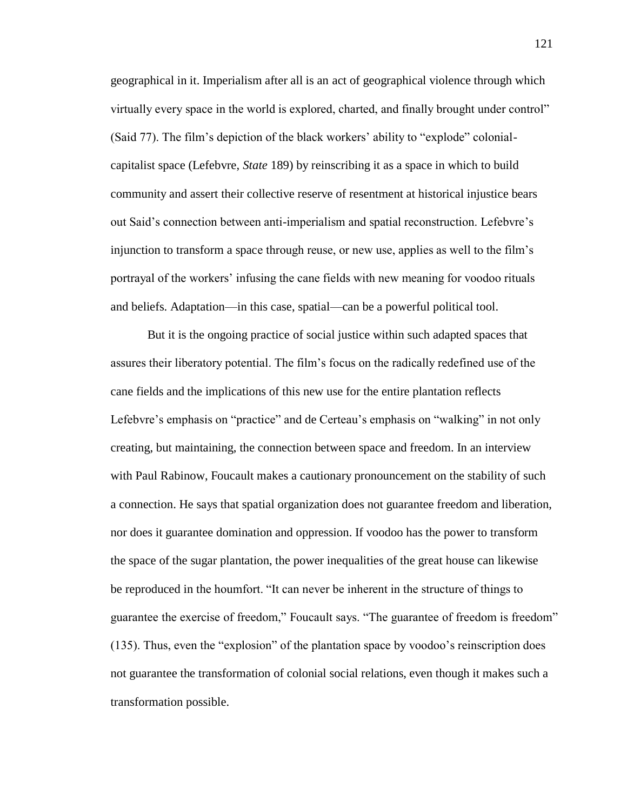geographical in it. Imperialism after all is an act of geographical violence through which virtually every space in the world is explored, charted, and finally brought under control" (Said 77). The film's depiction of the black workers' ability to "explode" colonialcapitalist space (Lefebvre, *State* 189) by reinscribing it as a space in which to build community and assert their collective reserve of resentment at historical injustice bears out Said's connection between anti-imperialism and spatial reconstruction. Lefebvre's injunction to transform a space through reuse, or new use, applies as well to the film's portrayal of the workers' infusing the cane fields with new meaning for voodoo rituals and beliefs. Adaptation—in this case, spatial—can be a powerful political tool.

But it is the ongoing practice of social justice within such adapted spaces that assures their liberatory potential. The film's focus on the radically redefined use of the cane fields and the implications of this new use for the entire plantation reflects Lefebvre's emphasis on "practice" and de Certeau's emphasis on "walking" in not only creating, but maintaining, the connection between space and freedom. In an interview with Paul Rabinow, Foucault makes a cautionary pronouncement on the stability of such a connection. He says that spatial organization does not guarantee freedom and liberation, nor does it guarantee domination and oppression. If voodoo has the power to transform the space of the sugar plantation, the power inequalities of the great house can likewise be reproduced in the houmfort. "It can never be inherent in the structure of things to guarantee the exercise of freedom," Foucault says. "The guarantee of freedom is freedom" (135). Thus, even the "explosion" of the plantation space by voodoo's reinscription does not guarantee the transformation of colonial social relations, even though it makes such a transformation possible.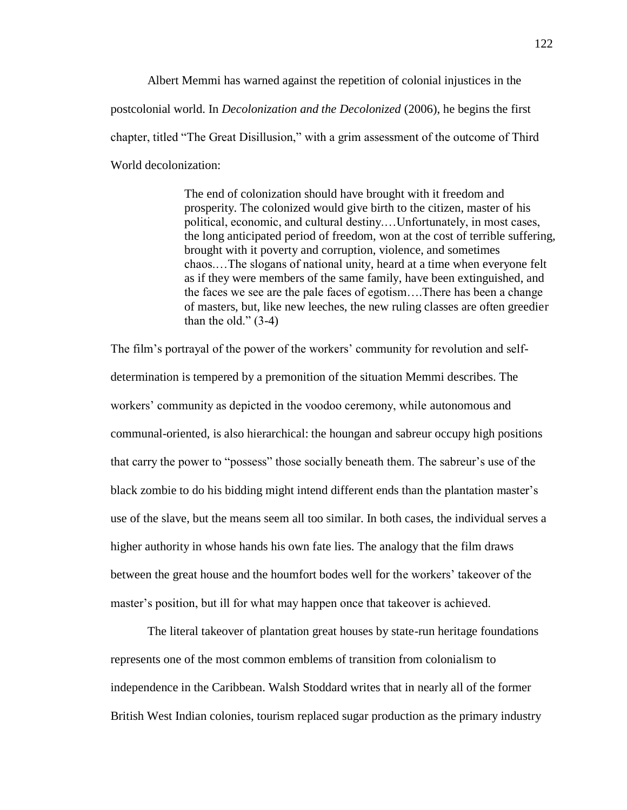Albert Memmi has warned against the repetition of colonial injustices in the postcolonial world. In *Decolonization and the Decolonized* (2006), he begins the first chapter, titled "The Great Disillusion," with a grim assessment of the outcome of Third World decolonization:

> The end of colonization should have brought with it freedom and prosperity. The colonized would give birth to the citizen, master of his political, economic, and cultural destiny.…Unfortunately, in most cases, the long anticipated period of freedom, won at the cost of terrible suffering, brought with it poverty and corruption, violence, and sometimes chaos.…The slogans of national unity, heard at a time when everyone felt as if they were members of the same family, have been extinguished, and the faces we see are the pale faces of egotism….There has been a change of masters, but, like new leeches, the new ruling classes are often greedier than the old."  $(3-4)$

The film's portrayal of the power of the workers' community for revolution and selfdetermination is tempered by a premonition of the situation Memmi describes. The workers' community as depicted in the voodoo ceremony, while autonomous and communal-oriented, is also hierarchical: the houngan and sabreur occupy high positions that carry the power to "possess" those socially beneath them. The sabreur's use of the black zombie to do his bidding might intend different ends than the plantation master's use of the slave, but the means seem all too similar. In both cases, the individual serves a higher authority in whose hands his own fate lies. The analogy that the film draws between the great house and the houmfort bodes well for the workers' takeover of the master's position, but ill for what may happen once that takeover is achieved.

The literal takeover of plantation great houses by state-run heritage foundations represents one of the most common emblems of transition from colonialism to independence in the Caribbean. Walsh Stoddard writes that in nearly all of the former British West Indian colonies, tourism replaced sugar production as the primary industry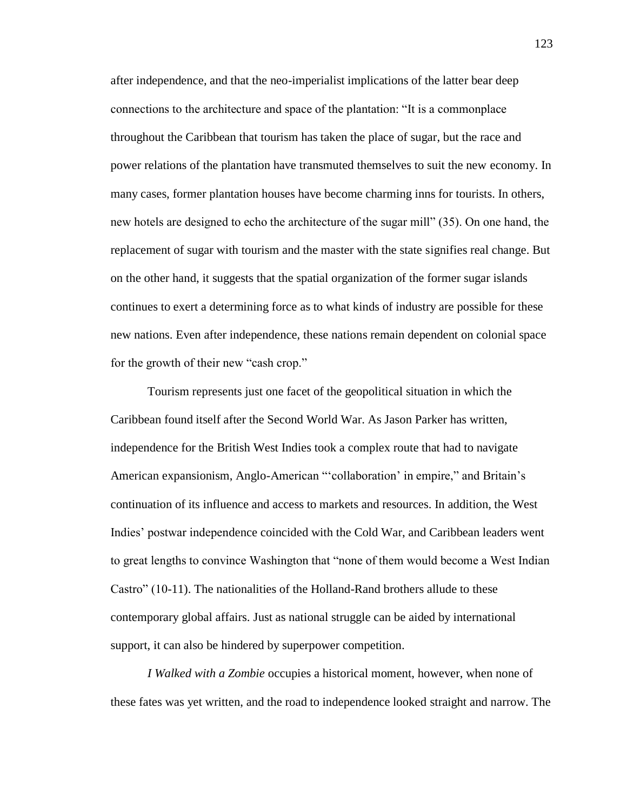after independence, and that the neo-imperialist implications of the latter bear deep connections to the architecture and space of the plantation: "It is a commonplace throughout the Caribbean that tourism has taken the place of sugar, but the race and power relations of the plantation have transmuted themselves to suit the new economy. In many cases, former plantation houses have become charming inns for tourists. In others, new hotels are designed to echo the architecture of the sugar mill" (35). On one hand, the replacement of sugar with tourism and the master with the state signifies real change. But on the other hand, it suggests that the spatial organization of the former sugar islands continues to exert a determining force as to what kinds of industry are possible for these new nations. Even after independence, these nations remain dependent on colonial space for the growth of their new "cash crop."

Tourism represents just one facet of the geopolitical situation in which the Caribbean found itself after the Second World War. As Jason Parker has written, independence for the British West Indies took a complex route that had to navigate American expansionism, Anglo-American "'collaboration' in empire," and Britain's continuation of its influence and access to markets and resources. In addition, the West Indies' postwar independence coincided with the Cold War, and Caribbean leaders went to great lengths to convince Washington that "none of them would become a West Indian Castro" (10-11). The nationalities of the Holland-Rand brothers allude to these contemporary global affairs. Just as national struggle can be aided by international support, it can also be hindered by superpower competition.

*I Walked with a Zombie* occupies a historical moment, however, when none of these fates was yet written, and the road to independence looked straight and narrow. The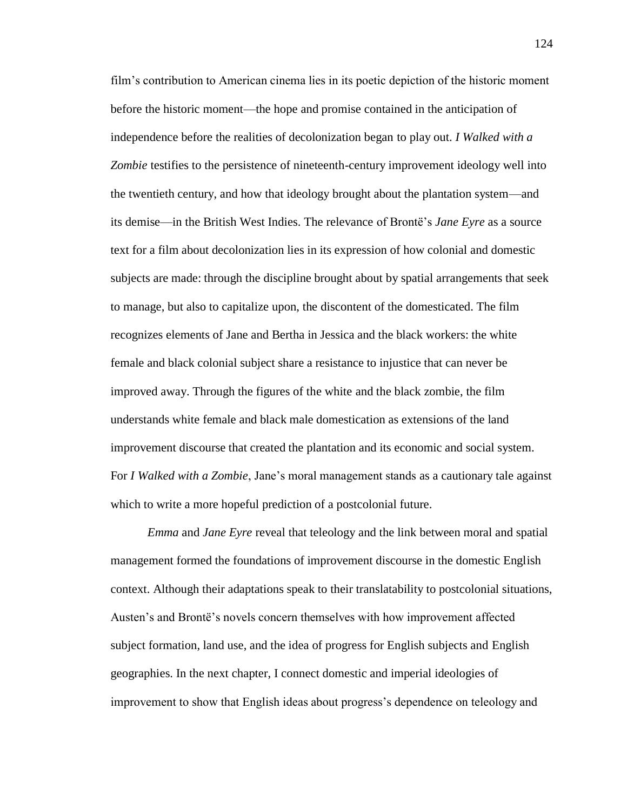film's contribution to American cinema lies in its poetic depiction of the historic moment before the historic moment—the hope and promise contained in the anticipation of independence before the realities of decolonization began to play out. *I Walked with a Zombie* testifies to the persistence of nineteenth-century improvement ideology well into the twentieth century, and how that ideology brought about the plantation system—and its demise—in the British West Indies. The relevance of Brontë's *Jane Eyre* as a source text for a film about decolonization lies in its expression of how colonial and domestic subjects are made: through the discipline brought about by spatial arrangements that seek to manage, but also to capitalize upon, the discontent of the domesticated. The film recognizes elements of Jane and Bertha in Jessica and the black workers: the white female and black colonial subject share a resistance to injustice that can never be improved away. Through the figures of the white and the black zombie, the film understands white female and black male domestication as extensions of the land improvement discourse that created the plantation and its economic and social system. For *I Walked with a Zombie*, Jane's moral management stands as a cautionary tale against which to write a more hopeful prediction of a postcolonial future.

*Emma* and *Jane Eyre* reveal that teleology and the link between moral and spatial management formed the foundations of improvement discourse in the domestic English context. Although their adaptations speak to their translatability to postcolonial situations, Austen's and Brontë's novels concern themselves with how improvement affected subject formation, land use, and the idea of progress for English subjects and English geographies. In the next chapter, I connect domestic and imperial ideologies of improvement to show that English ideas about progress's dependence on teleology and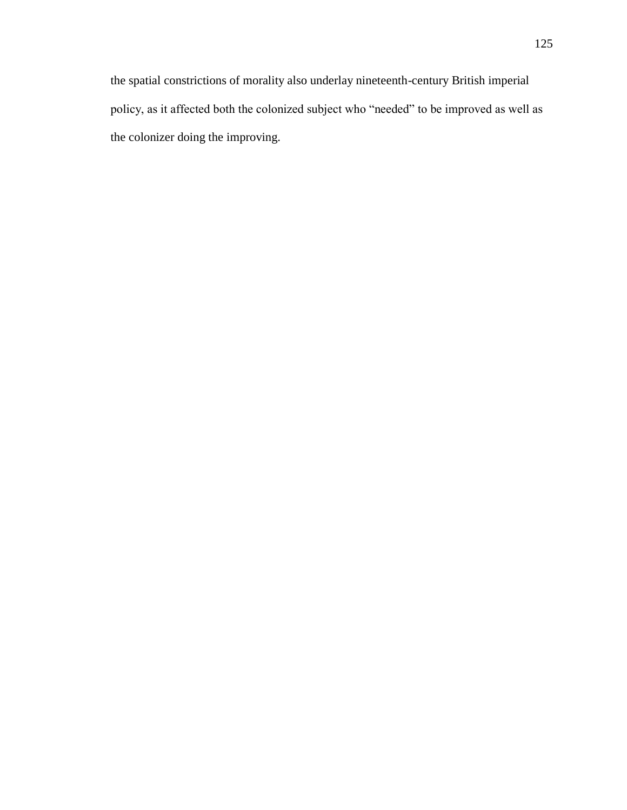the spatial constrictions of morality also underlay nineteenth-century British imperial policy, as it affected both the colonized subject who "needed" to be improved as well as the colonizer doing the improving.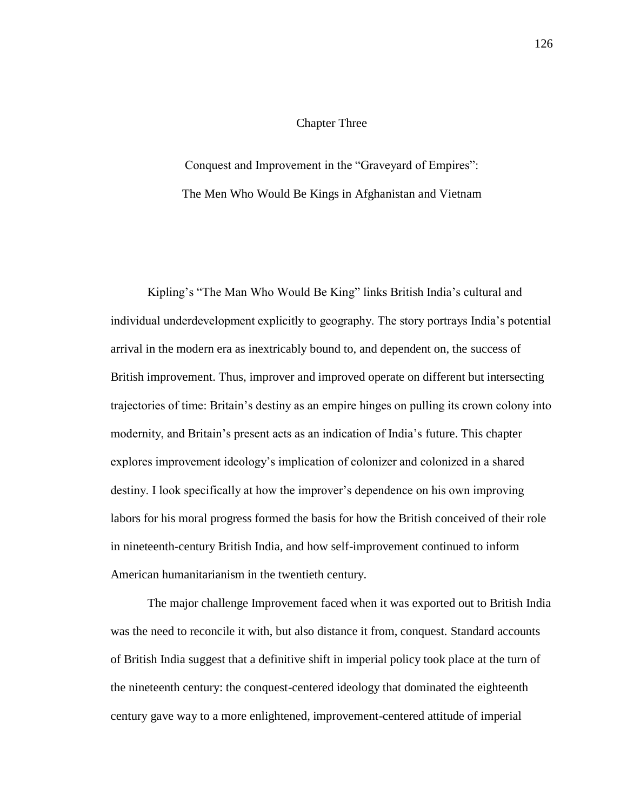## Chapter Three

Conquest and Improvement in the "Graveyard of Empires": The Men Who Would Be Kings in Afghanistan and Vietnam

Kipling's "The Man Who Would Be King" links British India's cultural and individual underdevelopment explicitly to geography. The story portrays India's potential arrival in the modern era as inextricably bound to, and dependent on, the success of British improvement. Thus, improver and improved operate on different but intersecting trajectories of time: Britain's destiny as an empire hinges on pulling its crown colony into modernity, and Britain's present acts as an indication of India's future. This chapter explores improvement ideology's implication of colonizer and colonized in a shared destiny. I look specifically at how the improver's dependence on his own improving labors for his moral progress formed the basis for how the British conceived of their role in nineteenth-century British India, and how self-improvement continued to inform American humanitarianism in the twentieth century.

The major challenge Improvement faced when it was exported out to British India was the need to reconcile it with, but also distance it from, conquest. Standard accounts of British India suggest that a definitive shift in imperial policy took place at the turn of the nineteenth century: the conquest-centered ideology that dominated the eighteenth century gave way to a more enlightened, improvement-centered attitude of imperial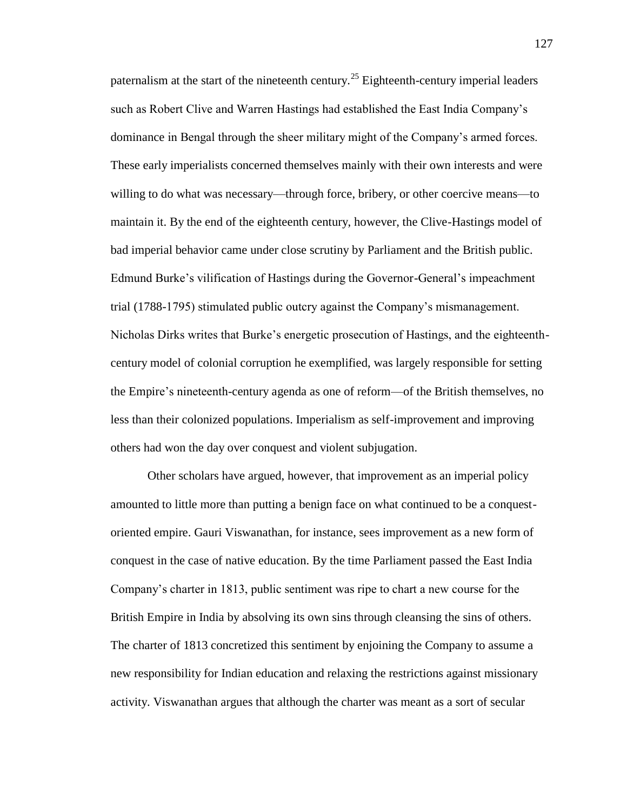paternalism at the start of the nineteenth century.<sup>25</sup> Eighteenth-century imperial leaders such as Robert Clive and Warren Hastings had established the East India Company's dominance in Bengal through the sheer military might of the Company's armed forces. These early imperialists concerned themselves mainly with their own interests and were willing to do what was necessary—through force, bribery, or other coercive means—to maintain it. By the end of the eighteenth century, however, the Clive-Hastings model of bad imperial behavior came under close scrutiny by Parliament and the British public. Edmund Burke's vilification of Hastings during the Governor-General's impeachment trial (1788-1795) stimulated public outcry against the Company's mismanagement. Nicholas Dirks writes that Burke's energetic prosecution of Hastings, and the eighteenthcentury model of colonial corruption he exemplified, was largely responsible for setting the Empire's nineteenth-century agenda as one of reform—of the British themselves, no less than their colonized populations. Imperialism as self-improvement and improving others had won the day over conquest and violent subjugation.

Other scholars have argued, however, that improvement as an imperial policy amounted to little more than putting a benign face on what continued to be a conquestoriented empire. Gauri Viswanathan, for instance, sees improvement as a new form of conquest in the case of native education. By the time Parliament passed the East India Company's charter in 1813, public sentiment was ripe to chart a new course for the British Empire in India by absolving its own sins through cleansing the sins of others. The charter of 1813 concretized this sentiment by enjoining the Company to assume a new responsibility for Indian education and relaxing the restrictions against missionary activity. Viswanathan argues that although the charter was meant as a sort of secular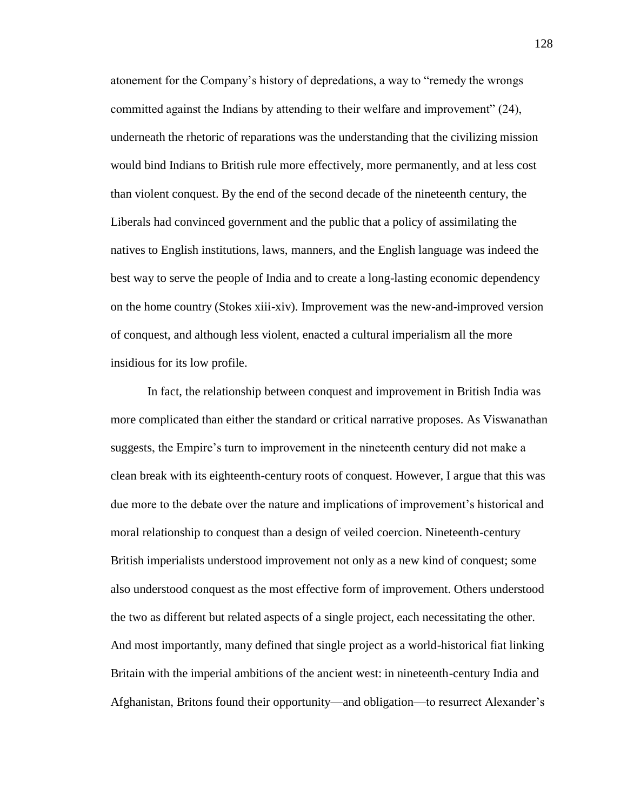atonement for the Company's history of depredations, a way to "remedy the wrongs committed against the Indians by attending to their welfare and improvement" (24), underneath the rhetoric of reparations was the understanding that the civilizing mission would bind Indians to British rule more effectively, more permanently, and at less cost than violent conquest. By the end of the second decade of the nineteenth century, the Liberals had convinced government and the public that a policy of assimilating the natives to English institutions, laws, manners, and the English language was indeed the best way to serve the people of India and to create a long-lasting economic dependency on the home country (Stokes xiii-xiv). Improvement was the new-and-improved version of conquest, and although less violent, enacted a cultural imperialism all the more insidious for its low profile.

In fact, the relationship between conquest and improvement in British India was more complicated than either the standard or critical narrative proposes. As Viswanathan suggests, the Empire's turn to improvement in the nineteenth century did not make a clean break with its eighteenth-century roots of conquest. However, I argue that this was due more to the debate over the nature and implications of improvement's historical and moral relationship to conquest than a design of veiled coercion. Nineteenth-century British imperialists understood improvement not only as a new kind of conquest; some also understood conquest as the most effective form of improvement. Others understood the two as different but related aspects of a single project, each necessitating the other. And most importantly, many defined that single project as a world-historical fiat linking Britain with the imperial ambitions of the ancient west: in nineteenth-century India and Afghanistan, Britons found their opportunity—and obligation—to resurrect Alexander's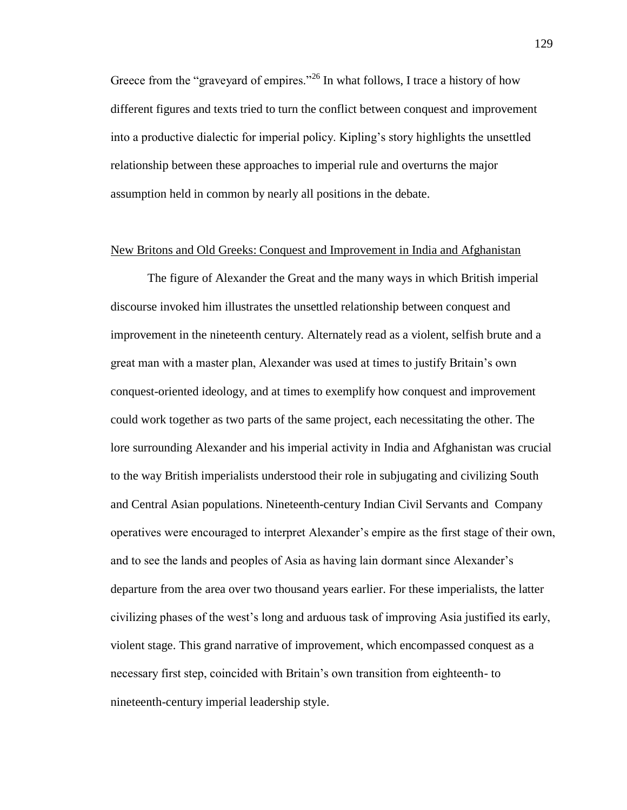Greece from the "graveyard of empires."<sup>26</sup> In what follows, I trace a history of how different figures and texts tried to turn the conflict between conquest and improvement into a productive dialectic for imperial policy. Kipling's story highlights the unsettled relationship between these approaches to imperial rule and overturns the major assumption held in common by nearly all positions in the debate.

## New Britons and Old Greeks: Conquest and Improvement in India and Afghanistan

The figure of Alexander the Great and the many ways in which British imperial discourse invoked him illustrates the unsettled relationship between conquest and improvement in the nineteenth century. Alternately read as a violent, selfish brute and a great man with a master plan, Alexander was used at times to justify Britain's own conquest-oriented ideology, and at times to exemplify how conquest and improvement could work together as two parts of the same project, each necessitating the other. The lore surrounding Alexander and his imperial activity in India and Afghanistan was crucial to the way British imperialists understood their role in subjugating and civilizing South and Central Asian populations. Nineteenth-century Indian Civil Servants and Company operatives were encouraged to interpret Alexander's empire as the first stage of their own, and to see the lands and peoples of Asia as having lain dormant since Alexander's departure from the area over two thousand years earlier. For these imperialists, the latter civilizing phases of the west's long and arduous task of improving Asia justified its early, violent stage. This grand narrative of improvement, which encompassed conquest as a necessary first step, coincided with Britain's own transition from eighteenth- to nineteenth-century imperial leadership style.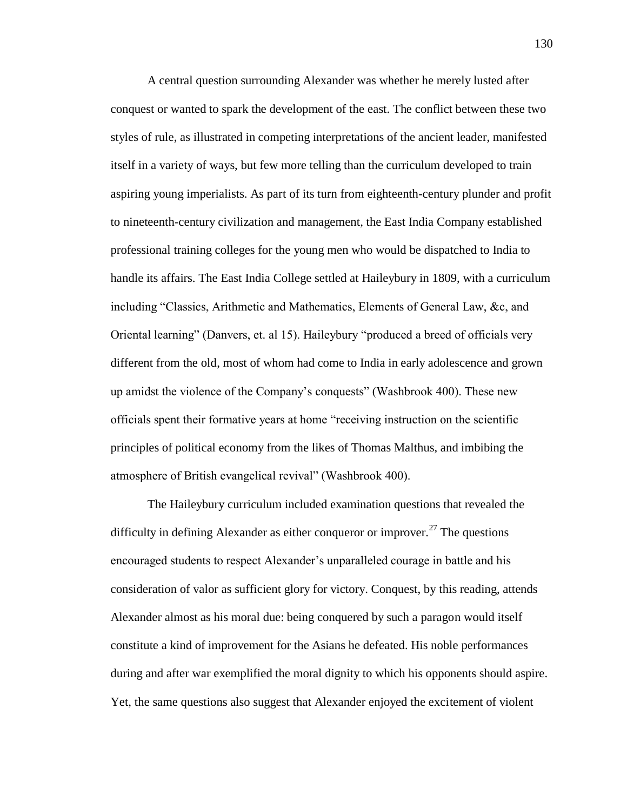A central question surrounding Alexander was whether he merely lusted after conquest or wanted to spark the development of the east. The conflict between these two styles of rule, as illustrated in competing interpretations of the ancient leader, manifested itself in a variety of ways, but few more telling than the curriculum developed to train aspiring young imperialists. As part of its turn from eighteenth-century plunder and profit to nineteenth-century civilization and management, the East India Company established professional training colleges for the young men who would be dispatched to India to handle its affairs. The East India College settled at Haileybury in 1809, with a curriculum including "Classics, Arithmetic and Mathematics, Elements of General Law, &c, and Oriental learning" (Danvers, et. al 15). Haileybury "produced a breed of officials very different from the old, most of whom had come to India in early adolescence and grown up amidst the violence of the Company's conquests" (Washbrook 400). These new officials spent their formative years at home "receiving instruction on the scientific principles of political economy from the likes of Thomas Malthus, and imbibing the atmosphere of British evangelical revival" (Washbrook 400).

The Haileybury curriculum included examination questions that revealed the difficulty in defining Alexander as either conqueror or improver.<sup>27</sup> The questions encouraged students to respect Alexander's unparalleled courage in battle and his consideration of valor as sufficient glory for victory. Conquest, by this reading, attends Alexander almost as his moral due: being conquered by such a paragon would itself constitute a kind of improvement for the Asians he defeated. His noble performances during and after war exemplified the moral dignity to which his opponents should aspire. Yet, the same questions also suggest that Alexander enjoyed the excitement of violent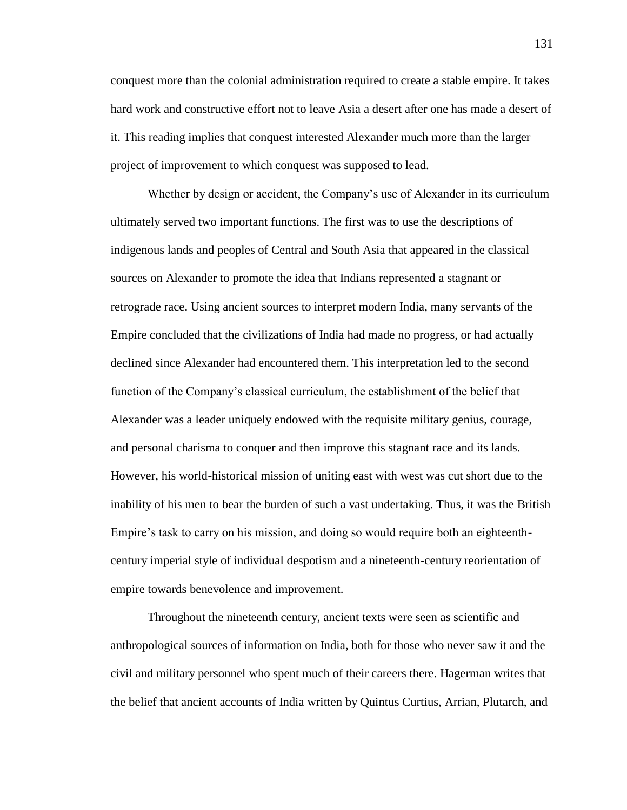conquest more than the colonial administration required to create a stable empire. It takes hard work and constructive effort not to leave Asia a desert after one has made a desert of it. This reading implies that conquest interested Alexander much more than the larger project of improvement to which conquest was supposed to lead.

Whether by design or accident, the Company's use of Alexander in its curriculum ultimately served two important functions. The first was to use the descriptions of indigenous lands and peoples of Central and South Asia that appeared in the classical sources on Alexander to promote the idea that Indians represented a stagnant or retrograde race. Using ancient sources to interpret modern India, many servants of the Empire concluded that the civilizations of India had made no progress, or had actually declined since Alexander had encountered them. This interpretation led to the second function of the Company's classical curriculum, the establishment of the belief that Alexander was a leader uniquely endowed with the requisite military genius, courage, and personal charisma to conquer and then improve this stagnant race and its lands. However, his world-historical mission of uniting east with west was cut short due to the inability of his men to bear the burden of such a vast undertaking. Thus, it was the British Empire's task to carry on his mission, and doing so would require both an eighteenthcentury imperial style of individual despotism and a nineteenth-century reorientation of empire towards benevolence and improvement.

Throughout the nineteenth century, ancient texts were seen as scientific and anthropological sources of information on India, both for those who never saw it and the civil and military personnel who spent much of their careers there. Hagerman writes that the belief that ancient accounts of India written by Quintus Curtius, Arrian, Plutarch, and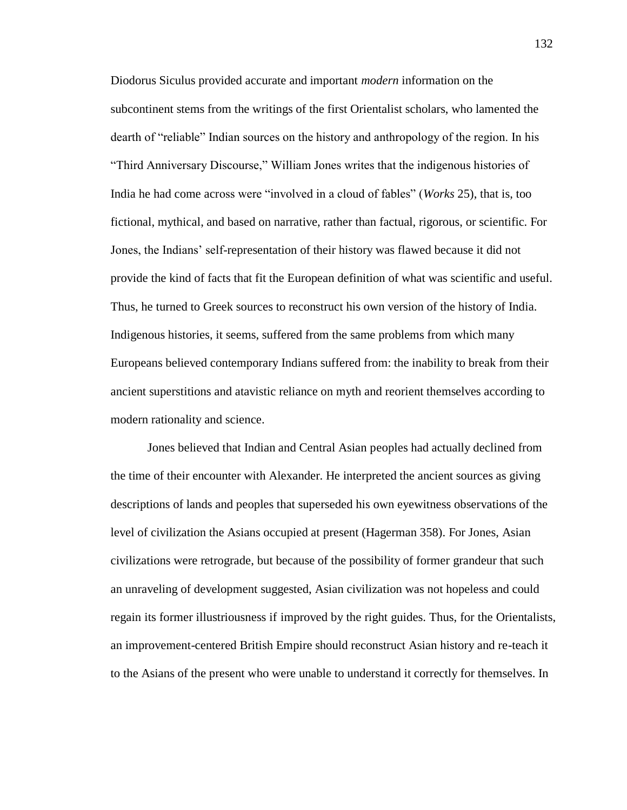Diodorus Siculus provided accurate and important *modern* information on the subcontinent stems from the writings of the first Orientalist scholars, who lamented the dearth of "reliable" Indian sources on the history and anthropology of the region. In his "Third Anniversary Discourse," William Jones writes that the indigenous histories of India he had come across were "involved in a cloud of fables" (*Works* 25), that is, too fictional, mythical, and based on narrative, rather than factual, rigorous, or scientific. For Jones, the Indians' self-representation of their history was flawed because it did not provide the kind of facts that fit the European definition of what was scientific and useful. Thus, he turned to Greek sources to reconstruct his own version of the history of India. Indigenous histories, it seems, suffered from the same problems from which many Europeans believed contemporary Indians suffered from: the inability to break from their ancient superstitions and atavistic reliance on myth and reorient themselves according to modern rationality and science.

Jones believed that Indian and Central Asian peoples had actually declined from the time of their encounter with Alexander. He interpreted the ancient sources as giving descriptions of lands and peoples that superseded his own eyewitness observations of the level of civilization the Asians occupied at present (Hagerman 358). For Jones, Asian civilizations were retrograde, but because of the possibility of former grandeur that such an unraveling of development suggested, Asian civilization was not hopeless and could regain its former illustriousness if improved by the right guides. Thus, for the Orientalists, an improvement-centered British Empire should reconstruct Asian history and re-teach it to the Asians of the present who were unable to understand it correctly for themselves. In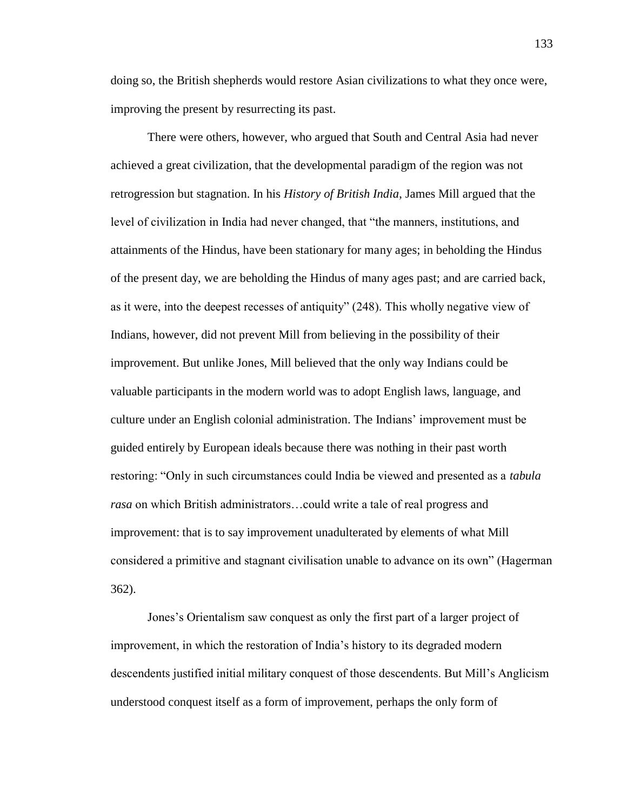doing so, the British shepherds would restore Asian civilizations to what they once were, improving the present by resurrecting its past.

There were others, however, who argued that South and Central Asia had never achieved a great civilization, that the developmental paradigm of the region was not retrogression but stagnation. In his *History of British India*, James Mill argued that the level of civilization in India had never changed, that "the manners, institutions, and attainments of the Hindus, have been stationary for many ages; in beholding the Hindus of the present day, we are beholding the Hindus of many ages past; and are carried back, as it were, into the deepest recesses of antiquity" (248). This wholly negative view of Indians, however, did not prevent Mill from believing in the possibility of their improvement. But unlike Jones, Mill believed that the only way Indians could be valuable participants in the modern world was to adopt English laws, language, and culture under an English colonial administration. The Indians' improvement must be guided entirely by European ideals because there was nothing in their past worth restoring: "Only in such circumstances could India be viewed and presented as a *tabula rasa* on which British administrators…could write a tale of real progress and improvement: that is to say improvement unadulterated by elements of what Mill considered a primitive and stagnant civilisation unable to advance on its own" (Hagerman 362).

Jones's Orientalism saw conquest as only the first part of a larger project of improvement, in which the restoration of India's history to its degraded modern descendents justified initial military conquest of those descendents. But Mill's Anglicism understood conquest itself as a form of improvement, perhaps the only form of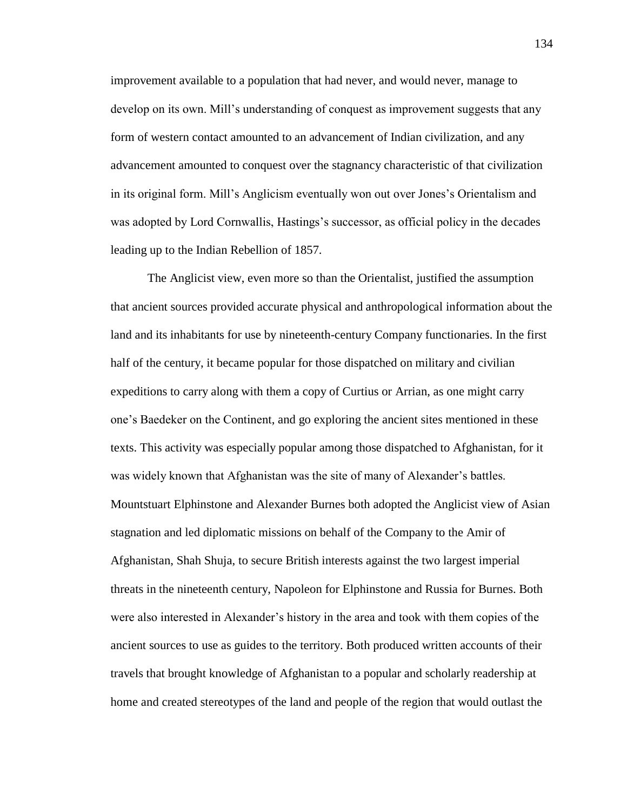improvement available to a population that had never, and would never, manage to develop on its own. Mill's understanding of conquest as improvement suggests that any form of western contact amounted to an advancement of Indian civilization, and any advancement amounted to conquest over the stagnancy characteristic of that civilization in its original form. Mill's Anglicism eventually won out over Jones's Orientalism and was adopted by Lord Cornwallis, Hastings's successor, as official policy in the decades leading up to the Indian Rebellion of 1857.

The Anglicist view, even more so than the Orientalist, justified the assumption that ancient sources provided accurate physical and anthropological information about the land and its inhabitants for use by nineteenth-century Company functionaries. In the first half of the century, it became popular for those dispatched on military and civilian expeditions to carry along with them a copy of Curtius or Arrian, as one might carry one's Baedeker on the Continent, and go exploring the ancient sites mentioned in these texts. This activity was especially popular among those dispatched to Afghanistan, for it was widely known that Afghanistan was the site of many of Alexander's battles. Mountstuart Elphinstone and Alexander Burnes both adopted the Anglicist view of Asian stagnation and led diplomatic missions on behalf of the Company to the Amir of Afghanistan, Shah Shuja, to secure British interests against the two largest imperial threats in the nineteenth century, Napoleon for Elphinstone and Russia for Burnes. Both were also interested in Alexander's history in the area and took with them copies of the ancient sources to use as guides to the territory. Both produced written accounts of their travels that brought knowledge of Afghanistan to a popular and scholarly readership at home and created stereotypes of the land and people of the region that would outlast the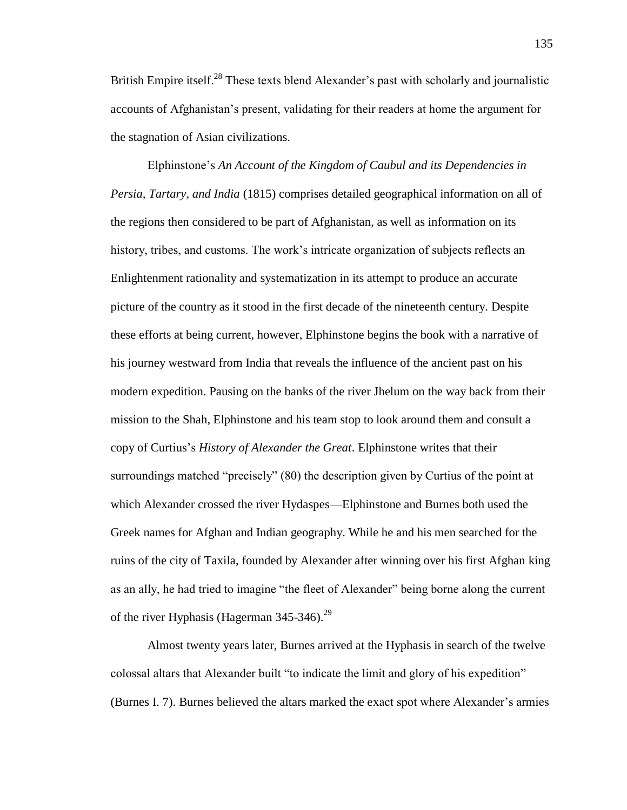British Empire itself.<sup>28</sup> These texts blend Alexander's past with scholarly and journalistic accounts of Afghanistan's present, validating for their readers at home the argument for the stagnation of Asian civilizations.

Elphinstone's *An Account of the Kingdom of Caubul and its Dependencies in Persia, Tartary, and India* (1815) comprises detailed geographical information on all of the regions then considered to be part of Afghanistan, as well as information on its history, tribes, and customs. The work's intricate organization of subjects reflects an Enlightenment rationality and systematization in its attempt to produce an accurate picture of the country as it stood in the first decade of the nineteenth century. Despite these efforts at being current, however, Elphinstone begins the book with a narrative of his journey westward from India that reveals the influence of the ancient past on his modern expedition. Pausing on the banks of the river Jhelum on the way back from their mission to the Shah, Elphinstone and his team stop to look around them and consult a copy of Curtius's *History of Alexander the Great*. Elphinstone writes that their surroundings matched "precisely" (80) the description given by Curtius of the point at which Alexander crossed the river Hydaspes—Elphinstone and Burnes both used the Greek names for Afghan and Indian geography. While he and his men searched for the ruins of the city of Taxila, founded by Alexander after winning over his first Afghan king as an ally, he had tried to imagine "the fleet of Alexander" being borne along the current of the river Hyphasis (Hagerman  $345-346$ ).<sup>29</sup>

Almost twenty years later, Burnes arrived at the Hyphasis in search of the twelve colossal altars that Alexander built "to indicate the limit and glory of his expedition" (Burnes I. 7). Burnes believed the altars marked the exact spot where Alexander's armies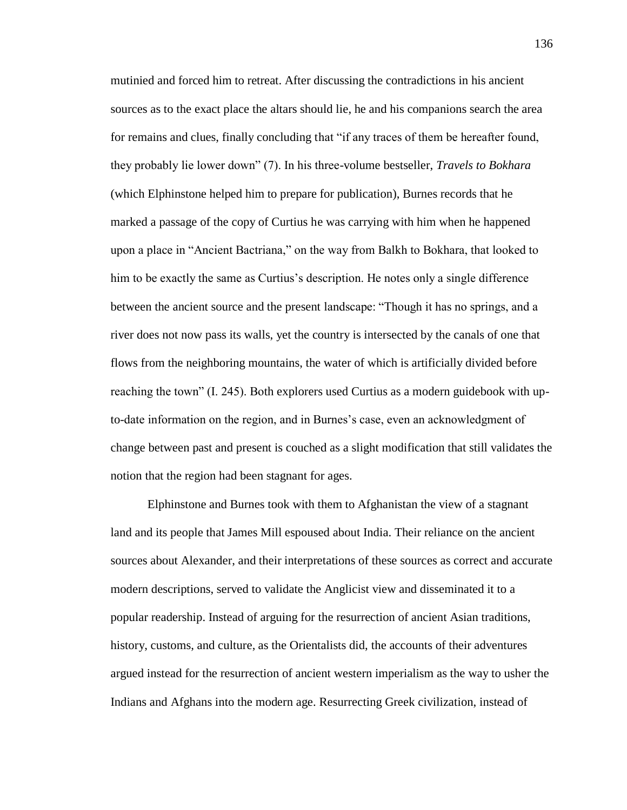mutinied and forced him to retreat. After discussing the contradictions in his ancient sources as to the exact place the altars should lie, he and his companions search the area for remains and clues, finally concluding that "if any traces of them be hereafter found, they probably lie lower down" (7). In his three-volume bestseller, *Travels to Bokhara* (which Elphinstone helped him to prepare for publication), Burnes records that he marked a passage of the copy of Curtius he was carrying with him when he happened upon a place in "Ancient Bactriana," on the way from Balkh to Bokhara, that looked to him to be exactly the same as Curtius's description. He notes only a single difference between the ancient source and the present landscape: "Though it has no springs, and a river does not now pass its walls, yet the country is intersected by the canals of one that flows from the neighboring mountains, the water of which is artificially divided before reaching the town" (I. 245). Both explorers used Curtius as a modern guidebook with upto-date information on the region, and in Burnes's case, even an acknowledgment of change between past and present is couched as a slight modification that still validates the notion that the region had been stagnant for ages.

Elphinstone and Burnes took with them to Afghanistan the view of a stagnant land and its people that James Mill espoused about India. Their reliance on the ancient sources about Alexander, and their interpretations of these sources as correct and accurate modern descriptions, served to validate the Anglicist view and disseminated it to a popular readership. Instead of arguing for the resurrection of ancient Asian traditions, history, customs, and culture, as the Orientalists did, the accounts of their adventures argued instead for the resurrection of ancient western imperialism as the way to usher the Indians and Afghans into the modern age. Resurrecting Greek civilization, instead of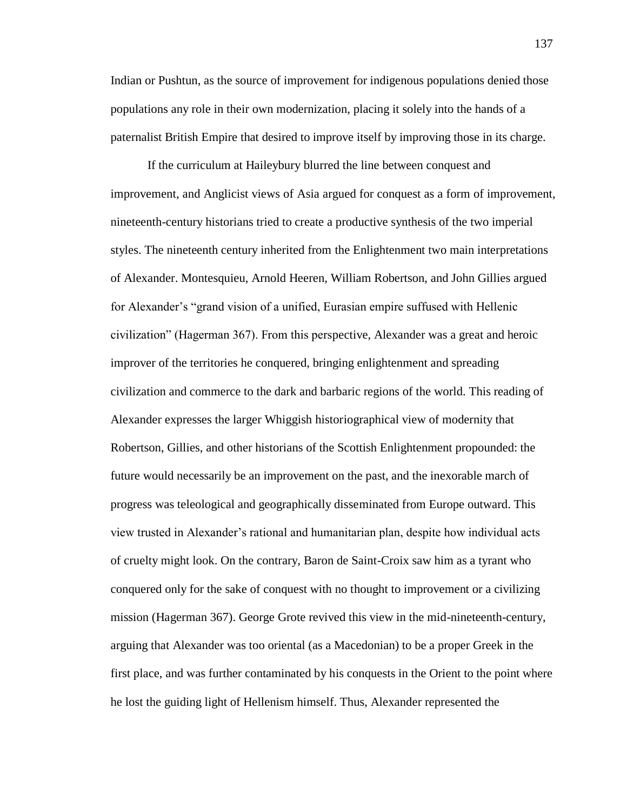Indian or Pushtun, as the source of improvement for indigenous populations denied those populations any role in their own modernization, placing it solely into the hands of a paternalist British Empire that desired to improve itself by improving those in its charge.

If the curriculum at Haileybury blurred the line between conquest and improvement, and Anglicist views of Asia argued for conquest as a form of improvement, nineteenth-century historians tried to create a productive synthesis of the two imperial styles. The nineteenth century inherited from the Enlightenment two main interpretations of Alexander. Montesquieu, Arnold Heeren, William Robertson, and John Gillies argued for Alexander's "grand vision of a unified, Eurasian empire suffused with Hellenic civilization" (Hagerman 367). From this perspective, Alexander was a great and heroic improver of the territories he conquered, bringing enlightenment and spreading civilization and commerce to the dark and barbaric regions of the world. This reading of Alexander expresses the larger Whiggish historiographical view of modernity that Robertson, Gillies, and other historians of the Scottish Enlightenment propounded: the future would necessarily be an improvement on the past, and the inexorable march of progress was teleological and geographically disseminated from Europe outward. This view trusted in Alexander's rational and humanitarian plan, despite how individual acts of cruelty might look. On the contrary, Baron de Saint-Croix saw him as a tyrant who conquered only for the sake of conquest with no thought to improvement or a civilizing mission (Hagerman 367). George Grote revived this view in the mid-nineteenth-century, arguing that Alexander was too oriental (as a Macedonian) to be a proper Greek in the first place, and was further contaminated by his conquests in the Orient to the point where he lost the guiding light of Hellenism himself. Thus, Alexander represented the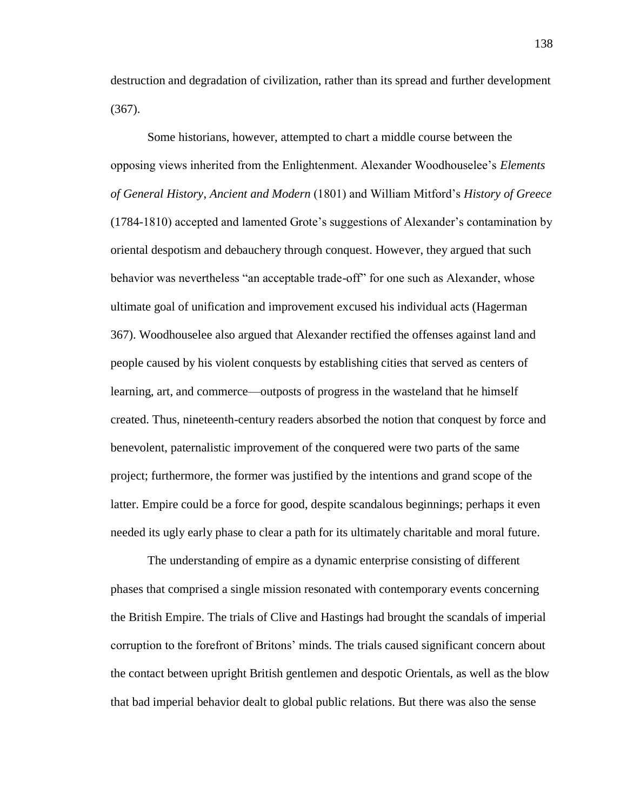destruction and degradation of civilization, rather than its spread and further development (367).

Some historians, however, attempted to chart a middle course between the opposing views inherited from the Enlightenment. Alexander Woodhouselee's *Elements of General History*, *Ancient and Modern* (1801) and William Mitford's *History of Greece* (1784-1810) accepted and lamented Grote's suggestions of Alexander's contamination by oriental despotism and debauchery through conquest. However, they argued that such behavior was nevertheless "an acceptable trade-off" for one such as Alexander, whose ultimate goal of unification and improvement excused his individual acts (Hagerman 367). Woodhouselee also argued that Alexander rectified the offenses against land and people caused by his violent conquests by establishing cities that served as centers of learning, art, and commerce—outposts of progress in the wasteland that he himself created. Thus, nineteenth-century readers absorbed the notion that conquest by force and benevolent, paternalistic improvement of the conquered were two parts of the same project; furthermore, the former was justified by the intentions and grand scope of the latter. Empire could be a force for good, despite scandalous beginnings; perhaps it even needed its ugly early phase to clear a path for its ultimately charitable and moral future.

The understanding of empire as a dynamic enterprise consisting of different phases that comprised a single mission resonated with contemporary events concerning the British Empire. The trials of Clive and Hastings had brought the scandals of imperial corruption to the forefront of Britons' minds. The trials caused significant concern about the contact between upright British gentlemen and despotic Orientals, as well as the blow that bad imperial behavior dealt to global public relations. But there was also the sense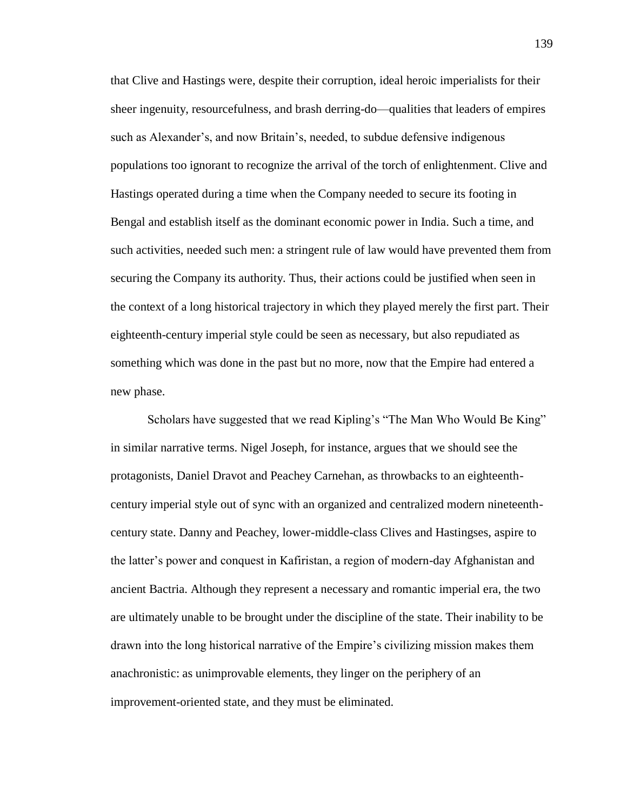that Clive and Hastings were, despite their corruption, ideal heroic imperialists for their sheer ingenuity, resourcefulness, and brash derring-do—qualities that leaders of empires such as Alexander's, and now Britain's, needed, to subdue defensive indigenous populations too ignorant to recognize the arrival of the torch of enlightenment. Clive and Hastings operated during a time when the Company needed to secure its footing in Bengal and establish itself as the dominant economic power in India. Such a time, and such activities, needed such men: a stringent rule of law would have prevented them from securing the Company its authority. Thus, their actions could be justified when seen in the context of a long historical trajectory in which they played merely the first part. Their eighteenth-century imperial style could be seen as necessary, but also repudiated as something which was done in the past but no more, now that the Empire had entered a new phase.

Scholars have suggested that we read Kipling's "The Man Who Would Be King" in similar narrative terms. Nigel Joseph, for instance, argues that we should see the protagonists, Daniel Dravot and Peachey Carnehan, as throwbacks to an eighteenthcentury imperial style out of sync with an organized and centralized modern nineteenthcentury state. Danny and Peachey, lower-middle-class Clives and Hastingses, aspire to the latter's power and conquest in Kafiristan, a region of modern-day Afghanistan and ancient Bactria. Although they represent a necessary and romantic imperial era, the two are ultimately unable to be brought under the discipline of the state. Their inability to be drawn into the long historical narrative of the Empire's civilizing mission makes them anachronistic: as unimprovable elements, they linger on the periphery of an improvement-oriented state, and they must be eliminated.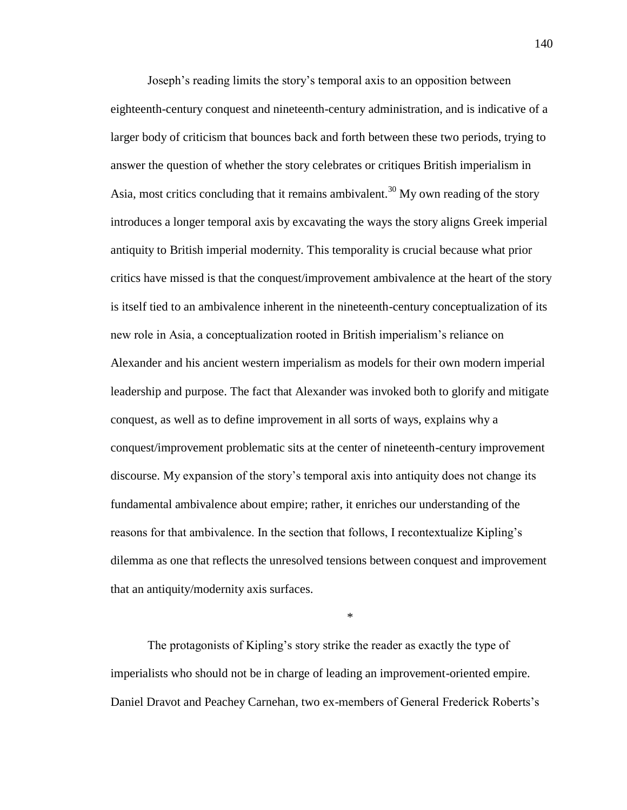Joseph's reading limits the story's temporal axis to an opposition between eighteenth-century conquest and nineteenth-century administration, and is indicative of a larger body of criticism that bounces back and forth between these two periods, trying to answer the question of whether the story celebrates or critiques British imperialism in Asia, most critics concluding that it remains ambivalent.<sup>30</sup> My own reading of the story introduces a longer temporal axis by excavating the ways the story aligns Greek imperial antiquity to British imperial modernity. This temporality is crucial because what prior critics have missed is that the conquest/improvement ambivalence at the heart of the story is itself tied to an ambivalence inherent in the nineteenth-century conceptualization of its new role in Asia, a conceptualization rooted in British imperialism's reliance on Alexander and his ancient western imperialism as models for their own modern imperial leadership and purpose. The fact that Alexander was invoked both to glorify and mitigate conquest, as well as to define improvement in all sorts of ways, explains why a conquest/improvement problematic sits at the center of nineteenth-century improvement discourse. My expansion of the story's temporal axis into antiquity does not change its fundamental ambivalence about empire; rather, it enriches our understanding of the reasons for that ambivalence. In the section that follows, I recontextualize Kipling's dilemma as one that reflects the unresolved tensions between conquest and improvement that an antiquity/modernity axis surfaces.

\*

The protagonists of Kipling's story strike the reader as exactly the type of imperialists who should not be in charge of leading an improvement-oriented empire. Daniel Dravot and Peachey Carnehan, two ex-members of General Frederick Roberts's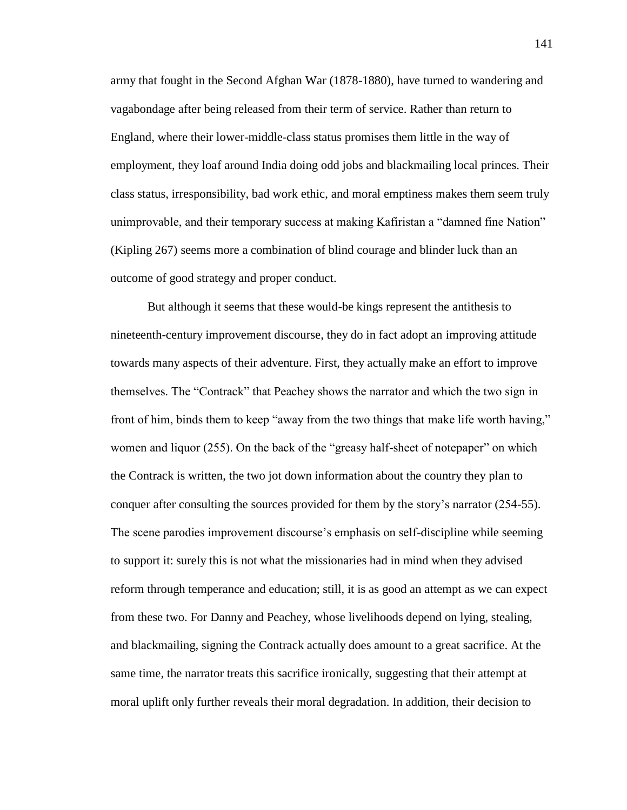army that fought in the Second Afghan War (1878-1880), have turned to wandering and vagabondage after being released from their term of service. Rather than return to England, where their lower-middle-class status promises them little in the way of employment, they loaf around India doing odd jobs and blackmailing local princes. Their class status, irresponsibility, bad work ethic, and moral emptiness makes them seem truly unimprovable, and their temporary success at making Kafiristan a "damned fine Nation" (Kipling 267) seems more a combination of blind courage and blinder luck than an outcome of good strategy and proper conduct.

But although it seems that these would-be kings represent the antithesis to nineteenth-century improvement discourse, they do in fact adopt an improving attitude towards many aspects of their adventure. First, they actually make an effort to improve themselves. The "Contrack" that Peachey shows the narrator and which the two sign in front of him, binds them to keep "away from the two things that make life worth having," women and liquor (255). On the back of the "greasy half-sheet of notepaper" on which the Contrack is written, the two jot down information about the country they plan to conquer after consulting the sources provided for them by the story's narrator (254-55). The scene parodies improvement discourse's emphasis on self-discipline while seeming to support it: surely this is not what the missionaries had in mind when they advised reform through temperance and education; still, it is as good an attempt as we can expect from these two. For Danny and Peachey, whose livelihoods depend on lying, stealing, and blackmailing, signing the Contrack actually does amount to a great sacrifice. At the same time, the narrator treats this sacrifice ironically, suggesting that their attempt at moral uplift only further reveals their moral degradation. In addition, their decision to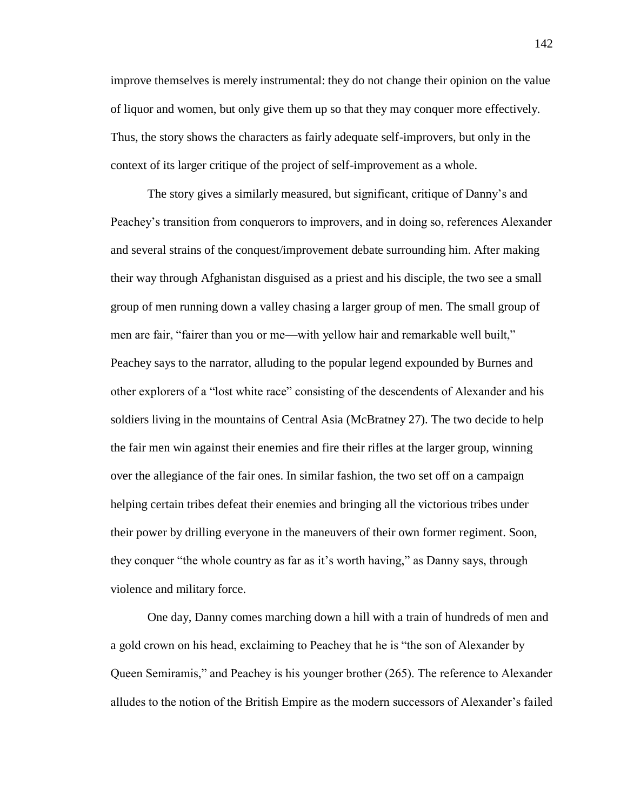improve themselves is merely instrumental: they do not change their opinion on the value of liquor and women, but only give them up so that they may conquer more effectively. Thus, the story shows the characters as fairly adequate self-improvers, but only in the context of its larger critique of the project of self-improvement as a whole.

The story gives a similarly measured, but significant, critique of Danny's and Peachey's transition from conquerors to improvers, and in doing so, references Alexander and several strains of the conquest/improvement debate surrounding him. After making their way through Afghanistan disguised as a priest and his disciple, the two see a small group of men running down a valley chasing a larger group of men. The small group of men are fair, "fairer than you or me—with yellow hair and remarkable well built," Peachey says to the narrator, alluding to the popular legend expounded by Burnes and other explorers of a "lost white race" consisting of the descendents of Alexander and his soldiers living in the mountains of Central Asia (McBratney 27). The two decide to help the fair men win against their enemies and fire their rifles at the larger group, winning over the allegiance of the fair ones. In similar fashion, the two set off on a campaign helping certain tribes defeat their enemies and bringing all the victorious tribes under their power by drilling everyone in the maneuvers of their own former regiment. Soon, they conquer "the whole country as far as it's worth having," as Danny says, through violence and military force.

One day, Danny comes marching down a hill with a train of hundreds of men and a gold crown on his head, exclaiming to Peachey that he is "the son of Alexander by Queen Semiramis," and Peachey is his younger brother (265). The reference to Alexander alludes to the notion of the British Empire as the modern successors of Alexander's failed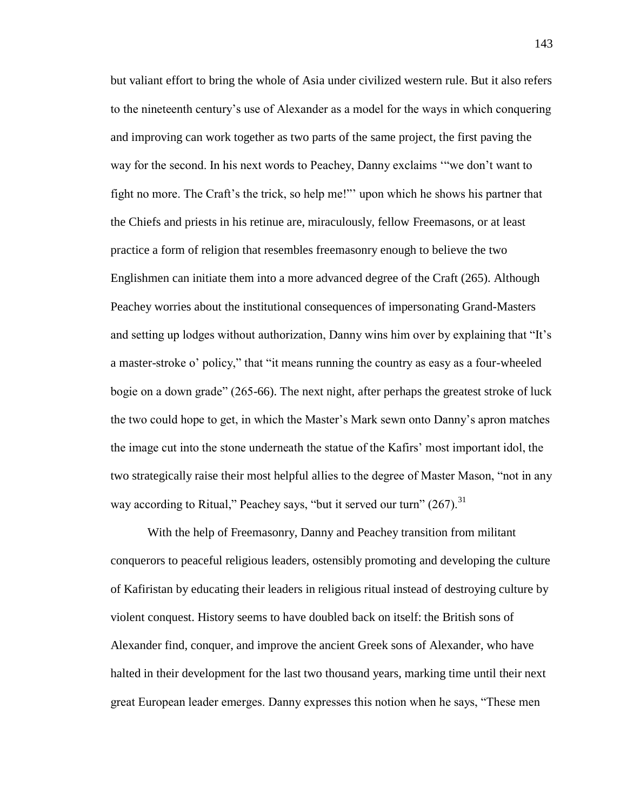but valiant effort to bring the whole of Asia under civilized western rule. But it also refers to the nineteenth century's use of Alexander as a model for the ways in which conquering and improving can work together as two parts of the same project, the first paving the way for the second. In his next words to Peachey, Danny exclaims '"we don't want to fight no more. The Craft's the trick, so help me!"' upon which he shows his partner that the Chiefs and priests in his retinue are, miraculously, fellow Freemasons, or at least practice a form of religion that resembles freemasonry enough to believe the two Englishmen can initiate them into a more advanced degree of the Craft (265). Although Peachey worries about the institutional consequences of impersonating Grand-Masters and setting up lodges without authorization, Danny wins him over by explaining that "It's a master-stroke o' policy," that "it means running the country as easy as a four-wheeled bogie on a down grade" (265-66). The next night, after perhaps the greatest stroke of luck the two could hope to get, in which the Master's Mark sewn onto Danny's apron matches the image cut into the stone underneath the statue of the Kafirs' most important idol, the two strategically raise their most helpful allies to the degree of Master Mason, "not in any way according to Ritual," Peachey says, "but it served our turn"  $(267)$ .<sup>31</sup>

With the help of Freemasonry, Danny and Peachey transition from militant conquerors to peaceful religious leaders, ostensibly promoting and developing the culture of Kafiristan by educating their leaders in religious ritual instead of destroying culture by violent conquest. History seems to have doubled back on itself: the British sons of Alexander find, conquer, and improve the ancient Greek sons of Alexander, who have halted in their development for the last two thousand years, marking time until their next great European leader emerges. Danny expresses this notion when he says, "These men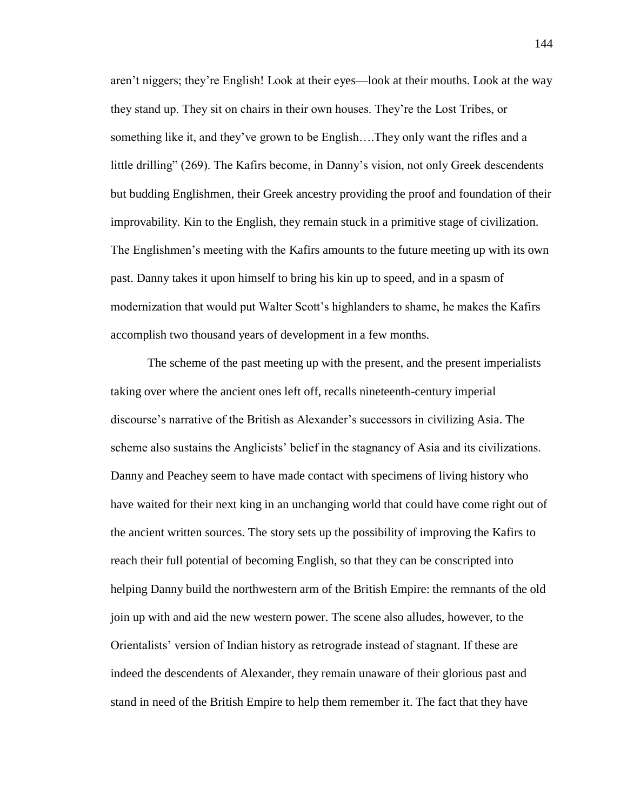aren't niggers; they're English! Look at their eyes—look at their mouths. Look at the way they stand up. They sit on chairs in their own houses. They're the Lost Tribes, or something like it, and they've grown to be English….They only want the rifles and a little drilling" (269). The Kafirs become, in Danny's vision, not only Greek descendents but budding Englishmen, their Greek ancestry providing the proof and foundation of their improvability. Kin to the English, they remain stuck in a primitive stage of civilization. The Englishmen's meeting with the Kafirs amounts to the future meeting up with its own past. Danny takes it upon himself to bring his kin up to speed, and in a spasm of modernization that would put Walter Scott's highlanders to shame, he makes the Kafirs accomplish two thousand years of development in a few months.

The scheme of the past meeting up with the present, and the present imperialists taking over where the ancient ones left off, recalls nineteenth-century imperial discourse's narrative of the British as Alexander's successors in civilizing Asia. The scheme also sustains the Anglicists' belief in the stagnancy of Asia and its civilizations. Danny and Peachey seem to have made contact with specimens of living history who have waited for their next king in an unchanging world that could have come right out of the ancient written sources. The story sets up the possibility of improving the Kafirs to reach their full potential of becoming English, so that they can be conscripted into helping Danny build the northwestern arm of the British Empire: the remnants of the old join up with and aid the new western power. The scene also alludes, however, to the Orientalists' version of Indian history as retrograde instead of stagnant. If these are indeed the descendents of Alexander, they remain unaware of their glorious past and stand in need of the British Empire to help them remember it. The fact that they have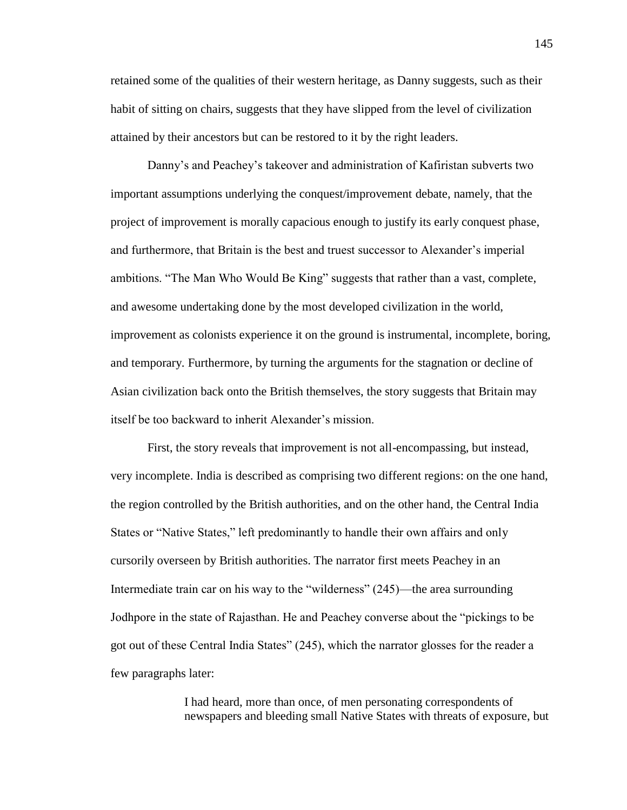retained some of the qualities of their western heritage, as Danny suggests, such as their habit of sitting on chairs, suggests that they have slipped from the level of civilization attained by their ancestors but can be restored to it by the right leaders.

Danny's and Peachey's takeover and administration of Kafiristan subverts two important assumptions underlying the conquest/improvement debate, namely, that the project of improvement is morally capacious enough to justify its early conquest phase, and furthermore, that Britain is the best and truest successor to Alexander's imperial ambitions. "The Man Who Would Be King" suggests that rather than a vast, complete, and awesome undertaking done by the most developed civilization in the world, improvement as colonists experience it on the ground is instrumental, incomplete, boring, and temporary. Furthermore, by turning the arguments for the stagnation or decline of Asian civilization back onto the British themselves, the story suggests that Britain may itself be too backward to inherit Alexander's mission.

First, the story reveals that improvement is not all-encompassing, but instead, very incomplete. India is described as comprising two different regions: on the one hand, the region controlled by the British authorities, and on the other hand, the Central India States or "Native States," left predominantly to handle their own affairs and only cursorily overseen by British authorities. The narrator first meets Peachey in an Intermediate train car on his way to the "wilderness" (245)—the area surrounding Jodhpore in the state of Rajasthan. He and Peachey converse about the "pickings to be got out of these Central India States" (245), which the narrator glosses for the reader a few paragraphs later:

> I had heard, more than once, of men personating correspondents of newspapers and bleeding small Native States with threats of exposure, but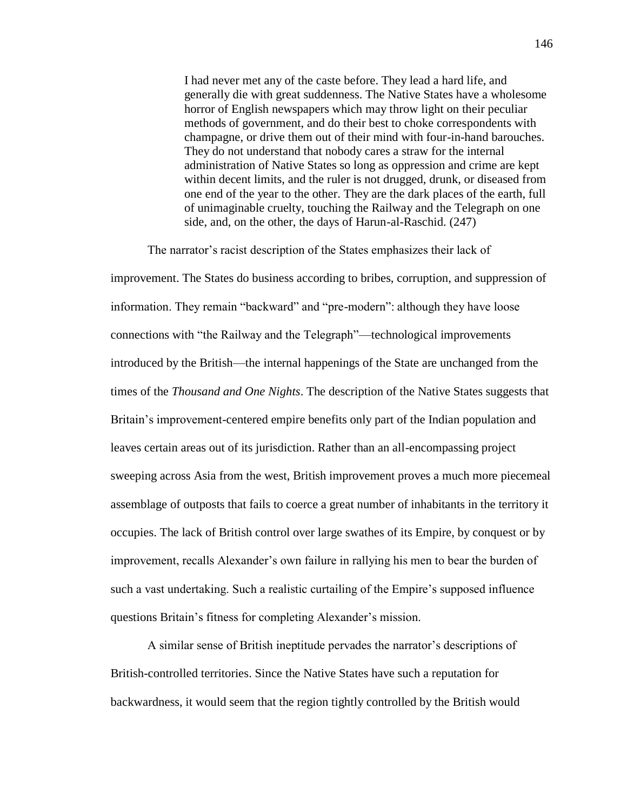I had never met any of the caste before. They lead a hard life, and generally die with great suddenness. The Native States have a wholesome horror of English newspapers which may throw light on their peculiar methods of government, and do their best to choke correspondents with champagne, or drive them out of their mind with four-in-hand barouches. They do not understand that nobody cares a straw for the internal administration of Native States so long as oppression and crime are kept within decent limits, and the ruler is not drugged, drunk, or diseased from one end of the year to the other. They are the dark places of the earth, full of unimaginable cruelty, touching the Railway and the Telegraph on one side, and, on the other, the days of Harun-al-Raschid. (247)

The narrator's racist description of the States emphasizes their lack of improvement. The States do business according to bribes, corruption, and suppression of information. They remain "backward" and "pre-modern": although they have loose connections with "the Railway and the Telegraph"—technological improvements introduced by the British—the internal happenings of the State are unchanged from the times of the *Thousand and One Nights*. The description of the Native States suggests that Britain's improvement-centered empire benefits only part of the Indian population and leaves certain areas out of its jurisdiction. Rather than an all-encompassing project sweeping across Asia from the west, British improvement proves a much more piecemeal assemblage of outposts that fails to coerce a great number of inhabitants in the territory it occupies. The lack of British control over large swathes of its Empire, by conquest or by improvement, recalls Alexander's own failure in rallying his men to bear the burden of such a vast undertaking. Such a realistic curtailing of the Empire's supposed influence questions Britain's fitness for completing Alexander's mission.

A similar sense of British ineptitude pervades the narrator's descriptions of British-controlled territories. Since the Native States have such a reputation for backwardness, it would seem that the region tightly controlled by the British would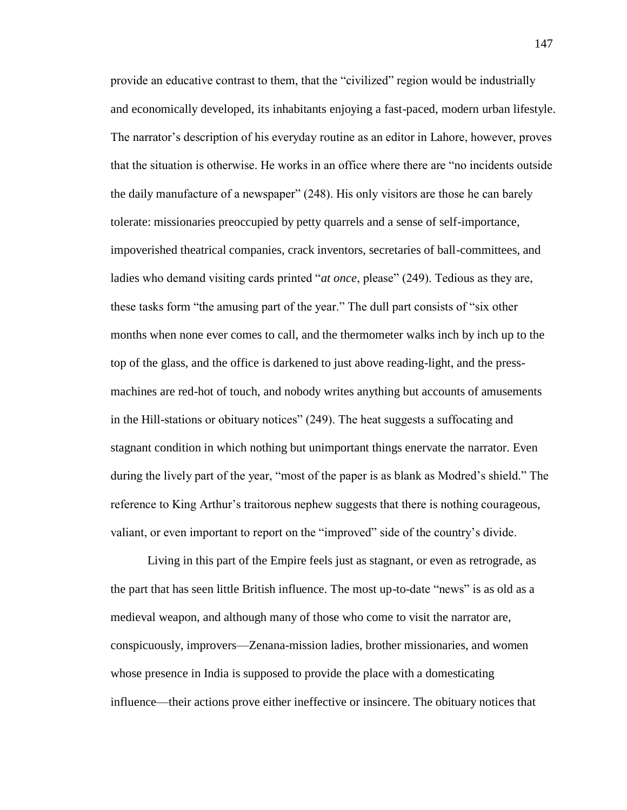provide an educative contrast to them, that the "civilized" region would be industrially and economically developed, its inhabitants enjoying a fast-paced, modern urban lifestyle. The narrator's description of his everyday routine as an editor in Lahore, however, proves that the situation is otherwise. He works in an office where there are "no incidents outside the daily manufacture of a newspaper" (248). His only visitors are those he can barely tolerate: missionaries preoccupied by petty quarrels and a sense of self-importance, impoverished theatrical companies, crack inventors, secretaries of ball-committees, and ladies who demand visiting cards printed "*at once*, please" (249). Tedious as they are, these tasks form "the amusing part of the year." The dull part consists of "six other months when none ever comes to call, and the thermometer walks inch by inch up to the top of the glass, and the office is darkened to just above reading-light, and the pressmachines are red-hot of touch, and nobody writes anything but accounts of amusements in the Hill-stations or obituary notices" (249). The heat suggests a suffocating and stagnant condition in which nothing but unimportant things enervate the narrator. Even during the lively part of the year, "most of the paper is as blank as Modred's shield." The reference to King Arthur's traitorous nephew suggests that there is nothing courageous, valiant, or even important to report on the "improved" side of the country's divide.

Living in this part of the Empire feels just as stagnant, or even as retrograde, as the part that has seen little British influence. The most up-to-date "news" is as old as a medieval weapon, and although many of those who come to visit the narrator are, conspicuously, improvers—Zenana-mission ladies, brother missionaries, and women whose presence in India is supposed to provide the place with a domesticating influence—their actions prove either ineffective or insincere. The obituary notices that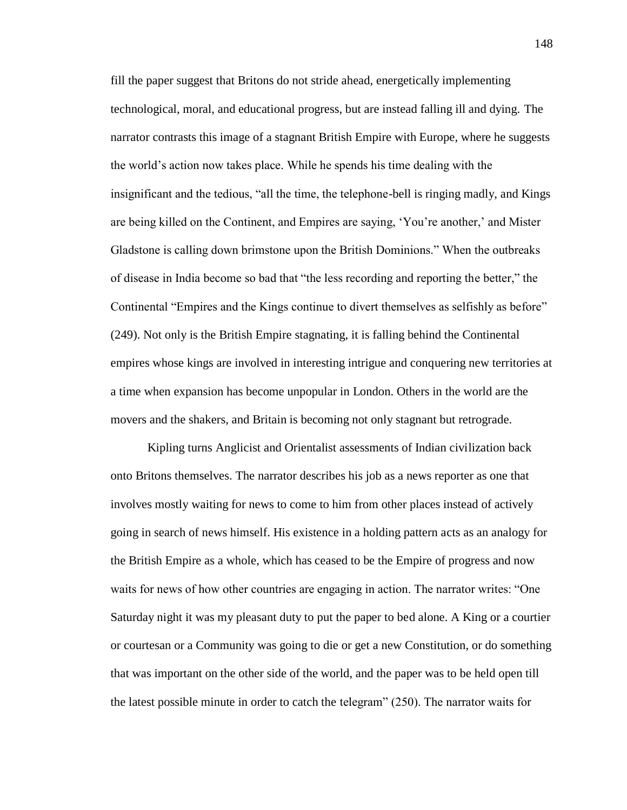fill the paper suggest that Britons do not stride ahead, energetically implementing technological, moral, and educational progress, but are instead falling ill and dying. The narrator contrasts this image of a stagnant British Empire with Europe, where he suggests the world's action now takes place. While he spends his time dealing with the insignificant and the tedious, "all the time, the telephone-bell is ringing madly, and Kings are being killed on the Continent, and Empires are saying, 'You're another,' and Mister Gladstone is calling down brimstone upon the British Dominions." When the outbreaks of disease in India become so bad that "the less recording and reporting the better," the Continental "Empires and the Kings continue to divert themselves as selfishly as before" (249). Not only is the British Empire stagnating, it is falling behind the Continental empires whose kings are involved in interesting intrigue and conquering new territories at a time when expansion has become unpopular in London. Others in the world are the movers and the shakers, and Britain is becoming not only stagnant but retrograde.

Kipling turns Anglicist and Orientalist assessments of Indian civilization back onto Britons themselves. The narrator describes his job as a news reporter as one that involves mostly waiting for news to come to him from other places instead of actively going in search of news himself. His existence in a holding pattern acts as an analogy for the British Empire as a whole, which has ceased to be the Empire of progress and now waits for news of how other countries are engaging in action. The narrator writes: "One Saturday night it was my pleasant duty to put the paper to bed alone. A King or a courtier or courtesan or a Community was going to die or get a new Constitution, or do something that was important on the other side of the world, and the paper was to be held open till the latest possible minute in order to catch the telegram" (250). The narrator waits for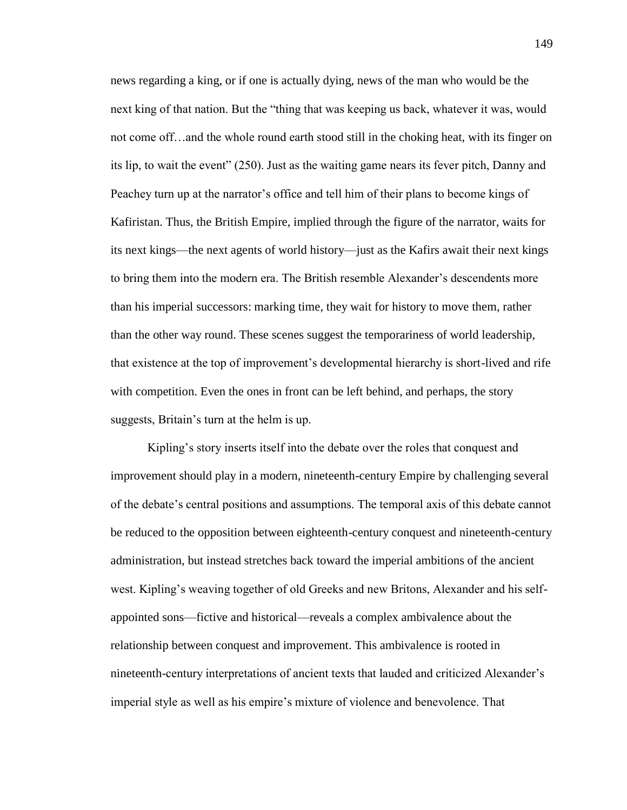news regarding a king, or if one is actually dying, news of the man who would be the next king of that nation. But the "thing that was keeping us back, whatever it was, would not come off…and the whole round earth stood still in the choking heat, with its finger on its lip, to wait the event" (250). Just as the waiting game nears its fever pitch, Danny and Peachey turn up at the narrator's office and tell him of their plans to become kings of Kafiristan. Thus, the British Empire, implied through the figure of the narrator, waits for its next kings—the next agents of world history—just as the Kafirs await their next kings to bring them into the modern era. The British resemble Alexander's descendents more than his imperial successors: marking time, they wait for history to move them, rather than the other way round. These scenes suggest the temporariness of world leadership, that existence at the top of improvement's developmental hierarchy is short-lived and rife with competition. Even the ones in front can be left behind, and perhaps, the story suggests, Britain's turn at the helm is up.

Kipling's story inserts itself into the debate over the roles that conquest and improvement should play in a modern, nineteenth-century Empire by challenging several of the debate's central positions and assumptions. The temporal axis of this debate cannot be reduced to the opposition between eighteenth-century conquest and nineteenth-century administration, but instead stretches back toward the imperial ambitions of the ancient west. Kipling's weaving together of old Greeks and new Britons, Alexander and his selfappointed sons—fictive and historical—reveals a complex ambivalence about the relationship between conquest and improvement. This ambivalence is rooted in nineteenth-century interpretations of ancient texts that lauded and criticized Alexander's imperial style as well as his empire's mixture of violence and benevolence. That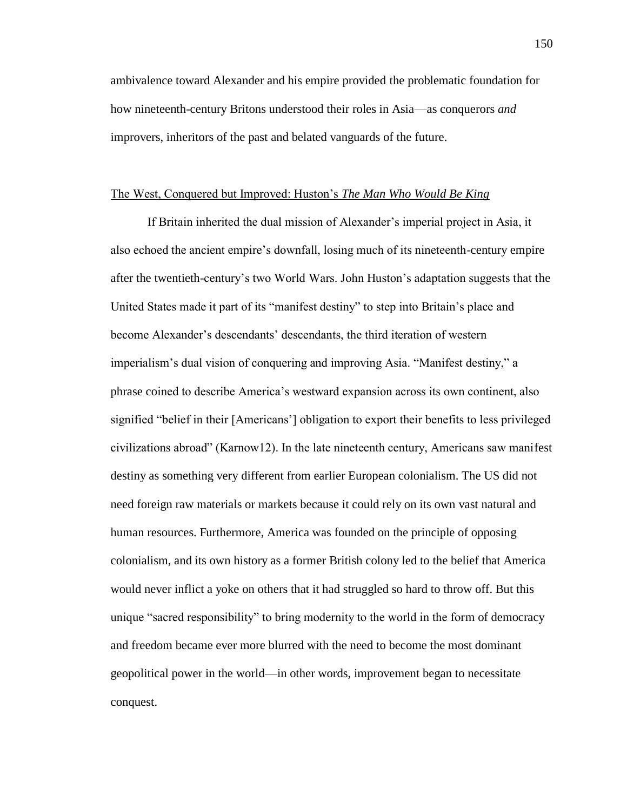ambivalence toward Alexander and his empire provided the problematic foundation for how nineteenth-century Britons understood their roles in Asia—as conquerors *and*  improvers, inheritors of the past and belated vanguards of the future.

## The West, Conquered but Improved: Huston's *The Man Who Would Be King*

If Britain inherited the dual mission of Alexander's imperial project in Asia, it also echoed the ancient empire's downfall, losing much of its nineteenth-century empire after the twentieth-century's two World Wars. John Huston's adaptation suggests that the United States made it part of its "manifest destiny" to step into Britain's place and become Alexander's descendants' descendants, the third iteration of western imperialism's dual vision of conquering and improving Asia. "Manifest destiny," a phrase coined to describe America's westward expansion across its own continent, also signified "belief in their [Americans'] obligation to export their benefits to less privileged civilizations abroad" (Karnow12). In the late nineteenth century, Americans saw manifest destiny as something very different from earlier European colonialism. The US did not need foreign raw materials or markets because it could rely on its own vast natural and human resources. Furthermore, America was founded on the principle of opposing colonialism, and its own history as a former British colony led to the belief that America would never inflict a yoke on others that it had struggled so hard to throw off. But this unique "sacred responsibility" to bring modernity to the world in the form of democracy and freedom became ever more blurred with the need to become the most dominant geopolitical power in the world—in other words, improvement began to necessitate conquest.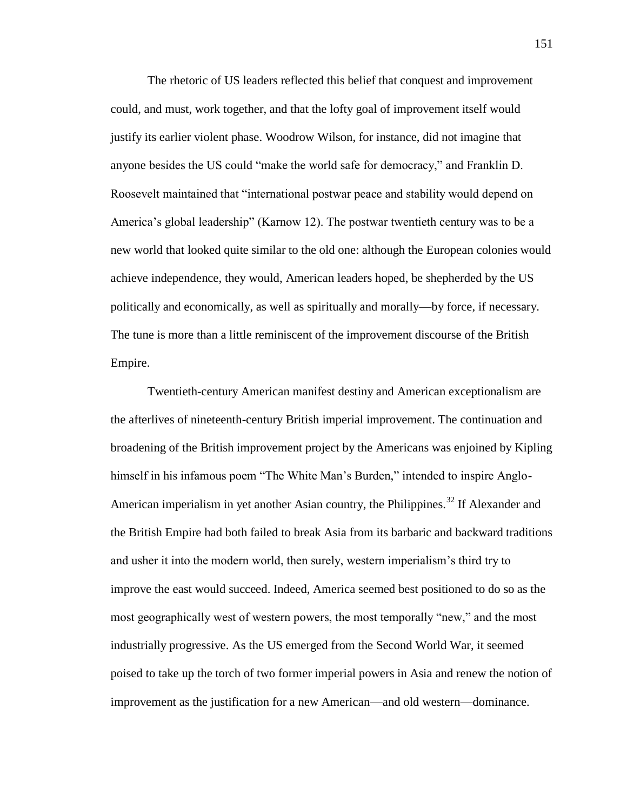The rhetoric of US leaders reflected this belief that conquest and improvement could, and must, work together, and that the lofty goal of improvement itself would justify its earlier violent phase. Woodrow Wilson, for instance, did not imagine that anyone besides the US could "make the world safe for democracy," and Franklin D. Roosevelt maintained that "international postwar peace and stability would depend on America's global leadership" (Karnow 12). The postwar twentieth century was to be a new world that looked quite similar to the old one: although the European colonies would achieve independence, they would, American leaders hoped, be shepherded by the US politically and economically, as well as spiritually and morally—by force, if necessary. The tune is more than a little reminiscent of the improvement discourse of the British Empire.

Twentieth-century American manifest destiny and American exceptionalism are the afterlives of nineteenth-century British imperial improvement. The continuation and broadening of the British improvement project by the Americans was enjoined by Kipling himself in his infamous poem "The White Man's Burden," intended to inspire Anglo-American imperialism in yet another Asian country, the Philippines.<sup>32</sup> If Alexander and the British Empire had both failed to break Asia from its barbaric and backward traditions and usher it into the modern world, then surely, western imperialism's third try to improve the east would succeed. Indeed, America seemed best positioned to do so as the most geographically west of western powers, the most temporally "new," and the most industrially progressive. As the US emerged from the Second World War, it seemed poised to take up the torch of two former imperial powers in Asia and renew the notion of improvement as the justification for a new American—and old western—dominance.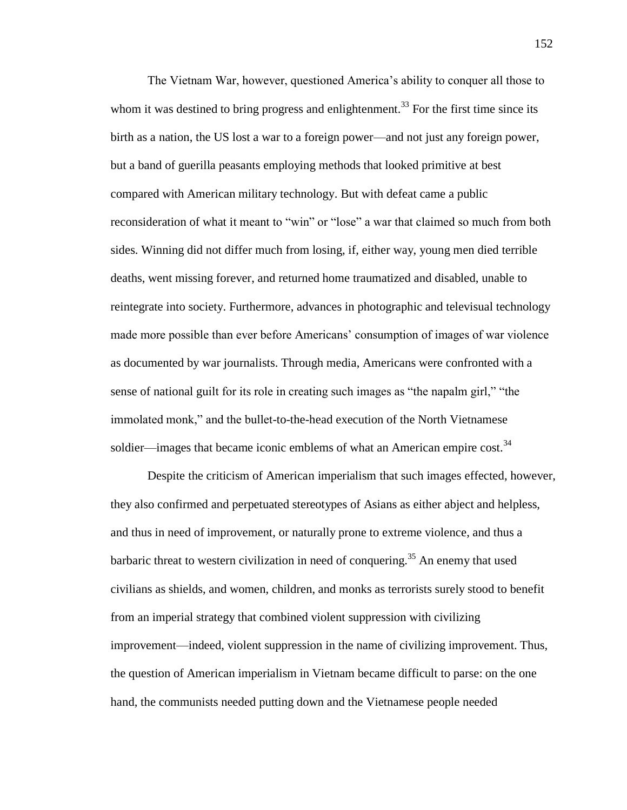The Vietnam War, however, questioned America's ability to conquer all those to whom it was destined to bring progress and enlightenment.<sup>33</sup> For the first time since its birth as a nation, the US lost a war to a foreign power—and not just any foreign power, but a band of guerilla peasants employing methods that looked primitive at best compared with American military technology. But with defeat came a public reconsideration of what it meant to "win" or "lose" a war that claimed so much from both sides. Winning did not differ much from losing, if, either way, young men died terrible deaths, went missing forever, and returned home traumatized and disabled, unable to reintegrate into society. Furthermore, advances in photographic and televisual technology made more possible than ever before Americans' consumption of images of war violence as documented by war journalists. Through media, Americans were confronted with a sense of national guilt for its role in creating such images as "the napalm girl," "the immolated monk," and the bullet-to-the-head execution of the North Vietnamese soldier—images that became iconic emblems of what an American empire cost.<sup>34</sup>

Despite the criticism of American imperialism that such images effected, however, they also confirmed and perpetuated stereotypes of Asians as either abject and helpless, and thus in need of improvement, or naturally prone to extreme violence, and thus a barbaric threat to western civilization in need of conquering.<sup>35</sup> An enemy that used civilians as shields, and women, children, and monks as terrorists surely stood to benefit from an imperial strategy that combined violent suppression with civilizing improvement—indeed, violent suppression in the name of civilizing improvement. Thus, the question of American imperialism in Vietnam became difficult to parse: on the one hand, the communists needed putting down and the Vietnamese people needed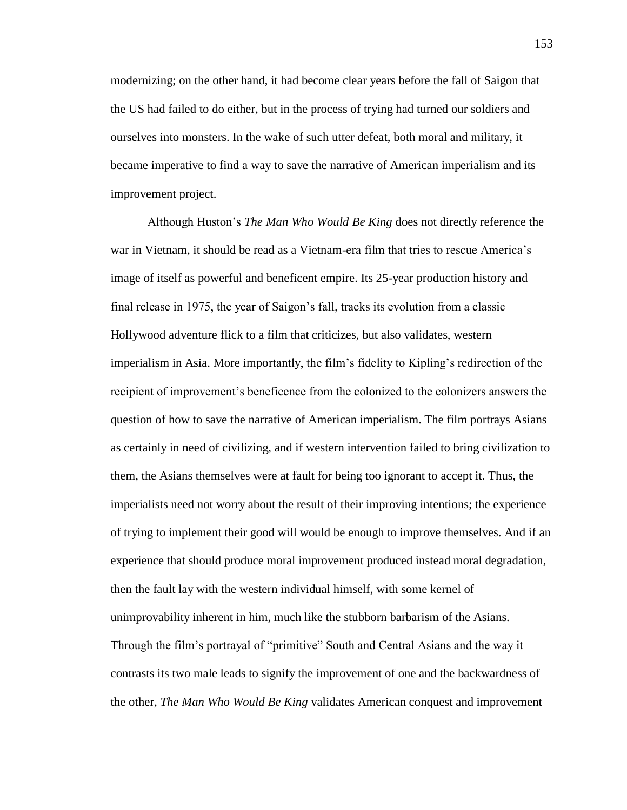modernizing; on the other hand, it had become clear years before the fall of Saigon that the US had failed to do either, but in the process of trying had turned our soldiers and ourselves into monsters. In the wake of such utter defeat, both moral and military, it became imperative to find a way to save the narrative of American imperialism and its improvement project.

Although Huston's *The Man Who Would Be King* does not directly reference the war in Vietnam, it should be read as a Vietnam-era film that tries to rescue America's image of itself as powerful and beneficent empire. Its 25-year production history and final release in 1975, the year of Saigon's fall, tracks its evolution from a classic Hollywood adventure flick to a film that criticizes, but also validates, western imperialism in Asia. More importantly, the film's fidelity to Kipling's redirection of the recipient of improvement's beneficence from the colonized to the colonizers answers the question of how to save the narrative of American imperialism. The film portrays Asians as certainly in need of civilizing, and if western intervention failed to bring civilization to them, the Asians themselves were at fault for being too ignorant to accept it. Thus, the imperialists need not worry about the result of their improving intentions; the experience of trying to implement their good will would be enough to improve themselves. And if an experience that should produce moral improvement produced instead moral degradation, then the fault lay with the western individual himself, with some kernel of unimprovability inherent in him, much like the stubborn barbarism of the Asians. Through the film's portrayal of "primitive" South and Central Asians and the way it contrasts its two male leads to signify the improvement of one and the backwardness of the other, *The Man Who Would Be King* validates American conquest and improvement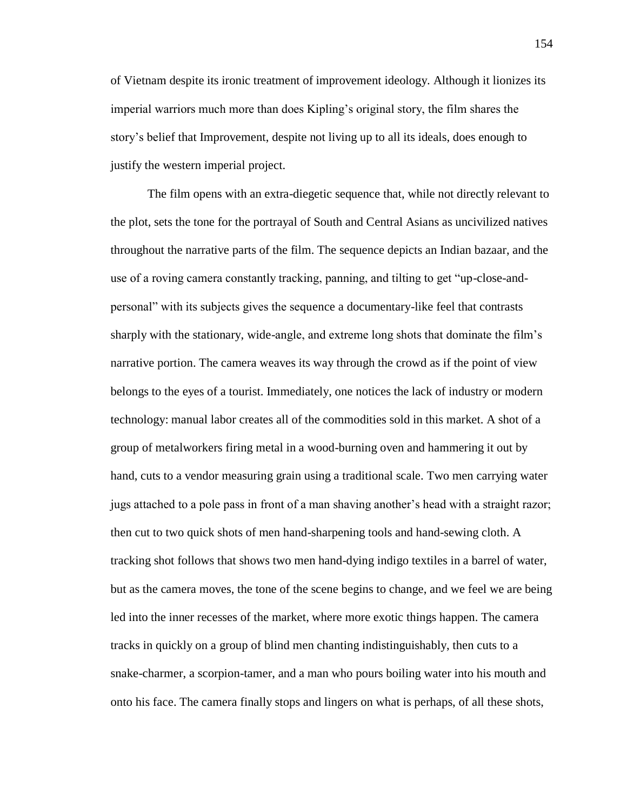of Vietnam despite its ironic treatment of improvement ideology. Although it lionizes its imperial warriors much more than does Kipling's original story, the film shares the story's belief that Improvement, despite not living up to all its ideals, does enough to justify the western imperial project.

The film opens with an extra-diegetic sequence that, while not directly relevant to the plot, sets the tone for the portrayal of South and Central Asians as uncivilized natives throughout the narrative parts of the film. The sequence depicts an Indian bazaar, and the use of a roving camera constantly tracking, panning, and tilting to get "up-close-andpersonal" with its subjects gives the sequence a documentary-like feel that contrasts sharply with the stationary, wide-angle, and extreme long shots that dominate the film's narrative portion. The camera weaves its way through the crowd as if the point of view belongs to the eyes of a tourist. Immediately, one notices the lack of industry or modern technology: manual labor creates all of the commodities sold in this market. A shot of a group of metalworkers firing metal in a wood-burning oven and hammering it out by hand, cuts to a vendor measuring grain using a traditional scale. Two men carrying water jugs attached to a pole pass in front of a man shaving another's head with a straight razor; then cut to two quick shots of men hand-sharpening tools and hand-sewing cloth. A tracking shot follows that shows two men hand-dying indigo textiles in a barrel of water, but as the camera moves, the tone of the scene begins to change, and we feel we are being led into the inner recesses of the market, where more exotic things happen. The camera tracks in quickly on a group of blind men chanting indistinguishably, then cuts to a snake-charmer, a scorpion-tamer, and a man who pours boiling water into his mouth and onto his face. The camera finally stops and lingers on what is perhaps, of all these shots,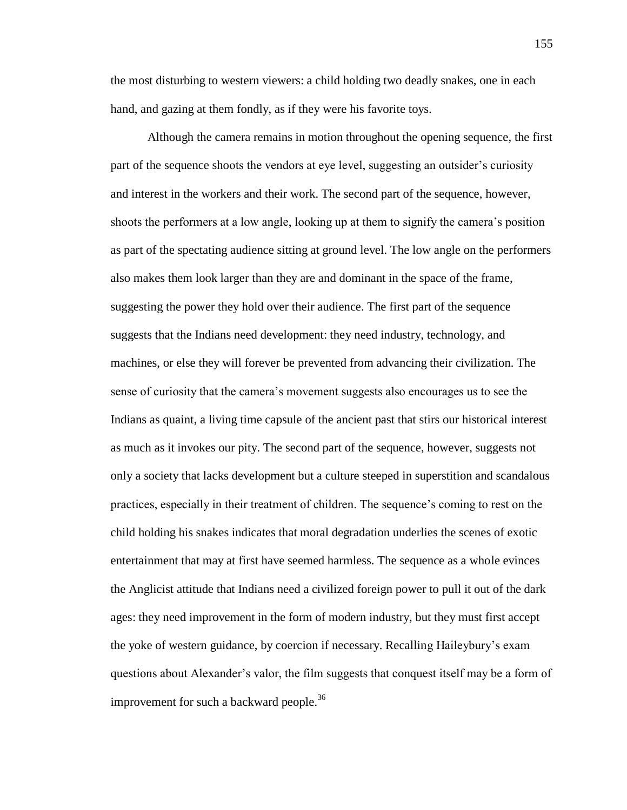the most disturbing to western viewers: a child holding two deadly snakes, one in each hand, and gazing at them fondly, as if they were his favorite toys.

Although the camera remains in motion throughout the opening sequence, the first part of the sequence shoots the vendors at eye level, suggesting an outsider's curiosity and interest in the workers and their work. The second part of the sequence, however, shoots the performers at a low angle, looking up at them to signify the camera's position as part of the spectating audience sitting at ground level. The low angle on the performers also makes them look larger than they are and dominant in the space of the frame, suggesting the power they hold over their audience. The first part of the sequence suggests that the Indians need development: they need industry, technology, and machines, or else they will forever be prevented from advancing their civilization. The sense of curiosity that the camera's movement suggests also encourages us to see the Indians as quaint, a living time capsule of the ancient past that stirs our historical interest as much as it invokes our pity. The second part of the sequence, however, suggests not only a society that lacks development but a culture steeped in superstition and scandalous practices, especially in their treatment of children. The sequence's coming to rest on the child holding his snakes indicates that moral degradation underlies the scenes of exotic entertainment that may at first have seemed harmless. The sequence as a whole evinces the Anglicist attitude that Indians need a civilized foreign power to pull it out of the dark ages: they need improvement in the form of modern industry, but they must first accept the yoke of western guidance, by coercion if necessary. Recalling Haileybury's exam questions about Alexander's valor, the film suggests that conquest itself may be a form of improvement for such a backward people.<sup>36</sup>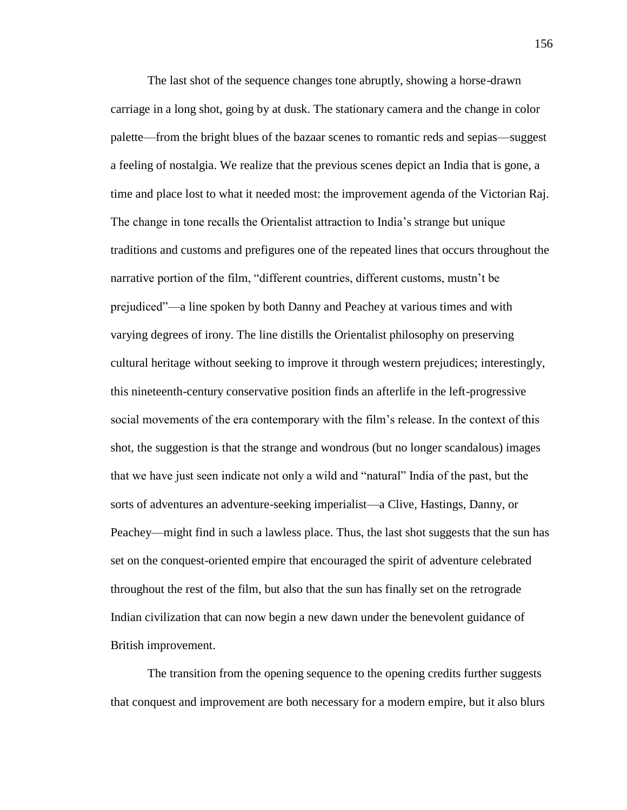The last shot of the sequence changes tone abruptly, showing a horse-drawn carriage in a long shot, going by at dusk. The stationary camera and the change in color palette—from the bright blues of the bazaar scenes to romantic reds and sepias—suggest a feeling of nostalgia. We realize that the previous scenes depict an India that is gone, a time and place lost to what it needed most: the improvement agenda of the Victorian Raj. The change in tone recalls the Orientalist attraction to India's strange but unique traditions and customs and prefigures one of the repeated lines that occurs throughout the narrative portion of the film, "different countries, different customs, mustn't be prejudiced"—a line spoken by both Danny and Peachey at various times and with varying degrees of irony. The line distills the Orientalist philosophy on preserving cultural heritage without seeking to improve it through western prejudices; interestingly, this nineteenth-century conservative position finds an afterlife in the left-progressive social movements of the era contemporary with the film's release. In the context of this shot, the suggestion is that the strange and wondrous (but no longer scandalous) images that we have just seen indicate not only a wild and "natural" India of the past, but the sorts of adventures an adventure-seeking imperialist—a Clive, Hastings, Danny, or Peachey—might find in such a lawless place. Thus, the last shot suggests that the sun has set on the conquest-oriented empire that encouraged the spirit of adventure celebrated throughout the rest of the film, but also that the sun has finally set on the retrograde Indian civilization that can now begin a new dawn under the benevolent guidance of British improvement.

The transition from the opening sequence to the opening credits further suggests that conquest and improvement are both necessary for a modern empire, but it also blurs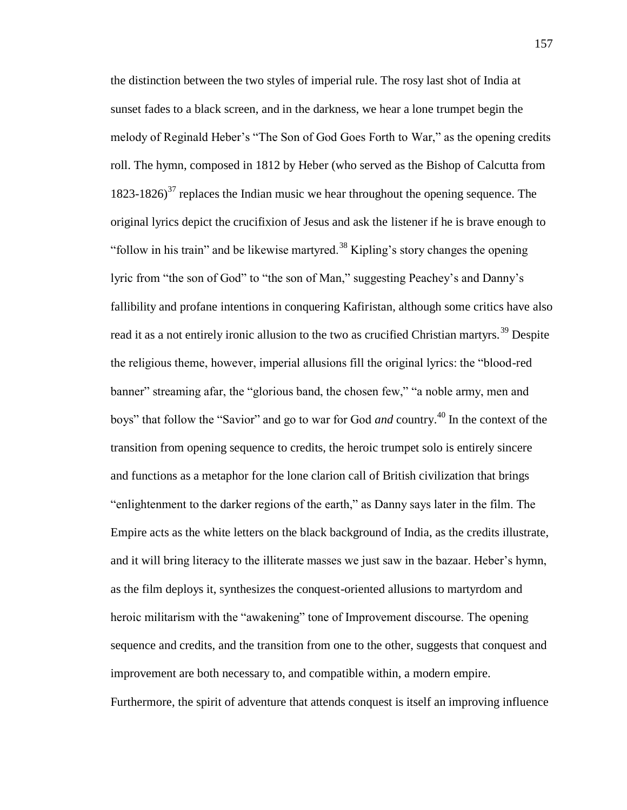the distinction between the two styles of imperial rule. The rosy last shot of India at sunset fades to a black screen, and in the darkness, we hear a lone trumpet begin the melody of Reginald Heber's "The Son of God Goes Forth to War," as the opening credits roll. The hymn, composed in 1812 by Heber (who served as the Bishop of Calcutta from 1823-1826)<sup>37</sup> replaces the Indian music we hear throughout the opening sequence. The original lyrics depict the crucifixion of Jesus and ask the listener if he is brave enough to "follow in his train" and be likewise martyred.<sup>38</sup> Kipling's story changes the opening lyric from "the son of God" to "the son of Man," suggesting Peachey's and Danny's fallibility and profane intentions in conquering Kafiristan, although some critics have also read it as a not entirely ironic allusion to the two as crucified Christian martyrs.<sup>39</sup> Despite the religious theme, however, imperial allusions fill the original lyrics: the "blood-red banner" streaming afar, the "glorious band, the chosen few," "a noble army, men and boys" that follow the "Savior" and go to war for God *and* country.<sup>40</sup> In the context of the transition from opening sequence to credits, the heroic trumpet solo is entirely sincere and functions as a metaphor for the lone clarion call of British civilization that brings "enlightenment to the darker regions of the earth," as Danny says later in the film. The Empire acts as the white letters on the black background of India, as the credits illustrate, and it will bring literacy to the illiterate masses we just saw in the bazaar. Heber's hymn, as the film deploys it, synthesizes the conquest-oriented allusions to martyrdom and heroic militarism with the "awakening" tone of Improvement discourse. The opening sequence and credits, and the transition from one to the other, suggests that conquest and improvement are both necessary to, and compatible within, a modern empire. Furthermore, the spirit of adventure that attends conquest is itself an improving influence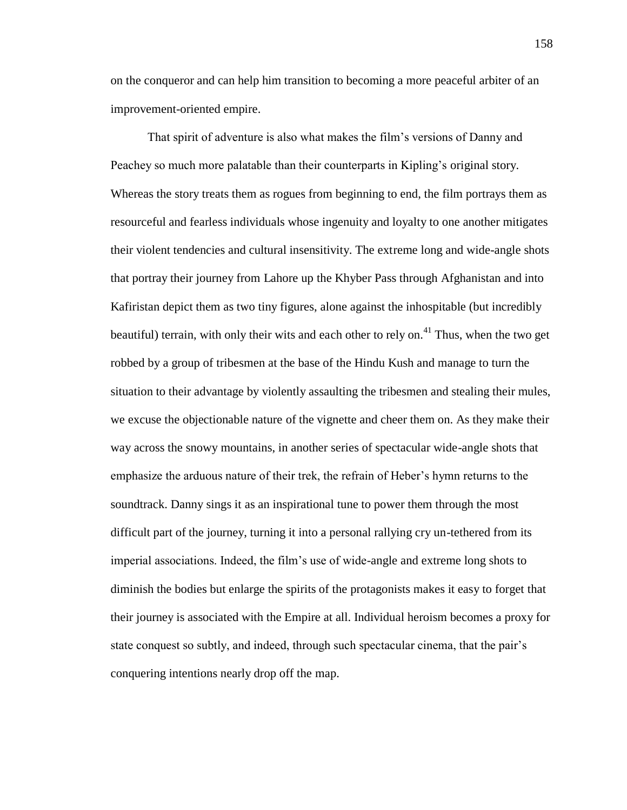on the conqueror and can help him transition to becoming a more peaceful arbiter of an improvement-oriented empire.

That spirit of adventure is also what makes the film's versions of Danny and Peachey so much more palatable than their counterparts in Kipling's original story. Whereas the story treats them as rogues from beginning to end, the film portrays them as resourceful and fearless individuals whose ingenuity and loyalty to one another mitigates their violent tendencies and cultural insensitivity. The extreme long and wide-angle shots that portray their journey from Lahore up the Khyber Pass through Afghanistan and into Kafiristan depict them as two tiny figures, alone against the inhospitable (but incredibly beautiful) terrain, with only their wits and each other to rely on.<sup>41</sup> Thus, when the two get robbed by a group of tribesmen at the base of the Hindu Kush and manage to turn the situation to their advantage by violently assaulting the tribesmen and stealing their mules, we excuse the objectionable nature of the vignette and cheer them on. As they make their way across the snowy mountains, in another series of spectacular wide-angle shots that emphasize the arduous nature of their trek, the refrain of Heber's hymn returns to the soundtrack. Danny sings it as an inspirational tune to power them through the most difficult part of the journey, turning it into a personal rallying cry un-tethered from its imperial associations. Indeed, the film's use of wide-angle and extreme long shots to diminish the bodies but enlarge the spirits of the protagonists makes it easy to forget that their journey is associated with the Empire at all. Individual heroism becomes a proxy for state conquest so subtly, and indeed, through such spectacular cinema, that the pair's conquering intentions nearly drop off the map.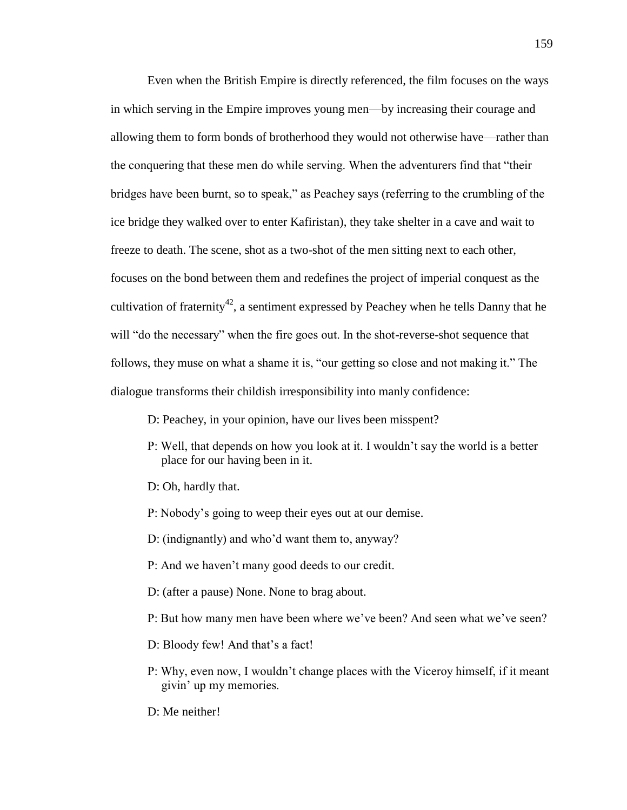Even when the British Empire is directly referenced, the film focuses on the ways in which serving in the Empire improves young men—by increasing their courage and allowing them to form bonds of brotherhood they would not otherwise have—rather than the conquering that these men do while serving. When the adventurers find that "their bridges have been burnt, so to speak," as Peachey says (referring to the crumbling of the ice bridge they walked over to enter Kafiristan), they take shelter in a cave and wait to freeze to death. The scene, shot as a two-shot of the men sitting next to each other, focuses on the bond between them and redefines the project of imperial conquest as the cultivation of fraternity<sup>42</sup>, a sentiment expressed by Peachey when he tells Danny that he will "do the necessary" when the fire goes out. In the shot-reverse-shot sequence that follows, they muse on what a shame it is, "our getting so close and not making it." The dialogue transforms their childish irresponsibility into manly confidence:

- D: Peachey, in your opinion, have our lives been misspent?
- P: Well, that depends on how you look at it. I wouldn't say the world is a better place for our having been in it.
- D: Oh, hardly that.
- P: Nobody's going to weep their eyes out at our demise.
- D: (indignantly) and who'd want them to, anyway?
- P: And we haven't many good deeds to our credit.
- D: (after a pause) None. None to brag about.
- P: But how many men have been where we've been? And seen what we've seen?
- D: Bloody few! And that's a fact!
- P: Why, even now, I wouldn't change places with the Viceroy himself, if it meant givin' up my memories.
- D: Me neither!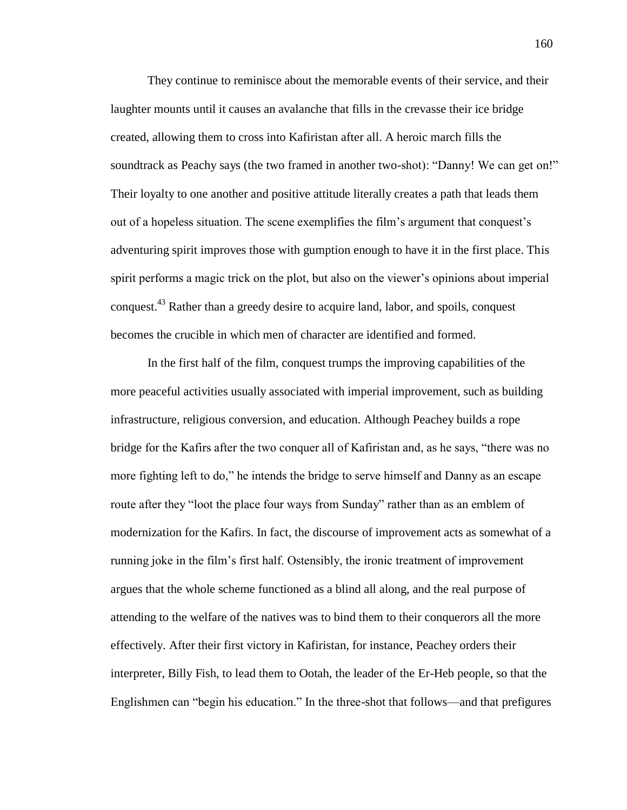They continue to reminisce about the memorable events of their service, and their laughter mounts until it causes an avalanche that fills in the crevasse their ice bridge created, allowing them to cross into Kafiristan after all. A heroic march fills the soundtrack as Peachy says (the two framed in another two-shot): "Danny! We can get on!" Their loyalty to one another and positive attitude literally creates a path that leads them out of a hopeless situation. The scene exemplifies the film's argument that conquest's adventuring spirit improves those with gumption enough to have it in the first place. This spirit performs a magic trick on the plot, but also on the viewer's opinions about imperial conquest.<sup>43</sup> Rather than a greedy desire to acquire land, labor, and spoils, conquest becomes the crucible in which men of character are identified and formed.

In the first half of the film, conquest trumps the improving capabilities of the more peaceful activities usually associated with imperial improvement, such as building infrastructure, religious conversion, and education. Although Peachey builds a rope bridge for the Kafirs after the two conquer all of Kafiristan and, as he says, "there was no more fighting left to do," he intends the bridge to serve himself and Danny as an escape route after they "loot the place four ways from Sunday" rather than as an emblem of modernization for the Kafirs. In fact, the discourse of improvement acts as somewhat of a running joke in the film's first half. Ostensibly, the ironic treatment of improvement argues that the whole scheme functioned as a blind all along, and the real purpose of attending to the welfare of the natives was to bind them to their conquerors all the more effectively. After their first victory in Kafiristan, for instance, Peachey orders their interpreter, Billy Fish, to lead them to Ootah, the leader of the Er-Heb people, so that the Englishmen can "begin his education." In the three-shot that follows—and that prefigures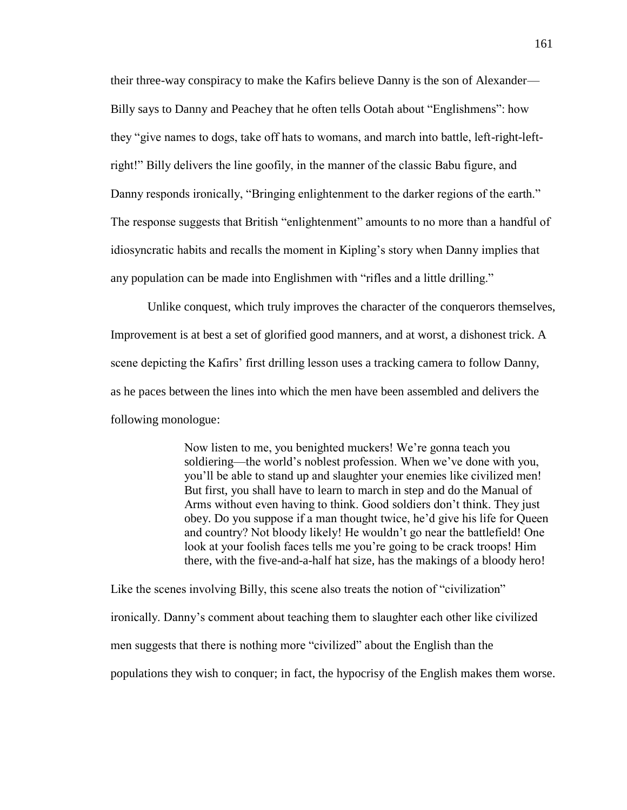their three-way conspiracy to make the Kafirs believe Danny is the son of Alexander— Billy says to Danny and Peachey that he often tells Ootah about "Englishmens": how they "give names to dogs, take off hats to womans, and march into battle, left-right-leftright!" Billy delivers the line goofily, in the manner of the classic Babu figure, and Danny responds ironically, "Bringing enlightenment to the darker regions of the earth." The response suggests that British "enlightenment" amounts to no more than a handful of idiosyncratic habits and recalls the moment in Kipling's story when Danny implies that any population can be made into Englishmen with "rifles and a little drilling."

Unlike conquest, which truly improves the character of the conquerors themselves, Improvement is at best a set of glorified good manners, and at worst, a dishonest trick. A scene depicting the Kafirs' first drilling lesson uses a tracking camera to follow Danny, as he paces between the lines into which the men have been assembled and delivers the following monologue:

> Now listen to me, you benighted muckers! We're gonna teach you soldiering—the world's noblest profession. When we've done with you, you'll be able to stand up and slaughter your enemies like civilized men! But first, you shall have to learn to march in step and do the Manual of Arms without even having to think. Good soldiers don't think. They just obey. Do you suppose if a man thought twice, he'd give his life for Queen and country? Not bloody likely! He wouldn't go near the battlefield! One look at your foolish faces tells me you're going to be crack troops! Him there, with the five-and-a-half hat size, has the makings of a bloody hero!

Like the scenes involving Billy, this scene also treats the notion of "civilization" ironically. Danny's comment about teaching them to slaughter each other like civilized men suggests that there is nothing more "civilized" about the English than the populations they wish to conquer; in fact, the hypocrisy of the English makes them worse.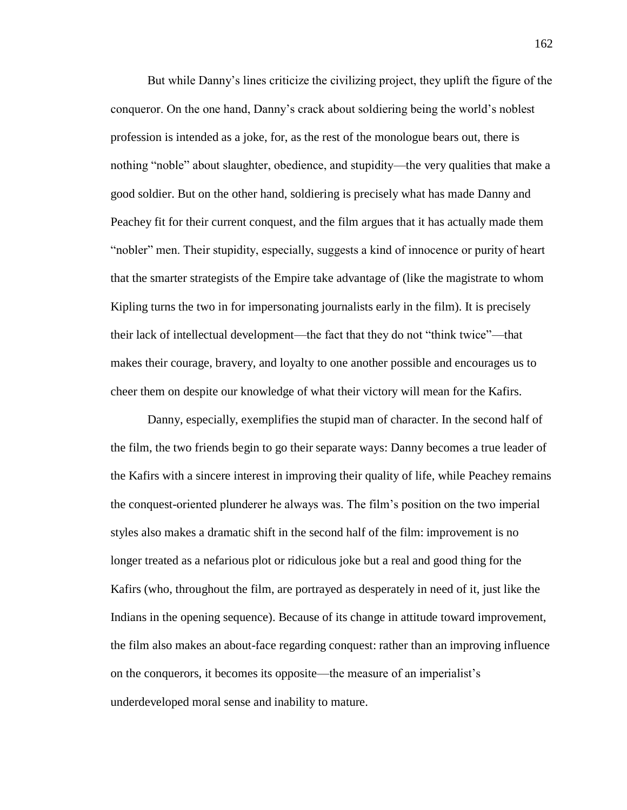But while Danny's lines criticize the civilizing project, they uplift the figure of the conqueror. On the one hand, Danny's crack about soldiering being the world's noblest profession is intended as a joke, for, as the rest of the monologue bears out, there is nothing "noble" about slaughter, obedience, and stupidity—the very qualities that make a good soldier. But on the other hand, soldiering is precisely what has made Danny and Peachey fit for their current conquest, and the film argues that it has actually made them "nobler" men. Their stupidity, especially, suggests a kind of innocence or purity of heart that the smarter strategists of the Empire take advantage of (like the magistrate to whom Kipling turns the two in for impersonating journalists early in the film). It is precisely their lack of intellectual development—the fact that they do not "think twice"—that makes their courage, bravery, and loyalty to one another possible and encourages us to cheer them on despite our knowledge of what their victory will mean for the Kafirs.

Danny, especially, exemplifies the stupid man of character. In the second half of the film, the two friends begin to go their separate ways: Danny becomes a true leader of the Kafirs with a sincere interest in improving their quality of life, while Peachey remains the conquest-oriented plunderer he always was. The film's position on the two imperial styles also makes a dramatic shift in the second half of the film: improvement is no longer treated as a nefarious plot or ridiculous joke but a real and good thing for the Kafirs (who, throughout the film, are portrayed as desperately in need of it, just like the Indians in the opening sequence). Because of its change in attitude toward improvement, the film also makes an about-face regarding conquest: rather than an improving influence on the conquerors, it becomes its opposite—the measure of an imperialist's underdeveloped moral sense and inability to mature.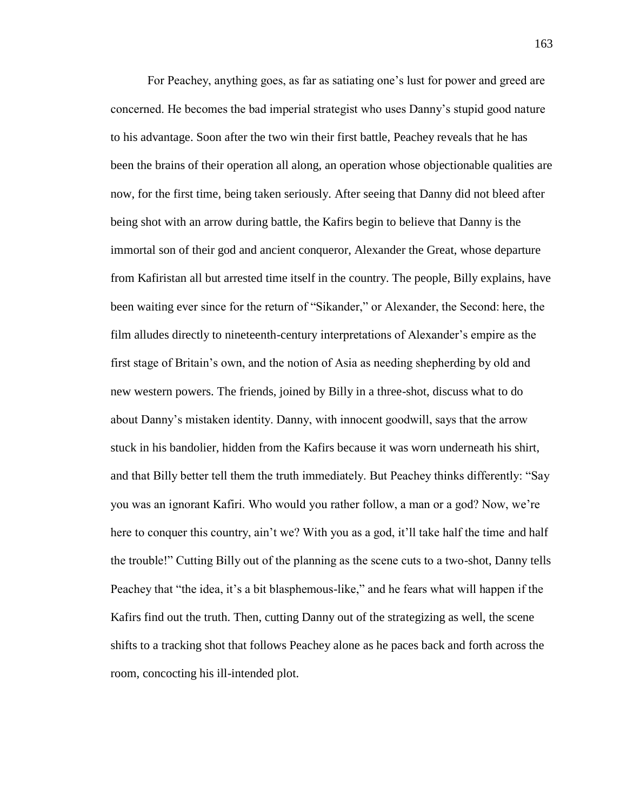For Peachey, anything goes, as far as satiating one's lust for power and greed are concerned. He becomes the bad imperial strategist who uses Danny's stupid good nature to his advantage. Soon after the two win their first battle, Peachey reveals that he has been the brains of their operation all along, an operation whose objectionable qualities are now, for the first time, being taken seriously. After seeing that Danny did not bleed after being shot with an arrow during battle, the Kafirs begin to believe that Danny is the immortal son of their god and ancient conqueror, Alexander the Great, whose departure from Kafiristan all but arrested time itself in the country. The people, Billy explains, have been waiting ever since for the return of "Sikander," or Alexander, the Second: here, the film alludes directly to nineteenth-century interpretations of Alexander's empire as the first stage of Britain's own, and the notion of Asia as needing shepherding by old and new western powers. The friends, joined by Billy in a three-shot, discuss what to do about Danny's mistaken identity. Danny, with innocent goodwill, says that the arrow stuck in his bandolier, hidden from the Kafirs because it was worn underneath his shirt, and that Billy better tell them the truth immediately. But Peachey thinks differently: "Say you was an ignorant Kafiri. Who would you rather follow, a man or a god? Now, we're here to conquer this country, ain't we? With you as a god, it'll take half the time and half the trouble!" Cutting Billy out of the planning as the scene cuts to a two-shot, Danny tells Peachey that "the idea, it's a bit blasphemous-like," and he fears what will happen if the Kafirs find out the truth. Then, cutting Danny out of the strategizing as well, the scene shifts to a tracking shot that follows Peachey alone as he paces back and forth across the room, concocting his ill-intended plot.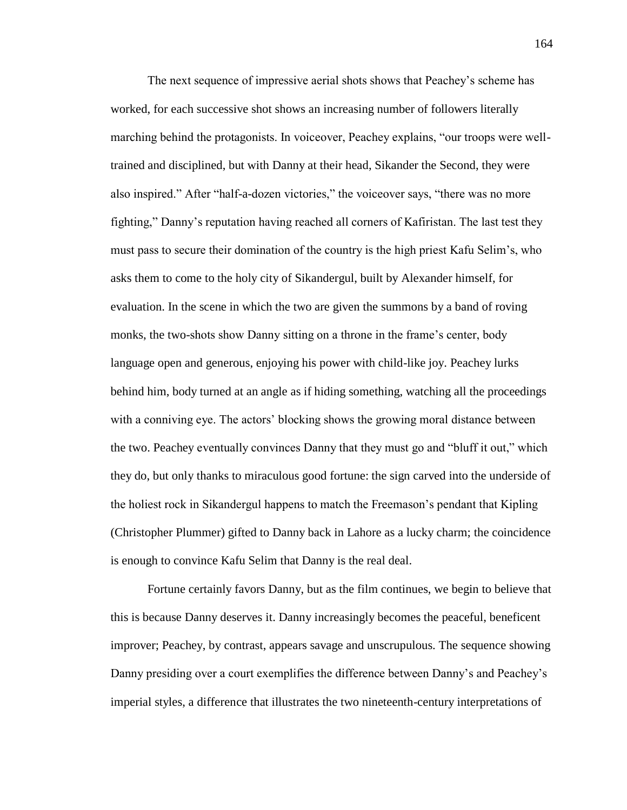The next sequence of impressive aerial shots shows that Peachey's scheme has worked, for each successive shot shows an increasing number of followers literally marching behind the protagonists. In voiceover, Peachey explains, "our troops were welltrained and disciplined, but with Danny at their head, Sikander the Second, they were also inspired." After "half-a-dozen victories," the voiceover says, "there was no more fighting," Danny's reputation having reached all corners of Kafiristan. The last test they must pass to secure their domination of the country is the high priest Kafu Selim's, who asks them to come to the holy city of Sikandergul, built by Alexander himself, for evaluation. In the scene in which the two are given the summons by a band of roving monks, the two-shots show Danny sitting on a throne in the frame's center, body language open and generous, enjoying his power with child-like joy. Peachey lurks behind him, body turned at an angle as if hiding something, watching all the proceedings with a conniving eye. The actors' blocking shows the growing moral distance between the two. Peachey eventually convinces Danny that they must go and "bluff it out," which they do, but only thanks to miraculous good fortune: the sign carved into the underside of the holiest rock in Sikandergul happens to match the Freemason's pendant that Kipling (Christopher Plummer) gifted to Danny back in Lahore as a lucky charm; the coincidence is enough to convince Kafu Selim that Danny is the real deal.

Fortune certainly favors Danny, but as the film continues, we begin to believe that this is because Danny deserves it. Danny increasingly becomes the peaceful, beneficent improver; Peachey, by contrast, appears savage and unscrupulous. The sequence showing Danny presiding over a court exemplifies the difference between Danny's and Peachey's imperial styles, a difference that illustrates the two nineteenth-century interpretations of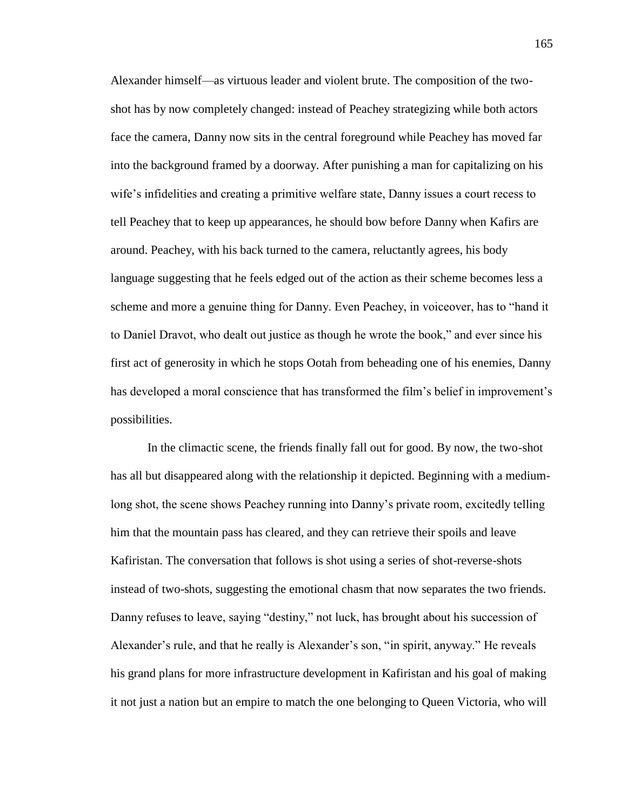Alexander himself—as virtuous leader and violent brute. The composition of the twoshot has by now completely changed: instead of Peachey strategizing while both actors face the camera, Danny now sits in the central foreground while Peachey has moved far into the background framed by a doorway. After punishing a man for capitalizing on his wife's infidelities and creating a primitive welfare state, Danny issues a court recess to tell Peachey that to keep up appearances, he should bow before Danny when Kafirs are around. Peachey, with his back turned to the camera, reluctantly agrees, his body language suggesting that he feels edged out of the action as their scheme becomes less a scheme and more a genuine thing for Danny. Even Peachey, in voiceover, has to "hand it to Daniel Dravot, who dealt out justice as though he wrote the book," and ever since his first act of generosity in which he stops Ootah from beheading one of his enemies, Danny has developed a moral conscience that has transformed the film's belief in improvement's possibilities.

In the climactic scene, the friends finally fall out for good. By now, the two-shot has all but disappeared along with the relationship it depicted. Beginning with a mediumlong shot, the scene shows Peachey running into Danny's private room, excitedly telling him that the mountain pass has cleared, and they can retrieve their spoils and leave Kafiristan. The conversation that follows is shot using a series of shot-reverse-shots instead of two-shots, suggesting the emotional chasm that now separates the two friends. Danny refuses to leave, saying "destiny," not luck, has brought about his succession of Alexander's rule, and that he really is Alexander's son, "in spirit, anyway." He reveals his grand plans for more infrastructure development in Kafiristan and his goal of making it not just a nation but an empire to match the one belonging to Queen Victoria, who will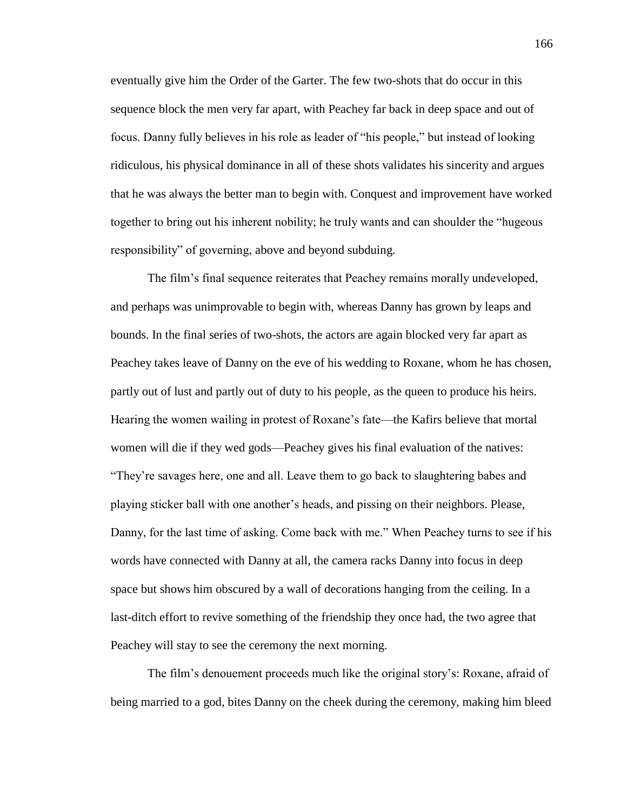eventually give him the Order of the Garter. The few two-shots that do occur in this sequence block the men very far apart, with Peachey far back in deep space and out of focus. Danny fully believes in his role as leader of "his people," but instead of looking ridiculous, his physical dominance in all of these shots validates his sincerity and argues that he was always the better man to begin with. Conquest and improvement have worked together to bring out his inherent nobility; he truly wants and can shoulder the "hugeous responsibility" of governing, above and beyond subduing.

The film's final sequence reiterates that Peachey remains morally undeveloped, and perhaps was unimprovable to begin with, whereas Danny has grown by leaps and bounds. In the final series of two-shots, the actors are again blocked very far apart as Peachey takes leave of Danny on the eve of his wedding to Roxane, whom he has chosen, partly out of lust and partly out of duty to his people, as the queen to produce his heirs. Hearing the women wailing in protest of Roxane's fate—the Kafirs believe that mortal women will die if they wed gods—Peachey gives his final evaluation of the natives: "They're savages here, one and all. Leave them to go back to slaughtering babes and playing sticker ball with one another's heads, and pissing on their neighbors. Please, Danny, for the last time of asking. Come back with me." When Peachey turns to see if his words have connected with Danny at all, the camera racks Danny into focus in deep space but shows him obscured by a wall of decorations hanging from the ceiling. In a last-ditch effort to revive something of the friendship they once had, the two agree that Peachey will stay to see the ceremony the next morning.

The film's denouement proceeds much like the original story's: Roxane, afraid of being married to a god, bites Danny on the cheek during the ceremony, making him bleed

166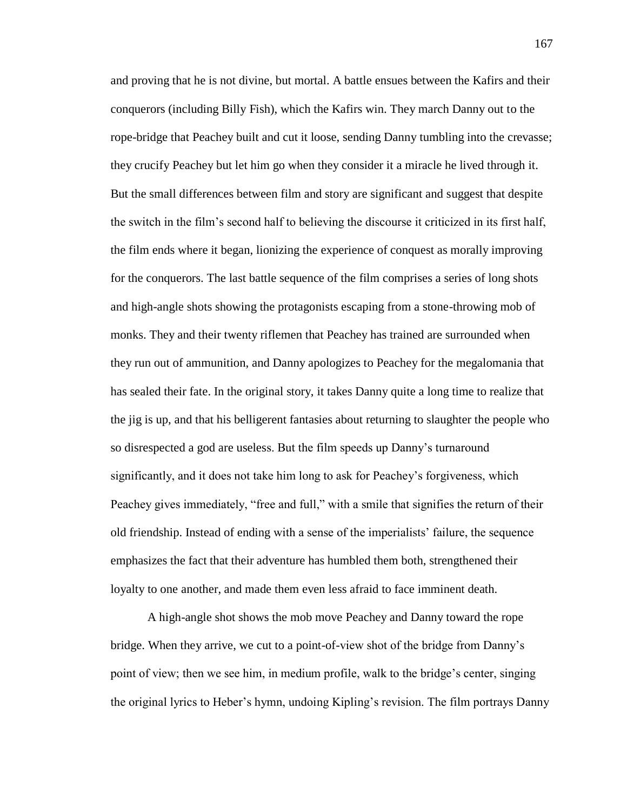and proving that he is not divine, but mortal. A battle ensues between the Kafirs and their conquerors (including Billy Fish), which the Kafirs win. They march Danny out to the rope-bridge that Peachey built and cut it loose, sending Danny tumbling into the crevasse; they crucify Peachey but let him go when they consider it a miracle he lived through it. But the small differences between film and story are significant and suggest that despite the switch in the film's second half to believing the discourse it criticized in its first half, the film ends where it began, lionizing the experience of conquest as morally improving for the conquerors. The last battle sequence of the film comprises a series of long shots and high-angle shots showing the protagonists escaping from a stone-throwing mob of monks. They and their twenty riflemen that Peachey has trained are surrounded when they run out of ammunition, and Danny apologizes to Peachey for the megalomania that has sealed their fate. In the original story, it takes Danny quite a long time to realize that the jig is up, and that his belligerent fantasies about returning to slaughter the people who so disrespected a god are useless. But the film speeds up Danny's turnaround significantly, and it does not take him long to ask for Peachey's forgiveness, which Peachey gives immediately, "free and full," with a smile that signifies the return of their old friendship. Instead of ending with a sense of the imperialists' failure, the sequence emphasizes the fact that their adventure has humbled them both, strengthened their loyalty to one another, and made them even less afraid to face imminent death.

A high-angle shot shows the mob move Peachey and Danny toward the rope bridge. When they arrive, we cut to a point-of-view shot of the bridge from Danny's point of view; then we see him, in medium profile, walk to the bridge's center, singing the original lyrics to Heber's hymn, undoing Kipling's revision. The film portrays Danny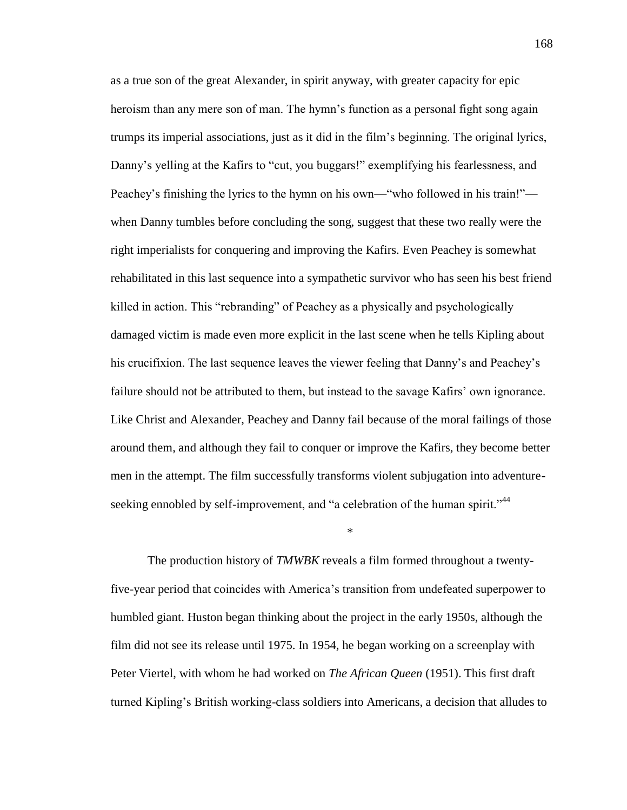as a true son of the great Alexander, in spirit anyway, with greater capacity for epic heroism than any mere son of man. The hymn's function as a personal fight song again trumps its imperial associations, just as it did in the film's beginning. The original lyrics, Danny's yelling at the Kafirs to "cut, you buggars!" exemplifying his fearlessness, and Peachey's finishing the lyrics to the hymn on his own—"who followed in his train!" when Danny tumbles before concluding the song, suggest that these two really were the right imperialists for conquering and improving the Kafirs. Even Peachey is somewhat rehabilitated in this last sequence into a sympathetic survivor who has seen his best friend killed in action. This "rebranding" of Peachey as a physically and psychologically damaged victim is made even more explicit in the last scene when he tells Kipling about his crucifixion. The last sequence leaves the viewer feeling that Danny's and Peachey's failure should not be attributed to them, but instead to the savage Kafirs' own ignorance. Like Christ and Alexander, Peachey and Danny fail because of the moral failings of those around them, and although they fail to conquer or improve the Kafirs, they become better men in the attempt. The film successfully transforms violent subjugation into adventureseeking ennobled by self-improvement, and "a celebration of the human spirit."<sup>44</sup>

The production history of *TMWBK* reveals a film formed throughout a twentyfive-year period that coincides with America's transition from undefeated superpower to humbled giant. Huston began thinking about the project in the early 1950s, although the film did not see its release until 1975. In 1954, he began working on a screenplay with Peter Viertel, with whom he had worked on *The African Queen* (1951). This first draft turned Kipling's British working-class soldiers into Americans, a decision that alludes to

\*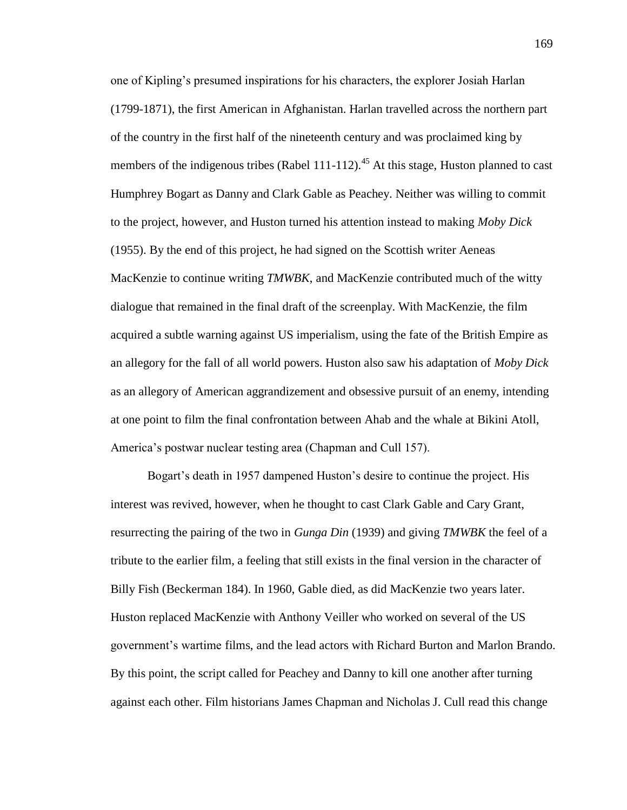one of Kipling's presumed inspirations for his characters, the explorer Josiah Harlan (1799-1871), the first American in Afghanistan. Harlan travelled across the northern part of the country in the first half of the nineteenth century and was proclaimed king by members of the indigenous tribes (Rabel 111-112).<sup>45</sup> At this stage, Huston planned to cast Humphrey Bogart as Danny and Clark Gable as Peachey. Neither was willing to commit to the project, however, and Huston turned his attention instead to making *Moby Dick* (1955). By the end of this project, he had signed on the Scottish writer Aeneas MacKenzie to continue writing *TMWBK*, and MacKenzie contributed much of the witty dialogue that remained in the final draft of the screenplay. With MacKenzie, the film acquired a subtle warning against US imperialism, using the fate of the British Empire as an allegory for the fall of all world powers. Huston also saw his adaptation of *Moby Dick* as an allegory of American aggrandizement and obsessive pursuit of an enemy, intending at one point to film the final confrontation between Ahab and the whale at Bikini Atoll, America's postwar nuclear testing area (Chapman and Cull 157).

Bogart's death in 1957 dampened Huston's desire to continue the project. His interest was revived, however, when he thought to cast Clark Gable and Cary Grant, resurrecting the pairing of the two in *Gunga Din* (1939) and giving *TMWBK* the feel of a tribute to the earlier film, a feeling that still exists in the final version in the character of Billy Fish (Beckerman 184). In 1960, Gable died, as did MacKenzie two years later. Huston replaced MacKenzie with Anthony Veiller who worked on several of the US government's wartime films, and the lead actors with Richard Burton and Marlon Brando. By this point, the script called for Peachey and Danny to kill one another after turning against each other. Film historians James Chapman and Nicholas J. Cull read this change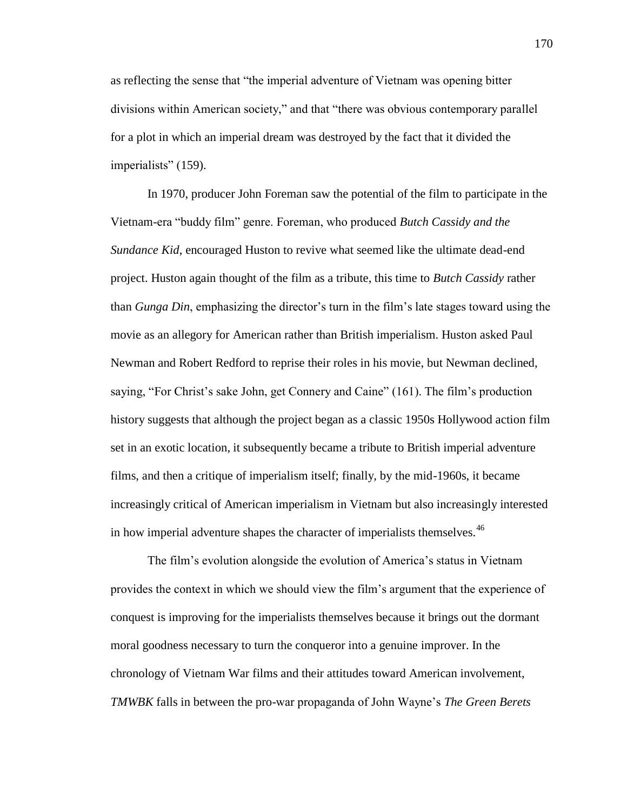as reflecting the sense that "the imperial adventure of Vietnam was opening bitter divisions within American society," and that "there was obvious contemporary parallel for a plot in which an imperial dream was destroyed by the fact that it divided the imperialists" (159).

In 1970, producer John Foreman saw the potential of the film to participate in the Vietnam-era "buddy film" genre. Foreman, who produced *Butch Cassidy and the Sundance Kid*, encouraged Huston to revive what seemed like the ultimate dead-end project. Huston again thought of the film as a tribute, this time to *Butch Cassidy* rather than *Gunga Din*, emphasizing the director's turn in the film's late stages toward using the movie as an allegory for American rather than British imperialism. Huston asked Paul Newman and Robert Redford to reprise their roles in his movie, but Newman declined, saying, "For Christ's sake John, get Connery and Caine" (161). The film's production history suggests that although the project began as a classic 1950s Hollywood action film set in an exotic location, it subsequently became a tribute to British imperial adventure films, and then a critique of imperialism itself; finally, by the mid-1960s, it became increasingly critical of American imperialism in Vietnam but also increasingly interested in how imperial adventure shapes the character of imperialists themselves.<sup>46</sup>

The film's evolution alongside the evolution of America's status in Vietnam provides the context in which we should view the film's argument that the experience of conquest is improving for the imperialists themselves because it brings out the dormant moral goodness necessary to turn the conqueror into a genuine improver. In the chronology of Vietnam War films and their attitudes toward American involvement, *TMWBK* falls in between the pro-war propaganda of John Wayne's *The Green Berets*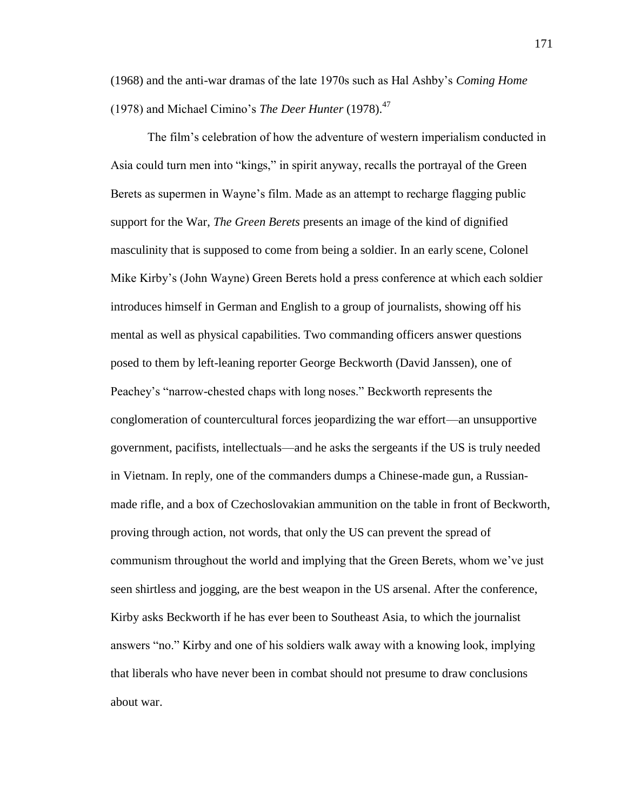(1968) and the anti-war dramas of the late 1970s such as Hal Ashby's *Coming Home* (1978) and Michael Cimino's *The Deer Hunter* (1978).<sup>47</sup>

The film's celebration of how the adventure of western imperialism conducted in Asia could turn men into "kings," in spirit anyway, recalls the portrayal of the Green Berets as supermen in Wayne's film. Made as an attempt to recharge flagging public support for the War, *The Green Berets* presents an image of the kind of dignified masculinity that is supposed to come from being a soldier. In an early scene, Colonel Mike Kirby's (John Wayne) Green Berets hold a press conference at which each soldier introduces himself in German and English to a group of journalists, showing off his mental as well as physical capabilities. Two commanding officers answer questions posed to them by left-leaning reporter George Beckworth (David Janssen), one of Peachey's "narrow-chested chaps with long noses." Beckworth represents the conglomeration of countercultural forces jeopardizing the war effort—an unsupportive government, pacifists, intellectuals—and he asks the sergeants if the US is truly needed in Vietnam. In reply, one of the commanders dumps a Chinese-made gun, a Russianmade rifle, and a box of Czechoslovakian ammunition on the table in front of Beckworth, proving through action, not words, that only the US can prevent the spread of communism throughout the world and implying that the Green Berets, whom we've just seen shirtless and jogging, are the best weapon in the US arsenal. After the conference, Kirby asks Beckworth if he has ever been to Southeast Asia, to which the journalist answers "no." Kirby and one of his soldiers walk away with a knowing look, implying that liberals who have never been in combat should not presume to draw conclusions about war.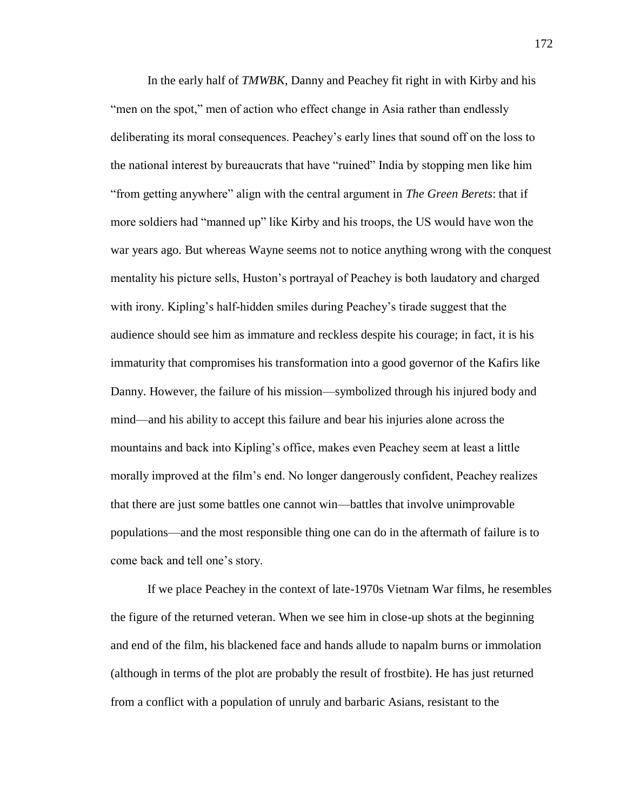In the early half of *TMWBK*, Danny and Peachey fit right in with Kirby and his "men on the spot," men of action who effect change in Asia rather than endlessly deliberating its moral consequences. Peachey's early lines that sound off on the loss to the national interest by bureaucrats that have "ruined" India by stopping men like him "from getting anywhere" align with the central argument in *The Green Berets*: that if more soldiers had "manned up" like Kirby and his troops, the US would have won the war years ago. But whereas Wayne seems not to notice anything wrong with the conquest mentality his picture sells, Huston's portrayal of Peachey is both laudatory and charged with irony. Kipling's half-hidden smiles during Peachey's tirade suggest that the audience should see him as immature and reckless despite his courage; in fact, it is his immaturity that compromises his transformation into a good governor of the Kafirs like Danny. However, the failure of his mission—symbolized through his injured body and mind—and his ability to accept this failure and bear his injuries alone across the mountains and back into Kipling's office, makes even Peachey seem at least a little morally improved at the film's end. No longer dangerously confident, Peachey realizes that there are just some battles one cannot win—battles that involve unimprovable populations—and the most responsible thing one can do in the aftermath of failure is to come back and tell one's story.

If we place Peachey in the context of late-1970s Vietnam War films, he resembles the figure of the returned veteran. When we see him in close-up shots at the beginning and end of the film, his blackened face and hands allude to napalm burns or immolation (although in terms of the plot are probably the result of frostbite). He has just returned from a conflict with a population of unruly and barbaric Asians, resistant to the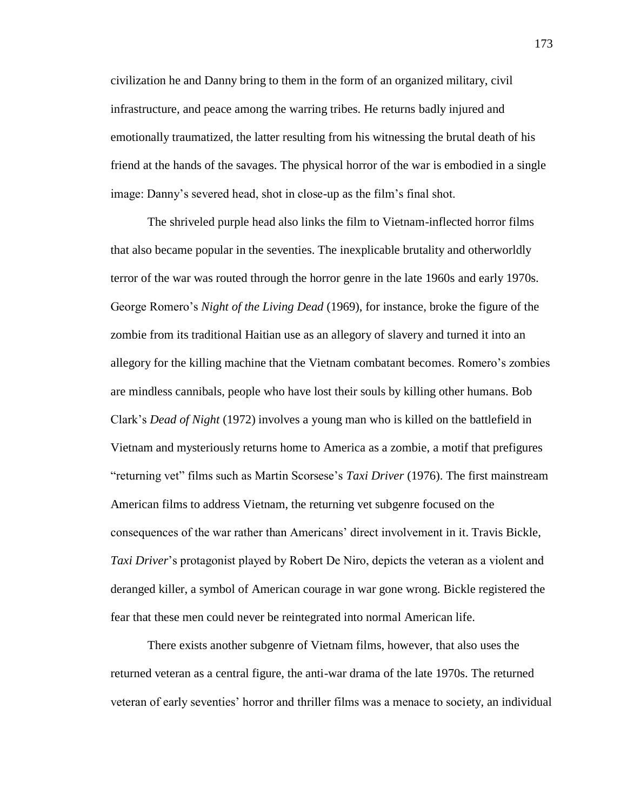civilization he and Danny bring to them in the form of an organized military, civil infrastructure, and peace among the warring tribes. He returns badly injured and emotionally traumatized, the latter resulting from his witnessing the brutal death of his friend at the hands of the savages. The physical horror of the war is embodied in a single image: Danny's severed head, shot in close-up as the film's final shot.

The shriveled purple head also links the film to Vietnam-inflected horror films that also became popular in the seventies. The inexplicable brutality and otherworldly terror of the war was routed through the horror genre in the late 1960s and early 1970s. George Romero's *Night of the Living Dead* (1969), for instance, broke the figure of the zombie from its traditional Haitian use as an allegory of slavery and turned it into an allegory for the killing machine that the Vietnam combatant becomes. Romero's zombies are mindless cannibals, people who have lost their souls by killing other humans. Bob Clark's *Dead of Night* (1972) involves a young man who is killed on the battlefield in Vietnam and mysteriously returns home to America as a zombie, a motif that prefigures "returning vet" films such as Martin Scorsese's *Taxi Driver* (1976). The first mainstream American films to address Vietnam, the returning vet subgenre focused on the consequences of the war rather than Americans' direct involvement in it. Travis Bickle, *Taxi Driver*'s protagonist played by Robert De Niro, depicts the veteran as a violent and deranged killer, a symbol of American courage in war gone wrong. Bickle registered the fear that these men could never be reintegrated into normal American life.

There exists another subgenre of Vietnam films, however, that also uses the returned veteran as a central figure, the anti-war drama of the late 1970s. The returned veteran of early seventies' horror and thriller films was a menace to society, an individual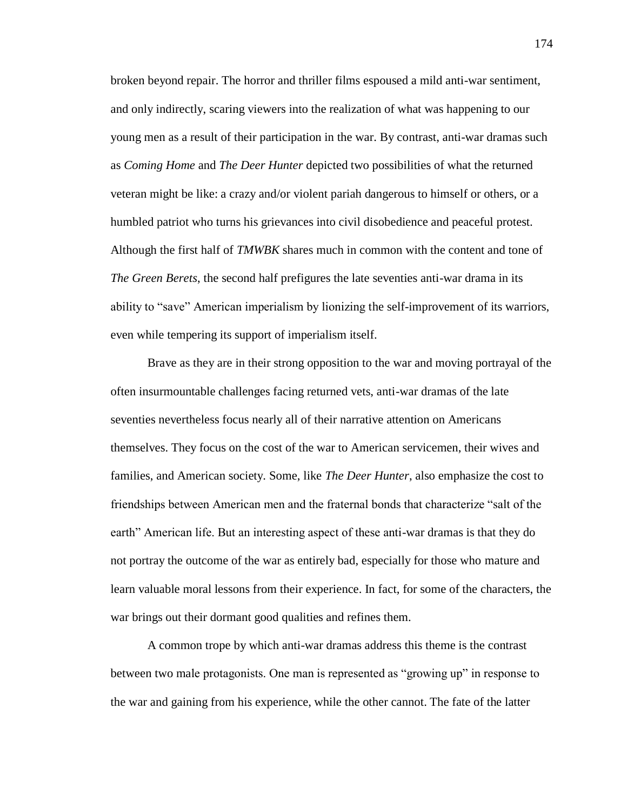broken beyond repair. The horror and thriller films espoused a mild anti-war sentiment, and only indirectly, scaring viewers into the realization of what was happening to our young men as a result of their participation in the war. By contrast, anti-war dramas such as *Coming Home* and *The Deer Hunter* depicted two possibilities of what the returned veteran might be like: a crazy and/or violent pariah dangerous to himself or others, or a humbled patriot who turns his grievances into civil disobedience and peaceful protest. Although the first half of *TMWBK* shares much in common with the content and tone of *The Green Berets*, the second half prefigures the late seventies anti-war drama in its ability to "save" American imperialism by lionizing the self-improvement of its warriors, even while tempering its support of imperialism itself.

Brave as they are in their strong opposition to the war and moving portrayal of the often insurmountable challenges facing returned vets, anti-war dramas of the late seventies nevertheless focus nearly all of their narrative attention on Americans themselves. They focus on the cost of the war to American servicemen, their wives and families, and American society. Some, like *The Deer Hunter*, also emphasize the cost to friendships between American men and the fraternal bonds that characterize "salt of the earth" American life. But an interesting aspect of these anti-war dramas is that they do not portray the outcome of the war as entirely bad, especially for those who mature and learn valuable moral lessons from their experience. In fact, for some of the characters, the war brings out their dormant good qualities and refines them.

A common trope by which anti-war dramas address this theme is the contrast between two male protagonists. One man is represented as "growing up" in response to the war and gaining from his experience, while the other cannot. The fate of the latter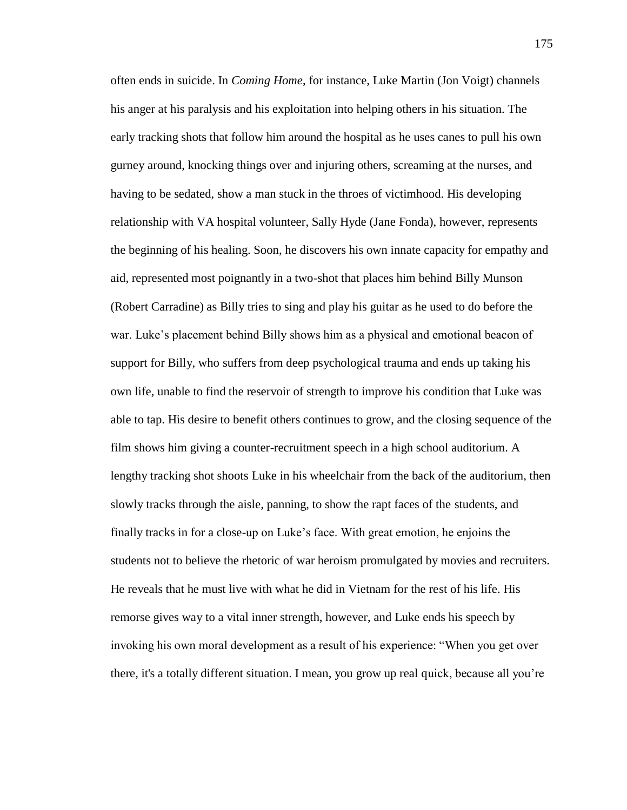often ends in suicide. In *Coming Home*, for instance, Luke Martin (Jon Voigt) channels his anger at his paralysis and his exploitation into helping others in his situation. The early tracking shots that follow him around the hospital as he uses canes to pull his own gurney around, knocking things over and injuring others, screaming at the nurses, and having to be sedated, show a man stuck in the throes of victimhood. His developing relationship with VA hospital volunteer, Sally Hyde (Jane Fonda), however, represents the beginning of his healing. Soon, he discovers his own innate capacity for empathy and aid, represented most poignantly in a two-shot that places him behind Billy Munson (Robert Carradine) as Billy tries to sing and play his guitar as he used to do before the war. Luke's placement behind Billy shows him as a physical and emotional beacon of support for Billy, who suffers from deep psychological trauma and ends up taking his own life, unable to find the reservoir of strength to improve his condition that Luke was able to tap. His desire to benefit others continues to grow, and the closing sequence of the film shows him giving a counter-recruitment speech in a high school auditorium. A lengthy tracking shot shoots Luke in his wheelchair from the back of the auditorium, then slowly tracks through the aisle, panning, to show the rapt faces of the students, and finally tracks in for a close-up on Luke's face. With great emotion, he enjoins the students not to believe the rhetoric of war heroism promulgated by movies and recruiters. He reveals that he must live with what he did in Vietnam for the rest of his life. His remorse gives way to a vital inner strength, however, and Luke ends his speech by invoking his own moral development as a result of his experience: "When you get over there, it's a totally different situation. I mean, you grow up real quick, because all you're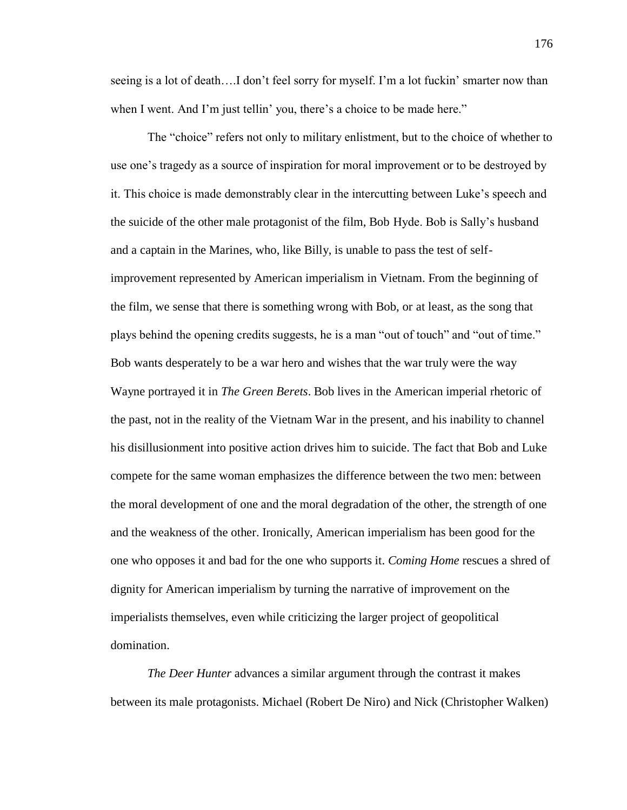seeing is a lot of death….I don't feel sorry for myself. I'm a lot fuckin' smarter now than when I went. And I'm just tellin' you, there's a choice to be made here."

The "choice" refers not only to military enlistment, but to the choice of whether to use one's tragedy as a source of inspiration for moral improvement or to be destroyed by it. This choice is made demonstrably clear in the intercutting between Luke's speech and the suicide of the other male protagonist of the film, Bob Hyde. Bob is Sally's husband and a captain in the Marines, who, like Billy, is unable to pass the test of selfimprovement represented by American imperialism in Vietnam. From the beginning of the film, we sense that there is something wrong with Bob, or at least, as the song that plays behind the opening credits suggests, he is a man "out of touch" and "out of time." Bob wants desperately to be a war hero and wishes that the war truly were the way Wayne portrayed it in *The Green Berets*. Bob lives in the American imperial rhetoric of the past, not in the reality of the Vietnam War in the present, and his inability to channel his disillusionment into positive action drives him to suicide. The fact that Bob and Luke compete for the same woman emphasizes the difference between the two men: between the moral development of one and the moral degradation of the other, the strength of one and the weakness of the other. Ironically, American imperialism has been good for the one who opposes it and bad for the one who supports it. *Coming Home* rescues a shred of dignity for American imperialism by turning the narrative of improvement on the imperialists themselves, even while criticizing the larger project of geopolitical domination.

*The Deer Hunter* advances a similar argument through the contrast it makes between its male protagonists. Michael (Robert De Niro) and Nick (Christopher Walken)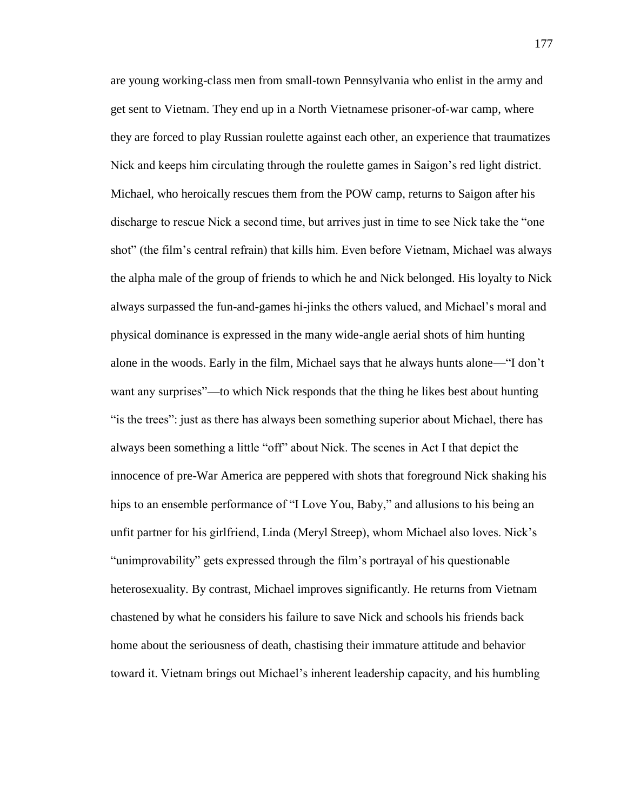are young working-class men from small-town Pennsylvania who enlist in the army and get sent to Vietnam. They end up in a North Vietnamese prisoner-of-war camp, where they are forced to play Russian roulette against each other, an experience that traumatizes Nick and keeps him circulating through the roulette games in Saigon's red light district. Michael, who heroically rescues them from the POW camp, returns to Saigon after his discharge to rescue Nick a second time, but arrives just in time to see Nick take the "one shot" (the film's central refrain) that kills him. Even before Vietnam, Michael was always the alpha male of the group of friends to which he and Nick belonged. His loyalty to Nick always surpassed the fun-and-games hi-jinks the others valued, and Michael's moral and physical dominance is expressed in the many wide-angle aerial shots of him hunting alone in the woods. Early in the film, Michael says that he always hunts alone—"I don't want any surprises"—to which Nick responds that the thing he likes best about hunting "is the trees": just as there has always been something superior about Michael, there has always been something a little "off" about Nick. The scenes in Act I that depict the innocence of pre-War America are peppered with shots that foreground Nick shaking his hips to an ensemble performance of "I Love You, Baby," and allusions to his being an unfit partner for his girlfriend, Linda (Meryl Streep), whom Michael also loves. Nick's "unimprovability" gets expressed through the film's portrayal of his questionable heterosexuality. By contrast, Michael improves significantly. He returns from Vietnam chastened by what he considers his failure to save Nick and schools his friends back home about the seriousness of death, chastising their immature attitude and behavior toward it. Vietnam brings out Michael's inherent leadership capacity, and his humbling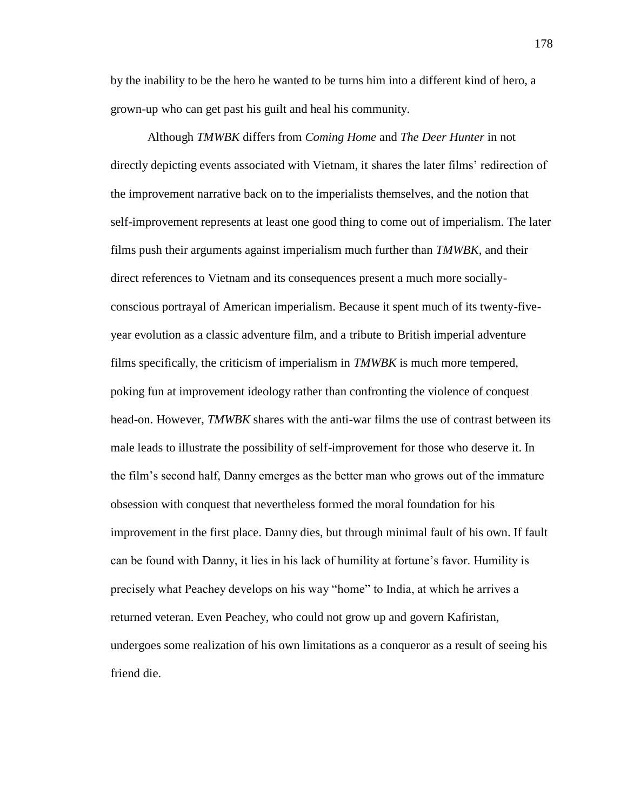by the inability to be the hero he wanted to be turns him into a different kind of hero, a grown-up who can get past his guilt and heal his community.

Although *TMWBK* differs from *Coming Home* and *The Deer Hunter* in not directly depicting events associated with Vietnam, it shares the later films' redirection of the improvement narrative back on to the imperialists themselves, and the notion that self-improvement represents at least one good thing to come out of imperialism. The later films push their arguments against imperialism much further than *TMWBK*, and their direct references to Vietnam and its consequences present a much more sociallyconscious portrayal of American imperialism. Because it spent much of its twenty-fiveyear evolution as a classic adventure film, and a tribute to British imperial adventure films specifically, the criticism of imperialism in *TMWBK* is much more tempered, poking fun at improvement ideology rather than confronting the violence of conquest head-on. However, *TMWBK* shares with the anti-war films the use of contrast between its male leads to illustrate the possibility of self-improvement for those who deserve it. In the film's second half, Danny emerges as the better man who grows out of the immature obsession with conquest that nevertheless formed the moral foundation for his improvement in the first place. Danny dies, but through minimal fault of his own. If fault can be found with Danny, it lies in his lack of humility at fortune's favor. Humility is precisely what Peachey develops on his way "home" to India, at which he arrives a returned veteran. Even Peachey, who could not grow up and govern Kafiristan, undergoes some realization of his own limitations as a conqueror as a result of seeing his friend die.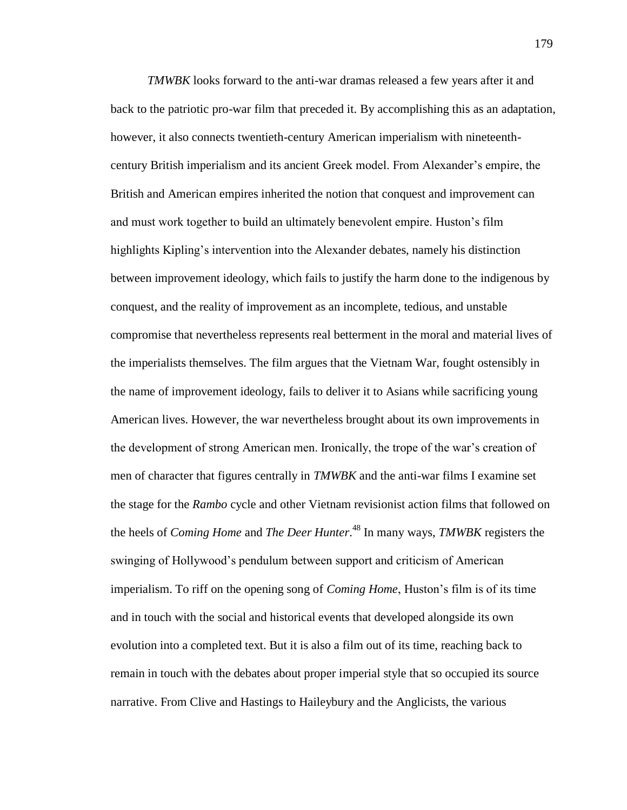*TMWBK* looks forward to the anti-war dramas released a few years after it and back to the patriotic pro-war film that preceded it. By accomplishing this as an adaptation, however, it also connects twentieth-century American imperialism with nineteenthcentury British imperialism and its ancient Greek model. From Alexander's empire, the British and American empires inherited the notion that conquest and improvement can and must work together to build an ultimately benevolent empire. Huston's film highlights Kipling's intervention into the Alexander debates, namely his distinction between improvement ideology, which fails to justify the harm done to the indigenous by conquest, and the reality of improvement as an incomplete, tedious, and unstable compromise that nevertheless represents real betterment in the moral and material lives of the imperialists themselves. The film argues that the Vietnam War, fought ostensibly in the name of improvement ideology, fails to deliver it to Asians while sacrificing young American lives. However, the war nevertheless brought about its own improvements in the development of strong American men. Ironically, the trope of the war's creation of men of character that figures centrally in *TMWBK* and the anti-war films I examine set the stage for the *Rambo* cycle and other Vietnam revisionist action films that followed on the heels of *Coming Home* and *The Deer Hunter*. <sup>48</sup> In many ways, *TMWBK* registers the swinging of Hollywood's pendulum between support and criticism of American imperialism. To riff on the opening song of *Coming Home*, Huston's film is of its time and in touch with the social and historical events that developed alongside its own evolution into a completed text. But it is also a film out of its time, reaching back to remain in touch with the debates about proper imperial style that so occupied its source narrative. From Clive and Hastings to Haileybury and the Anglicists, the various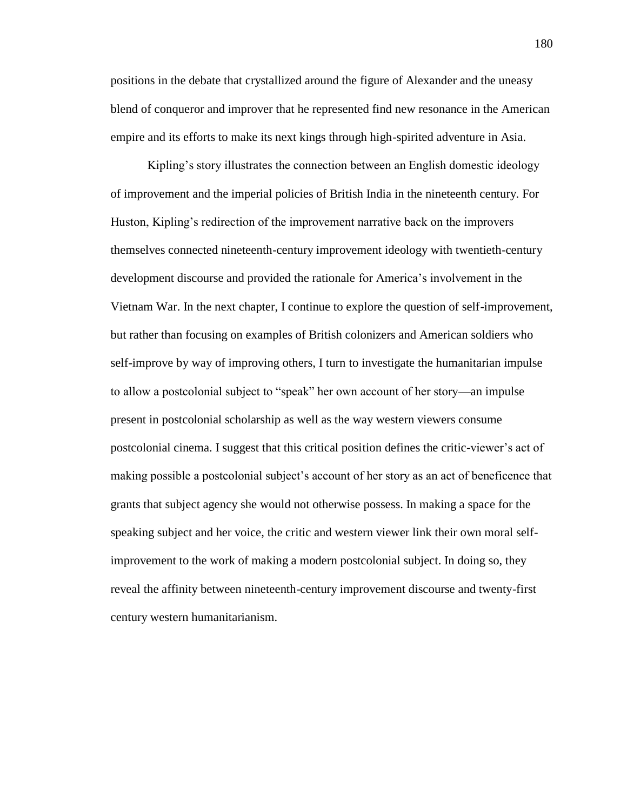positions in the debate that crystallized around the figure of Alexander and the uneasy blend of conqueror and improver that he represented find new resonance in the American empire and its efforts to make its next kings through high-spirited adventure in Asia.

Kipling's story illustrates the connection between an English domestic ideology of improvement and the imperial policies of British India in the nineteenth century. For Huston, Kipling's redirection of the improvement narrative back on the improvers themselves connected nineteenth-century improvement ideology with twentieth-century development discourse and provided the rationale for America's involvement in the Vietnam War. In the next chapter, I continue to explore the question of self-improvement, but rather than focusing on examples of British colonizers and American soldiers who self-improve by way of improving others, I turn to investigate the humanitarian impulse to allow a postcolonial subject to "speak" her own account of her story—an impulse present in postcolonial scholarship as well as the way western viewers consume postcolonial cinema. I suggest that this critical position defines the critic-viewer's act of making possible a postcolonial subject's account of her story as an act of beneficence that grants that subject agency she would not otherwise possess. In making a space for the speaking subject and her voice, the critic and western viewer link their own moral selfimprovement to the work of making a modern postcolonial subject. In doing so, they reveal the affinity between nineteenth-century improvement discourse and twenty-first century western humanitarianism.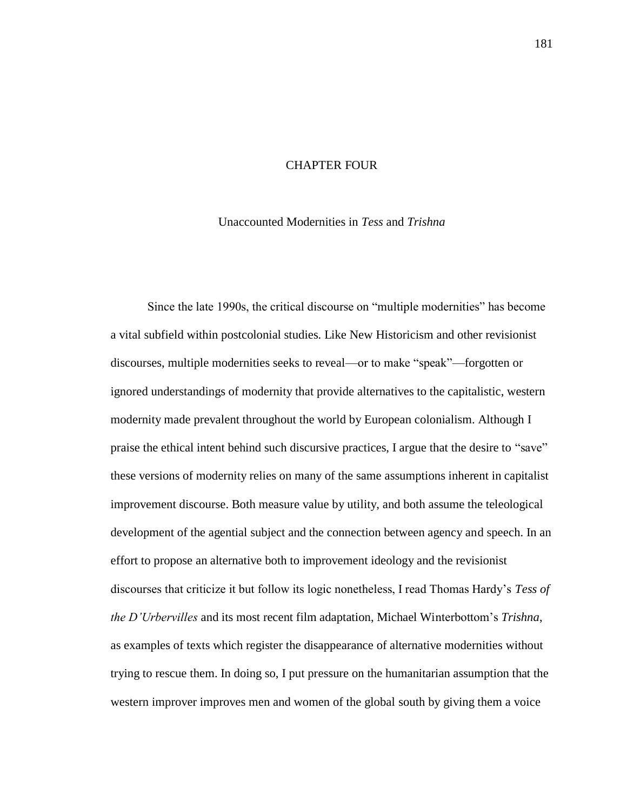## CHAPTER FOUR

## Unaccounted Modernities in *Tess* and *Trishna*

Since the late 1990s, the critical discourse on "multiple modernities" has become a vital subfield within postcolonial studies. Like New Historicism and other revisionist discourses, multiple modernities seeks to reveal—or to make "speak"—forgotten or ignored understandings of modernity that provide alternatives to the capitalistic, western modernity made prevalent throughout the world by European colonialism. Although I praise the ethical intent behind such discursive practices, I argue that the desire to "save" these versions of modernity relies on many of the same assumptions inherent in capitalist improvement discourse. Both measure value by utility, and both assume the teleological development of the agential subject and the connection between agency and speech. In an effort to propose an alternative both to improvement ideology and the revisionist discourses that criticize it but follow its logic nonetheless, I read Thomas Hardy's *Tess of the D'Urbervilles* and its most recent film adaptation, Michael Winterbottom's *Trishna*, as examples of texts which register the disappearance of alternative modernities without trying to rescue them. In doing so, I put pressure on the humanitarian assumption that the western improver improves men and women of the global south by giving them a voice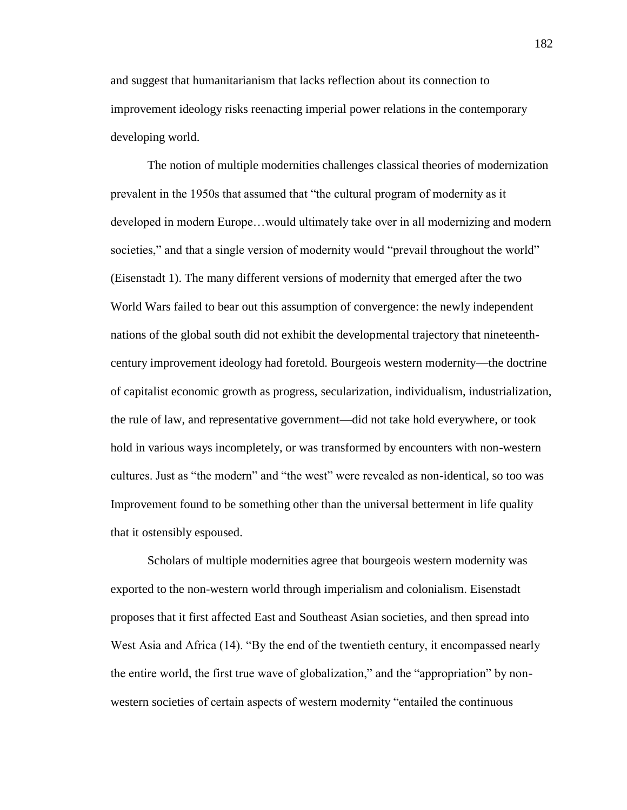and suggest that humanitarianism that lacks reflection about its connection to improvement ideology risks reenacting imperial power relations in the contemporary developing world.

The notion of multiple modernities challenges classical theories of modernization prevalent in the 1950s that assumed that "the cultural program of modernity as it developed in modern Europe…would ultimately take over in all modernizing and modern societies," and that a single version of modernity would "prevail throughout the world" (Eisenstadt 1). The many different versions of modernity that emerged after the two World Wars failed to bear out this assumption of convergence: the newly independent nations of the global south did not exhibit the developmental trajectory that nineteenthcentury improvement ideology had foretold. Bourgeois western modernity—the doctrine of capitalist economic growth as progress, secularization, individualism, industrialization, the rule of law, and representative government—did not take hold everywhere, or took hold in various ways incompletely, or was transformed by encounters with non-western cultures. Just as "the modern" and "the west" were revealed as non-identical, so too was Improvement found to be something other than the universal betterment in life quality that it ostensibly espoused.

Scholars of multiple modernities agree that bourgeois western modernity was exported to the non-western world through imperialism and colonialism. Eisenstadt proposes that it first affected East and Southeast Asian societies, and then spread into West Asia and Africa (14). "By the end of the twentieth century, it encompassed nearly the entire world, the first true wave of globalization," and the "appropriation" by nonwestern societies of certain aspects of western modernity "entailed the continuous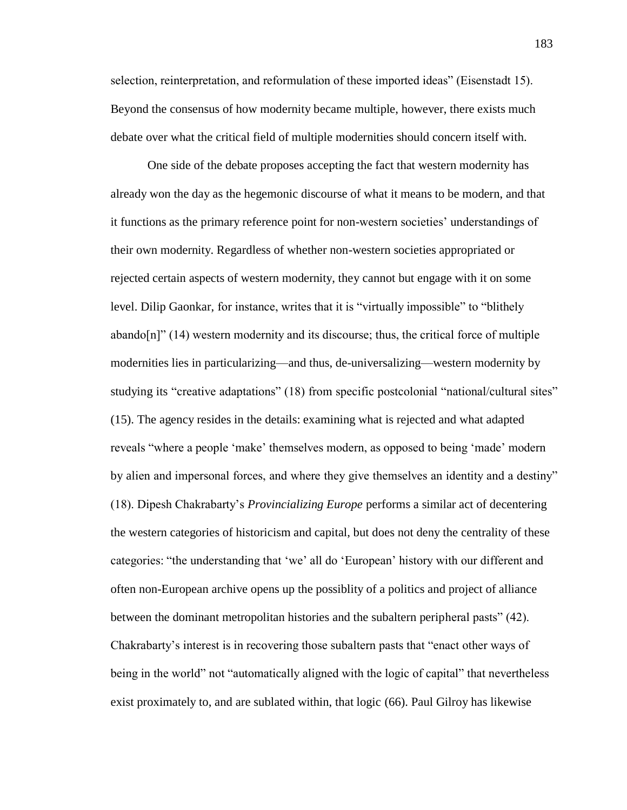selection, reinterpretation, and reformulation of these imported ideas" (Eisenstadt 15). Beyond the consensus of how modernity became multiple, however, there exists much debate over what the critical field of multiple modernities should concern itself with.

One side of the debate proposes accepting the fact that western modernity has already won the day as the hegemonic discourse of what it means to be modern, and that it functions as the primary reference point for non-western societies' understandings of their own modernity. Regardless of whether non-western societies appropriated or rejected certain aspects of western modernity, they cannot but engage with it on some level. Dilip Gaonkar, for instance, writes that it is "virtually impossible" to "blithely  $ab$ abando[n]" (14) western modernity and its discourse; thus, the critical force of multiple modernities lies in particularizing—and thus, de-universalizing—western modernity by studying its "creative adaptations" (18) from specific postcolonial "national/cultural sites" (15). The agency resides in the details: examining what is rejected and what adapted reveals "where a people 'make' themselves modern, as opposed to being 'made' modern by alien and impersonal forces, and where they give themselves an identity and a destiny" (18). Dipesh Chakrabarty's *Provincializing Europe* performs a similar act of decentering the western categories of historicism and capital, but does not deny the centrality of these categories: "the understanding that 'we' all do 'European' history with our different and often non-European archive opens up the possiblity of a politics and project of alliance between the dominant metropolitan histories and the subaltern peripheral pasts" (42). Chakrabarty's interest is in recovering those subaltern pasts that "enact other ways of being in the world" not "automatically aligned with the logic of capital" that nevertheless exist proximately to, and are sublated within, that logic (66). Paul Gilroy has likewise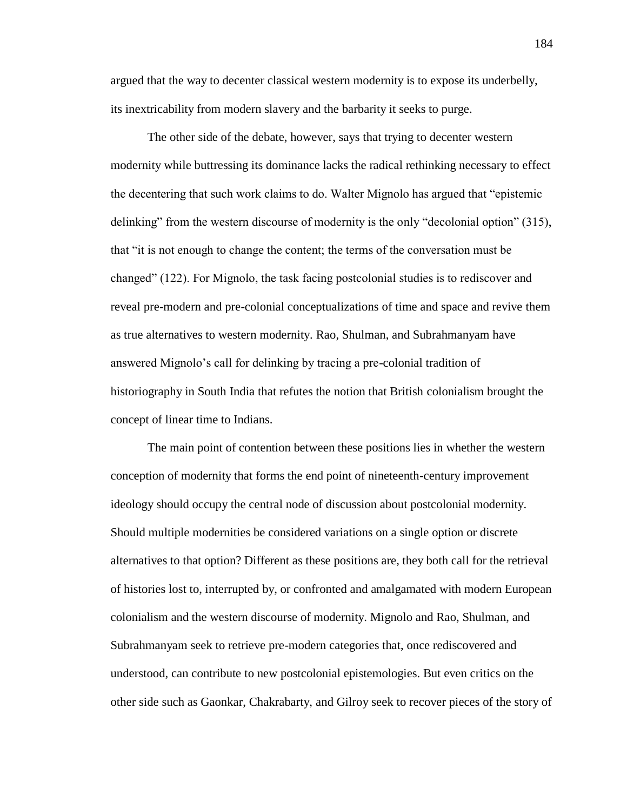argued that the way to decenter classical western modernity is to expose its underbelly, its inextricability from modern slavery and the barbarity it seeks to purge.

The other side of the debate, however, says that trying to decenter western modernity while buttressing its dominance lacks the radical rethinking necessary to effect the decentering that such work claims to do. Walter Mignolo has argued that "epistemic delinking" from the western discourse of modernity is the only "decolonial option" (315), that "it is not enough to change the content; the terms of the conversation must be changed" (122). For Mignolo, the task facing postcolonial studies is to rediscover and reveal pre-modern and pre-colonial conceptualizations of time and space and revive them as true alternatives to western modernity. Rao, Shulman, and Subrahmanyam have answered Mignolo's call for delinking by tracing a pre-colonial tradition of historiography in South India that refutes the notion that British colonialism brought the concept of linear time to Indians.

The main point of contention between these positions lies in whether the western conception of modernity that forms the end point of nineteenth-century improvement ideology should occupy the central node of discussion about postcolonial modernity. Should multiple modernities be considered variations on a single option or discrete alternatives to that option? Different as these positions are, they both call for the retrieval of histories lost to, interrupted by, or confronted and amalgamated with modern European colonialism and the western discourse of modernity. Mignolo and Rao, Shulman, and Subrahmanyam seek to retrieve pre-modern categories that, once rediscovered and understood, can contribute to new postcolonial epistemologies. But even critics on the other side such as Gaonkar, Chakrabarty, and Gilroy seek to recover pieces of the story of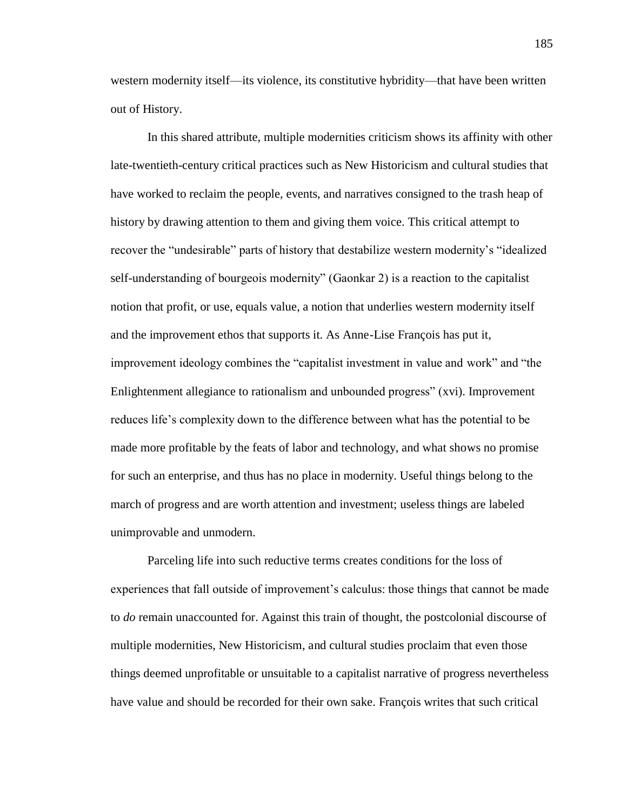western modernity itself—its violence, its constitutive hybridity—that have been written out of History.

In this shared attribute, multiple modernities criticism shows its affinity with other late-twentieth-century critical practices such as New Historicism and cultural studies that have worked to reclaim the people, events, and narratives consigned to the trash heap of history by drawing attention to them and giving them voice. This critical attempt to recover the "undesirable" parts of history that destabilize western modernity's "idealized self-understanding of bourgeois modernity" (Gaonkar 2) is a reaction to the capitalist notion that profit, or use, equals value, a notion that underlies western modernity itself and the improvement ethos that supports it. As Anne-Lise François has put it, improvement ideology combines the "capitalist investment in value and work" and "the Enlightenment allegiance to rationalism and unbounded progress" (xvi). Improvement reduces life's complexity down to the difference between what has the potential to be made more profitable by the feats of labor and technology, and what shows no promise for such an enterprise, and thus has no place in modernity. Useful things belong to the march of progress and are worth attention and investment; useless things are labeled unimprovable and unmodern.

Parceling life into such reductive terms creates conditions for the loss of experiences that fall outside of improvement's calculus: those things that cannot be made to *do* remain unaccounted for. Against this train of thought, the postcolonial discourse of multiple modernities, New Historicism, and cultural studies proclaim that even those things deemed unprofitable or unsuitable to a capitalist narrative of progress nevertheless have value and should be recorded for their own sake. François writes that such critical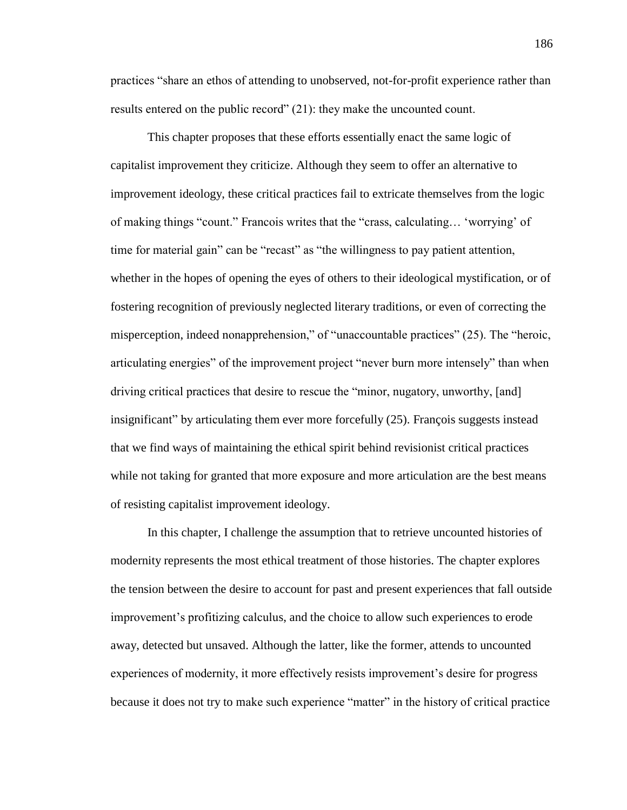practices "share an ethos of attending to unobserved, not-for-profit experience rather than results entered on the public record" (21): they make the uncounted count.

This chapter proposes that these efforts essentially enact the same logic of capitalist improvement they criticize. Although they seem to offer an alternative to improvement ideology, these critical practices fail to extricate themselves from the logic of making things "count." Francois writes that the "crass, calculating… 'worrying' of time for material gain" can be "recast" as "the willingness to pay patient attention, whether in the hopes of opening the eyes of others to their ideological mystification, or of fostering recognition of previously neglected literary traditions, or even of correcting the misperception, indeed nonapprehension," of "unaccountable practices" (25). The "heroic, articulating energies" of the improvement project "never burn more intensely" than when driving critical practices that desire to rescue the "minor, nugatory, unworthy, [and] insignificant" by articulating them ever more forcefully (25). François suggests instead that we find ways of maintaining the ethical spirit behind revisionist critical practices while not taking for granted that more exposure and more articulation are the best means of resisting capitalist improvement ideology.

In this chapter, I challenge the assumption that to retrieve uncounted histories of modernity represents the most ethical treatment of those histories. The chapter explores the tension between the desire to account for past and present experiences that fall outside improvement's profitizing calculus, and the choice to allow such experiences to erode away, detected but unsaved. Although the latter, like the former, attends to uncounted experiences of modernity, it more effectively resists improvement's desire for progress because it does not try to make such experience "matter" in the history of critical practice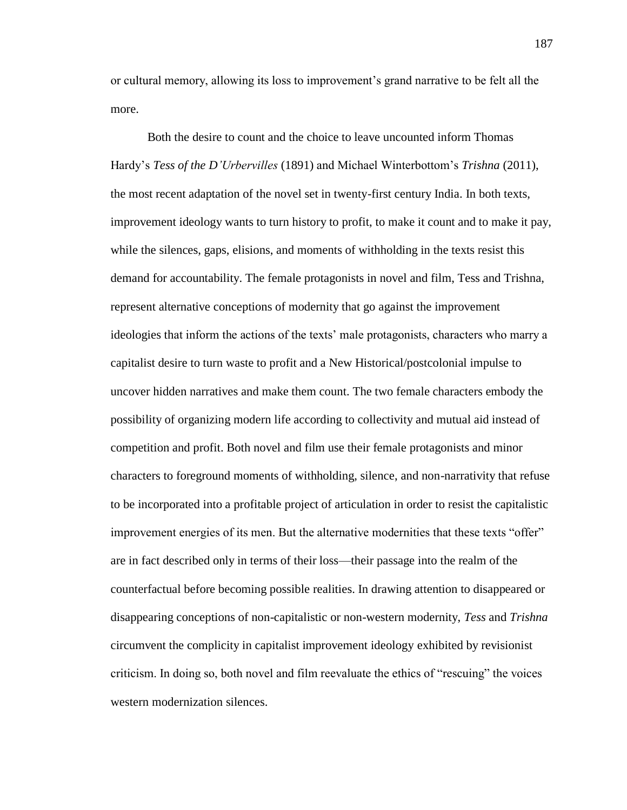or cultural memory, allowing its loss to improvement's grand narrative to be felt all the more.

Both the desire to count and the choice to leave uncounted inform Thomas Hardy's *Tess of the D'Urbervilles* (1891) and Michael Winterbottom's *Trishna* (2011), the most recent adaptation of the novel set in twenty-first century India. In both texts, improvement ideology wants to turn history to profit, to make it count and to make it pay, while the silences, gaps, elisions, and moments of withholding in the texts resist this demand for accountability. The female protagonists in novel and film, Tess and Trishna, represent alternative conceptions of modernity that go against the improvement ideologies that inform the actions of the texts' male protagonists, characters who marry a capitalist desire to turn waste to profit and a New Historical/postcolonial impulse to uncover hidden narratives and make them count. The two female characters embody the possibility of organizing modern life according to collectivity and mutual aid instead of competition and profit. Both novel and film use their female protagonists and minor characters to foreground moments of withholding, silence, and non-narrativity that refuse to be incorporated into a profitable project of articulation in order to resist the capitalistic improvement energies of its men. But the alternative modernities that these texts "offer" are in fact described only in terms of their loss—their passage into the realm of the counterfactual before becoming possible realities. In drawing attention to disappeared or disappearing conceptions of non-capitalistic or non-western modernity, *Tess* and *Trishna* circumvent the complicity in capitalist improvement ideology exhibited by revisionist criticism. In doing so, both novel and film reevaluate the ethics of "rescuing" the voices western modernization silences.

187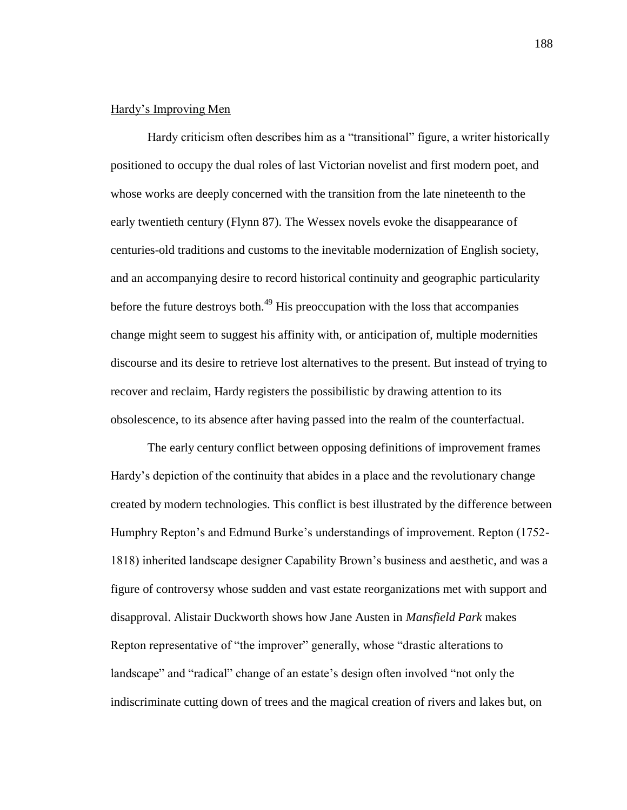## Hardy's Improving Men

Hardy criticism often describes him as a "transitional" figure, a writer historically positioned to occupy the dual roles of last Victorian novelist and first modern poet, and whose works are deeply concerned with the transition from the late nineteenth to the early twentieth century (Flynn 87). The Wessex novels evoke the disappearance of centuries-old traditions and customs to the inevitable modernization of English society, and an accompanying desire to record historical continuity and geographic particularity before the future destroys both.<sup>49</sup> His preoccupation with the loss that accompanies change might seem to suggest his affinity with, or anticipation of, multiple modernities discourse and its desire to retrieve lost alternatives to the present. But instead of trying to recover and reclaim, Hardy registers the possibilistic by drawing attention to its obsolescence, to its absence after having passed into the realm of the counterfactual.

The early century conflict between opposing definitions of improvement frames Hardy's depiction of the continuity that abides in a place and the revolutionary change created by modern technologies. This conflict is best illustrated by the difference between Humphry Repton's and Edmund Burke's understandings of improvement. Repton (1752- 1818) inherited landscape designer Capability Brown's business and aesthetic, and was a figure of controversy whose sudden and vast estate reorganizations met with support and disapproval. Alistair Duckworth shows how Jane Austen in *Mansfield Park* makes Repton representative of "the improver" generally, whose "drastic alterations to landscape" and "radical" change of an estate's design often involved "not only the indiscriminate cutting down of trees and the magical creation of rivers and lakes but, on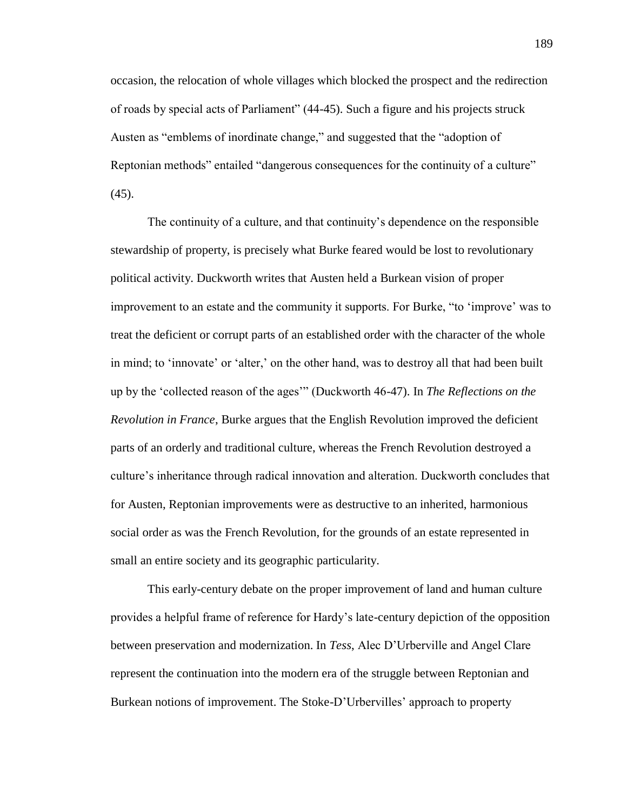occasion, the relocation of whole villages which blocked the prospect and the redirection of roads by special acts of Parliament" (44-45). Such a figure and his projects struck Austen as "emblems of inordinate change," and suggested that the "adoption of Reptonian methods" entailed "dangerous consequences for the continuity of a culture"  $(45)$ .

The continuity of a culture, and that continuity's dependence on the responsible stewardship of property, is precisely what Burke feared would be lost to revolutionary political activity. Duckworth writes that Austen held a Burkean vision of proper improvement to an estate and the community it supports. For Burke, "to 'improve' was to treat the deficient or corrupt parts of an established order with the character of the whole in mind; to 'innovate' or 'alter,' on the other hand, was to destroy all that had been built up by the 'collected reason of the ages'" (Duckworth 46-47). In *The Reflections on the Revolution in France*, Burke argues that the English Revolution improved the deficient parts of an orderly and traditional culture, whereas the French Revolution destroyed a culture's inheritance through radical innovation and alteration. Duckworth concludes that for Austen, Reptonian improvements were as destructive to an inherited, harmonious social order as was the French Revolution, for the grounds of an estate represented in small an entire society and its geographic particularity.

This early-century debate on the proper improvement of land and human culture provides a helpful frame of reference for Hardy's late-century depiction of the opposition between preservation and modernization. In *Tess*, Alec D'Urberville and Angel Clare represent the continuation into the modern era of the struggle between Reptonian and Burkean notions of improvement. The Stoke-D'Urbervilles' approach to property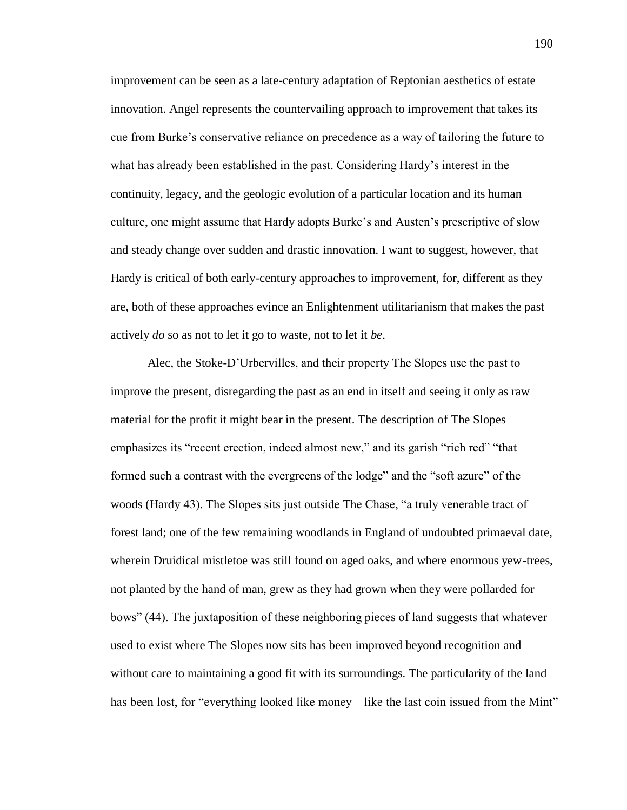improvement can be seen as a late-century adaptation of Reptonian aesthetics of estate innovation. Angel represents the countervailing approach to improvement that takes its cue from Burke's conservative reliance on precedence as a way of tailoring the future to what has already been established in the past. Considering Hardy's interest in the continuity, legacy, and the geologic evolution of a particular location and its human culture, one might assume that Hardy adopts Burke's and Austen's prescriptive of slow and steady change over sudden and drastic innovation. I want to suggest, however, that Hardy is critical of both early-century approaches to improvement, for, different as they are, both of these approaches evince an Enlightenment utilitarianism that makes the past actively *do* so as not to let it go to waste, not to let it *be*.

Alec, the Stoke-D'Urbervilles, and their property The Slopes use the past to improve the present, disregarding the past as an end in itself and seeing it only as raw material for the profit it might bear in the present. The description of The Slopes emphasizes its "recent erection, indeed almost new," and its garish "rich red" "that formed such a contrast with the evergreens of the lodge" and the "soft azure" of the woods (Hardy 43). The Slopes sits just outside The Chase, "a truly venerable tract of forest land; one of the few remaining woodlands in England of undoubted primaeval date, wherein Druidical mistletoe was still found on aged oaks, and where enormous yew-trees, not planted by the hand of man, grew as they had grown when they were pollarded for bows" (44). The juxtaposition of these neighboring pieces of land suggests that whatever used to exist where The Slopes now sits has been improved beyond recognition and without care to maintaining a good fit with its surroundings. The particularity of the land has been lost, for "everything looked like money—like the last coin issued from the Mint"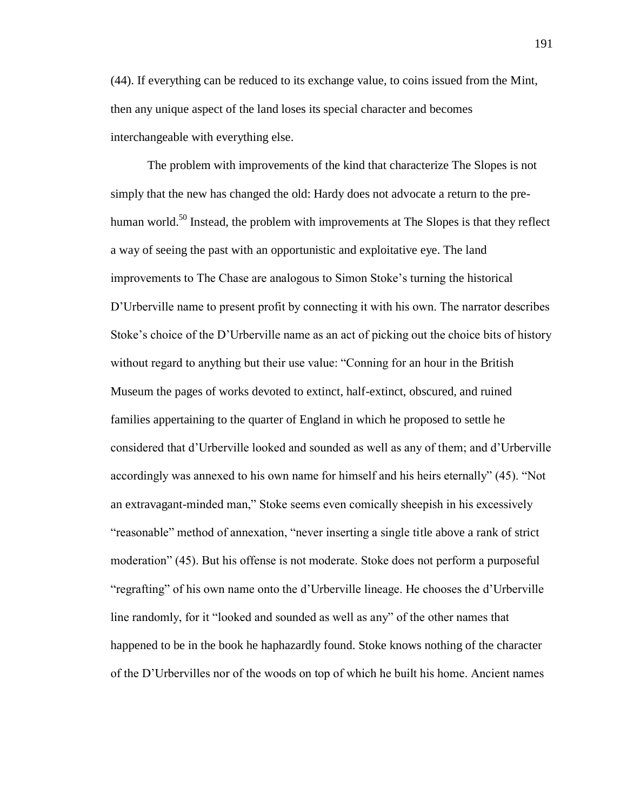(44). If everything can be reduced to its exchange value, to coins issued from the Mint, then any unique aspect of the land loses its special character and becomes interchangeable with everything else.

The problem with improvements of the kind that characterize The Slopes is not simply that the new has changed the old: Hardy does not advocate a return to the prehuman world.<sup>50</sup> Instead, the problem with improvements at The Slopes is that they reflect a way of seeing the past with an opportunistic and exploitative eye. The land improvements to The Chase are analogous to Simon Stoke's turning the historical D'Urberville name to present profit by connecting it with his own. The narrator describes Stoke's choice of the D'Urberville name as an act of picking out the choice bits of history without regard to anything but their use value: "Conning for an hour in the British Museum the pages of works devoted to extinct, half-extinct, obscured, and ruined families appertaining to the quarter of England in which he proposed to settle he considered that d'Urberville looked and sounded as well as any of them; and d'Urberville accordingly was annexed to his own name for himself and his heirs eternally" (45). "Not an extravagant-minded man," Stoke seems even comically sheepish in his excessively "reasonable" method of annexation, "never inserting a single title above a rank of strict moderation" (45). But his offense is not moderate. Stoke does not perform a purposeful "regrafting" of his own name onto the d'Urberville lineage. He chooses the d'Urberville line randomly, for it "looked and sounded as well as any" of the other names that happened to be in the book he haphazardly found. Stoke knows nothing of the character of the D'Urbervilles nor of the woods on top of which he built his home. Ancient names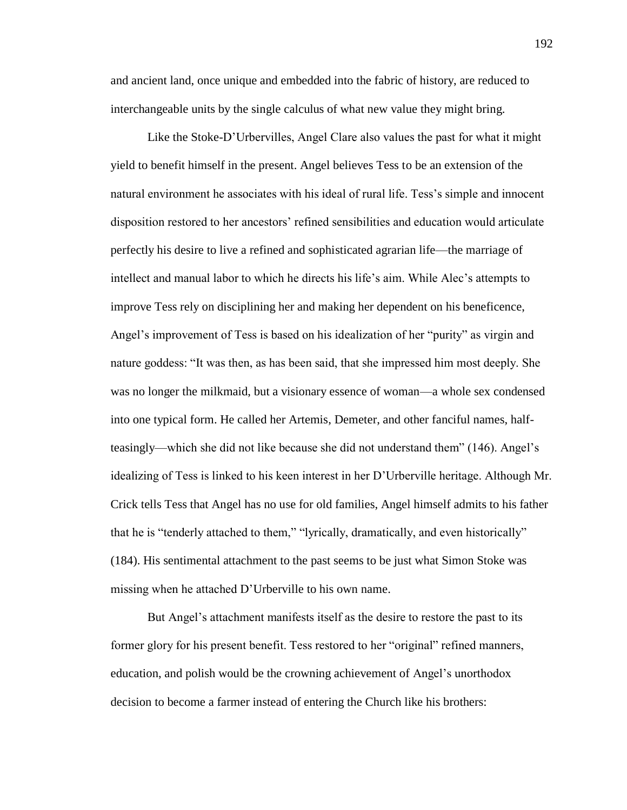and ancient land, once unique and embedded into the fabric of history, are reduced to interchangeable units by the single calculus of what new value they might bring.

Like the Stoke-D'Urbervilles, Angel Clare also values the past for what it might yield to benefit himself in the present. Angel believes Tess to be an extension of the natural environment he associates with his ideal of rural life. Tess's simple and innocent disposition restored to her ancestors' refined sensibilities and education would articulate perfectly his desire to live a refined and sophisticated agrarian life—the marriage of intellect and manual labor to which he directs his life's aim. While Alec's attempts to improve Tess rely on disciplining her and making her dependent on his beneficence, Angel's improvement of Tess is based on his idealization of her "purity" as virgin and nature goddess: "It was then, as has been said, that she impressed him most deeply. She was no longer the milkmaid, but a visionary essence of woman—a whole sex condensed into one typical form. He called her Artemis, Demeter, and other fanciful names, halfteasingly—which she did not like because she did not understand them" (146). Angel's idealizing of Tess is linked to his keen interest in her D'Urberville heritage. Although Mr. Crick tells Tess that Angel has no use for old families, Angel himself admits to his father that he is "tenderly attached to them," "lyrically, dramatically, and even historically" (184). His sentimental attachment to the past seems to be just what Simon Stoke was missing when he attached D'Urberville to his own name.

But Angel's attachment manifests itself as the desire to restore the past to its former glory for his present benefit. Tess restored to her "original" refined manners, education, and polish would be the crowning achievement of Angel's unorthodox decision to become a farmer instead of entering the Church like his brothers: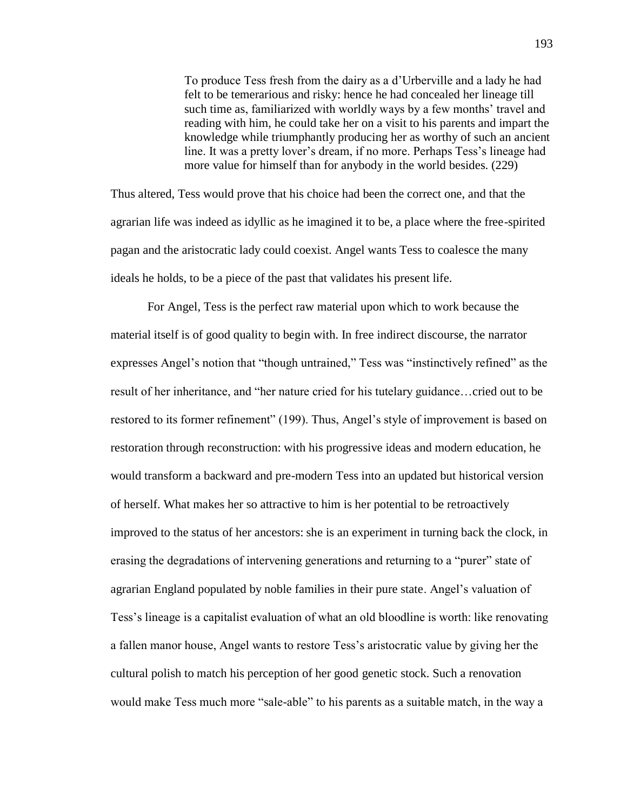To produce Tess fresh from the dairy as a d'Urberville and a lady he had felt to be temerarious and risky: hence he had concealed her lineage till such time as, familiarized with worldly ways by a few months' travel and reading with him, he could take her on a visit to his parents and impart the knowledge while triumphantly producing her as worthy of such an ancient line. It was a pretty lover's dream, if no more. Perhaps Tess's lineage had more value for himself than for anybody in the world besides. (229)

Thus altered, Tess would prove that his choice had been the correct one, and that the agrarian life was indeed as idyllic as he imagined it to be, a place where the free-spirited pagan and the aristocratic lady could coexist. Angel wants Tess to coalesce the many ideals he holds, to be a piece of the past that validates his present life.

For Angel, Tess is the perfect raw material upon which to work because the material itself is of good quality to begin with. In free indirect discourse, the narrator expresses Angel's notion that "though untrained," Tess was "instinctively refined" as the result of her inheritance, and "her nature cried for his tutelary guidance…cried out to be restored to its former refinement" (199). Thus, Angel's style of improvement is based on restoration through reconstruction: with his progressive ideas and modern education, he would transform a backward and pre-modern Tess into an updated but historical version of herself. What makes her so attractive to him is her potential to be retroactively improved to the status of her ancestors: she is an experiment in turning back the clock, in erasing the degradations of intervening generations and returning to a "purer" state of agrarian England populated by noble families in their pure state. Angel's valuation of Tess's lineage is a capitalist evaluation of what an old bloodline is worth: like renovating a fallen manor house, Angel wants to restore Tess's aristocratic value by giving her the cultural polish to match his perception of her good genetic stock. Such a renovation would make Tess much more "sale-able" to his parents as a suitable match, in the way a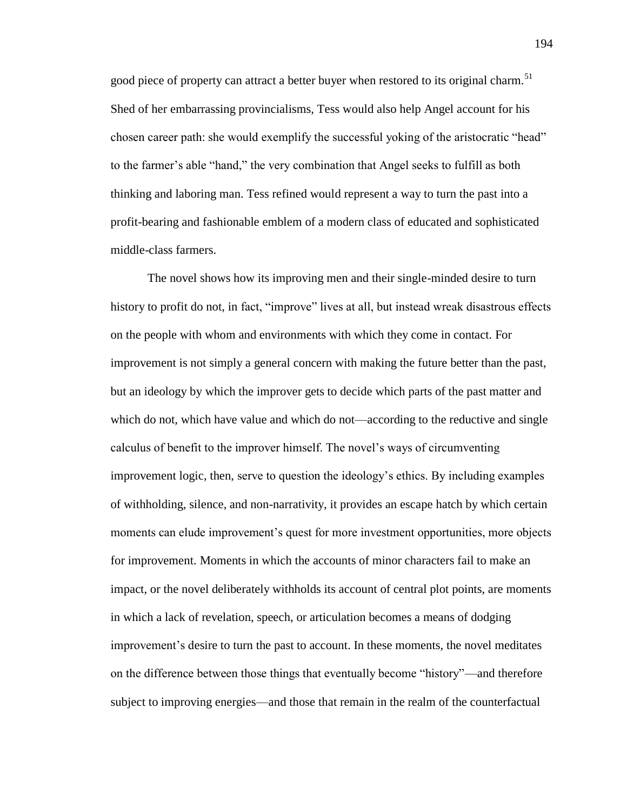good piece of property can attract a better buyer when restored to its original charm.<sup>51</sup> Shed of her embarrassing provincialisms, Tess would also help Angel account for his chosen career path: she would exemplify the successful yoking of the aristocratic "head" to the farmer's able "hand," the very combination that Angel seeks to fulfill as both thinking and laboring man. Tess refined would represent a way to turn the past into a profit-bearing and fashionable emblem of a modern class of educated and sophisticated middle-class farmers.

The novel shows how its improving men and their single-minded desire to turn history to profit do not, in fact, "improve" lives at all, but instead wreak disastrous effects on the people with whom and environments with which they come in contact. For improvement is not simply a general concern with making the future better than the past, but an ideology by which the improver gets to decide which parts of the past matter and which do not, which have value and which do not—according to the reductive and single calculus of benefit to the improver himself. The novel's ways of circumventing improvement logic, then, serve to question the ideology's ethics. By including examples of withholding, silence, and non-narrativity, it provides an escape hatch by which certain moments can elude improvement's quest for more investment opportunities, more objects for improvement. Moments in which the accounts of minor characters fail to make an impact, or the novel deliberately withholds its account of central plot points, are moments in which a lack of revelation, speech, or articulation becomes a means of dodging improvement's desire to turn the past to account. In these moments, the novel meditates on the difference between those things that eventually become "history"—and therefore subject to improving energies—and those that remain in the realm of the counterfactual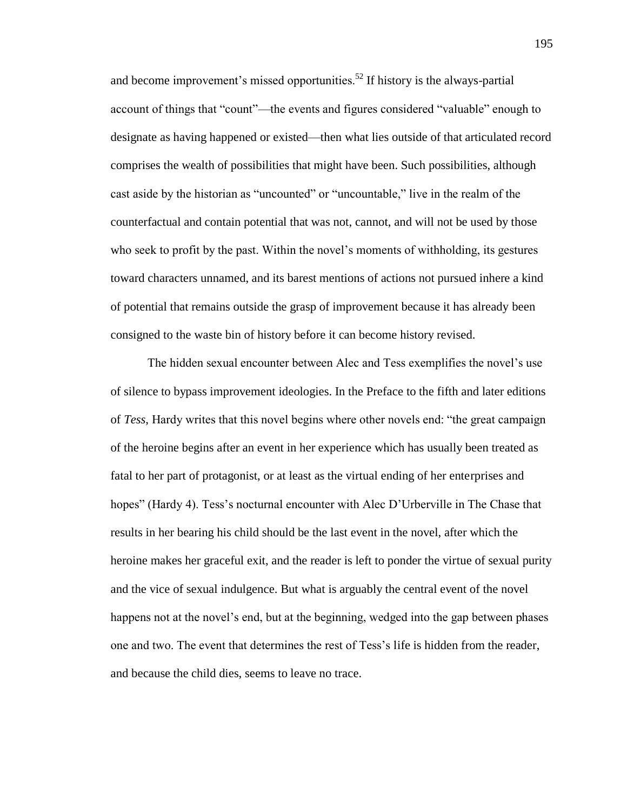and become improvement's missed opportunities.<sup>52</sup> If history is the always-partial account of things that "count"—the events and figures considered "valuable" enough to designate as having happened or existed—then what lies outside of that articulated record comprises the wealth of possibilities that might have been. Such possibilities, although cast aside by the historian as "uncounted" or "uncountable," live in the realm of the counterfactual and contain potential that was not, cannot, and will not be used by those who seek to profit by the past. Within the novel's moments of withholding, its gestures toward characters unnamed, and its barest mentions of actions not pursued inhere a kind of potential that remains outside the grasp of improvement because it has already been consigned to the waste bin of history before it can become history revised.

The hidden sexual encounter between Alec and Tess exemplifies the novel's use of silence to bypass improvement ideologies. In the Preface to the fifth and later editions of *Tess*, Hardy writes that this novel begins where other novels end: "the great campaign of the heroine begins after an event in her experience which has usually been treated as fatal to her part of protagonist, or at least as the virtual ending of her enterprises and hopes" (Hardy 4). Tess's nocturnal encounter with Alec D'Urberville in The Chase that results in her bearing his child should be the last event in the novel, after which the heroine makes her graceful exit, and the reader is left to ponder the virtue of sexual purity and the vice of sexual indulgence. But what is arguably the central event of the novel happens not at the novel's end, but at the beginning, wedged into the gap between phases one and two. The event that determines the rest of Tess's life is hidden from the reader, and because the child dies, seems to leave no trace.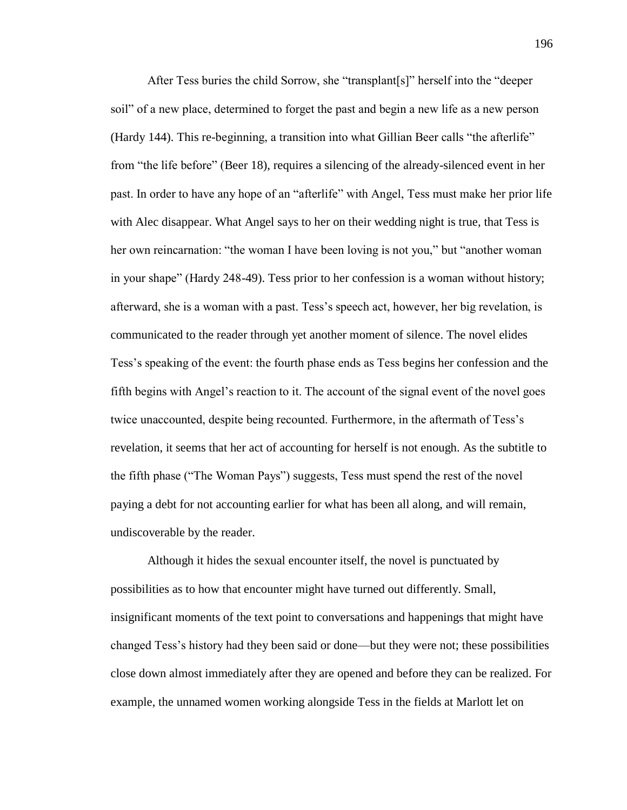After Tess buries the child Sorrow, she "transplant[s]" herself into the "deeper soil" of a new place, determined to forget the past and begin a new life as a new person (Hardy 144). This re-beginning, a transition into what Gillian Beer calls "the afterlife" from "the life before" (Beer 18), requires a silencing of the already-silenced event in her past. In order to have any hope of an "afterlife" with Angel, Tess must make her prior life with Alec disappear. What Angel says to her on their wedding night is true, that Tess is her own reincarnation: "the woman I have been loving is not you," but "another woman in your shape" (Hardy 248-49). Tess prior to her confession is a woman without history; afterward, she is a woman with a past. Tess's speech act, however, her big revelation, is communicated to the reader through yet another moment of silence. The novel elides Tess's speaking of the event: the fourth phase ends as Tess begins her confession and the fifth begins with Angel's reaction to it. The account of the signal event of the novel goes twice unaccounted, despite being recounted. Furthermore, in the aftermath of Tess's revelation, it seems that her act of accounting for herself is not enough. As the subtitle to the fifth phase ("The Woman Pays") suggests, Tess must spend the rest of the novel paying a debt for not accounting earlier for what has been all along, and will remain, undiscoverable by the reader.

Although it hides the sexual encounter itself, the novel is punctuated by possibilities as to how that encounter might have turned out differently. Small, insignificant moments of the text point to conversations and happenings that might have changed Tess's history had they been said or done—but they were not; these possibilities close down almost immediately after they are opened and before they can be realized. For example, the unnamed women working alongside Tess in the fields at Marlott let on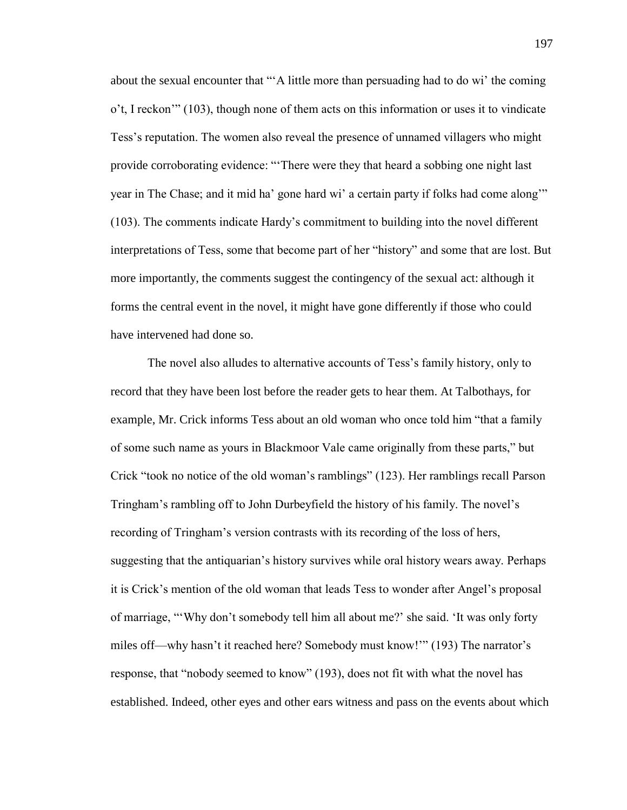about the sexual encounter that "'A little more than persuading had to do wi' the coming o't, I reckon'" (103), though none of them acts on this information or uses it to vindicate Tess's reputation. The women also reveal the presence of unnamed villagers who might provide corroborating evidence: "'There were they that heard a sobbing one night last year in The Chase; and it mid ha' gone hard wi' a certain party if folks had come along'" (103). The comments indicate Hardy's commitment to building into the novel different interpretations of Tess, some that become part of her "history" and some that are lost. But more importantly, the comments suggest the contingency of the sexual act: although it forms the central event in the novel, it might have gone differently if those who could have intervened had done so.

The novel also alludes to alternative accounts of Tess's family history, only to record that they have been lost before the reader gets to hear them. At Talbothays, for example, Mr. Crick informs Tess about an old woman who once told him "that a family of some such name as yours in Blackmoor Vale came originally from these parts," but Crick "took no notice of the old woman's ramblings" (123). Her ramblings recall Parson Tringham's rambling off to John Durbeyfield the history of his family. The novel's recording of Tringham's version contrasts with its recording of the loss of hers, suggesting that the antiquarian's history survives while oral history wears away. Perhaps it is Crick's mention of the old woman that leads Tess to wonder after Angel's proposal of marriage, "'Why don't somebody tell him all about me?' she said. 'It was only forty miles off—why hasn't it reached here? Somebody must know!'" (193) The narrator's response, that "nobody seemed to know" (193), does not fit with what the novel has established. Indeed, other eyes and other ears witness and pass on the events about which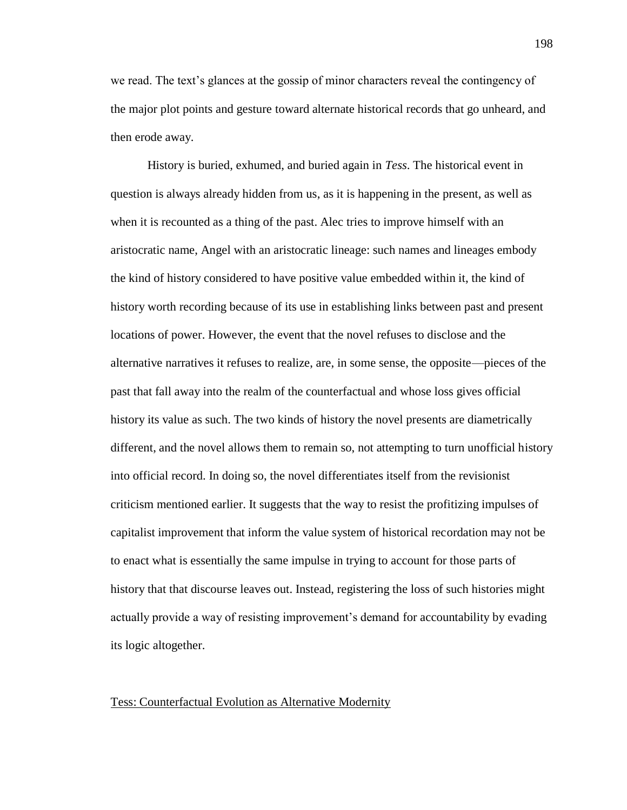we read. The text's glances at the gossip of minor characters reveal the contingency of the major plot points and gesture toward alternate historical records that go unheard, and then erode away.

History is buried, exhumed, and buried again in *Tess*. The historical event in question is always already hidden from us, as it is happening in the present, as well as when it is recounted as a thing of the past. Alec tries to improve himself with an aristocratic name, Angel with an aristocratic lineage: such names and lineages embody the kind of history considered to have positive value embedded within it, the kind of history worth recording because of its use in establishing links between past and present locations of power. However, the event that the novel refuses to disclose and the alternative narratives it refuses to realize, are, in some sense, the opposite—pieces of the past that fall away into the realm of the counterfactual and whose loss gives official history its value as such. The two kinds of history the novel presents are diametrically different, and the novel allows them to remain so, not attempting to turn unofficial history into official record. In doing so, the novel differentiates itself from the revisionist criticism mentioned earlier. It suggests that the way to resist the profitizing impulses of capitalist improvement that inform the value system of historical recordation may not be to enact what is essentially the same impulse in trying to account for those parts of history that that discourse leaves out. Instead, registering the loss of such histories might actually provide a way of resisting improvement's demand for accountability by evading its logic altogether.

## Tess: Counterfactual Evolution as Alternative Modernity

198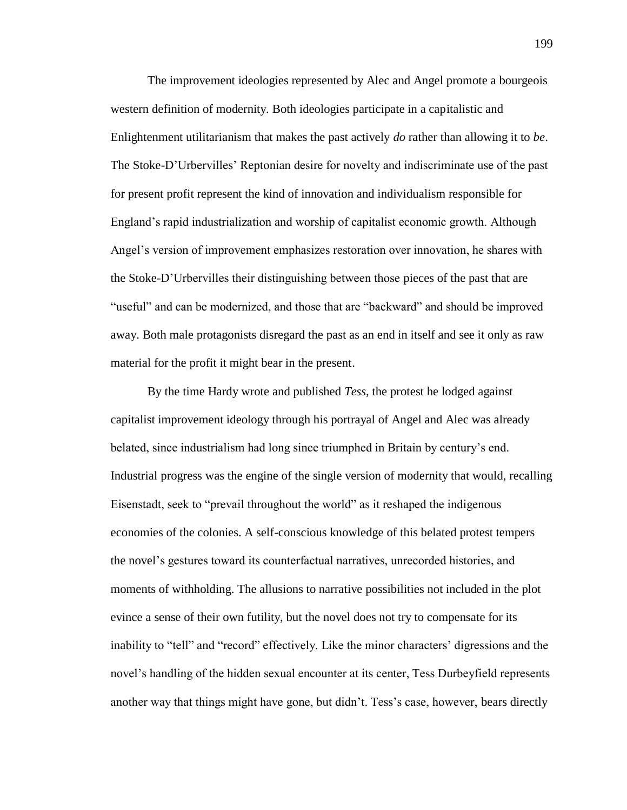The improvement ideologies represented by Alec and Angel promote a bourgeois western definition of modernity. Both ideologies participate in a capitalistic and Enlightenment utilitarianism that makes the past actively *do* rather than allowing it to *be*. The Stoke-D'Urbervilles' Reptonian desire for novelty and indiscriminate use of the past for present profit represent the kind of innovation and individualism responsible for England's rapid industrialization and worship of capitalist economic growth. Although Angel's version of improvement emphasizes restoration over innovation, he shares with the Stoke-D'Urbervilles their distinguishing between those pieces of the past that are "useful" and can be modernized, and those that are "backward" and should be improved away. Both male protagonists disregard the past as an end in itself and see it only as raw material for the profit it might bear in the present.

By the time Hardy wrote and published *Tess*, the protest he lodged against capitalist improvement ideology through his portrayal of Angel and Alec was already belated, since industrialism had long since triumphed in Britain by century's end. Industrial progress was the engine of the single version of modernity that would, recalling Eisenstadt, seek to "prevail throughout the world" as it reshaped the indigenous economies of the colonies. A self-conscious knowledge of this belated protest tempers the novel's gestures toward its counterfactual narratives, unrecorded histories, and moments of withholding. The allusions to narrative possibilities not included in the plot evince a sense of their own futility, but the novel does not try to compensate for its inability to "tell" and "record" effectively. Like the minor characters' digressions and the novel's handling of the hidden sexual encounter at its center, Tess Durbeyfield represents another way that things might have gone, but didn't. Tess's case, however, bears directly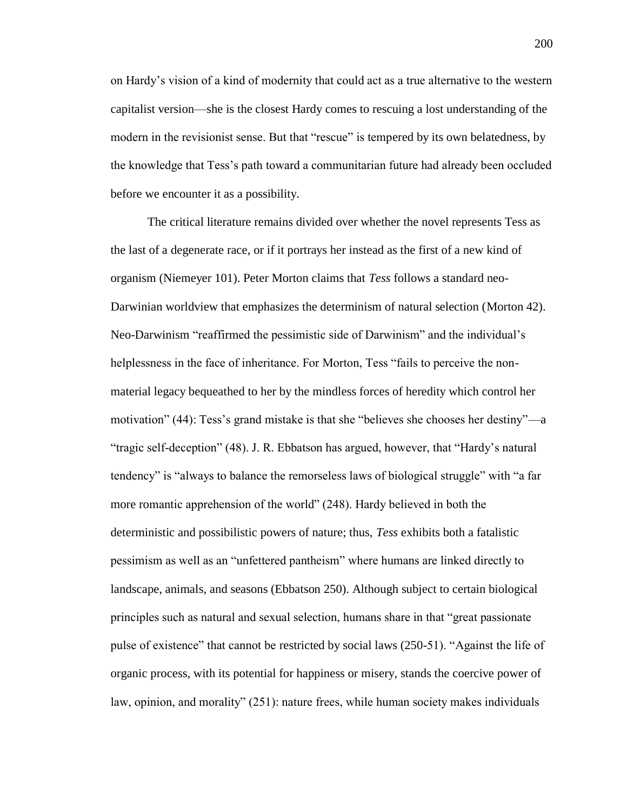on Hardy's vision of a kind of modernity that could act as a true alternative to the western capitalist version—she is the closest Hardy comes to rescuing a lost understanding of the modern in the revisionist sense. But that "rescue" is tempered by its own belatedness, by the knowledge that Tess's path toward a communitarian future had already been occluded before we encounter it as a possibility.

The critical literature remains divided over whether the novel represents Tess as the last of a degenerate race, or if it portrays her instead as the first of a new kind of organism (Niemeyer 101). Peter Morton claims that *Tess* follows a standard neo-Darwinian worldview that emphasizes the determinism of natural selection (Morton 42). Neo-Darwinism "reaffirmed the pessimistic side of Darwinism" and the individual's helplessness in the face of inheritance. For Morton, Tess "fails to perceive the nonmaterial legacy bequeathed to her by the mindless forces of heredity which control her motivation" (44): Tess's grand mistake is that she "believes she chooses her destiny"—a "tragic self-deception" (48). J. R. Ebbatson has argued, however, that "Hardy's natural tendency" is "always to balance the remorseless laws of biological struggle" with "a far more romantic apprehension of the world" (248). Hardy believed in both the deterministic and possibilistic powers of nature; thus, *Tess* exhibits both a fatalistic pessimism as well as an "unfettered pantheism" where humans are linked directly to landscape, animals, and seasons (Ebbatson 250). Although subject to certain biological principles such as natural and sexual selection, humans share in that "great passionate pulse of existence" that cannot be restricted by social laws (250-51). "Against the life of organic process, with its potential for happiness or misery, stands the coercive power of law, opinion, and morality" (251): nature frees, while human society makes individuals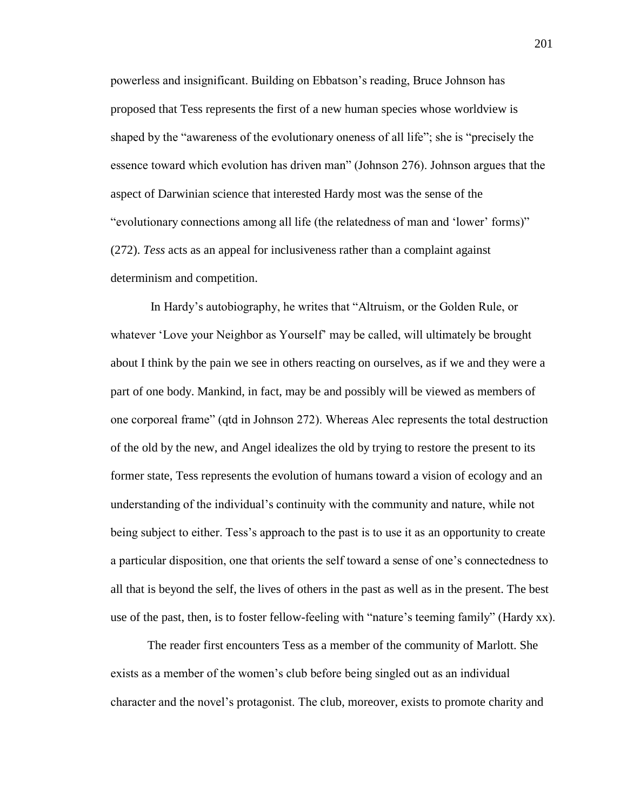powerless and insignificant. Building on Ebbatson's reading, Bruce Johnson has proposed that Tess represents the first of a new human species whose worldview is shaped by the "awareness of the evolutionary oneness of all life"; she is "precisely the essence toward which evolution has driven man" (Johnson 276). Johnson argues that the aspect of Darwinian science that interested Hardy most was the sense of the "evolutionary connections among all life (the relatedness of man and 'lower' forms)" (272). *Tess* acts as an appeal for inclusiveness rather than a complaint against determinism and competition.

In Hardy's autobiography, he writes that "Altruism, or the Golden Rule, or whatever 'Love your Neighbor as Yourself' may be called, will ultimately be brought about I think by the pain we see in others reacting on ourselves, as if we and they were a part of one body. Mankind, in fact, may be and possibly will be viewed as members of one corporeal frame" (qtd in Johnson 272). Whereas Alec represents the total destruction of the old by the new, and Angel idealizes the old by trying to restore the present to its former state, Tess represents the evolution of humans toward a vision of ecology and an understanding of the individual's continuity with the community and nature, while not being subject to either. Tess's approach to the past is to use it as an opportunity to create a particular disposition, one that orients the self toward a sense of one's connectedness to all that is beyond the self, the lives of others in the past as well as in the present. The best use of the past, then, is to foster fellow-feeling with "nature's teeming family" (Hardy xx).

The reader first encounters Tess as a member of the community of Marlott. She exists as a member of the women's club before being singled out as an individual character and the novel's protagonist. The club, moreover, exists to promote charity and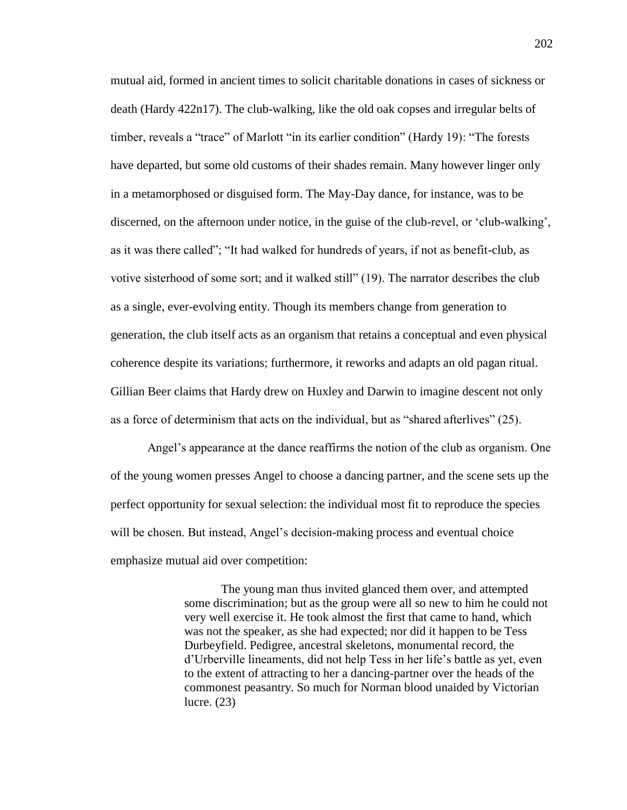mutual aid, formed in ancient times to solicit charitable donations in cases of sickness or death (Hardy 422n17). The club-walking, like the old oak copses and irregular belts of timber, reveals a "trace" of Marlott "in its earlier condition" (Hardy 19): "The forests have departed, but some old customs of their shades remain. Many however linger only in a metamorphosed or disguised form. The May-Day dance, for instance, was to be discerned, on the afternoon under notice, in the guise of the club-revel, or 'club-walking', as it was there called"; "It had walked for hundreds of years, if not as benefit-club, as votive sisterhood of some sort; and it walked still" (19). The narrator describes the club as a single, ever-evolving entity. Though its members change from generation to generation, the club itself acts as an organism that retains a conceptual and even physical coherence despite its variations; furthermore, it reworks and adapts an old pagan ritual. Gillian Beer claims that Hardy drew on Huxley and Darwin to imagine descent not only as a force of determinism that acts on the individual, but as "shared afterlives" (25).

Angel's appearance at the dance reaffirms the notion of the club as organism. One of the young women presses Angel to choose a dancing partner, and the scene sets up the perfect opportunity for sexual selection: the individual most fit to reproduce the species will be chosen. But instead, Angel's decision-making process and eventual choice emphasize mutual aid over competition:

> The young man thus invited glanced them over, and attempted some discrimination; but as the group were all so new to him he could not very well exercise it. He took almost the first that came to hand, which was not the speaker, as she had expected; nor did it happen to be Tess Durbeyfield. Pedigree, ancestral skeletons, monumental record, the d'Urberville lineaments, did not help Tess in her life's battle as yet, even to the extent of attracting to her a dancing-partner over the heads of the commonest peasantry. So much for Norman blood unaided by Victorian lucre. (23)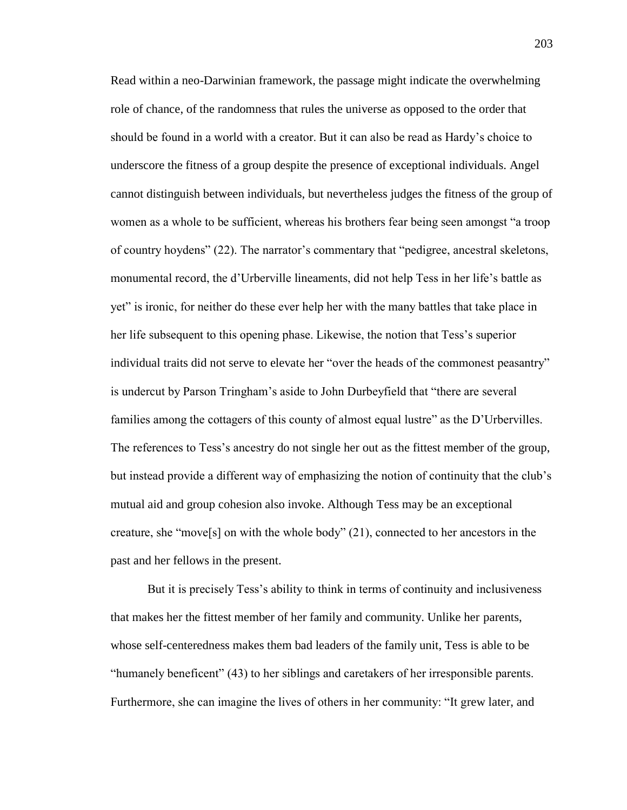Read within a neo-Darwinian framework, the passage might indicate the overwhelming role of chance, of the randomness that rules the universe as opposed to the order that should be found in a world with a creator. But it can also be read as Hardy's choice to underscore the fitness of a group despite the presence of exceptional individuals. Angel cannot distinguish between individuals, but nevertheless judges the fitness of the group of women as a whole to be sufficient, whereas his brothers fear being seen amongst "a troop of country hoydens" (22). The narrator's commentary that "pedigree, ancestral skeletons, monumental record, the d'Urberville lineaments, did not help Tess in her life's battle as yet" is ironic, for neither do these ever help her with the many battles that take place in her life subsequent to this opening phase. Likewise, the notion that Tess's superior individual traits did not serve to elevate her "over the heads of the commonest peasantry" is undercut by Parson Tringham's aside to John Durbeyfield that "there are several families among the cottagers of this county of almost equal lustre" as the D'Urbervilles. The references to Tess's ancestry do not single her out as the fittest member of the group, but instead provide a different way of emphasizing the notion of continuity that the club's mutual aid and group cohesion also invoke. Although Tess may be an exceptional creature, she "move[s] on with the whole body" (21), connected to her ancestors in the past and her fellows in the present.

But it is precisely Tess's ability to think in terms of continuity and inclusiveness that makes her the fittest member of her family and community. Unlike her parents, whose self-centeredness makes them bad leaders of the family unit, Tess is able to be "humanely beneficent" (43) to her siblings and caretakers of her irresponsible parents. Furthermore, she can imagine the lives of others in her community: "It grew later, and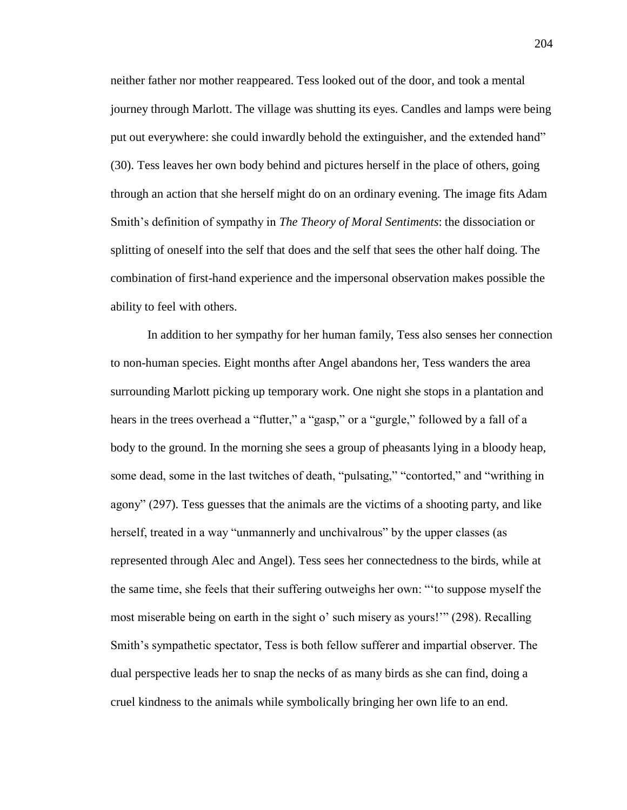neither father nor mother reappeared. Tess looked out of the door, and took a mental journey through Marlott. The village was shutting its eyes. Candles and lamps were being put out everywhere: she could inwardly behold the extinguisher, and the extended hand" (30). Tess leaves her own body behind and pictures herself in the place of others, going through an action that she herself might do on an ordinary evening. The image fits Adam Smith's definition of sympathy in *The Theory of Moral Sentiments*: the dissociation or splitting of oneself into the self that does and the self that sees the other half doing. The combination of first-hand experience and the impersonal observation makes possible the ability to feel with others.

In addition to her sympathy for her human family, Tess also senses her connection to non-human species. Eight months after Angel abandons her, Tess wanders the area surrounding Marlott picking up temporary work. One night she stops in a plantation and hears in the trees overhead a "flutter," a "gasp," or a "gurgle," followed by a fall of a body to the ground. In the morning she sees a group of pheasants lying in a bloody heap, some dead, some in the last twitches of death, "pulsating," "contorted," and "writhing in agony" (297). Tess guesses that the animals are the victims of a shooting party, and like herself, treated in a way "unmannerly and unchivalrous" by the upper classes (as represented through Alec and Angel). Tess sees her connectedness to the birds, while at the same time, she feels that their suffering outweighs her own: "'to suppose myself the most miserable being on earth in the sight o' such misery as yours!'" (298). Recalling Smith's sympathetic spectator, Tess is both fellow sufferer and impartial observer. The dual perspective leads her to snap the necks of as many birds as she can find, doing a cruel kindness to the animals while symbolically bringing her own life to an end.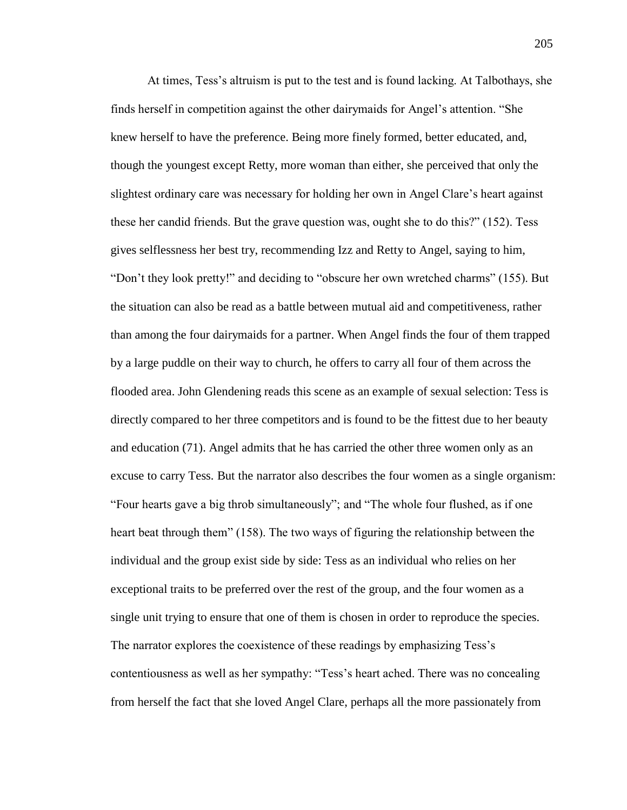At times, Tess's altruism is put to the test and is found lacking. At Talbothays, she finds herself in competition against the other dairymaids for Angel's attention. "She knew herself to have the preference. Being more finely formed, better educated, and, though the youngest except Retty, more woman than either, she perceived that only the slightest ordinary care was necessary for holding her own in Angel Clare's heart against these her candid friends. But the grave question was, ought she to do this?" (152). Tess gives selflessness her best try, recommending Izz and Retty to Angel, saying to him, "Don't they look pretty!" and deciding to "obscure her own wretched charms" (155). But the situation can also be read as a battle between mutual aid and competitiveness, rather than among the four dairymaids for a partner. When Angel finds the four of them trapped by a large puddle on their way to church, he offers to carry all four of them across the flooded area. John Glendening reads this scene as an example of sexual selection: Tess is directly compared to her three competitors and is found to be the fittest due to her beauty and education (71). Angel admits that he has carried the other three women only as an excuse to carry Tess. But the narrator also describes the four women as a single organism: "Four hearts gave a big throb simultaneously"; and "The whole four flushed, as if one heart beat through them" (158). The two ways of figuring the relationship between the individual and the group exist side by side: Tess as an individual who relies on her exceptional traits to be preferred over the rest of the group, and the four women as a single unit trying to ensure that one of them is chosen in order to reproduce the species. The narrator explores the coexistence of these readings by emphasizing Tess's contentiousness as well as her sympathy: "Tess's heart ached. There was no concealing from herself the fact that she loved Angel Clare, perhaps all the more passionately from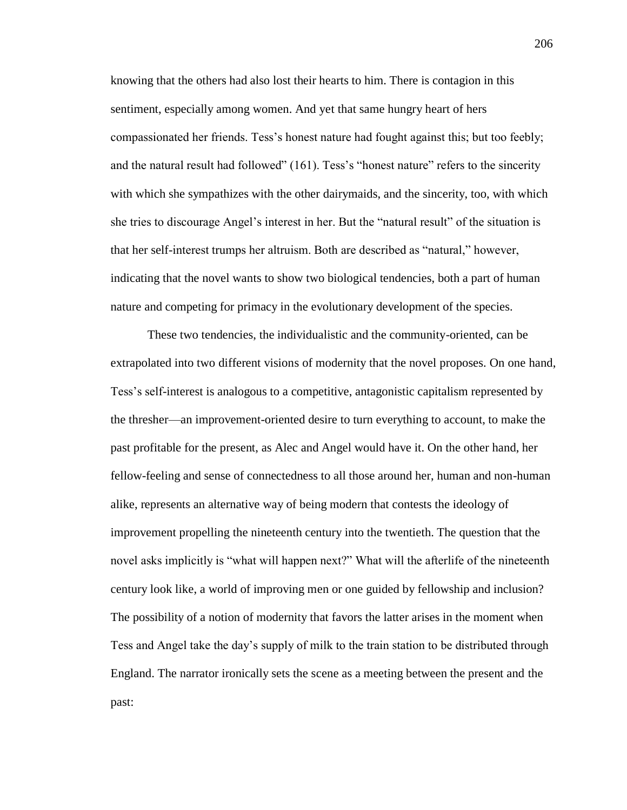knowing that the others had also lost their hearts to him. There is contagion in this sentiment, especially among women. And yet that same hungry heart of hers compassionated her friends. Tess's honest nature had fought against this; but too feebly; and the natural result had followed" (161). Tess's "honest nature" refers to the sincerity with which she sympathizes with the other dairymaids, and the sincerity, too, with which she tries to discourage Angel's interest in her. But the "natural result" of the situation is that her self-interest trumps her altruism. Both are described as "natural," however, indicating that the novel wants to show two biological tendencies, both a part of human nature and competing for primacy in the evolutionary development of the species.

These two tendencies, the individualistic and the community-oriented, can be extrapolated into two different visions of modernity that the novel proposes. On one hand, Tess's self-interest is analogous to a competitive, antagonistic capitalism represented by the thresher—an improvement-oriented desire to turn everything to account, to make the past profitable for the present, as Alec and Angel would have it. On the other hand, her fellow-feeling and sense of connectedness to all those around her, human and non-human alike, represents an alternative way of being modern that contests the ideology of improvement propelling the nineteenth century into the twentieth. The question that the novel asks implicitly is "what will happen next?" What will the afterlife of the nineteenth century look like, a world of improving men or one guided by fellowship and inclusion? The possibility of a notion of modernity that favors the latter arises in the moment when Tess and Angel take the day's supply of milk to the train station to be distributed through England. The narrator ironically sets the scene as a meeting between the present and the past: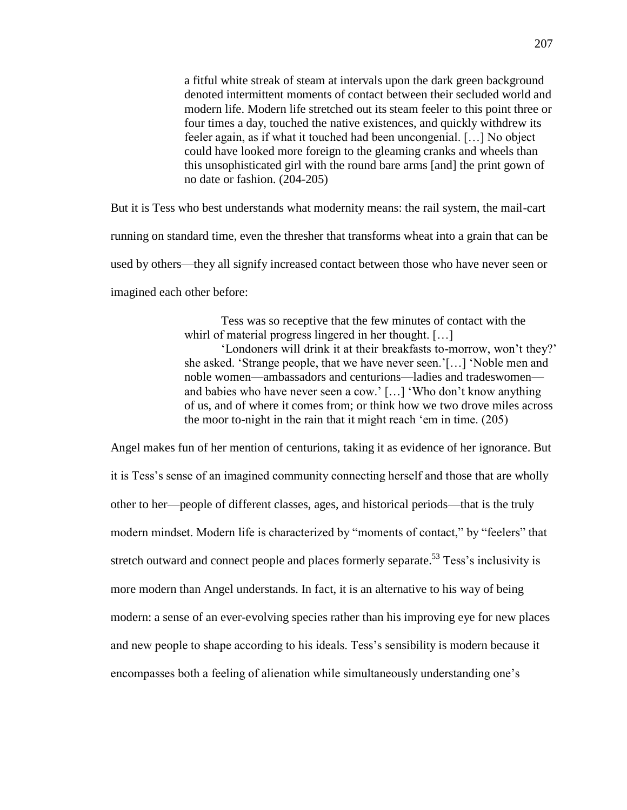a fitful white streak of steam at intervals upon the dark green background denoted intermittent moments of contact between their secluded world and modern life. Modern life stretched out its steam feeler to this point three or four times a day, touched the native existences, and quickly withdrew its feeler again, as if what it touched had been uncongenial. […] No object could have looked more foreign to the gleaming cranks and wheels than this unsophisticated girl with the round bare arms [and] the print gown of no date or fashion. (204-205)

But it is Tess who best understands what modernity means: the rail system, the mail-cart running on standard time, even the thresher that transforms wheat into a grain that can be used by others—they all signify increased contact between those who have never seen or imagined each other before:

> Tess was so receptive that the few minutes of contact with the whirl of material progress lingered in her thought. [...] 'Londoners will drink it at their breakfasts to-morrow, won't they?' she asked. 'Strange people, that we have never seen.'[…] 'Noble men and noble women—ambassadors and centurions—ladies and tradeswomen and babies who have never seen a cow.' […] 'Who don't know anything of us, and of where it comes from; or think how we two drove miles across

the moor to-night in the rain that it might reach 'em in time. (205)

Angel makes fun of her mention of centurions, taking it as evidence of her ignorance. But it is Tess's sense of an imagined community connecting herself and those that are wholly other to her—people of different classes, ages, and historical periods—that is the truly modern mindset. Modern life is characterized by "moments of contact," by "feelers" that stretch outward and connect people and places formerly separate.<sup>53</sup> Tess's inclusivity is more modern than Angel understands. In fact, it is an alternative to his way of being modern: a sense of an ever-evolving species rather than his improving eye for new places and new people to shape according to his ideals. Tess's sensibility is modern because it encompasses both a feeling of alienation while simultaneously understanding one's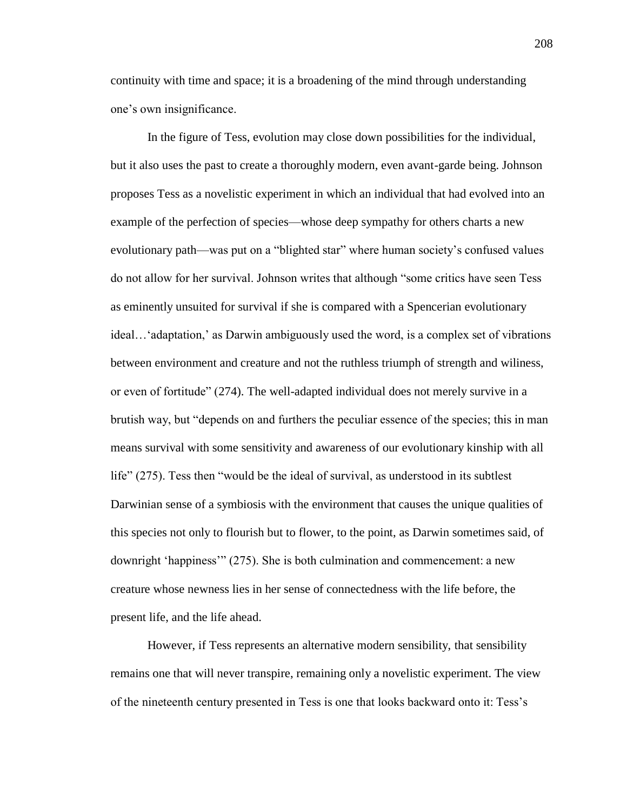continuity with time and space; it is a broadening of the mind through understanding one's own insignificance.

In the figure of Tess, evolution may close down possibilities for the individual, but it also uses the past to create a thoroughly modern, even avant-garde being. Johnson proposes Tess as a novelistic experiment in which an individual that had evolved into an example of the perfection of species—whose deep sympathy for others charts a new evolutionary path—was put on a "blighted star" where human society's confused values do not allow for her survival. Johnson writes that although "some critics have seen Tess as eminently unsuited for survival if she is compared with a Spencerian evolutionary ideal…'adaptation,' as Darwin ambiguously used the word, is a complex set of vibrations between environment and creature and not the ruthless triumph of strength and wiliness, or even of fortitude" (274). The well-adapted individual does not merely survive in a brutish way, but "depends on and furthers the peculiar essence of the species; this in man means survival with some sensitivity and awareness of our evolutionary kinship with all life" (275). Tess then "would be the ideal of survival, as understood in its subtlest Darwinian sense of a symbiosis with the environment that causes the unique qualities of this species not only to flourish but to flower, to the point, as Darwin sometimes said, of downright 'happiness'" (275). She is both culmination and commencement: a new creature whose newness lies in her sense of connectedness with the life before, the present life, and the life ahead.

However, if Tess represents an alternative modern sensibility, that sensibility remains one that will never transpire, remaining only a novelistic experiment. The view of the nineteenth century presented in Tess is one that looks backward onto it: Tess's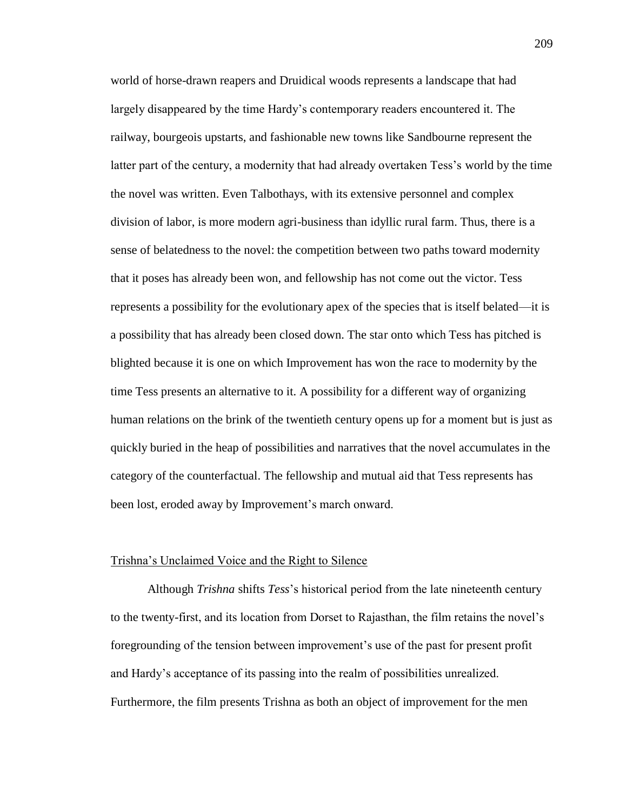world of horse-drawn reapers and Druidical woods represents a landscape that had largely disappeared by the time Hardy's contemporary readers encountered it. The railway, bourgeois upstarts, and fashionable new towns like Sandbourne represent the latter part of the century, a modernity that had already overtaken Tess's world by the time the novel was written. Even Talbothays, with its extensive personnel and complex division of labor, is more modern agri-business than idyllic rural farm. Thus, there is a sense of belatedness to the novel: the competition between two paths toward modernity that it poses has already been won, and fellowship has not come out the victor. Tess represents a possibility for the evolutionary apex of the species that is itself belated—it is a possibility that has already been closed down. The star onto which Tess has pitched is blighted because it is one on which Improvement has won the race to modernity by the time Tess presents an alternative to it. A possibility for a different way of organizing human relations on the brink of the twentieth century opens up for a moment but is just as quickly buried in the heap of possibilities and narratives that the novel accumulates in the category of the counterfactual. The fellowship and mutual aid that Tess represents has been lost, eroded away by Improvement's march onward.

## Trishna's Unclaimed Voice and the Right to Silence

Although *Trishna* shifts *Tess*'s historical period from the late nineteenth century to the twenty-first, and its location from Dorset to Rajasthan, the film retains the novel's foregrounding of the tension between improvement's use of the past for present profit and Hardy's acceptance of its passing into the realm of possibilities unrealized. Furthermore, the film presents Trishna as both an object of improvement for the men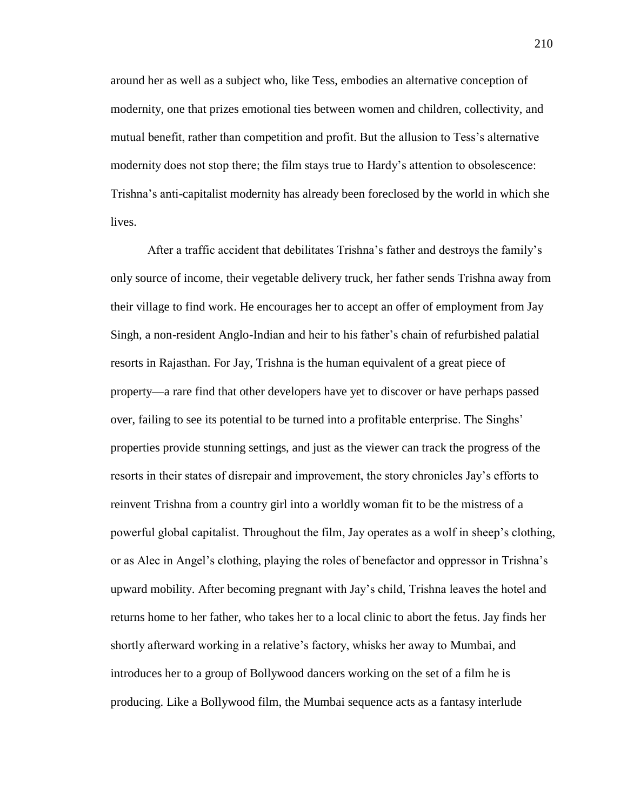around her as well as a subject who, like Tess, embodies an alternative conception of modernity, one that prizes emotional ties between women and children, collectivity, and mutual benefit, rather than competition and profit. But the allusion to Tess's alternative modernity does not stop there; the film stays true to Hardy's attention to obsolescence: Trishna's anti-capitalist modernity has already been foreclosed by the world in which she lives.

After a traffic accident that debilitates Trishna's father and destroys the family's only source of income, their vegetable delivery truck, her father sends Trishna away from their village to find work. He encourages her to accept an offer of employment from Jay Singh, a non-resident Anglo-Indian and heir to his father's chain of refurbished palatial resorts in Rajasthan. For Jay, Trishna is the human equivalent of a great piece of property—a rare find that other developers have yet to discover or have perhaps passed over, failing to see its potential to be turned into a profitable enterprise. The Singhs' properties provide stunning settings, and just as the viewer can track the progress of the resorts in their states of disrepair and improvement, the story chronicles Jay's efforts to reinvent Trishna from a country girl into a worldly woman fit to be the mistress of a powerful global capitalist. Throughout the film, Jay operates as a wolf in sheep's clothing, or as Alec in Angel's clothing, playing the roles of benefactor and oppressor in Trishna's upward mobility. After becoming pregnant with Jay's child, Trishna leaves the hotel and returns home to her father, who takes her to a local clinic to abort the fetus. Jay finds her shortly afterward working in a relative's factory, whisks her away to Mumbai, and introduces her to a group of Bollywood dancers working on the set of a film he is producing. Like a Bollywood film, the Mumbai sequence acts as a fantasy interlude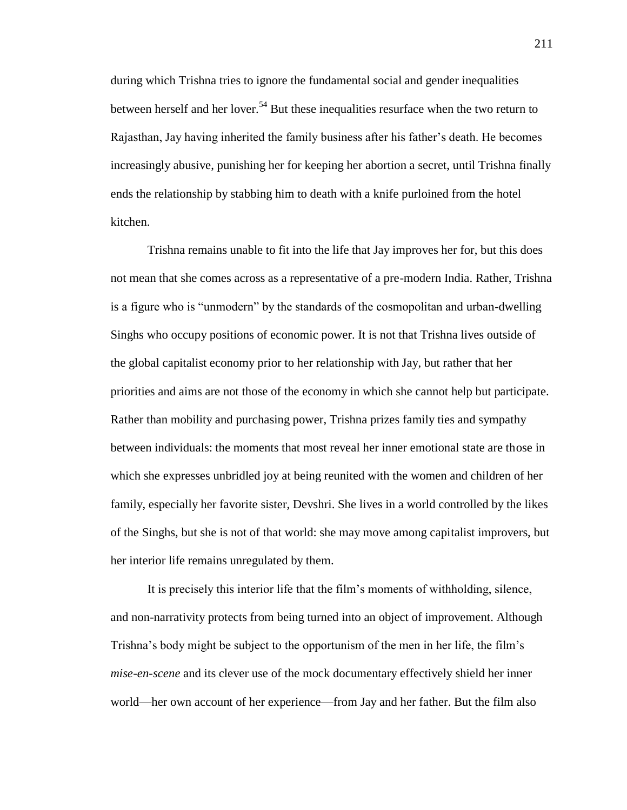during which Trishna tries to ignore the fundamental social and gender inequalities between herself and her lover.<sup>54</sup> But these inequalities resurface when the two return to Rajasthan, Jay having inherited the family business after his father's death. He becomes increasingly abusive, punishing her for keeping her abortion a secret, until Trishna finally ends the relationship by stabbing him to death with a knife purloined from the hotel kitchen.

Trishna remains unable to fit into the life that Jay improves her for, but this does not mean that she comes across as a representative of a pre-modern India. Rather, Trishna is a figure who is "unmodern" by the standards of the cosmopolitan and urban-dwelling Singhs who occupy positions of economic power. It is not that Trishna lives outside of the global capitalist economy prior to her relationship with Jay, but rather that her priorities and aims are not those of the economy in which she cannot help but participate. Rather than mobility and purchasing power, Trishna prizes family ties and sympathy between individuals: the moments that most reveal her inner emotional state are those in which she expresses unbridled joy at being reunited with the women and children of her family, especially her favorite sister, Devshri. She lives in a world controlled by the likes of the Singhs, but she is not of that world: she may move among capitalist improvers, but her interior life remains unregulated by them.

It is precisely this interior life that the film's moments of withholding, silence, and non-narrativity protects from being turned into an object of improvement. Although Trishna's body might be subject to the opportunism of the men in her life, the film's *mise-en-scene* and its clever use of the mock documentary effectively shield her inner world—her own account of her experience—from Jay and her father. But the film also

211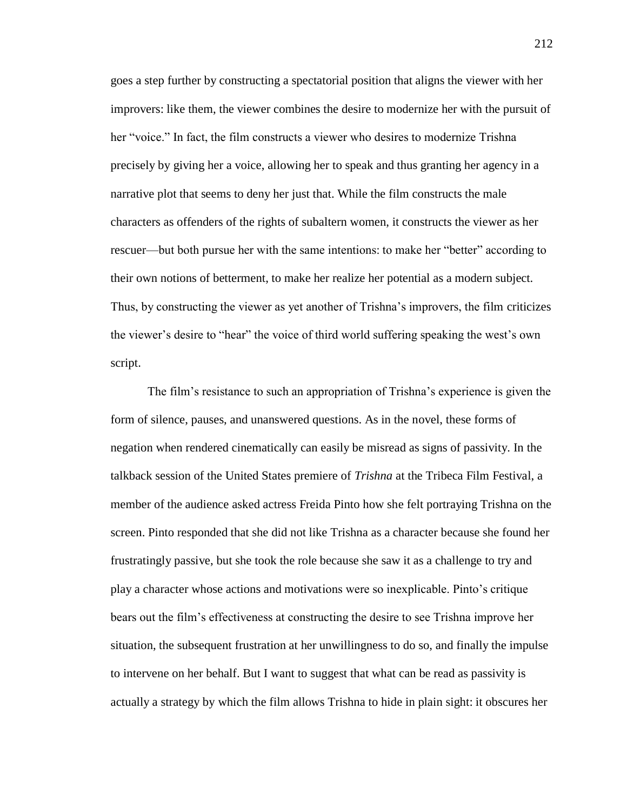goes a step further by constructing a spectatorial position that aligns the viewer with her improvers: like them, the viewer combines the desire to modernize her with the pursuit of her "voice." In fact, the film constructs a viewer who desires to modernize Trishna precisely by giving her a voice, allowing her to speak and thus granting her agency in a narrative plot that seems to deny her just that. While the film constructs the male characters as offenders of the rights of subaltern women, it constructs the viewer as her rescuer—but both pursue her with the same intentions: to make her "better" according to their own notions of betterment, to make her realize her potential as a modern subject. Thus, by constructing the viewer as yet another of Trishna's improvers, the film criticizes the viewer's desire to "hear" the voice of third world suffering speaking the west's own script.

The film's resistance to such an appropriation of Trishna's experience is given the form of silence, pauses, and unanswered questions. As in the novel, these forms of negation when rendered cinematically can easily be misread as signs of passivity. In the talkback session of the United States premiere of *Trishna* at the Tribeca Film Festival, a member of the audience asked actress Freida Pinto how she felt portraying Trishna on the screen. Pinto responded that she did not like Trishna as a character because she found her frustratingly passive, but she took the role because she saw it as a challenge to try and play a character whose actions and motivations were so inexplicable. Pinto's critique bears out the film's effectiveness at constructing the desire to see Trishna improve her situation, the subsequent frustration at her unwillingness to do so, and finally the impulse to intervene on her behalf. But I want to suggest that what can be read as passivity is actually a strategy by which the film allows Trishna to hide in plain sight: it obscures her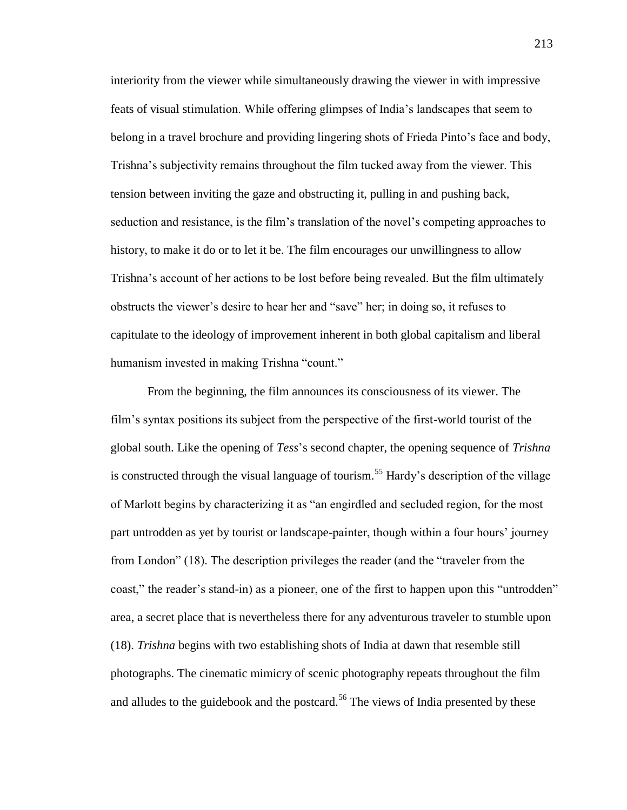interiority from the viewer while simultaneously drawing the viewer in with impressive feats of visual stimulation. While offering glimpses of India's landscapes that seem to belong in a travel brochure and providing lingering shots of Frieda Pinto's face and body, Trishna's subjectivity remains throughout the film tucked away from the viewer. This tension between inviting the gaze and obstructing it, pulling in and pushing back, seduction and resistance, is the film's translation of the novel's competing approaches to history, to make it do or to let it be. The film encourages our unwillingness to allow Trishna's account of her actions to be lost before being revealed. But the film ultimately obstructs the viewer's desire to hear her and "save" her; in doing so, it refuses to capitulate to the ideology of improvement inherent in both global capitalism and liberal humanism invested in making Trishna "count."

From the beginning, the film announces its consciousness of its viewer. The film's syntax positions its subject from the perspective of the first-world tourist of the global south. Like the opening of *Tess*'s second chapter, the opening sequence of *Trishna* is constructed through the visual language of tourism.<sup>55</sup> Hardy's description of the village of Marlott begins by characterizing it as "an engirdled and secluded region, for the most part untrodden as yet by tourist or landscape-painter, though within a four hours' journey from London" (18). The description privileges the reader (and the "traveler from the coast," the reader's stand-in) as a pioneer, one of the first to happen upon this "untrodden" area, a secret place that is nevertheless there for any adventurous traveler to stumble upon (18). *Trishna* begins with two establishing shots of India at dawn that resemble still photographs. The cinematic mimicry of scenic photography repeats throughout the film and alludes to the guidebook and the postcard.<sup>56</sup> The views of India presented by these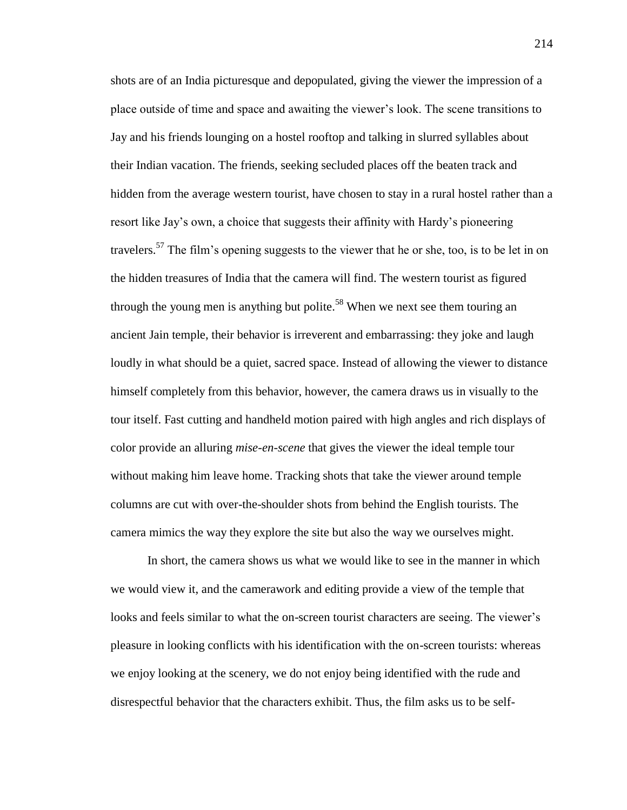shots are of an India picturesque and depopulated, giving the viewer the impression of a place outside of time and space and awaiting the viewer's look. The scene transitions to Jay and his friends lounging on a hostel rooftop and talking in slurred syllables about their Indian vacation. The friends, seeking secluded places off the beaten track and hidden from the average western tourist, have chosen to stay in a rural hostel rather than a resort like Jay's own, a choice that suggests their affinity with Hardy's pioneering travelers.<sup>57</sup> The film's opening suggests to the viewer that he or she, too, is to be let in on the hidden treasures of India that the camera will find. The western tourist as figured through the young men is anything but polite.<sup>58</sup> When we next see them touring an ancient Jain temple, their behavior is irreverent and embarrassing: they joke and laugh loudly in what should be a quiet, sacred space. Instead of allowing the viewer to distance himself completely from this behavior, however, the camera draws us in visually to the tour itself. Fast cutting and handheld motion paired with high angles and rich displays of color provide an alluring *mise-en-scene* that gives the viewer the ideal temple tour without making him leave home. Tracking shots that take the viewer around temple columns are cut with over-the-shoulder shots from behind the English tourists. The camera mimics the way they explore the site but also the way we ourselves might.

In short, the camera shows us what we would like to see in the manner in which we would view it, and the camerawork and editing provide a view of the temple that looks and feels similar to what the on-screen tourist characters are seeing. The viewer's pleasure in looking conflicts with his identification with the on-screen tourists: whereas we enjoy looking at the scenery, we do not enjoy being identified with the rude and disrespectful behavior that the characters exhibit. Thus, the film asks us to be self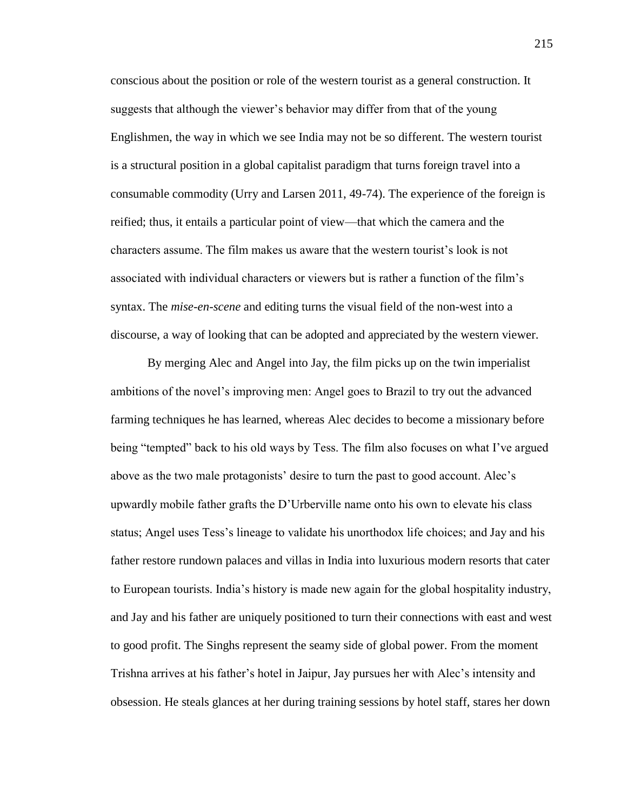conscious about the position or role of the western tourist as a general construction. It suggests that although the viewer's behavior may differ from that of the young Englishmen, the way in which we see India may not be so different. The western tourist is a structural position in a global capitalist paradigm that turns foreign travel into a consumable commodity (Urry and Larsen 2011, 49-74). The experience of the foreign is reified; thus, it entails a particular point of view—that which the camera and the characters assume. The film makes us aware that the western tourist's look is not associated with individual characters or viewers but is rather a function of the film's syntax. The *mise-en-scene* and editing turns the visual field of the non-west into a discourse, a way of looking that can be adopted and appreciated by the western viewer.

By merging Alec and Angel into Jay, the film picks up on the twin imperialist ambitions of the novel's improving men: Angel goes to Brazil to try out the advanced farming techniques he has learned, whereas Alec decides to become a missionary before being "tempted" back to his old ways by Tess. The film also focuses on what I've argued above as the two male protagonists' desire to turn the past to good account. Alec's upwardly mobile father grafts the D'Urberville name onto his own to elevate his class status; Angel uses Tess's lineage to validate his unorthodox life choices; and Jay and his father restore rundown palaces and villas in India into luxurious modern resorts that cater to European tourists. India's history is made new again for the global hospitality industry, and Jay and his father are uniquely positioned to turn their connections with east and west to good profit. The Singhs represent the seamy side of global power. From the moment Trishna arrives at his father's hotel in Jaipur, Jay pursues her with Alec's intensity and obsession. He steals glances at her during training sessions by hotel staff, stares her down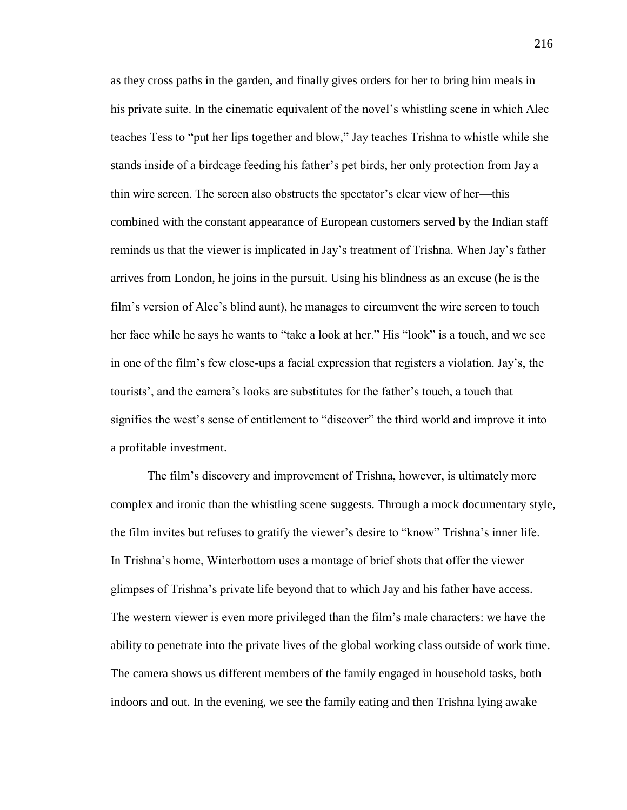as they cross paths in the garden, and finally gives orders for her to bring him meals in his private suite. In the cinematic equivalent of the novel's whistling scene in which Alec teaches Tess to "put her lips together and blow," Jay teaches Trishna to whistle while she stands inside of a birdcage feeding his father's pet birds, her only protection from Jay a thin wire screen. The screen also obstructs the spectator's clear view of her—this combined with the constant appearance of European customers served by the Indian staff reminds us that the viewer is implicated in Jay's treatment of Trishna. When Jay's father arrives from London, he joins in the pursuit. Using his blindness as an excuse (he is the film's version of Alec's blind aunt), he manages to circumvent the wire screen to touch her face while he says he wants to "take a look at her." His "look" is a touch, and we see in one of the film's few close-ups a facial expression that registers a violation. Jay's, the tourists', and the camera's looks are substitutes for the father's touch, a touch that signifies the west's sense of entitlement to "discover" the third world and improve it into a profitable investment.

The film's discovery and improvement of Trishna, however, is ultimately more complex and ironic than the whistling scene suggests. Through a mock documentary style, the film invites but refuses to gratify the viewer's desire to "know" Trishna's inner life. In Trishna's home, Winterbottom uses a montage of brief shots that offer the viewer glimpses of Trishna's private life beyond that to which Jay and his father have access. The western viewer is even more privileged than the film's male characters: we have the ability to penetrate into the private lives of the global working class outside of work time. The camera shows us different members of the family engaged in household tasks, both indoors and out. In the evening, we see the family eating and then Trishna lying awake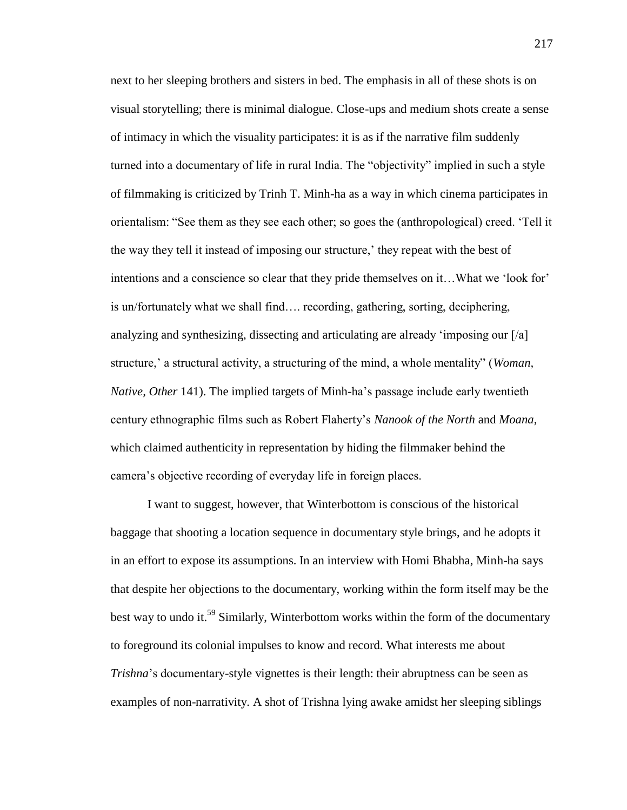next to her sleeping brothers and sisters in bed. The emphasis in all of these shots is on visual storytelling; there is minimal dialogue. Close-ups and medium shots create a sense of intimacy in which the visuality participates: it is as if the narrative film suddenly turned into a documentary of life in rural India. The "objectivity" implied in such a style of filmmaking is criticized by Trinh T. Minh-ha as a way in which cinema participates in orientalism: "See them as they see each other; so goes the (anthropological) creed. 'Tell it the way they tell it instead of imposing our structure,' they repeat with the best of intentions and a conscience so clear that they pride themselves on it…What we 'look for' is un/fortunately what we shall find…. recording, gathering, sorting, deciphering, analyzing and synthesizing, dissecting and articulating are already 'imposing our [/a] structure,' a structural activity, a structuring of the mind, a whole mentality" (*Woman, Native, Other* 141). The implied targets of Minh-ha's passage include early twentieth century ethnographic films such as Robert Flaherty's *Nanook of the North* and *Moana*, which claimed authenticity in representation by hiding the filmmaker behind the camera's objective recording of everyday life in foreign places.

I want to suggest, however, that Winterbottom is conscious of the historical baggage that shooting a location sequence in documentary style brings, and he adopts it in an effort to expose its assumptions. In an interview with Homi Bhabha, Minh-ha says that despite her objections to the documentary, working within the form itself may be the best way to undo it.<sup>59</sup> Similarly, Winterbottom works within the form of the documentary to foreground its colonial impulses to know and record. What interests me about *Trishna*'s documentary-style vignettes is their length: their abruptness can be seen as examples of non-narrativity. A shot of Trishna lying awake amidst her sleeping siblings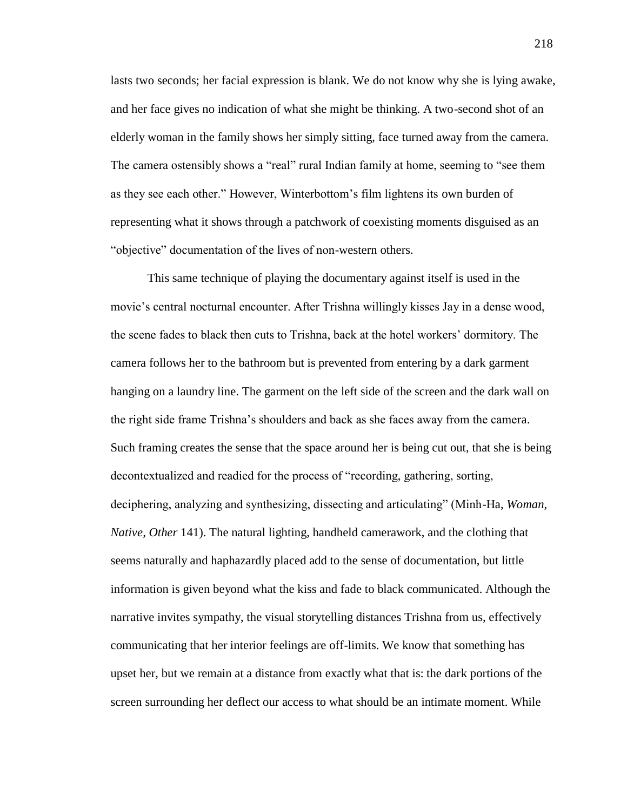lasts two seconds; her facial expression is blank. We do not know why she is lying awake, and her face gives no indication of what she might be thinking. A two-second shot of an elderly woman in the family shows her simply sitting, face turned away from the camera. The camera ostensibly shows a "real" rural Indian family at home, seeming to "see them as they see each other." However, Winterbottom's film lightens its own burden of representing what it shows through a patchwork of coexisting moments disguised as an "objective" documentation of the lives of non-western others.

This same technique of playing the documentary against itself is used in the movie's central nocturnal encounter. After Trishna willingly kisses Jay in a dense wood, the scene fades to black then cuts to Trishna, back at the hotel workers' dormitory. The camera follows her to the bathroom but is prevented from entering by a dark garment hanging on a laundry line. The garment on the left side of the screen and the dark wall on the right side frame Trishna's shoulders and back as she faces away from the camera. Such framing creates the sense that the space around her is being cut out, that she is being decontextualized and readied for the process of "recording, gathering, sorting, deciphering, analyzing and synthesizing, dissecting and articulating" (Minh-Ha, *Woman, Native, Other* 141). The natural lighting, handheld camerawork, and the clothing that seems naturally and haphazardly placed add to the sense of documentation, but little information is given beyond what the kiss and fade to black communicated. Although the narrative invites sympathy, the visual storytelling distances Trishna from us, effectively communicating that her interior feelings are off-limits. We know that something has upset her, but we remain at a distance from exactly what that is: the dark portions of the screen surrounding her deflect our access to what should be an intimate moment. While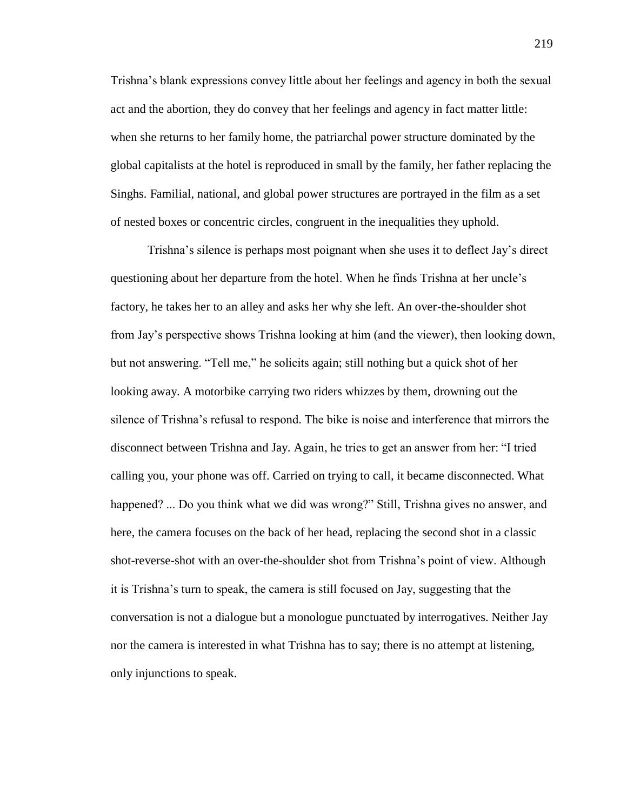Trishna's blank expressions convey little about her feelings and agency in both the sexual act and the abortion, they do convey that her feelings and agency in fact matter little: when she returns to her family home, the patriarchal power structure dominated by the global capitalists at the hotel is reproduced in small by the family, her father replacing the Singhs. Familial, national, and global power structures are portrayed in the film as a set of nested boxes or concentric circles, congruent in the inequalities they uphold.

Trishna's silence is perhaps most poignant when she uses it to deflect Jay's direct questioning about her departure from the hotel. When he finds Trishna at her uncle's factory, he takes her to an alley and asks her why she left. An over-the-shoulder shot from Jay's perspective shows Trishna looking at him (and the viewer), then looking down, but not answering. "Tell me," he solicits again; still nothing but a quick shot of her looking away. A motorbike carrying two riders whizzes by them, drowning out the silence of Trishna's refusal to respond. The bike is noise and interference that mirrors the disconnect between Trishna and Jay. Again, he tries to get an answer from her: "I tried calling you, your phone was off. Carried on trying to call, it became disconnected. What happened? ... Do you think what we did was wrong?" Still, Trishna gives no answer, and here, the camera focuses on the back of her head, replacing the second shot in a classic shot-reverse-shot with an over-the-shoulder shot from Trishna's point of view. Although it is Trishna's turn to speak, the camera is still focused on Jay, suggesting that the conversation is not a dialogue but a monologue punctuated by interrogatives. Neither Jay nor the camera is interested in what Trishna has to say; there is no attempt at listening, only injunctions to speak.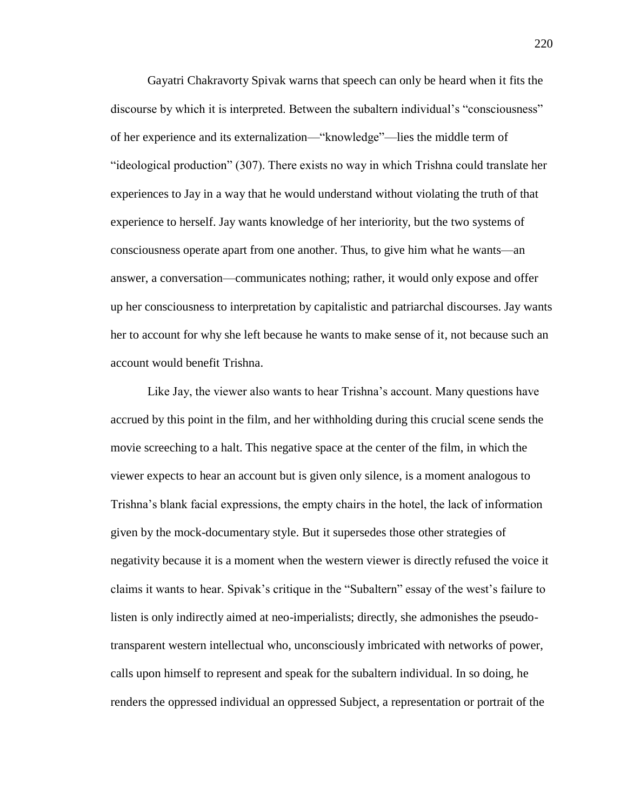Gayatri Chakravorty Spivak warns that speech can only be heard when it fits the discourse by which it is interpreted. Between the subaltern individual's "consciousness" of her experience and its externalization—"knowledge"—lies the middle term of "ideological production" (307). There exists no way in which Trishna could translate her experiences to Jay in a way that he would understand without violating the truth of that experience to herself. Jay wants knowledge of her interiority, but the two systems of consciousness operate apart from one another. Thus, to give him what he wants—an answer, a conversation—communicates nothing; rather, it would only expose and offer up her consciousness to interpretation by capitalistic and patriarchal discourses. Jay wants her to account for why she left because he wants to make sense of it, not because such an account would benefit Trishna.

Like Jay, the viewer also wants to hear Trishna's account. Many questions have accrued by this point in the film, and her withholding during this crucial scene sends the movie screeching to a halt. This negative space at the center of the film, in which the viewer expects to hear an account but is given only silence, is a moment analogous to Trishna's blank facial expressions, the empty chairs in the hotel, the lack of information given by the mock-documentary style. But it supersedes those other strategies of negativity because it is a moment when the western viewer is directly refused the voice it claims it wants to hear. Spivak's critique in the "Subaltern" essay of the west's failure to listen is only indirectly aimed at neo-imperialists; directly, she admonishes the pseudotransparent western intellectual who, unconsciously imbricated with networks of power, calls upon himself to represent and speak for the subaltern individual. In so doing, he renders the oppressed individual an oppressed Subject, a representation or portrait of the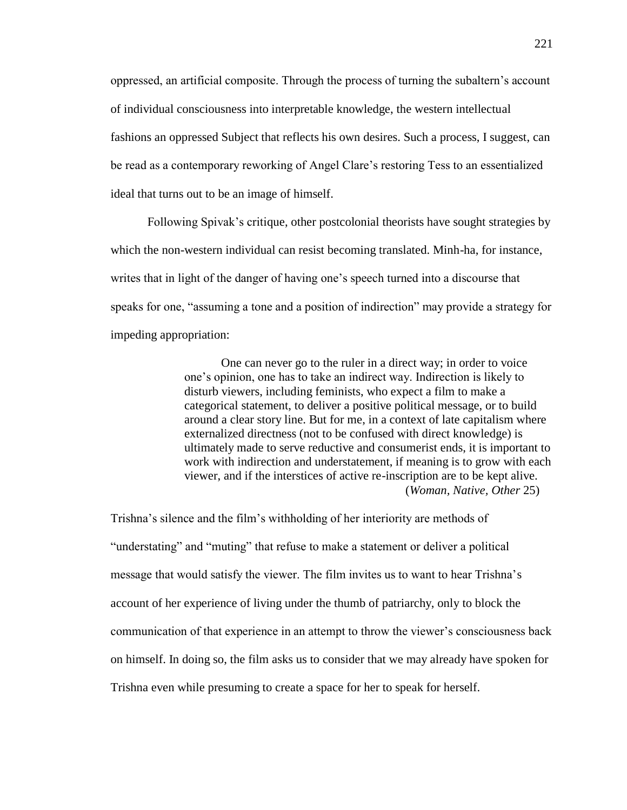oppressed, an artificial composite. Through the process of turning the subaltern's account of individual consciousness into interpretable knowledge, the western intellectual fashions an oppressed Subject that reflects his own desires. Such a process, I suggest, can be read as a contemporary reworking of Angel Clare's restoring Tess to an essentialized ideal that turns out to be an image of himself.

Following Spivak's critique, other postcolonial theorists have sought strategies by which the non-western individual can resist becoming translated. Minh-ha, for instance, writes that in light of the danger of having one's speech turned into a discourse that speaks for one, "assuming a tone and a position of indirection" may provide a strategy for impeding appropriation:

> One can never go to the ruler in a direct way; in order to voice one's opinion, one has to take an indirect way. Indirection is likely to disturb viewers, including feminists, who expect a film to make a categorical statement, to deliver a positive political message, or to build around a clear story line. But for me, in a context of late capitalism where externalized directness (not to be confused with direct knowledge) is ultimately made to serve reductive and consumerist ends, it is important to work with indirection and understatement, if meaning is to grow with each viewer, and if the interstices of active re-inscription are to be kept alive. (*Woman, Native, Other* 25)

Trishna's silence and the film's withholding of her interiority are methods of "understating" and "muting" that refuse to make a statement or deliver a political message that would satisfy the viewer. The film invites us to want to hear Trishna's account of her experience of living under the thumb of patriarchy, only to block the communication of that experience in an attempt to throw the viewer's consciousness back on himself. In doing so, the film asks us to consider that we may already have spoken for Trishna even while presuming to create a space for her to speak for herself.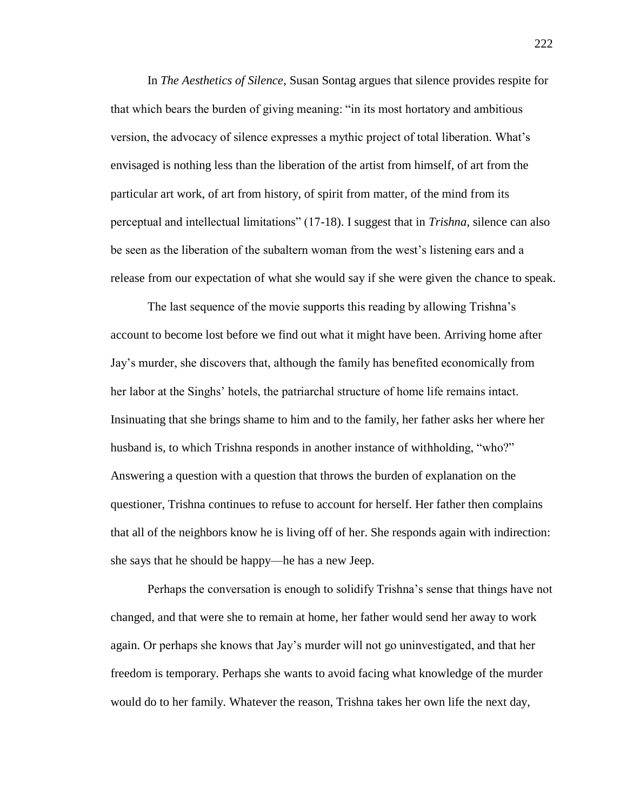In *The Aesthetics of Silence*, Susan Sontag argues that silence provides respite for that which bears the burden of giving meaning: "in its most hortatory and ambitious version, the advocacy of silence expresses a mythic project of total liberation. What's envisaged is nothing less than the liberation of the artist from himself, of art from the particular art work, of art from history, of spirit from matter, of the mind from its perceptual and intellectual limitations" (17-18). I suggest that in *Trishna*, silence can also be seen as the liberation of the subaltern woman from the west's listening ears and a release from our expectation of what she would say if she were given the chance to speak.

The last sequence of the movie supports this reading by allowing Trishna's account to become lost before we find out what it might have been. Arriving home after Jay's murder, she discovers that, although the family has benefited economically from her labor at the Singhs' hotels, the patriarchal structure of home life remains intact. Insinuating that she brings shame to him and to the family, her father asks her where her husband is, to which Trishna responds in another instance of withholding, "who?" Answering a question with a question that throws the burden of explanation on the questioner, Trishna continues to refuse to account for herself. Her father then complains that all of the neighbors know he is living off of her. She responds again with indirection: she says that he should be happy—he has a new Jeep.

Perhaps the conversation is enough to solidify Trishna's sense that things have not changed, and that were she to remain at home, her father would send her away to work again. Or perhaps she knows that Jay's murder will not go uninvestigated, and that her freedom is temporary. Perhaps she wants to avoid facing what knowledge of the murder would do to her family. Whatever the reason, Trishna takes her own life the next day,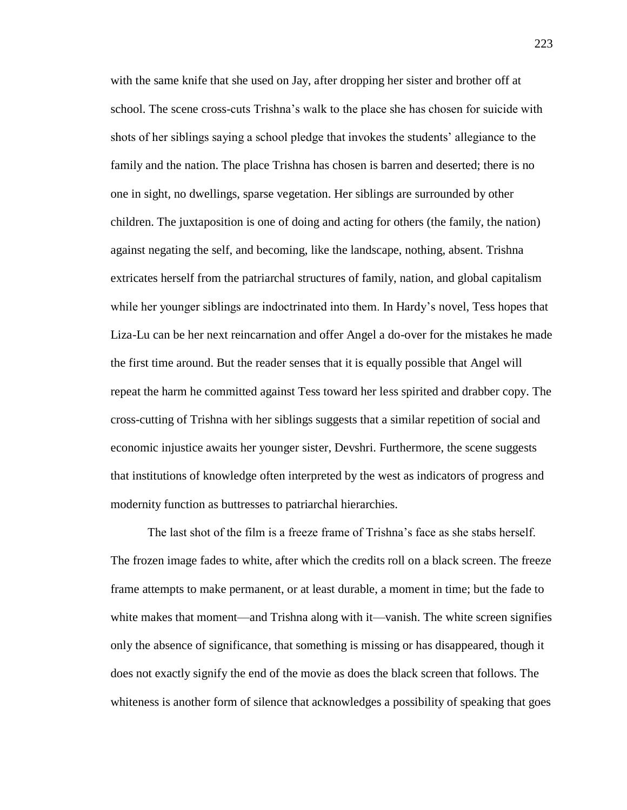with the same knife that she used on Jay, after dropping her sister and brother off at school. The scene cross-cuts Trishna's walk to the place she has chosen for suicide with shots of her siblings saying a school pledge that invokes the students' allegiance to the family and the nation. The place Trishna has chosen is barren and deserted; there is no one in sight, no dwellings, sparse vegetation. Her siblings are surrounded by other children. The juxtaposition is one of doing and acting for others (the family, the nation) against negating the self, and becoming, like the landscape, nothing, absent. Trishna extricates herself from the patriarchal structures of family, nation, and global capitalism while her younger siblings are indoctrinated into them. In Hardy's novel, Tess hopes that Liza-Lu can be her next reincarnation and offer Angel a do-over for the mistakes he made the first time around. But the reader senses that it is equally possible that Angel will repeat the harm he committed against Tess toward her less spirited and drabber copy. The cross-cutting of Trishna with her siblings suggests that a similar repetition of social and economic injustice awaits her younger sister, Devshri. Furthermore, the scene suggests that institutions of knowledge often interpreted by the west as indicators of progress and modernity function as buttresses to patriarchal hierarchies.

The last shot of the film is a freeze frame of Trishna's face as she stabs herself. The frozen image fades to white, after which the credits roll on a black screen. The freeze frame attempts to make permanent, or at least durable, a moment in time; but the fade to white makes that moment—and Trishna along with it—vanish. The white screen signifies only the absence of significance, that something is missing or has disappeared, though it does not exactly signify the end of the movie as does the black screen that follows. The whiteness is another form of silence that acknowledges a possibility of speaking that goes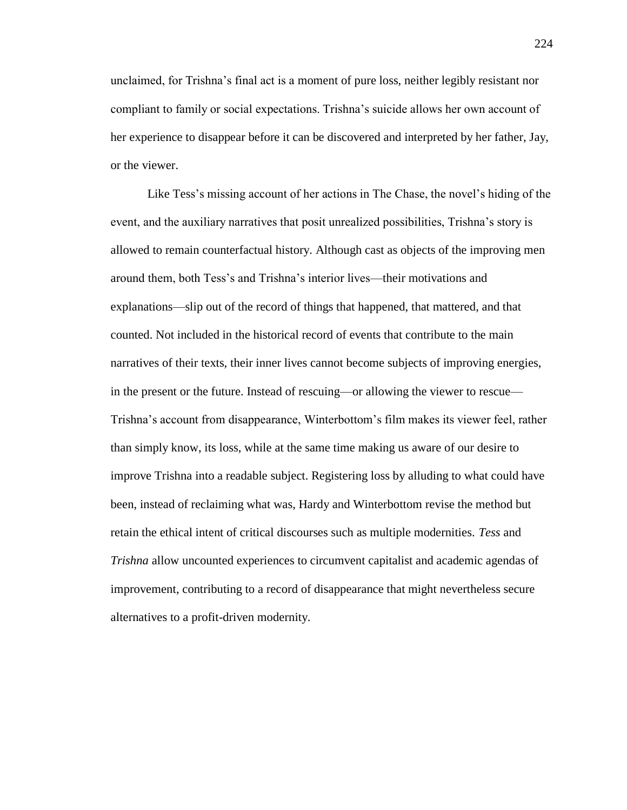unclaimed, for Trishna's final act is a moment of pure loss, neither legibly resistant nor compliant to family or social expectations. Trishna's suicide allows her own account of her experience to disappear before it can be discovered and interpreted by her father, Jay, or the viewer.

Like Tess's missing account of her actions in The Chase, the novel's hiding of the event, and the auxiliary narratives that posit unrealized possibilities, Trishna's story is allowed to remain counterfactual history. Although cast as objects of the improving men around them, both Tess's and Trishna's interior lives—their motivations and explanations—slip out of the record of things that happened, that mattered, and that counted. Not included in the historical record of events that contribute to the main narratives of their texts, their inner lives cannot become subjects of improving energies, in the present or the future. Instead of rescuing—or allowing the viewer to rescue— Trishna's account from disappearance, Winterbottom's film makes its viewer feel, rather than simply know, its loss, while at the same time making us aware of our desire to improve Trishna into a readable subject. Registering loss by alluding to what could have been, instead of reclaiming what was, Hardy and Winterbottom revise the method but retain the ethical intent of critical discourses such as multiple modernities. *Tess* and *Trishna* allow uncounted experiences to circumvent capitalist and academic agendas of improvement, contributing to a record of disappearance that might nevertheless secure alternatives to a profit-driven modernity.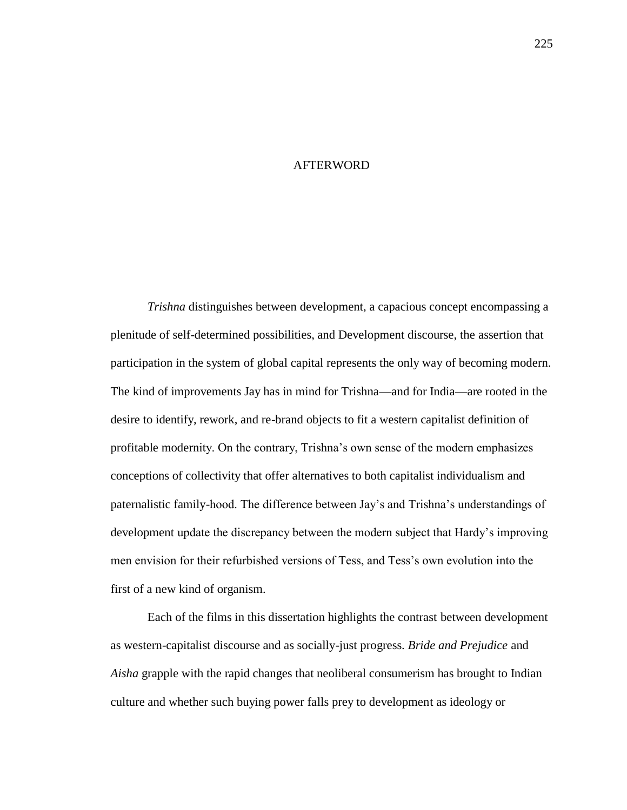## AFTERWORD

*Trishna* distinguishes between development, a capacious concept encompassing a plenitude of self-determined possibilities, and Development discourse, the assertion that participation in the system of global capital represents the only way of becoming modern. The kind of improvements Jay has in mind for Trishna—and for India—are rooted in the desire to identify, rework, and re-brand objects to fit a western capitalist definition of profitable modernity. On the contrary, Trishna's own sense of the modern emphasizes conceptions of collectivity that offer alternatives to both capitalist individualism and paternalistic family-hood. The difference between Jay's and Trishna's understandings of development update the discrepancy between the modern subject that Hardy's improving men envision for their refurbished versions of Tess, and Tess's own evolution into the first of a new kind of organism.

Each of the films in this dissertation highlights the contrast between development as western-capitalist discourse and as socially-just progress. *Bride and Prejudice* and *Aisha* grapple with the rapid changes that neoliberal consumerism has brought to Indian culture and whether such buying power falls prey to development as ideology or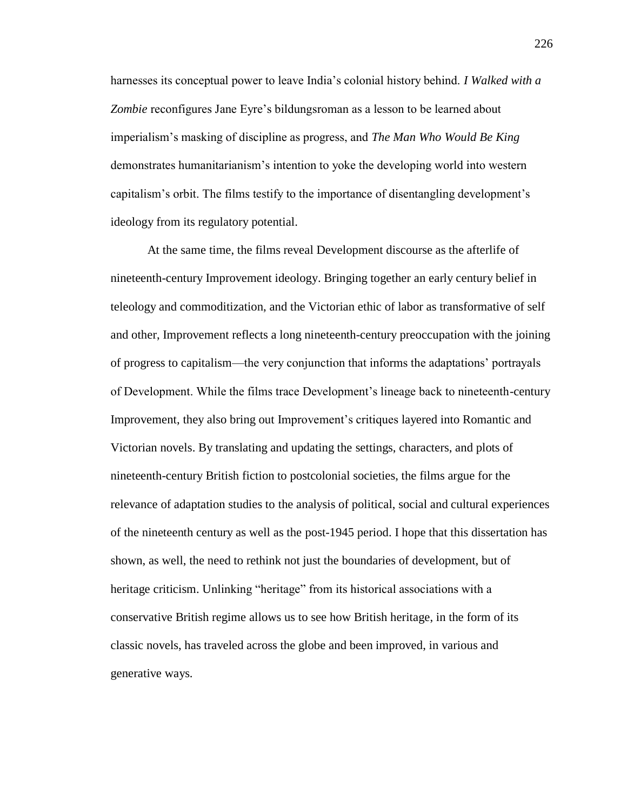harnesses its conceptual power to leave India's colonial history behind. *I Walked with a Zombie* reconfigures Jane Eyre's bildungsroman as a lesson to be learned about imperialism's masking of discipline as progress, and *The Man Who Would Be King* demonstrates humanitarianism's intention to yoke the developing world into western capitalism's orbit. The films testify to the importance of disentangling development's ideology from its regulatory potential.

At the same time, the films reveal Development discourse as the afterlife of nineteenth-century Improvement ideology. Bringing together an early century belief in teleology and commoditization, and the Victorian ethic of labor as transformative of self and other, Improvement reflects a long nineteenth-century preoccupation with the joining of progress to capitalism—the very conjunction that informs the adaptations' portrayals of Development. While the films trace Development's lineage back to nineteenth-century Improvement, they also bring out Improvement's critiques layered into Romantic and Victorian novels. By translating and updating the settings, characters, and plots of nineteenth-century British fiction to postcolonial societies, the films argue for the relevance of adaptation studies to the analysis of political, social and cultural experiences of the nineteenth century as well as the post-1945 period. I hope that this dissertation has shown, as well, the need to rethink not just the boundaries of development, but of heritage criticism. Unlinking "heritage" from its historical associations with a conservative British regime allows us to see how British heritage, in the form of its classic novels, has traveled across the globe and been improved, in various and generative ways.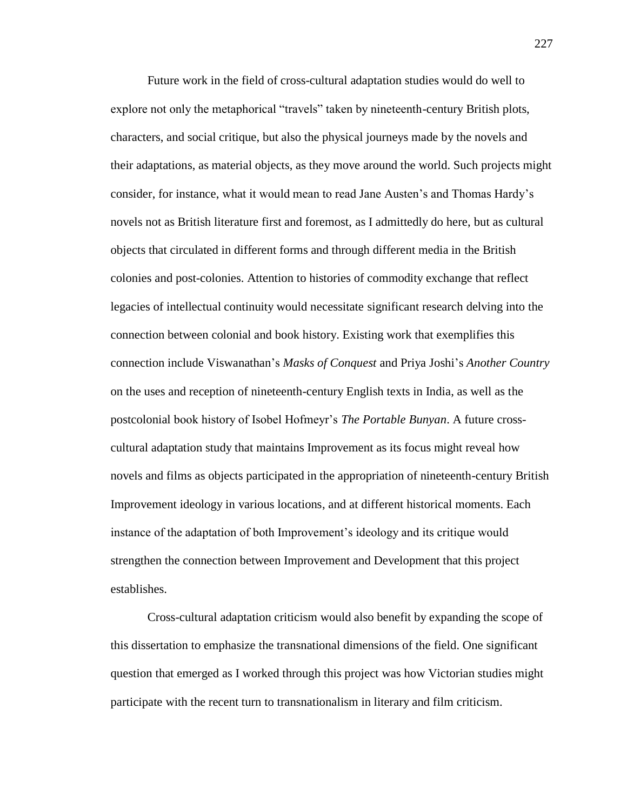Future work in the field of cross-cultural adaptation studies would do well to explore not only the metaphorical "travels" taken by nineteenth-century British plots, characters, and social critique, but also the physical journeys made by the novels and their adaptations, as material objects, as they move around the world. Such projects might consider, for instance, what it would mean to read Jane Austen's and Thomas Hardy's novels not as British literature first and foremost, as I admittedly do here, but as cultural objects that circulated in different forms and through different media in the British colonies and post-colonies. Attention to histories of commodity exchange that reflect legacies of intellectual continuity would necessitate significant research delving into the connection between colonial and book history. Existing work that exemplifies this connection include Viswanathan's *Masks of Conquest* and Priya Joshi's *Another Country* on the uses and reception of nineteenth-century English texts in India, as well as the postcolonial book history of Isobel Hofmeyr's *The Portable Bunyan*. A future crosscultural adaptation study that maintains Improvement as its focus might reveal how novels and films as objects participated in the appropriation of nineteenth-century British Improvement ideology in various locations, and at different historical moments. Each instance of the adaptation of both Improvement's ideology and its critique would strengthen the connection between Improvement and Development that this project establishes.

Cross-cultural adaptation criticism would also benefit by expanding the scope of this dissertation to emphasize the transnational dimensions of the field. One significant question that emerged as I worked through this project was how Victorian studies might participate with the recent turn to transnationalism in literary and film criticism.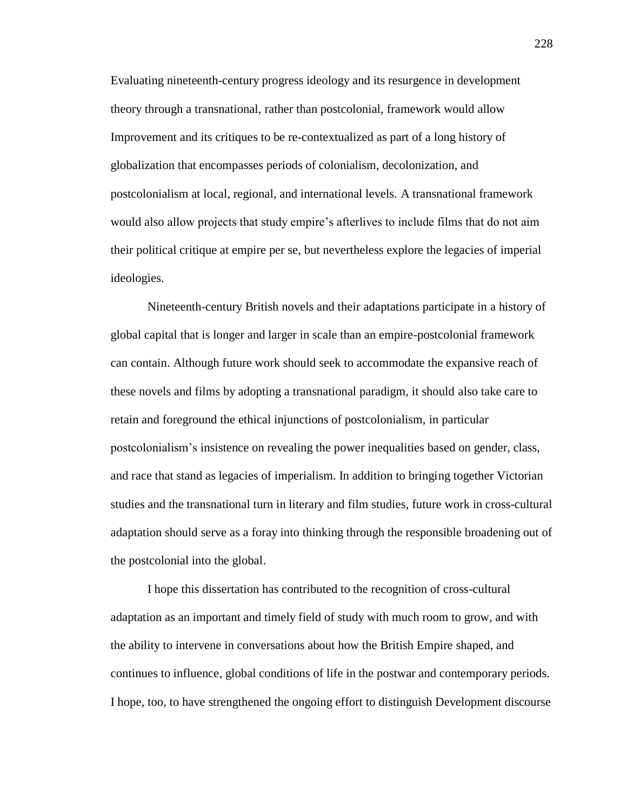Evaluating nineteenth-century progress ideology and its resurgence in development theory through a transnational, rather than postcolonial, framework would allow Improvement and its critiques to be re-contextualized as part of a long history of globalization that encompasses periods of colonialism, decolonization, and postcolonialism at local, regional, and international levels. A transnational framework would also allow projects that study empire's afterlives to include films that do not aim their political critique at empire per se, but nevertheless explore the legacies of imperial ideologies.

Nineteenth-century British novels and their adaptations participate in a history of global capital that is longer and larger in scale than an empire-postcolonial framework can contain. Although future work should seek to accommodate the expansive reach of these novels and films by adopting a transnational paradigm, it should also take care to retain and foreground the ethical injunctions of postcolonialism, in particular postcolonialism's insistence on revealing the power inequalities based on gender, class, and race that stand as legacies of imperialism. In addition to bringing together Victorian studies and the transnational turn in literary and film studies, future work in cross-cultural adaptation should serve as a foray into thinking through the responsible broadening out of the postcolonial into the global.

I hope this dissertation has contributed to the recognition of cross-cultural adaptation as an important and timely field of study with much room to grow, and with the ability to intervene in conversations about how the British Empire shaped, and continues to influence, global conditions of life in the postwar and contemporary periods. I hope, too, to have strengthened the ongoing effort to distinguish Development discourse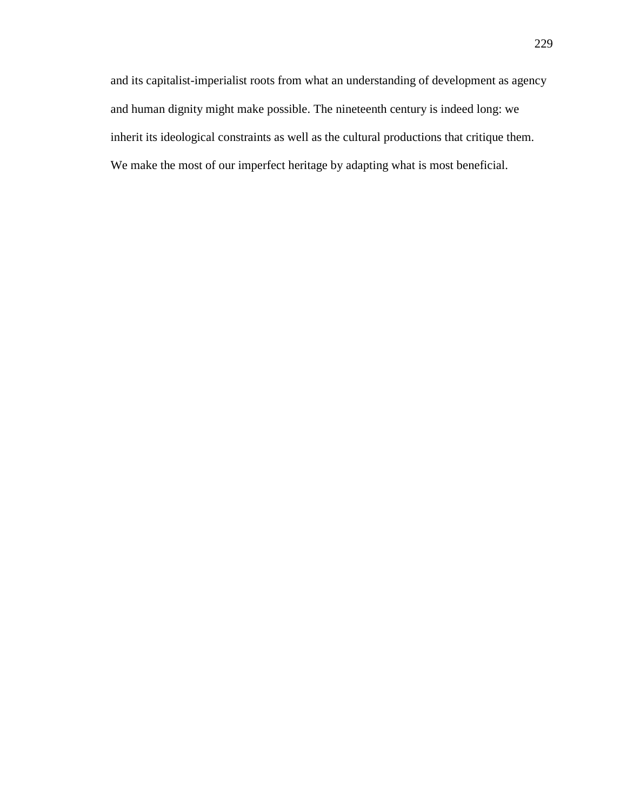and its capitalist-imperialist roots from what an understanding of development as agency and human dignity might make possible. The nineteenth century is indeed long: we inherit its ideological constraints as well as the cultural productions that critique them. We make the most of our imperfect heritage by adapting what is most beneficial.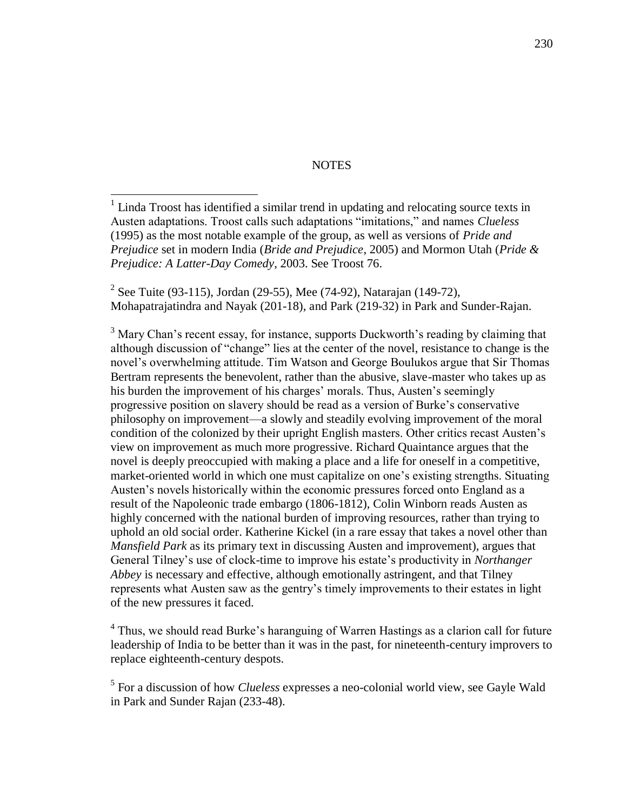## **NOTES**

 $\overline{a}$ 

<sup>2</sup> See Tuite (93-115), Jordan (29-55), Mee (74-92), Natarajan (149-72), Mohapatrajatindra and Nayak (201-18), and Park (219-32) in Park and Sunder-Rajan.

 $3$  Mary Chan's recent essay, for instance, supports Duckworth's reading by claiming that although discussion of "change" lies at the center of the novel, resistance to change is the novel's overwhelming attitude. Tim Watson and George Boulukos argue that Sir Thomas Bertram represents the benevolent, rather than the abusive, slave-master who takes up as his burden the improvement of his charges' morals. Thus, Austen's seemingly progressive position on slavery should be read as a version of Burke's conservative philosophy on improvement—a slowly and steadily evolving improvement of the moral condition of the colonized by their upright English masters. Other critics recast Austen's view on improvement as much more progressive. Richard Quaintance argues that the novel is deeply preoccupied with making a place and a life for oneself in a competitive, market-oriented world in which one must capitalize on one's existing strengths. Situating Austen's novels historically within the economic pressures forced onto England as a result of the Napoleonic trade embargo (1806-1812), Colin Winborn reads Austen as highly concerned with the national burden of improving resources, rather than trying to uphold an old social order. Katherine Kickel (in a rare essay that takes a novel other than *Mansfield Park* as its primary text in discussing Austen and improvement), argues that General Tilney's use of clock-time to improve his estate's productivity in *Northanger Abbey* is necessary and effective, although emotionally astringent, and that Tilney represents what Austen saw as the gentry's timely improvements to their estates in light of the new pressures it faced.

<sup>4</sup> Thus, we should read Burke's haranguing of Warren Hastings as a clarion call for future leadership of India to be better than it was in the past, for nineteenth-century improvers to replace eighteenth-century despots.

5 For a discussion of how *Clueless* expresses a neo-colonial world view, see Gayle Wald in Park and Sunder Rajan (233-48).

 $1$  Linda Troost has identified a similar trend in updating and relocating source texts in Austen adaptations. Troost calls such adaptations "imitations," and names *Clueless* (1995) as the most notable example of the group, as well as versions of *Pride and Prejudice* set in modern India (*Bride and Prejudice*, 2005) and Mormon Utah (*Pride & Prejudice: A Latter-Day Comedy*, 2003. See Troost 76.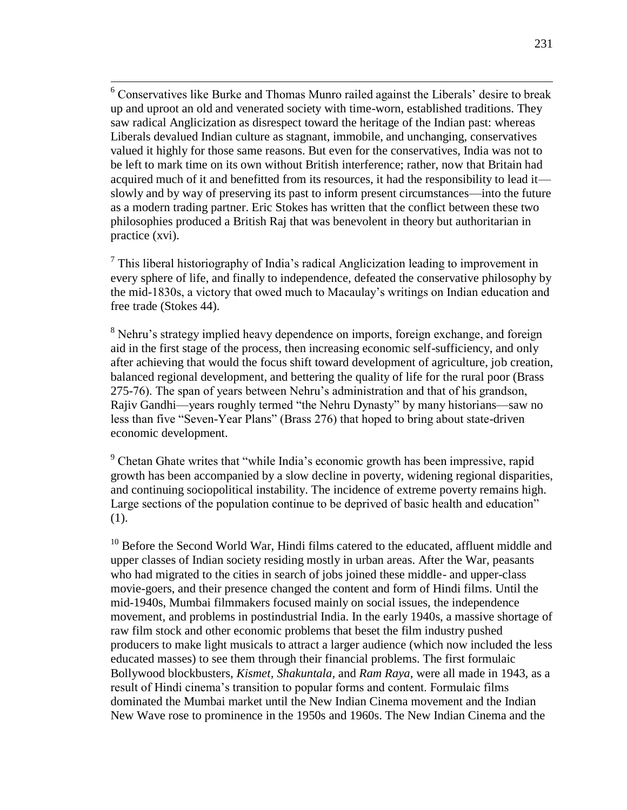$6$  Conservatives like Burke and Thomas Munro railed against the Liberals' desire to break up and uproot an old and venerated society with time-worn, established traditions. They saw radical Anglicization as disrespect toward the heritage of the Indian past: whereas Liberals devalued Indian culture as stagnant, immobile, and unchanging, conservatives valued it highly for those same reasons. But even for the conservatives, India was not to be left to mark time on its own without British interference; rather, now that Britain had acquired much of it and benefitted from its resources, it had the responsibility to lead it slowly and by way of preserving its past to inform present circumstances—into the future as a modern trading partner. Eric Stokes has written that the conflict between these two philosophies produced a British Raj that was benevolent in theory but authoritarian in practice (xvi).

l

 $<sup>7</sup>$  This liberal historiography of India's radical Anglicization leading to improvement in</sup> every sphere of life, and finally to independence, defeated the conservative philosophy by the mid-1830s, a victory that owed much to Macaulay's writings on Indian education and free trade (Stokes 44).

<sup>8</sup> Nehru's strategy implied heavy dependence on imports, foreign exchange, and foreign aid in the first stage of the process, then increasing economic self-sufficiency, and only after achieving that would the focus shift toward development of agriculture, job creation, balanced regional development, and bettering the quality of life for the rural poor (Brass 275-76). The span of years between Nehru's administration and that of his grandson, Rajiv Gandhi—years roughly termed "the Nehru Dynasty" by many historians—saw no less than five "Seven-Year Plans" (Brass 276) that hoped to bring about state-driven economic development.

<sup>9</sup> Chetan Ghate writes that "while India's economic growth has been impressive, rapid growth has been accompanied by a slow decline in poverty, widening regional disparities, and continuing sociopolitical instability. The incidence of extreme poverty remains high. Large sections of the population continue to be deprived of basic health and education" (1).

<sup>10</sup> Before the Second World War, Hindi films catered to the educated, affluent middle and upper classes of Indian society residing mostly in urban areas. After the War, peasants who had migrated to the cities in search of jobs joined these middle- and upper-class movie-goers, and their presence changed the content and form of Hindi films. Until the mid-1940s, Mumbai filmmakers focused mainly on social issues, the independence movement, and problems in postindustrial India. In the early 1940s, a massive shortage of raw film stock and other economic problems that beset the film industry pushed producers to make light musicals to attract a larger audience (which now included the less educated masses) to see them through their financial problems. The first formulaic Bollywood blockbusters, *Kismet, Shakuntala,* and *Ram Raya*, were all made in 1943, as a result of Hindi cinema's transition to popular forms and content. Formulaic films dominated the Mumbai market until the New Indian Cinema movement and the Indian New Wave rose to prominence in the 1950s and 1960s. The New Indian Cinema and the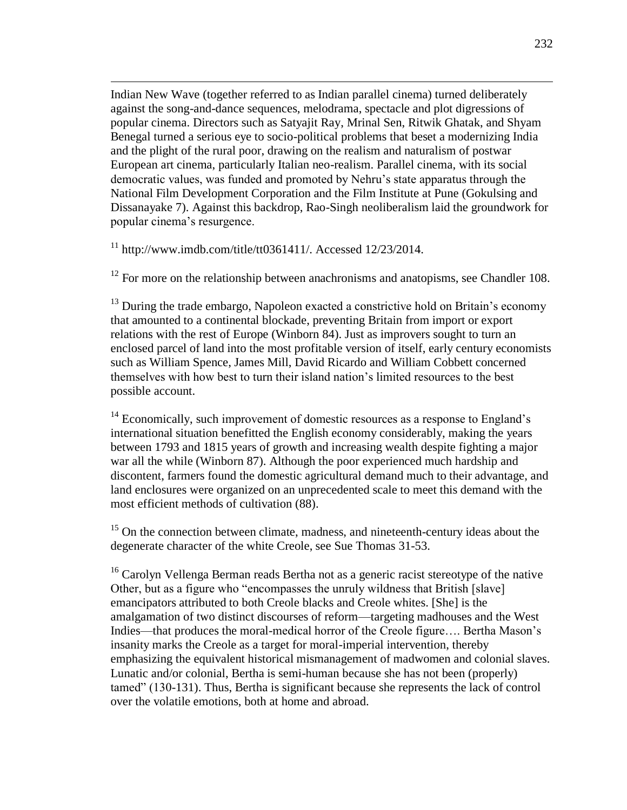Indian New Wave (together referred to as Indian parallel cinema) turned deliberately against the song-and-dance sequences, melodrama, spectacle and plot digressions of popular cinema. Directors such as Satyajit Ray, Mrinal Sen, Ritwik Ghatak, and Shyam Benegal turned a serious eye to socio-political problems that beset a modernizing India and the plight of the rural poor, drawing on the realism and naturalism of postwar European art cinema, particularly Italian neo-realism. Parallel cinema, with its social democratic values, was funded and promoted by Nehru's state apparatus through the National Film Development Corporation and the Film Institute at Pune (Gokulsing and Dissanayake 7). Against this backdrop, Rao-Singh neoliberalism laid the groundwork for popular cinema's resurgence.

 $11$  http://www.imdb.com/title/tt0361411/. Accessed 12/23/2014.

l

 $12$  For more on the relationship between anachronisms and anatopisms, see Chandler 108.

<sup>13</sup> During the trade embargo, Napoleon exacted a constrictive hold on Britain's economy that amounted to a continental blockade, preventing Britain from import or export relations with the rest of Europe (Winborn 84). Just as improvers sought to turn an enclosed parcel of land into the most profitable version of itself, early century economists such as William Spence, James Mill, David Ricardo and William Cobbett concerned themselves with how best to turn their island nation's limited resources to the best possible account.

<sup>14</sup> Economically, such improvement of domestic resources as a response to England's international situation benefitted the English economy considerably, making the years between 1793 and 1815 years of growth and increasing wealth despite fighting a major war all the while (Winborn 87). Although the poor experienced much hardship and discontent, farmers found the domestic agricultural demand much to their advantage, and land enclosures were organized on an unprecedented scale to meet this demand with the most efficient methods of cultivation (88).

<sup>15</sup> On the connection between climate, madness, and nineteenth-century ideas about the degenerate character of the white Creole, see Sue Thomas 31-53.

 $16$  Carolyn Vellenga Berman reads Bertha not as a generic racist stereotype of the native Other, but as a figure who "encompasses the unruly wildness that British [slave] emancipators attributed to both Creole blacks and Creole whites. [She] is the amalgamation of two distinct discourses of reform—targeting madhouses and the West Indies—that produces the moral-medical horror of the Creole figure…. Bertha Mason's insanity marks the Creole as a target for moral-imperial intervention, thereby emphasizing the equivalent historical mismanagement of madwomen and colonial slaves. Lunatic and/or colonial, Bertha is semi-human because she has not been (properly) tamed" (130-131). Thus, Bertha is significant because she represents the lack of control over the volatile emotions, both at home and abroad.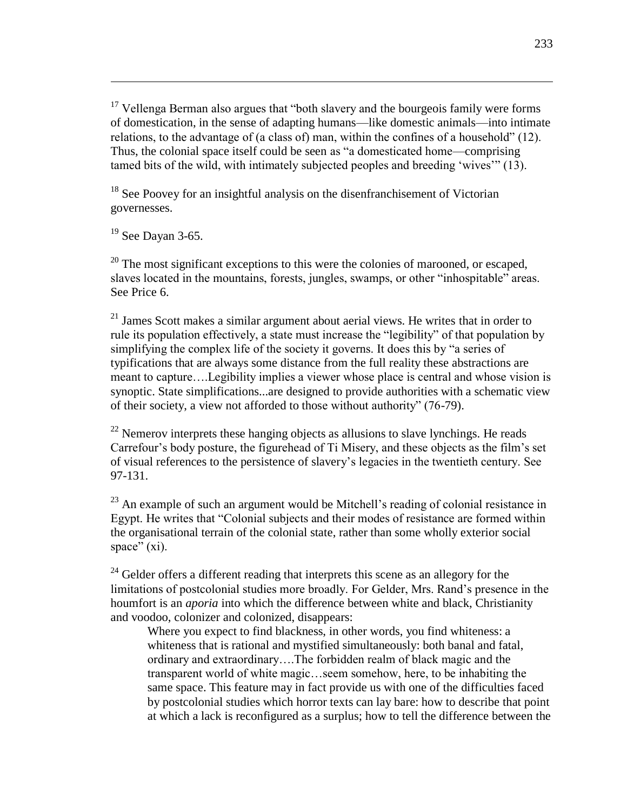<sup>17</sup> Vellenga Berman also argues that "both slavery and the bourgeois family were forms" of domestication, in the sense of adapting humans—like domestic animals—into intimate relations, to the advantage of (a class of) man, within the confines of a household" (12). Thus, the colonial space itself could be seen as "a domesticated home—comprising tamed bits of the wild, with intimately subjected peoples and breeding 'wives'" (13).

 $18$  See Poovey for an insightful analysis on the disenfranchisement of Victorian governesses.

 $19$  See Dayan 3-65.

l

 $20$  The most significant exceptions to this were the colonies of marooned, or escaped, slaves located in the mountains, forests, jungles, swamps, or other "inhospitable" areas. See Price 6.

 $21$  James Scott makes a similar argument about aerial views. He writes that in order to rule its population effectively, a state must increase the "legibility" of that population by simplifying the complex life of the society it governs. It does this by "a series of typifications that are always some distance from the full reality these abstractions are meant to capture….Legibility implies a viewer whose place is central and whose vision is synoptic. State simplifications...are designed to provide authorities with a schematic view of their society, a view not afforded to those without authority" (76-79).

 $22$  Nemerov interprets these hanging objects as allusions to slave lynchings. He reads Carrefour's body posture, the figurehead of Ti Misery, and these objects as the film's set of visual references to the persistence of slavery's legacies in the twentieth century. See 97-131.

 $23$  An example of such an argument would be Mitchell's reading of colonial resistance in Egypt. He writes that "Colonial subjects and their modes of resistance are formed within the organisational terrain of the colonial state, rather than some wholly exterior social space" (xi).

 $24$  Gelder offers a different reading that interprets this scene as an allegory for the limitations of postcolonial studies more broadly. For Gelder, Mrs. Rand's presence in the houmfort is an *aporia* into which the difference between white and black, Christianity and voodoo, colonizer and colonized, disappears:

Where you expect to find blackness, in other words, you find whiteness: a whiteness that is rational and mystified simultaneously: both banal and fatal, ordinary and extraordinary….The forbidden realm of black magic and the transparent world of white magic…seem somehow, here, to be inhabiting the same space. This feature may in fact provide us with one of the difficulties faced by postcolonial studies which horror texts can lay bare: how to describe that point at which a lack is reconfigured as a surplus; how to tell the difference between the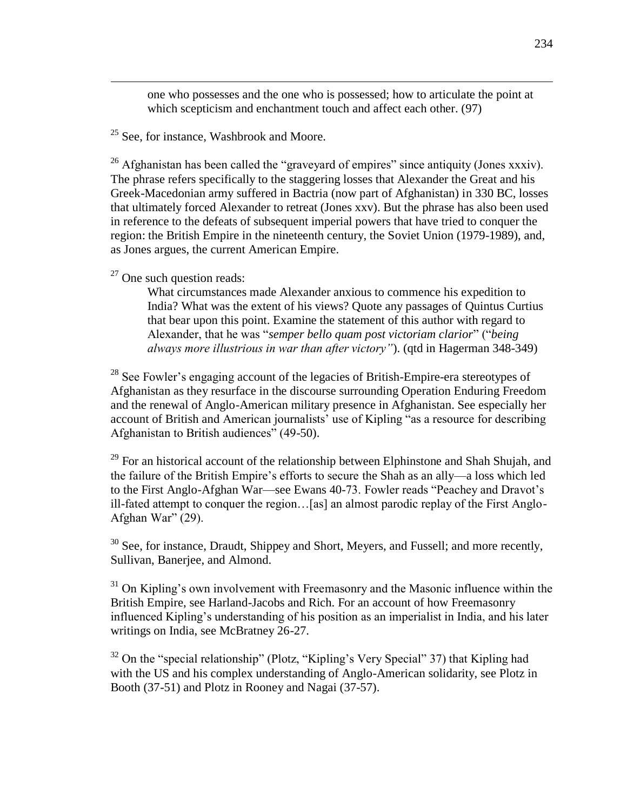one who possesses and the one who is possessed; how to articulate the point at which scepticism and enchantment touch and affect each other. (97)

 $25$  See, for instance, Washbrook and Moore.

 $26$  Afghanistan has been called the "graveyard of empires" since antiquity (Jones xxxiv). The phrase refers specifically to the staggering losses that Alexander the Great and his Greek-Macedonian army suffered in Bactria (now part of Afghanistan) in 330 BC, losses that ultimately forced Alexander to retreat (Jones xxv). But the phrase has also been used in reference to the defeats of subsequent imperial powers that have tried to conquer the region: the British Empire in the nineteenth century, the Soviet Union (1979-1989), and, as Jones argues, the current American Empire.

 $27$  One such question reads:

l

What circumstances made Alexander anxious to commence his expedition to India? What was the extent of his views? Quote any passages of Quintus Curtius that bear upon this point. Examine the statement of this author with regard to Alexander, that he was "*semper bello quam post victoriam clarior*" ("*being always more illustrious in war than after victory"*). (qtd in Hagerman 348-349)

<sup>28</sup> See Fowler's engaging account of the legacies of British-Empire-era stereotypes of Afghanistan as they resurface in the discourse surrounding Operation Enduring Freedom and the renewal of Anglo-American military presence in Afghanistan. See especially her account of British and American journalists' use of Kipling "as a resource for describing Afghanistan to British audiences" (49-50).

 $29$  For an historical account of the relationship between Elphinstone and Shah Shujah, and the failure of the British Empire's efforts to secure the Shah as an ally—a loss which led to the First Anglo-Afghan War—see Ewans 40-73. Fowler reads "Peachey and Dravot's ill-fated attempt to conquer the region…[as] an almost parodic replay of the First Anglo-Afghan War" (29).

 $30$  See, for instance, Draudt, Shippey and Short, Meyers, and Fussell; and more recently, Sullivan, Banerjee, and Almond.

 $31$  On Kipling's own involvement with Freemasonry and the Masonic influence within the British Empire, see Harland-Jacobs and Rich. For an account of how Freemasonry influenced Kipling's understanding of his position as an imperialist in India, and his later writings on India, see McBratney 26-27.

 $32$  On the "special relationship" (Plotz, "Kipling's Very Special" 37) that Kipling had with the US and his complex understanding of Anglo-American solidarity, see Plotz in Booth (37-51) and Plotz in Rooney and Nagai (37-57).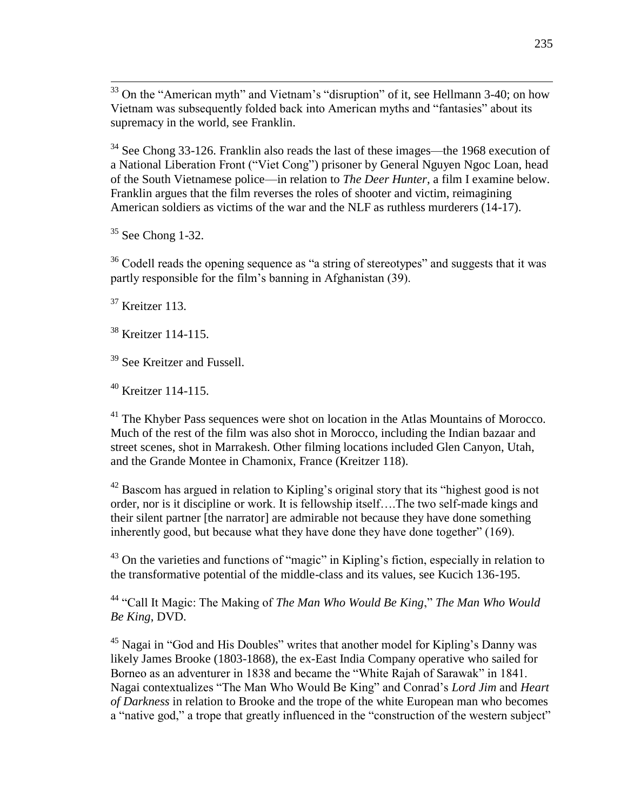$33$  On the "American myth" and Vietnam's "disruption" of it, see Hellmann 3-40; on how Vietnam was subsequently folded back into American myths and "fantasies" about its supremacy in the world, see Franklin.

<sup>34</sup> See Chong 33-126. Franklin also reads the last of these images—the 1968 execution of a National Liberation Front ("Viet Cong") prisoner by General Nguyen Ngoc Loan, head of the South Vietnamese police—in relation to *The Deer Hunter*, a film I examine below. Franklin argues that the film reverses the roles of shooter and victim, reimagining American soldiers as victims of the war and the NLF as ruthless murderers (14-17).

 $35$  See Chong 1-32.

l

<sup>36</sup> Codell reads the opening sequence as "a string of stereotypes" and suggests that it was partly responsible for the film's banning in Afghanistan (39).

 $37$  Kreitzer 113.

 $38$  Kreitzer 114-115.

<sup>39</sup> See Kreitzer and Fussell.

<sup>40</sup> Kreitzer 114-115.

<sup>41</sup> The Khyber Pass sequences were shot on location in the Atlas Mountains of Morocco. Much of the rest of the film was also shot in Morocco, including the Indian bazaar and street scenes, shot in Marrakesh. Other filming locations included Glen Canyon, Utah, and the Grande Montee in Chamonix, France (Kreitzer 118).

 $42$  Bascom has argued in relation to Kipling's original story that its "highest good is not order, nor is it discipline or work. It is fellowship itself….The two self-made kings and their silent partner [the narrator] are admirable not because they have done something inherently good, but because what they have done they have done together" (169).

<sup>43</sup> On the varieties and functions of "magic" in Kipling's fiction, especially in relation to the transformative potential of the middle-class and its values, see Kucich 136-195.

<sup>44</sup> "Call It Magic: The Making of *The Man Who Would Be King*," *The Man Who Would Be King*, DVD.

<sup>45</sup> Nagai in "God and His Doubles" writes that another model for Kipling's Danny was likely James Brooke (1803-1868), the ex-East India Company operative who sailed for Borneo as an adventurer in 1838 and became the "White Rajah of Sarawak" in 1841. Nagai contextualizes "The Man Who Would Be King" and Conrad's *Lord Jim* and *Heart of Darkness* in relation to Brooke and the trope of the white European man who becomes a "native god," a trope that greatly influenced in the "construction of the western subject"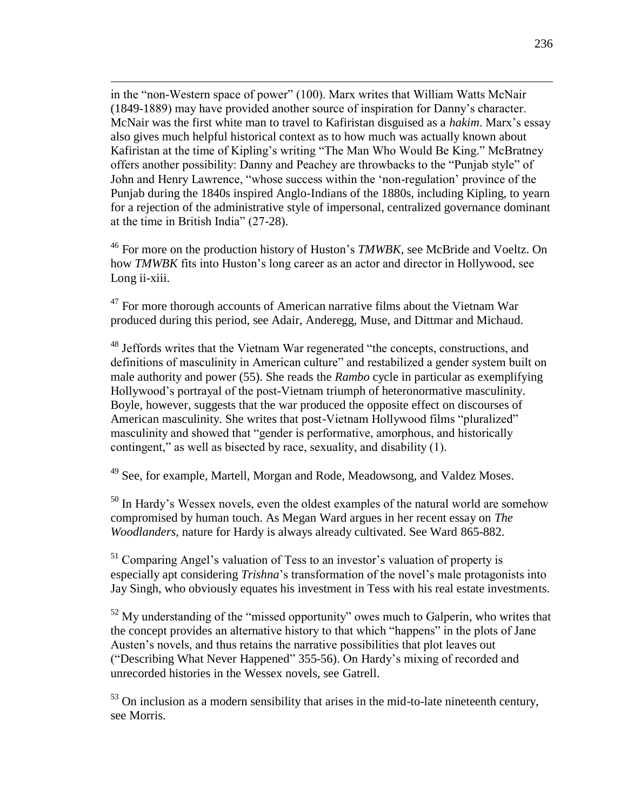in the "non-Western space of power" (100). Marx writes that William Watts McNair (1849-1889) may have provided another source of inspiration for Danny's character. McNair was the first white man to travel to Kafiristan disguised as a *hakim*. Marx's essay also gives much helpful historical context as to how much was actually known about Kafiristan at the time of Kipling's writing "The Man Who Would Be King." McBratney offers another possibility: Danny and Peachey are throwbacks to the "Punjab style" of John and Henry Lawrence, "whose success within the 'non-regulation' province of the Punjab during the 1840s inspired Anglo-Indians of the 1880s, including Kipling, to yearn for a rejection of the administrative style of impersonal, centralized governance dominant at the time in British India" (27-28).

l

<sup>46</sup> For more on the production history of Huston's *TMWBK*, see McBride and Voeltz. On how *TMWBK* fits into Huston's long career as an actor and director in Hollywood, see Long ii-xiii.

<sup>47</sup> For more thorough accounts of American narrative films about the Vietnam War produced during this period, see Adair, Anderegg, Muse, and Dittmar and Michaud.

<sup>48</sup> Jeffords writes that the Vietnam War regenerated "the concepts, constructions, and definitions of masculinity in American culture" and restabilized a gender system built on male authority and power (55). She reads the *Rambo* cycle in particular as exemplifying Hollywood's portrayal of the post-Vietnam triumph of heteronormative masculinity. Boyle, however, suggests that the war produced the opposite effect on discourses of American masculinity. She writes that post-Vietnam Hollywood films "pluralized" masculinity and showed that "gender is performative, amorphous, and historically contingent," as well as bisected by race, sexuality, and disability (1).

<sup>49</sup> See, for example, Martell, Morgan and Rode, Meadowsong, and Valdez Moses.

<sup>50</sup> In Hardy's Wessex novels, even the oldest examples of the natural world are somehow compromised by human touch. As Megan Ward argues in her recent essay on *The Woodlanders*, nature for Hardy is always already cultivated. See Ward 865-882.

 $51$  Comparing Angel's valuation of Tess to an investor's valuation of property is especially apt considering *Trishna*'s transformation of the novel's male protagonists into Jay Singh, who obviously equates his investment in Tess with his real estate investments.

 $52$  My understanding of the "missed opportunity" owes much to Galperin, who writes that the concept provides an alternative history to that which "happens" in the plots of Jane Austen's novels, and thus retains the narrative possibilities that plot leaves out ("Describing What Never Happened" 355-56). On Hardy's mixing of recorded and unrecorded histories in the Wessex novels, see Gatrell.

 $<sup>53</sup>$  On inclusion as a modern sensibility that arises in the mid-to-late nineteenth century,</sup> see Morris.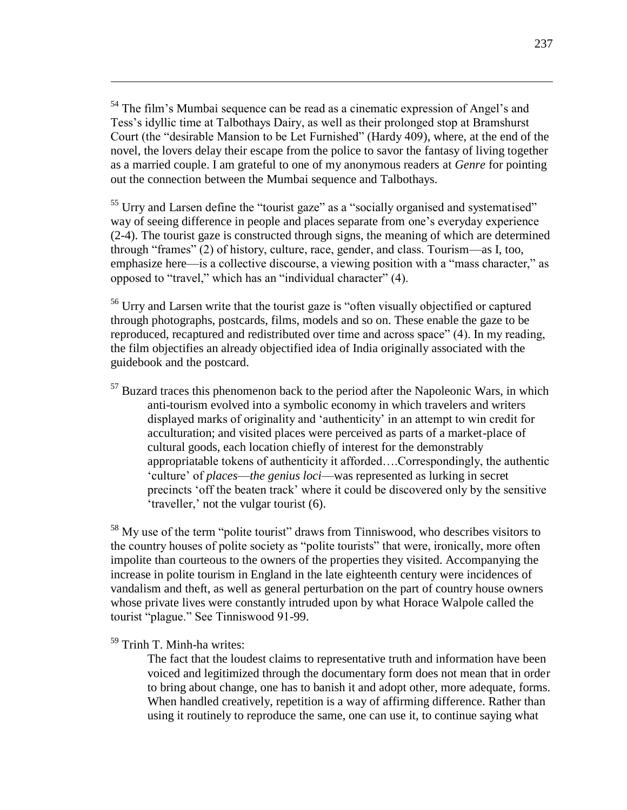<sup>54</sup> The film's Mumbai sequence can be read as a cinematic expression of Angel's and Tess's idyllic time at Talbothays Dairy, as well as their prolonged stop at Bramshurst Court (the "desirable Mansion to be Let Furnished" (Hardy 409), where, at the end of the novel, the lovers delay their escape from the police to savor the fantasy of living together as a married couple. I am grateful to one of my anonymous readers at *Genre* for pointing out the connection between the Mumbai sequence and Talbothays.

<sup>55</sup> Urry and Larsen define the "tourist gaze" as a "socially organised and systematised" way of seeing difference in people and places separate from one's everyday experience (2-4). The tourist gaze is constructed through signs, the meaning of which are determined through "frames" (2) of history, culture, race, gender, and class. Tourism—as I, too, emphasize here—is a collective discourse, a viewing position with a "mass character," as opposed to "travel," which has an "individual character" (4).

<sup>56</sup> Urry and Larsen write that the tourist gaze is "often visually objectified or captured through photographs, postcards, films, models and so on. These enable the gaze to be reproduced, recaptured and redistributed over time and across space" (4). In my reading, the film objectifies an already objectified idea of India originally associated with the guidebook and the postcard.

 $57$  Buzard traces this phenomenon back to the period after the Napoleonic Wars, in which anti-tourism evolved into a symbolic economy in which travelers and writers displayed marks of originality and 'authenticity' in an attempt to win credit for acculturation; and visited places were perceived as parts of a market-place of cultural goods, each location chiefly of interest for the demonstrably appropriatable tokens of authenticity it afforded….Correspondingly, the authentic 'culture' of *places*—*the genius loci*—was represented as lurking in secret precincts 'off the beaten track' where it could be discovered only by the sensitive 'traveller,' not the vulgar tourist (6).

<sup>58</sup> My use of the term "polite tourist" draws from Tinniswood, who describes visitors to the country houses of polite society as "polite tourists" that were, ironically, more often impolite than courteous to the owners of the properties they visited. Accompanying the increase in polite tourism in England in the late eighteenth century were incidences of vandalism and theft, as well as general perturbation on the part of country house owners whose private lives were constantly intruded upon by what Horace Walpole called the tourist "plague." See Tinniswood 91-99.

<sup>59</sup> Trinh T. Minh-ha writes:

l

The fact that the loudest claims to representative truth and information have been voiced and legitimized through the documentary form does not mean that in order to bring about change, one has to banish it and adopt other, more adequate, forms. When handled creatively, repetition is a way of affirming difference. Rather than using it routinely to reproduce the same, one can use it, to continue saying what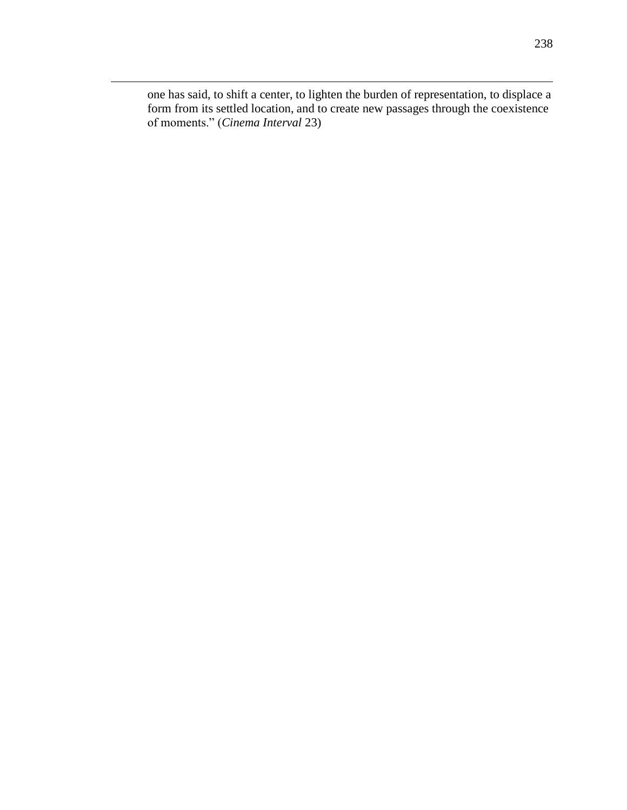one has said, to shift a center, to lighten the burden of representation, to displace a form from its settled location, and to create new passages through the coexistence of moments." (*Cinema Interval* 23)

l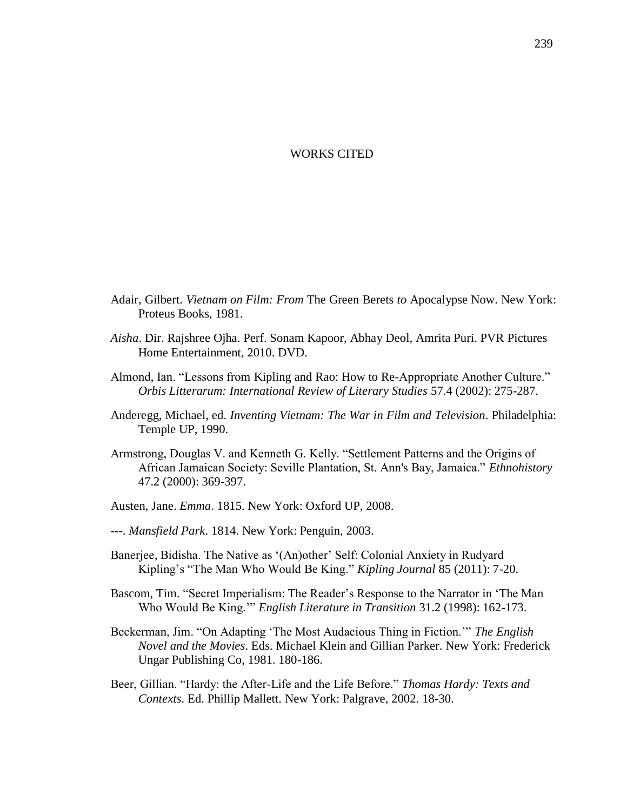## WORKS CITED

- Adair, Gilbert. *Vietnam on Film: From* The Green Berets *to* Apocalypse Now. New York: Proteus Books, 1981.
- *Aisha*. Dir. Rajshree Ojha. Perf. Sonam Kapoor, Abhay Deol, Amrita Puri. PVR Pictures Home Entertainment, 2010. DVD.
- Almond, Ian. "Lessons from Kipling and Rao: How to Re-Appropriate Another Culture." *Orbis Litterarum: International Review of Literary Studies* 57.4 (2002): 275-287.
- Anderegg, Michael, ed. *Inventing Vietnam: The War in Film and Television*. Philadelphia: Temple UP, 1990.
- Armstrong, Douglas V. and Kenneth G. Kelly. "Settlement Patterns and the Origins of African Jamaican Society: Seville Plantation, St. Ann's Bay, Jamaica." *Ethnohistory* 47.2 (2000): 369-397.
- Austen, Jane. *Emma*. 1815. New York: Oxford UP, 2008.
- ---. *Mansfield Park*. 1814. New York: Penguin, 2003.
- Banerjee, Bidisha. The Native as '(An)other' Self: Colonial Anxiety in Rudyard Kipling's "The Man Who Would Be King." *Kipling Journal* 85 (2011): 7-20.
- Bascom, Tim. "Secret Imperialism: The Reader's Response to the Narrator in 'The Man Who Would Be King.'" *English Literature in Transition* 31.2 (1998): 162-173.
- Beckerman, Jim. "On Adapting 'The Most Audacious Thing in Fiction.'" *The English Novel and the Movies*. Eds. Michael Klein and Gillian Parker. New York: Frederick Ungar Publishing Co, 1981. 180-186.
- Beer, Gillian. "Hardy: the After-Life and the Life Before." *Thomas Hardy: Texts and Contexts*. Ed. Phillip Mallett. New York: Palgrave, 2002. 18-30.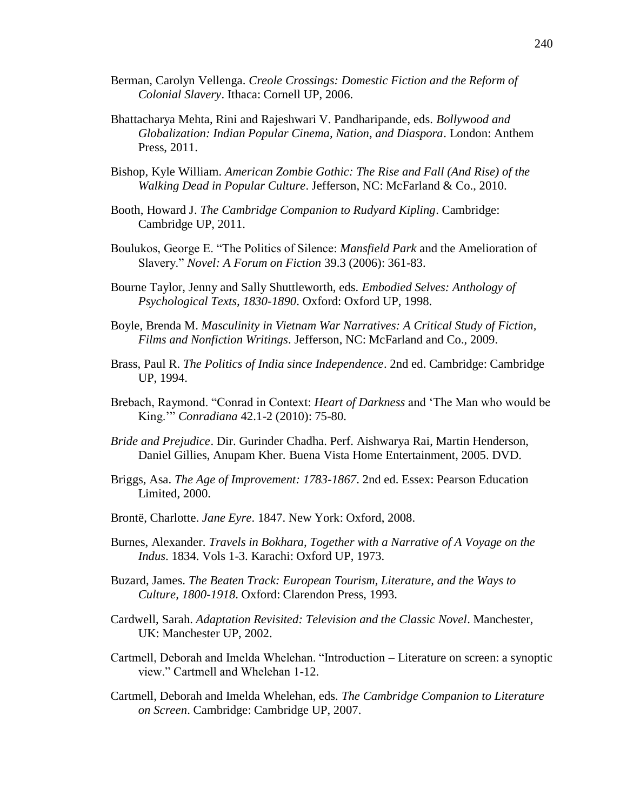- Berman, Carolyn Vellenga. *Creole Crossings: Domestic Fiction and the Reform of Colonial Slavery*. Ithaca: Cornell UP, 2006.
- Bhattacharya Mehta, Rini and Rajeshwari V. Pandharipande, eds. *Bollywood and Globalization: Indian Popular Cinema, Nation, and Diaspora*. London: Anthem Press, 2011.
- Bishop, Kyle William. *American Zombie Gothic: The Rise and Fall (And Rise) of the Walking Dead in Popular Culture*. Jefferson, NC: McFarland & Co., 2010.
- Booth, Howard J. *The Cambridge Companion to Rudyard Kipling*. Cambridge: Cambridge UP, 2011.
- Boulukos, George E. "The Politics of Silence: *Mansfield Park* and the Amelioration of Slavery." *Novel: A Forum on Fiction* 39.3 (2006): 361-83.
- Bourne Taylor, Jenny and Sally Shuttleworth, eds. *Embodied Selves: Anthology of Psychological Texts, 1830-1890*. Oxford: Oxford UP, 1998.
- Boyle, Brenda M. *Masculinity in Vietnam War Narratives: A Critical Study of Fiction, Films and Nonfiction Writings*. Jefferson, NC: McFarland and Co., 2009.
- Brass, Paul R. *The Politics of India since Independence*. 2nd ed. Cambridge: Cambridge UP, 1994.
- Brebach, Raymond. "Conrad in Context: *Heart of Darkness* and 'The Man who would be King.'" *Conradiana* 42.1-2 (2010): 75-80.
- *Bride and Prejudice*. Dir. Gurinder Chadha. Perf. Aishwarya Rai, Martin Henderson, Daniel Gillies, Anupam Kher. Buena Vista Home Entertainment, 2005. DVD.
- Briggs, Asa. *The Age of Improvement: 1783-1867*. 2nd ed. Essex: Pearson Education Limited, 2000.
- Brontë, Charlotte. *Jane Eyre*. 1847. New York: Oxford, 2008.
- Burnes, Alexander. *Travels in Bokhara, Together with a Narrative of A Voyage on the Indus*. 1834. Vols 1-3. Karachi: Oxford UP, 1973.
- Buzard, James. *The Beaten Track: European Tourism, Literature, and the Ways to Culture, 1800-1918*. Oxford: Clarendon Press, 1993.
- Cardwell, Sarah. *Adaptation Revisited: Television and the Classic Novel*. Manchester, UK: Manchester UP, 2002.
- Cartmell, Deborah and Imelda Whelehan. "Introduction Literature on screen: a synoptic view." Cartmell and Whelehan 1-12.
- Cartmell, Deborah and Imelda Whelehan, eds. *The Cambridge Companion to Literature on Screen*. Cambridge: Cambridge UP, 2007.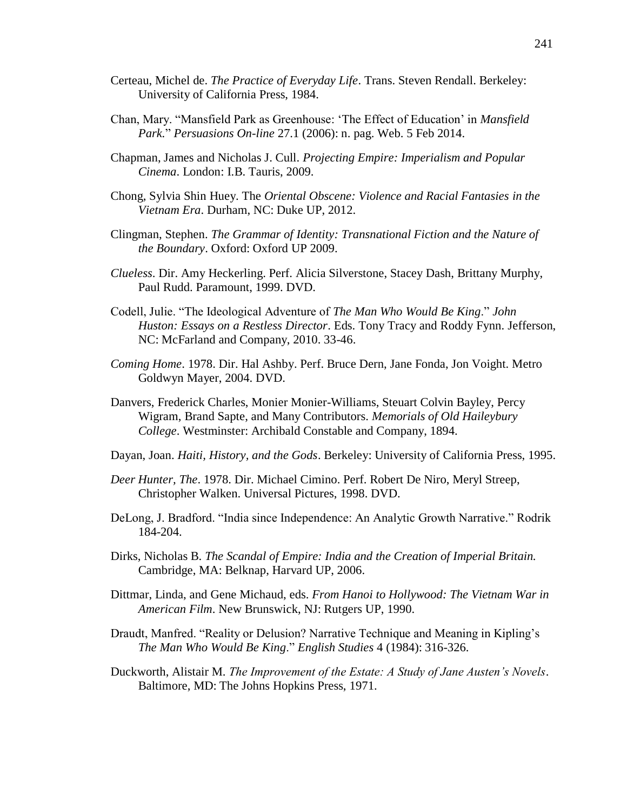- Certeau, Michel de. *The Practice of Everyday Life*. Trans. Steven Rendall. Berkeley: University of California Press, 1984.
- Chan, Mary. "Mansfield Park as Greenhouse: 'The Effect of Education' in *Mansfield Park.*" *Persuasions On-line* 27.1 (2006): n. pag. Web. 5 Feb 2014.
- Chapman, James and Nicholas J. Cull. *Projecting Empire: Imperialism and Popular Cinema*. London: I.B. Tauris, 2009.
- Chong, Sylvia Shin Huey. The *Oriental Obscene: Violence and Racial Fantasies in the Vietnam Era*. Durham, NC: Duke UP, 2012.
- Clingman, Stephen. *The Grammar of Identity: Transnational Fiction and the Nature of the Boundary*. Oxford: Oxford UP 2009.
- *Clueless*. Dir. Amy Heckerling. Perf. Alicia Silverstone, Stacey Dash, Brittany Murphy, Paul Rudd. Paramount, 1999. DVD.
- Codell, Julie. "The Ideological Adventure of *The Man Who Would Be King*." *John Huston: Essays on a Restless Director*. Eds. Tony Tracy and Roddy Fynn. Jefferson, NC: McFarland and Company, 2010. 33-46.
- *Coming Home*. 1978. Dir. Hal Ashby. Perf. Bruce Dern, Jane Fonda, Jon Voight. Metro Goldwyn Mayer, 2004. DVD.
- Danvers, Frederick Charles, Monier Monier-Williams, Steuart Colvin Bayley, Percy Wigram, Brand Sapte, and Many Contributors. *Memorials of Old Haileybury College*. Westminster: Archibald Constable and Company, 1894.
- Dayan, Joan. *Haiti, History, and the Gods*. Berkeley: University of California Press, 1995.
- *Deer Hunter, The*. 1978. Dir. Michael Cimino. Perf. Robert De Niro, Meryl Streep, Christopher Walken. Universal Pictures, 1998. DVD.
- DeLong, J. Bradford. "India since Independence: An Analytic Growth Narrative." Rodrik 184-204.
- Dirks, Nicholas B. *The Scandal of Empire: India and the Creation of Imperial Britain.*  Cambridge, MA: Belknap, Harvard UP, 2006.
- Dittmar, Linda, and Gene Michaud, eds. *From Hanoi to Hollywood: The Vietnam War in American Film*. New Brunswick, NJ: Rutgers UP, 1990.
- Draudt, Manfred. "Reality or Delusion? Narrative Technique and Meaning in Kipling's *The Man Who Would Be King*." *English Studies* 4 (1984): 316-326.
- Duckworth, Alistair M. *The Improvement of the Estate: A Study of Jane Austen's Novels*. Baltimore, MD: The Johns Hopkins Press, 1971.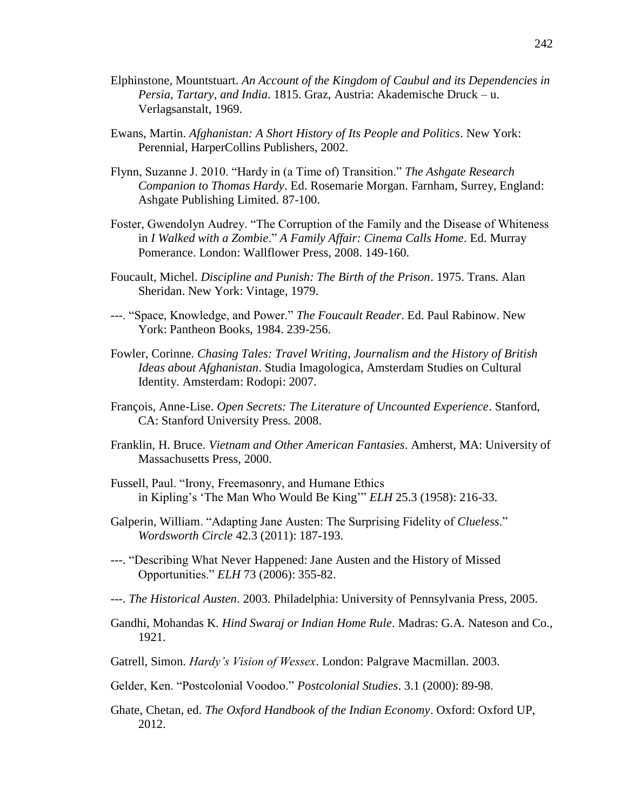- Elphinstone, Mountstuart. *An Account of the Kingdom of Caubul and its Dependencies in Persia, Tartary, and India*. 1815. Graz, Austria: Akademische Druck – u. Verlagsanstalt, 1969.
- Ewans, Martin. *Afghanistan: A Short History of Its People and Politics*. New York: Perennial, HarperCollins Publishers, 2002.
- Flynn, Suzanne J. 2010. "Hardy in (a Time of) Transition." *The Ashgate Research Companion to Thomas Hardy*. Ed. Rosemarie Morgan. Farnham, Surrey, England: Ashgate Publishing Limited. 87-100.
- Foster, Gwendolyn Audrey. "The Corruption of the Family and the Disease of Whiteness in *I Walked with a Zombie*." *A Family Affair: Cinema Calls Home*. Ed. Murray Pomerance. London: Wallflower Press, 2008. 149-160.
- Foucault, Michel. *Discipline and Punish: The Birth of the Prison*. 1975. Trans. Alan Sheridan. New York: Vintage, 1979.
- ---. "Space, Knowledge, and Power." *The Foucault Reader*. Ed. Paul Rabinow. New York: Pantheon Books, 1984. 239-256.
- Fowler, Corinne. *Chasing Tales: Travel Writing, Journalism and the History of British Ideas about Afghanistan*. Studia Imagologica, Amsterdam Studies on Cultural Identity. Amsterdam: Rodopi: 2007.
- François, Anne-Lise. *Open Secrets: The Literature of Uncounted Experience*. Stanford, CA: Stanford University Press. 2008.
- Franklin, H. Bruce. *Vietnam and Other American Fantasies*. Amherst, MA: University of Massachusetts Press, 2000.
- Fussell, Paul. "Irony, Freemasonry, and Humane Ethics in Kipling's 'The Man Who Would Be King'" *ELH* 25.3 (1958): 216-33.
- Galperin, William. "Adapting Jane Austen: The Surprising Fidelity of *Clueless*." *Wordsworth Circle* 42.3 (2011): 187-193.
- ---. "Describing What Never Happened: Jane Austen and the History of Missed Opportunities." *ELH* 73 (2006): 355-82.
- ---. *The Historical Austen*. 2003. Philadelphia: University of Pennsylvania Press, 2005.
- Gandhi, Mohandas K. *Hind Swaraj or Indian Home Rule*. Madras: G.A. Nateson and Co., 1921.
- Gatrell, Simon. *Hardy's Vision of Wessex*. London: Palgrave Macmillan. 2003.
- Gelder, Ken. "Postcolonial Voodoo." *Postcolonial Studies*. 3.1 (2000): 89-98.
- Ghate, Chetan, ed. *The Oxford Handbook of the Indian Economy*. Oxford: Oxford UP, 2012.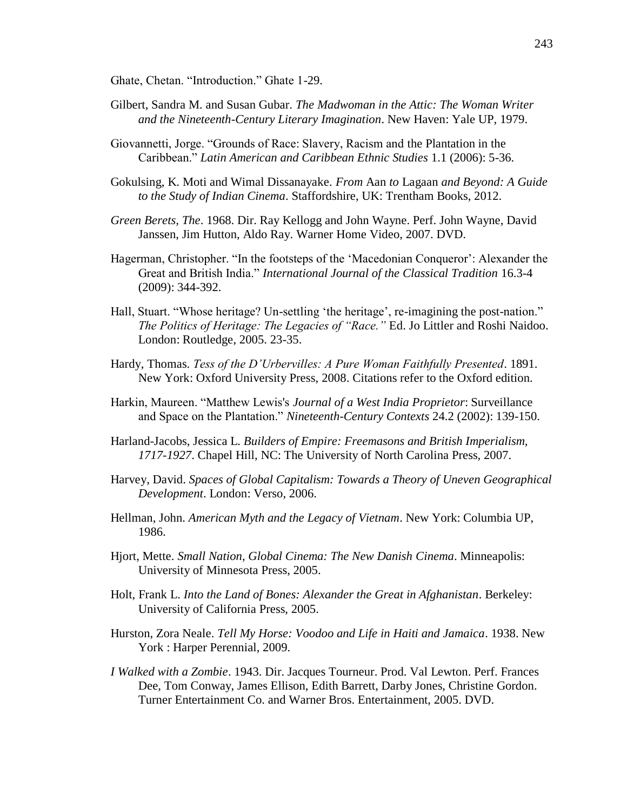Ghate, Chetan. "Introduction." Ghate 1-29.

- Gilbert, Sandra M. and Susan Gubar. *The Madwoman in the Attic: The Woman Writer and the Nineteenth-Century Literary Imagination*. New Haven: Yale UP, 1979.
- Giovannetti, Jorge. "Grounds of Race: Slavery, Racism and the Plantation in the Caribbean." *Latin American and Caribbean Ethnic Studies* 1.1 (2006): 5-36.
- Gokulsing, K. Moti and Wimal Dissanayake. *From* Aan *to* Lagaan *and Beyond: A Guide to the Study of Indian Cinema*. Staffordshire, UK: Trentham Books, 2012.
- *Green Berets, The*. 1968. Dir. Ray Kellogg and John Wayne. Perf. John Wayne, David Janssen, Jim Hutton, Aldo Ray. Warner Home Video, 2007. DVD.
- Hagerman, Christopher. "In the footsteps of the 'Macedonian Conqueror': Alexander the Great and British India." *International Journal of the Classical Tradition* 16.3-4 (2009): 344-392.
- Hall, Stuart. "Whose heritage? Un-settling 'the heritage', re-imagining the post-nation." *The Politics of Heritage: The Legacies of "Race."* Ed. Jo Littler and Roshi Naidoo. London: Routledge, 2005. 23-35.
- Hardy, Thomas. *Tess of the D'Urbervilles: A Pure Woman Faithfully Presented*. 1891. New York: Oxford University Press, 2008. Citations refer to the Oxford edition.
- Harkin, Maureen. "Matthew Lewis's *Journal of a West India Proprietor*: Surveillance and Space on the Plantation." *Nineteenth-Century Contexts* 24.2 (2002): 139-150.
- Harland-Jacobs, Jessica L. *Builders of Empire: Freemasons and British Imperialism, 1717-1927*. Chapel Hill, NC: The University of North Carolina Press, 2007.
- Harvey, David. *Spaces of Global Capitalism: Towards a Theory of Uneven Geographical Development*. London: Verso, 2006.
- Hellman, John. *American Myth and the Legacy of Vietnam*. New York: Columbia UP, 1986.
- Hjort, Mette. *Small Nation, Global Cinema: The New Danish Cinema*. Minneapolis: University of Minnesota Press, 2005.
- Holt, Frank L. *Into the Land of Bones: Alexander the Great in Afghanistan*. Berkeley: University of California Press, 2005.
- Hurston, Zora Neale. *Tell My Horse: Voodoo and Life in Haiti and Jamaica*. 1938. New York : Harper Perennial, 2009.
- *I Walked with a Zombie*. 1943. Dir. Jacques Tourneur. Prod. Val Lewton. Perf. Frances Dee, Tom Conway, James Ellison, Edith Barrett, Darby Jones, Christine Gordon. Turner Entertainment Co. and Warner Bros. Entertainment, 2005. DVD.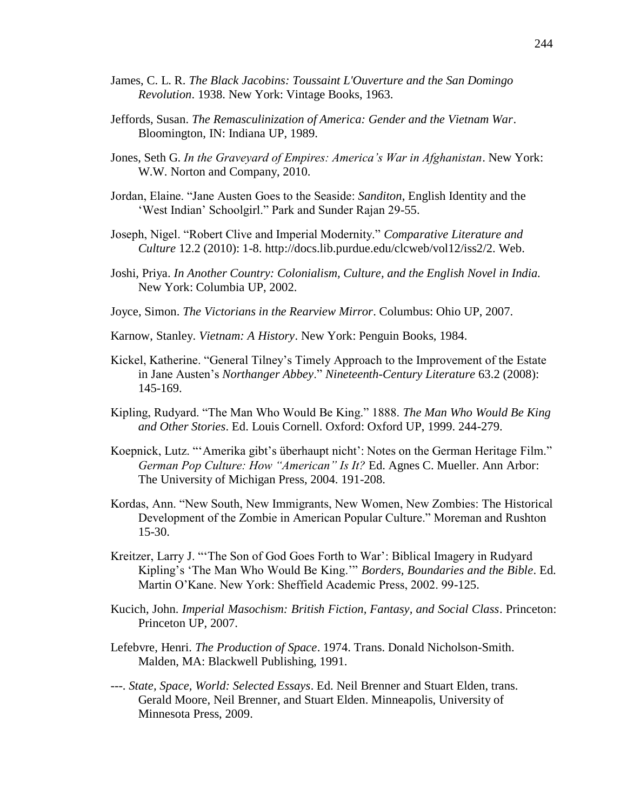- James, C. L. R. *The Black Jacobins: Toussaint L'Ouverture and the San Domingo Revolution*. 1938. New York: Vintage Books, 1963.
- Jeffords, Susan. *The Remasculinization of America: Gender and the Vietnam War*. Bloomington, IN: Indiana UP, 1989.
- Jones, Seth G. *In the Graveyard of Empires: America's War in Afghanistan*. New York: W.W. Norton and Company, 2010.
- Jordan, Elaine. "Jane Austen Goes to the Seaside: *Sanditon*, English Identity and the 'West Indian' Schoolgirl." Park and Sunder Rajan 29-55.
- Joseph, Nigel. "Robert Clive and Imperial Modernity." *Comparative Literature and Culture* 12.2 (2010): 1-8. http://docs.lib.purdue.edu/clcweb/vol12/iss2/2. Web.
- Joshi, Priya. *In Another Country: Colonialism, Culture, and the English Novel in India.*  New York: Columbia UP, 2002.
- Joyce, Simon. *The Victorians in the Rearview Mirror*. Columbus: Ohio UP, 2007.
- Karnow, Stanley. *Vietnam: A History*. New York: Penguin Books, 1984.
- Kickel, Katherine. "General Tilney's Timely Approach to the Improvement of the Estate in Jane Austen's *Northanger Abbey*." *Nineteenth-Century Literature* 63.2 (2008): 145-169.
- Kipling, Rudyard. "The Man Who Would Be King." 1888. *The Man Who Would Be King and Other Stories*. Ed. Louis Cornell. Oxford: Oxford UP, 1999. 244-279.
- Koepnick, Lutz. "'Amerika gibt's überhaupt nicht': Notes on the German Heritage Film." *German Pop Culture: How "American" Is It?* Ed. Agnes C. Mueller. Ann Arbor: The University of Michigan Press, 2004. 191-208.
- Kordas, Ann. "New South, New Immigrants, New Women, New Zombies: The Historical Development of the Zombie in American Popular Culture." Moreman and Rushton 15-30.
- Kreitzer, Larry J. "'The Son of God Goes Forth to War': Biblical Imagery in Rudyard Kipling's 'The Man Who Would Be King.'" *Borders, Boundaries and the Bible*. Ed. Martin O'Kane. New York: Sheffield Academic Press, 2002. 99-125.
- Kucich, John. *Imperial Masochism: British Fiction, Fantasy, and Social Class*. Princeton: Princeton UP, 2007.
- Lefebvre, Henri. *The Production of Space*. 1974. Trans. Donald Nicholson-Smith. Malden, MA: Blackwell Publishing, 1991.
- ---. *State, Space, World: Selected Essays*. Ed. Neil Brenner and Stuart Elden, trans. Gerald Moore, Neil Brenner, and Stuart Elden. Minneapolis, University of Minnesota Press, 2009.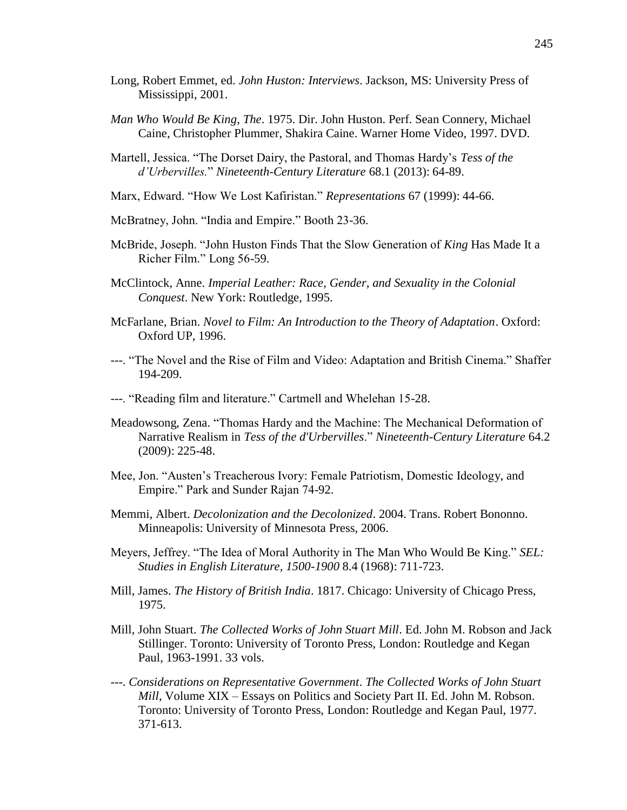- Long, Robert Emmet, ed. *John Huston: Interviews*. Jackson, MS: University Press of Mississippi, 2001.
- *Man Who Would Be King, The*. 1975. Dir. John Huston. Perf. Sean Connery, Michael Caine, Christopher Plummer, Shakira Caine. Warner Home Video, 1997. DVD.
- Martell, Jessica. "The Dorset Dairy, the Pastoral, and Thomas Hardy's *Tess of the d'Urbervilles.*" *Nineteenth-Century Literature* 68.1 (2013): 64-89.
- Marx, Edward. "How We Lost Kafiristan." *Representations* 67 (1999): 44-66.
- McBratney, John. "India and Empire." Booth 23-36.
- McBride, Joseph. "John Huston Finds That the Slow Generation of *King* Has Made It a Richer Film." Long 56-59.
- McClintock, Anne. *Imperial Leather: Race, Gender, and Sexuality in the Colonial Conquest*. New York: Routledge, 1995.
- McFarlane, Brian. *Novel to Film: An Introduction to the Theory of Adaptation*. Oxford: Oxford UP, 1996.
- ---. "The Novel and the Rise of Film and Video: Adaptation and British Cinema." Shaffer 194-209.
- ---. "Reading film and literature." Cartmell and Whelehan 15-28.
- Meadowsong, Zena. "Thomas Hardy and the Machine: The Mechanical Deformation of Narrative Realism in *Tess of the d'Urbervilles*." *Nineteenth-Century Literature* 64.2 (2009): 225-48.
- Mee, Jon. "Austen's Treacherous Ivory: Female Patriotism, Domestic Ideology, and Empire." Park and Sunder Rajan 74-92.
- Memmi, Albert. *Decolonization and the Decolonized*. 2004. Trans. Robert Bononno. Minneapolis: University of Minnesota Press, 2006.
- Meyers, Jeffrey. "The Idea of Moral Authority in The Man Who Would Be King." *SEL: Studies in English Literature, 1500-1900* 8.4 (1968): 711-723.
- Mill, James. *The History of British India*. 1817. Chicago: University of Chicago Press, 1975.
- Mill, John Stuart. *The Collected Works of John Stuart Mill*. Ed. John M. Robson and Jack Stillinger. Toronto: University of Toronto Press, London: Routledge and Kegan Paul, 1963-1991. 33 vols.
- ---. *Considerations on Representative Government*. *The Collected Works of John Stuart Mill*, Volume XIX – Essays on Politics and Society Part II. Ed. John M. Robson. Toronto: University of Toronto Press, London: Routledge and Kegan Paul, 1977. 371-613.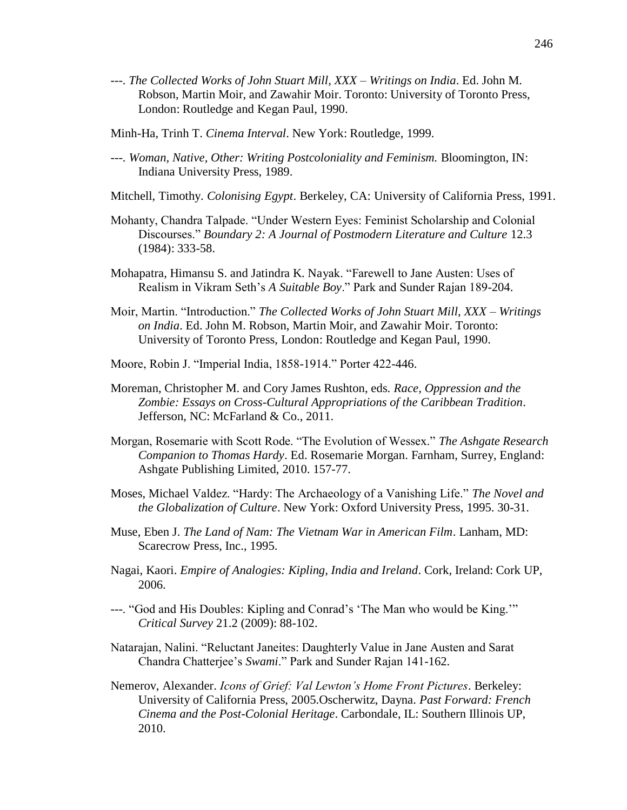---. *The Collected Works of John Stuart Mill, XXX – Writings on India*. Ed. John M. Robson, Martin Moir, and Zawahir Moir. Toronto: University of Toronto Press, London: Routledge and Kegan Paul, 1990.

Minh-Ha, Trinh T. *Cinema Interval*. New York: Routledge, 1999.

- *---. Woman, Native, Other: Writing Postcoloniality and Feminism.* Bloomington, IN: Indiana University Press, 1989.
- Mitchell, Timothy. *Colonising Egypt*. Berkeley, CA: University of California Press, 1991.
- Mohanty, Chandra Talpade. "Under Western Eyes: Feminist Scholarship and Colonial Discourses." *Boundary 2: A Journal of Postmodern Literature and Culture* 12.3 (1984): 333-58.
- Mohapatra, Himansu S. and Jatindra K. Nayak. "Farewell to Jane Austen: Uses of Realism in Vikram Seth's *A Suitable Boy*." Park and Sunder Rajan 189-204.
- Moir, Martin. "Introduction." *The Collected Works of John Stuart Mill, XXX – Writings on India*. Ed. John M. Robson, Martin Moir, and Zawahir Moir. Toronto: University of Toronto Press, London: Routledge and Kegan Paul, 1990.
- Moore, Robin J. "Imperial India, 1858-1914." Porter 422-446.
- Moreman, Christopher M. and Cory James Rushton, eds. *Race, Oppression and the Zombie: Essays on Cross-Cultural Appropriations of the Caribbean Tradition*. Jefferson, NC: McFarland & Co., 2011.
- Morgan, Rosemarie with Scott Rode. "The Evolution of Wessex." *The Ashgate Research Companion to Thomas Hardy*. Ed. Rosemarie Morgan. Farnham, Surrey, England: Ashgate Publishing Limited, 2010. 157-77.
- Moses, Michael Valdez. "Hardy: The Archaeology of a Vanishing Life." *The Novel and the Globalization of Culture*. New York: Oxford University Press, 1995. 30-31.
- Muse, Eben J. *The Land of Nam: The Vietnam War in American Film*. Lanham, MD: Scarecrow Press, Inc., 1995.
- Nagai, Kaori. *Empire of Analogies: Kipling, India and Ireland*. Cork, Ireland: Cork UP, 2006.
- ---. "God and His Doubles: Kipling and Conrad's 'The Man who would be King.'" *Critical Survey* 21.2 (2009): 88-102.
- Natarajan, Nalini. "Reluctant Janeites: Daughterly Value in Jane Austen and Sarat Chandra Chatterjee's *Swami*." Park and Sunder Rajan 141-162.
- Nemerov, Alexander. *Icons of Grief: Val Lewton's Home Front Pictures*. Berkeley: University of California Press, 2005.Oscherwitz, Dayna. *Past Forward: French Cinema and the Post-Colonial Heritage*. Carbondale, IL: Southern Illinois UP, 2010.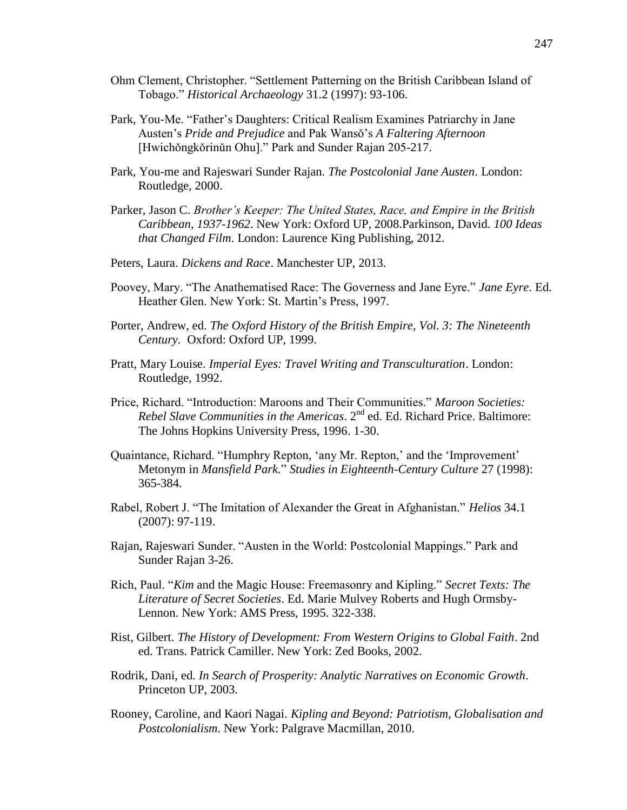- Ohm Clement, Christopher. "Settlement Patterning on the British Caribbean Island of Tobago." *Historical Archaeology* 31.2 (1997): 93-106.
- Park, You-Me. "Father's Daughters: Critical Realism Examines Patriarchy in Jane Austen's *Pride and Prejudice* and Pak Wansǒ's *A Faltering Afternoon* [Hwichǒngkǒrinǔn Ohu]." Park and Sunder Rajan 205-217.
- Park, You-me and Rajeswari Sunder Rajan. *The Postcolonial Jane Austen*. London: Routledge, 2000.
- Parker, Jason C. *Brother's Keeper: The United States, Race, and Empire in the British Caribbean, 1937-1962*. New York: Oxford UP, 2008.Parkinson, David. *100 Ideas that Changed Film*. London: Laurence King Publishing, 2012.
- Peters, Laura. *Dickens and Race*. Manchester UP, 2013.
- Poovey, Mary. "The Anathematised Race: The Governess and Jane Eyre." *Jane Eyre*. Ed. Heather Glen. New York: St. Martin's Press, 1997.
- Porter, Andrew, ed. *The Oxford History of the British Empire*, *Vol. 3: The Nineteenth Century.* Oxford: Oxford UP, 1999.
- Pratt, Mary Louise. *Imperial Eyes: Travel Writing and Transculturation*. London: Routledge, 1992.
- Price, Richard. "Introduction: Maroons and Their Communities." *Maroon Societies: Rebel Slave Communities in the Americas.* 2<sup>nd</sup> ed. Ed. Richard Price. Baltimore: The Johns Hopkins University Press, 1996. 1-30.
- Quaintance, Richard. "Humphry Repton, 'any Mr. Repton,' and the 'Improvement' Metonym in *Mansfield Park.*" *Studies in Eighteenth-Century Culture* 27 (1998): 365-384.
- Rabel, Robert J. "The Imitation of Alexander the Great in Afghanistan." *Helios* 34.1 (2007): 97-119.
- Rajan, Rajeswari Sunder. "Austen in the World: Postcolonial Mappings." Park and Sunder Rajan 3-26.
- Rich, Paul. "*Kim* and the Magic House: Freemasonry and Kipling." *Secret Texts: The Literature of Secret Societies*. Ed. Marie Mulvey Roberts and Hugh Ormsby-Lennon. New York: AMS Press, 1995. 322-338.
- Rist, Gilbert. *The History of Development: From Western Origins to Global Faith*. 2nd ed. Trans. Patrick Camiller. New York: Zed Books, 2002.
- Rodrik, Dani, ed. *In Search of Prosperity: Analytic Narratives on Economic Growth*. Princeton UP, 2003.
- Rooney, Caroline, and Kaori Nagai. *Kipling and Beyond: Patriotism, Globalisation and Postcolonialism*. New York: Palgrave Macmillan, 2010.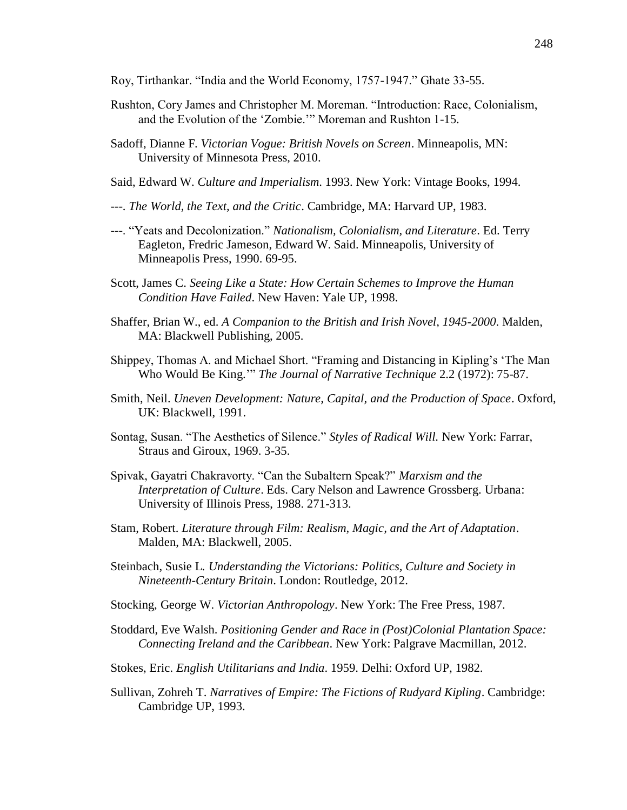- Roy, Tirthankar. "India and the World Economy, 1757-1947." Ghate 33-55.
- Rushton, Cory James and Christopher M. Moreman. "Introduction: Race, Colonialism, and the Evolution of the 'Zombie.'" Moreman and Rushton 1-15.
- Sadoff, Dianne F. *Victorian Vogue: British Novels on Screen*. Minneapolis, MN: University of Minnesota Press, 2010.
- Said, Edward W. *Culture and Imperialism*. 1993. New York: Vintage Books, 1994.
- ---. *The World, the Text, and the Critic*. Cambridge, MA: Harvard UP, 1983.
- ---. "Yeats and Decolonization." *Nationalism, Colonialism, and Literature*. Ed. Terry Eagleton, Fredric Jameson, Edward W. Said. Minneapolis, University of Minneapolis Press, 1990. 69-95.
- Scott, James C. *Seeing Like a State: How Certain Schemes to Improve the Human Condition Have Failed*. New Haven: Yale UP, 1998.
- Shaffer, Brian W., ed. *A Companion to the British and Irish Novel, 1945-2000*. Malden, MA: Blackwell Publishing, 2005.
- Shippey, Thomas A. and Michael Short. "Framing and Distancing in Kipling's 'The Man Who Would Be King.'" *The Journal of Narrative Technique* 2.2 (1972): 75-87.
- Smith, Neil. *Uneven Development: Nature, Capital, and the Production of Space*. Oxford, UK: Blackwell, 1991.
- Sontag, Susan. "The Aesthetics of Silence." *Styles of Radical Will.* New York: Farrar, Straus and Giroux, 1969. 3-35.
- Spivak, Gayatri Chakravorty. "Can the Subaltern Speak?" *Marxism and the Interpretation of Culture*. Eds. Cary Nelson and Lawrence Grossberg. Urbana: University of Illinois Press, 1988. 271-313.
- Stam, Robert. *Literature through Film: Realism, Magic, and the Art of Adaptation*. Malden, MA: Blackwell, 2005.
- Steinbach, Susie L. *Understanding the Victorians: Politics, Culture and Society in Nineteenth-Century Britain*. London: Routledge, 2012.
- Stocking, George W. *Victorian Anthropology*. New York: The Free Press, 1987.
- Stoddard, Eve Walsh. *Positioning Gender and Race in (Post)Colonial Plantation Space: Connecting Ireland and the Caribbean*. New York: Palgrave Macmillan, 2012.
- Stokes, Eric. *English Utilitarians and India*. 1959. Delhi: Oxford UP, 1982.
- Sullivan, Zohreh T. *Narratives of Empire: The Fictions of Rudyard Kipling*. Cambridge: Cambridge UP, 1993.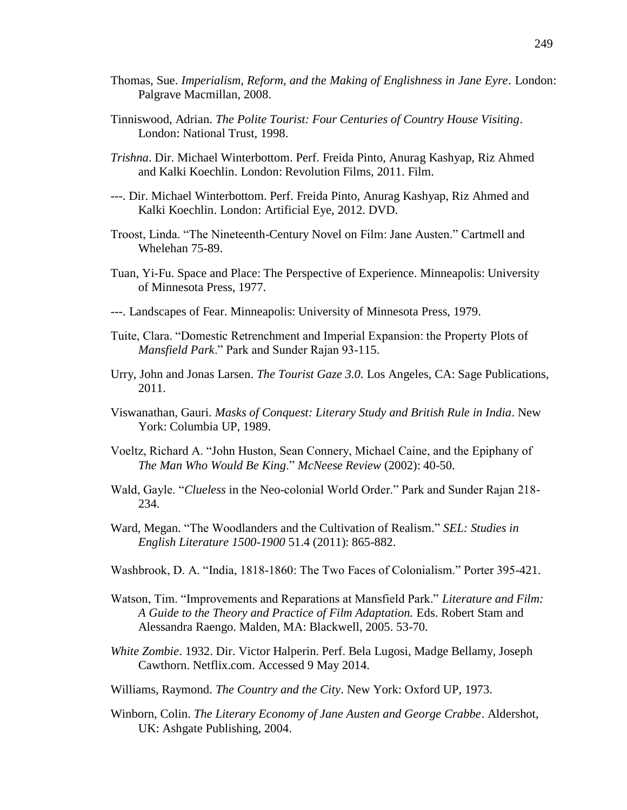- Thomas, Sue. *Imperialism, Reform, and the Making of Englishness in Jane Eyre.* London: Palgrave Macmillan, 2008.
- Tinniswood, Adrian. *The Polite Tourist: Four Centuries of Country House Visiting*. London: National Trust, 1998.
- *Trishna*. Dir. Michael Winterbottom. Perf. Freida Pinto, Anurag Kashyap, Riz Ahmed and Kalki Koechlin. London: Revolution Films, 2011. Film.
- ---. Dir. Michael Winterbottom. Perf. Freida Pinto, Anurag Kashyap, Riz Ahmed and Kalki Koechlin. London: Artificial Eye, 2012. DVD.
- Troost, Linda. "The Nineteenth-Century Novel on Film: Jane Austen." Cartmell and Whelehan 75-89.
- Tuan, Yi-Fu. Space and Place: The Perspective of Experience. Minneapolis: University of Minnesota Press, 1977.
- ---. Landscapes of Fear. Minneapolis: University of Minnesota Press, 1979.
- Tuite, Clara. "Domestic Retrenchment and Imperial Expansion: the Property Plots of *Mansfield Park*." Park and Sunder Rajan 93-115.
- Urry, John and Jonas Larsen. *The Tourist Gaze 3.0.* Los Angeles, CA: Sage Publications, 2011.
- Viswanathan, Gauri. *Masks of Conquest: Literary Study and British Rule in India*. New York: Columbia UP, 1989.
- Voeltz, Richard A. "John Huston, Sean Connery, Michael Caine, and the Epiphany of *The Man Who Would Be King*." *McNeese Review* (2002): 40-50.
- Wald, Gayle. "*Clueless* in the Neo-colonial World Order." Park and Sunder Rajan 218- 234.
- Ward, Megan. "The Woodlanders and the Cultivation of Realism." *SEL: Studies in English Literature 1500-1900* 51.4 (2011): 865-882.
- Washbrook, D. A. "India, 1818-1860: The Two Faces of Colonialism." Porter 395-421.
- Watson, Tim. "Improvements and Reparations at Mansfield Park." *Literature and Film: A Guide to the Theory and Practice of Film Adaptation.* Eds. Robert Stam and Alessandra Raengo. Malden, MA: Blackwell, 2005. 53-70.
- *White Zombie*. 1932. Dir. Victor Halperin. Perf. Bela Lugosi, Madge Bellamy, Joseph Cawthorn. Netflix.com. Accessed 9 May 2014.
- Williams, Raymond. *The Country and the City*. New York: Oxford UP, 1973.
- Winborn, Colin. *The Literary Economy of Jane Austen and George Crabbe*. Aldershot, UK: Ashgate Publishing, 2004.